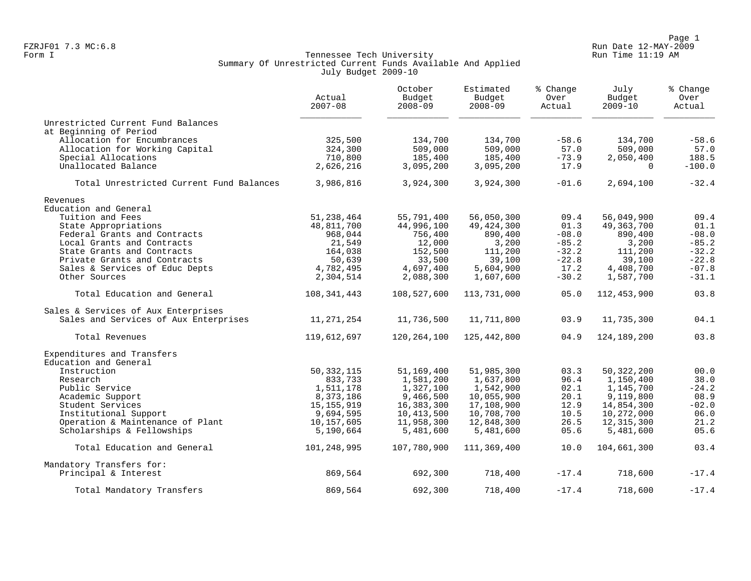Page 1<br>Run Date 12-MAY-2009 Run Date 12-MAY-2009 FZRJF01 7.3 MC:6.8 Run Date 12-MAY-2009

# Form I Tennessee Tech University Run Time 11:19 AM Summary Of Unrestricted Current Funds Available And Applied July Budget 2009-10

|                                          | Actual<br>$2007 - 08$ | October<br>Budget<br>$2008 - 09$ | Estimated<br>Budget<br>$2008 - 09$ | % Change<br>Over<br>Actual | July<br>Budget<br>$2009 - 10$ | % Change<br>Over<br>Actual |
|------------------------------------------|-----------------------|----------------------------------|------------------------------------|----------------------------|-------------------------------|----------------------------|
| Unrestricted Current Fund Balances       |                       |                                  |                                    |                            |                               |                            |
| at Beginning of Period                   |                       |                                  |                                    |                            |                               |                            |
| Allocation for Encumbrances              | 325,500               | 134,700                          | 134,700                            | $-58.6$                    | 134,700                       | $-58.6$                    |
| Allocation for Working Capital           | 324,300               | 509,000                          | 509,000                            | 57.0                       | 509,000                       | 57.0                       |
| Special Allocations                      | 710,800               | 185,400                          | 185,400                            | $-73.9$                    | 2,050,400                     | 188.5                      |
| Unallocated Balance                      | 2,626,216             | 3,095,200                        | 3,095,200                          | 17.9                       | $\Omega$                      | $-100.0$                   |
| Total Unrestricted Current Fund Balances | 3,986,816             | 3,924,300                        | 3,924,300                          | $-01.6$                    | 2,694,100                     | $-32.4$                    |
| Revenues                                 |                       |                                  |                                    |                            |                               |                            |
| Education and General                    |                       |                                  |                                    |                            |                               |                            |
| Tuition and Fees                         | 51, 238, 464          | 55,791,400                       | 56,050,300                         | 09.4                       | 56,049,900                    | 09.4                       |
| State Appropriations                     | 48,811,700            | 44,996,100                       | 49, 424, 300                       | 01.3                       | 49,363,700                    | 01.1                       |
| Federal Grants and Contracts             | 968,044               | 756,400                          | 890,400                            | $-08.0$                    | 890,400                       | $-08.0$                    |
| Local Grants and Contracts               | 21,549                | 12,000                           | 3,200                              | $-85.2$                    | 3,200                         | $-85.2$                    |
| State Grants and Contracts               | 164,038               | 152,500                          | 111,200                            | $-32.2$                    | 111,200                       | $-32.2$                    |
| Private Grants and Contracts             | 50,639                | 33,500                           | 39,100                             | $-22.8$                    | 39,100                        | $-22.8$                    |
| Sales & Services of Educ Depts           | 4,782,495             | 4,697,400                        | 5,604,900                          | 17.2                       | 4,408,700                     | $-07.8$                    |
| Other Sources                            | 2,304,514             | 2,088,300                        | 1,607,600                          | $-30.2$                    | 1,587,700                     | $-31.1$                    |
| Total Education and General              | 108,341,443           | 108,527,600                      | 113,731,000                        | 05.0                       | 112,453,900                   | 03.8                       |
| Sales & Services of Aux Enterprises      |                       |                                  |                                    |                            |                               |                            |
| Sales and Services of Aux Enterprises    | 11,271,254            | 11,736,500                       | 11,711,800                         | 03.9                       | 11,735,300                    | 04.1                       |
| Total Revenues                           | 119,612,697           | 120,264,100                      | 125,442,800                        | 04.9                       | 124,189,200                   | 03.8                       |
| Expenditures and Transfers               |                       |                                  |                                    |                            |                               |                            |
| Education and General                    |                       |                                  |                                    |                            |                               |                            |
| Instruction                              | 50, 332, 115          | 51,169,400                       | 51,985,300                         | 03.3                       | 50, 322, 200                  | 00.0                       |
| Research                                 | 833,733               | 1,581,200                        | 1,637,800                          | 96.4                       | 1,150,400                     | 38.0                       |
| Public Service                           | 1,511,178             | 1,327,100                        | 1,542,900                          | 02.1                       | 1,145,700                     | $-24.2$                    |
| Academic Support                         | 8,373,186             | 9,466,500                        | 10,055,900                         | 20.1                       | 9,119,800                     | 08.9                       |
| Student Services                         | 15, 155, 919          | 16,383,300                       | 17,108,900                         | 12.9                       | 14,854,300                    | $-02.0$                    |
| Institutional Support                    | 9,694,595             | 10,413,500                       | 10,708,700                         | 10.5                       | 10,272,000                    | 06.0                       |
| Operation & Maintenance of Plant         | 10,157,605            | 11,958,300                       | 12,848,300                         | 26.5                       | 12, 315, 300                  | 21.2                       |
| Scholarships & Fellowships               | 5,190,664             | 5,481,600                        | 5,481,600                          | 05.6                       | 5,481,600                     | 05.6                       |
| Total Education and General              | 101,248,995           | 107,780,900                      | 111,369,400                        | 10.0                       | 104,661,300                   | 03.4                       |
| Mandatory Transfers for:                 |                       |                                  |                                    |                            |                               |                            |
| Principal & Interest                     | 869,564               | 692,300                          | 718,400                            | $-17.4$                    | 718,600                       | $-17.4$                    |
| Total Mandatory Transfers                | 869,564               | 692,300                          | 718,400                            | $-17.4$                    | 718,600                       | $-17.4$                    |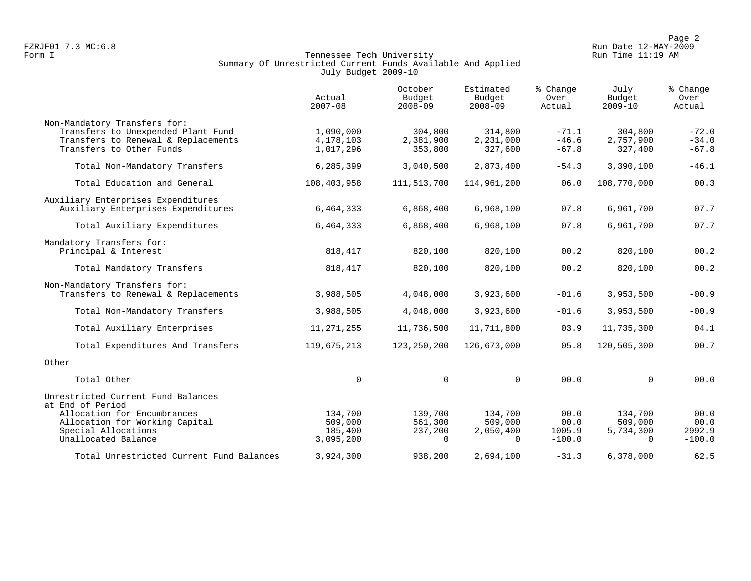Page 2<br>Run Date 12-MAY-2009 Run Date 12-MAY-2009

# Form I Tennessee Tech University Run Time 11:19 AM Summary Of Unrestricted Current Funds Available And Applied July Budget 2009-10

|                                                                                                                                       | Actual<br>$2007 - 08$               | October<br>Budget<br>$2008 - 09$ | Estimated<br>Budget<br>$2008 - 09$ | % Change<br>Over<br>Actual    | July<br>Budget<br>$2009 - 10$   | % Change<br>Over<br>Actual    |
|---------------------------------------------------------------------------------------------------------------------------------------|-------------------------------------|----------------------------------|------------------------------------|-------------------------------|---------------------------------|-------------------------------|
| Non-Mandatory Transfers for:<br>Transfers to Unexpended Plant Fund<br>Transfers to Renewal & Replacements<br>Transfers to Other Funds | 1,090,000<br>4,178,103<br>1,017,296 | 304,800<br>2,381,900<br>353,800  | 314,800<br>2,231,000<br>327,600    | $-71.1$<br>$-46.6$<br>$-67.8$ | 304,800<br>2,757,900<br>327,400 | $-72.0$<br>$-34.0$<br>$-67.8$ |
| Total Non-Mandatory Transfers                                                                                                         | 6,285,399                           | 3,040,500                        | 2,873,400                          | $-54.3$                       | 3,390,100                       | $-46.1$                       |
| Total Education and General                                                                                                           | 108,403,958                         | 111, 513, 700                    | 114,961,200                        | 06.0                          | 108,770,000                     | 00.3                          |
| Auxiliary Enterprises Expenditures<br>Auxiliary Enterprises Expenditures                                                              | 6,464,333                           | 6,868,400                        | 6,968,100                          | 07.8                          | 6,961,700                       | 07.7                          |
| Total Auxiliary Expenditures                                                                                                          | 6,464,333                           | 6,868,400                        | 6,968,100                          | 07.8                          | 6,961,700                       | 07.7                          |
| Mandatory Transfers for:<br>Principal & Interest                                                                                      | 818,417                             | 820,100                          | 820,100                            | 00.2                          | 820,100                         | 00.2                          |
| Total Mandatory Transfers                                                                                                             | 818,417                             | 820,100                          | 820,100                            | 00.2                          | 820,100                         | 00.2                          |
| Non-Mandatory Transfers for:<br>Transfers to Renewal & Replacements                                                                   | 3,988,505                           | 4,048,000                        | 3,923,600                          | $-01.6$                       | 3,953,500                       | $-00.9$                       |
| Total Non-Mandatory Transfers                                                                                                         | 3,988,505                           | 4,048,000                        | 3,923,600                          | $-01.6$                       | 3,953,500                       | $-00.9$                       |
| Total Auxiliary Enterprises                                                                                                           | 11, 271, 255                        | 11,736,500                       | 11,711,800                         | 03.9                          | 11,735,300                      | 04.1                          |
| Total Expenditures And Transfers                                                                                                      | 119,675,213                         | 123, 250, 200                    | 126,673,000                        | 05.8                          | 120,505,300                     | 00.7                          |
| Other                                                                                                                                 |                                     |                                  |                                    |                               |                                 |                               |
| Total Other                                                                                                                           | $\mathbf 0$                         | $\Omega$                         | $\Omega$                           | 00.0                          | $\Omega$                        | 00.0                          |
| Unrestricted Current Fund Balances<br>at End of Period                                                                                |                                     |                                  |                                    |                               |                                 |                               |
| Allocation for Encumbrances                                                                                                           | 134,700                             | 139,700                          | 134,700                            | 00.0                          | 134,700                         | 00.0                          |
| Allocation for Working Capital                                                                                                        | 509,000                             | 561,300                          | 509,000                            | 00.0                          | 509,000                         | 00.0                          |
| Special Allocations<br>Unallocated Balance                                                                                            | 185,400<br>3,095,200                | 237,200<br>$\Omega$              | 2,050,400<br>$\Omega$              | 1005.9<br>$-100.0$            | 5,734,300<br>$\Omega$           | 2992.9<br>$-100.0$            |
| Total Unrestricted Current Fund Balances                                                                                              | 3,924,300                           | 938,200                          | 2,694,100                          | $-31.3$                       | 6,378,000                       | 62.5                          |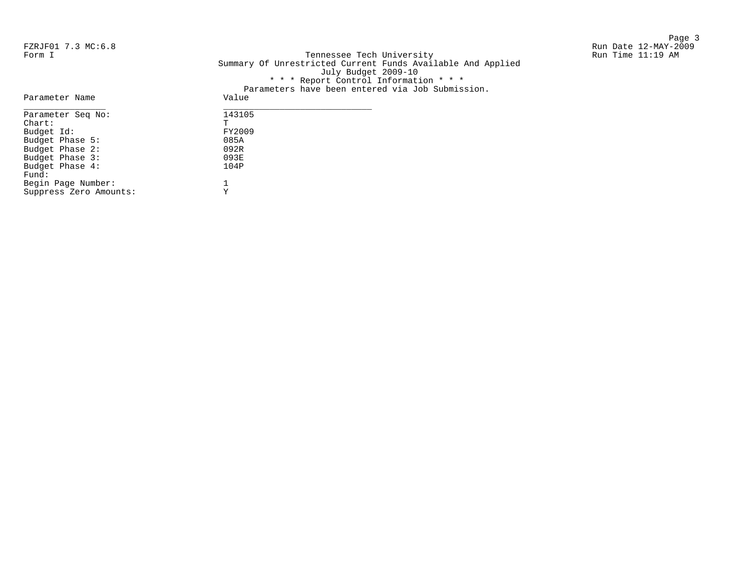Page 3 and 20 and 20 and 20 and 20 and 20 and 20 and 20 and 20 and 20 and 20 and 20 and 20 and 20 and 20 and 20

FZRJF01 7.3 MC:6.8 Run Date 12-MAY-2009 Tennessee Tech University Summary Of Unrestricted Current Funds Available And Applied July Budget 2009-10 \* \* \* Report Control Information \* \* \* Parameters have been entered via Job Submission.

| Parameter Name         | ralametels have been entered via oop submission.<br>Value |
|------------------------|-----------------------------------------------------------|
| Parameter Seq No:      | 143105                                                    |
| $chart$ :              | т                                                         |
| Budget Id:             | FY2009                                                    |
| Budget Phase 5:        | 085A                                                      |
| Budget Phase 2:        | 092R                                                      |
| Budget Phase 3:        | 093E                                                      |
| Budget Phase 4:        | 104P                                                      |
| Fund:                  |                                                           |
| Begin Page Number:     |                                                           |
| Suppress Zero Amounts: |                                                           |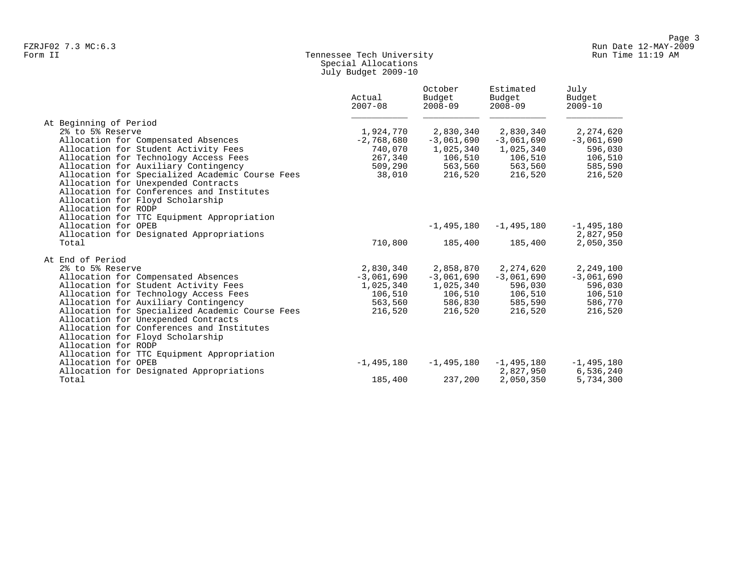# Form II Tennessee Tech University Run Time 11:19 AM Special Allocations July Budget 2009-10

|                                                 | Actual<br>$2007 - 08$ | October<br>Budget<br>$2008 - 09$ | Estimated<br>Budget<br>$2008 - 09$ | July<br>Budget<br>$2009 - 10$ |
|-------------------------------------------------|-----------------------|----------------------------------|------------------------------------|-------------------------------|
| At Beginning of Period                          |                       |                                  |                                    |                               |
| 2% to 5% Reserve                                | 1,924,770             | 2,830,340                        | 2,830,340                          | 2,274,620                     |
| Allocation for Compensated Absences             | $-2,768,680$          | $-3,061,690$                     | $-3,061,690$                       | $-3,061,690$                  |
| Allocation for Student Activity Fees            | 740,070               | 1,025,340                        | 1,025,340                          | 596,030                       |
| Allocation for Technology Access Fees           | 267,340               | 106,510                          | 106,510                            | 106,510                       |
| Allocation for Auxiliary Contingency            | 509,290               | 563,560                          | 563,560                            | 585,590                       |
| Allocation for Specialized Academic Course Fees | 38,010                | 216,520                          | 216,520                            | 216,520                       |
| Allocation for Unexpended Contracts             |                       |                                  |                                    |                               |
| Allocation for Conferences and Institutes       |                       |                                  |                                    |                               |
| Allocation for Floyd Scholarship                |                       |                                  |                                    |                               |
| Allocation for RODP                             |                       |                                  |                                    |                               |
| Allocation for TTC Equipment Appropriation      |                       |                                  |                                    |                               |
| Allocation for OPEB                             |                       | $-1,495,180$                     | $-1,495,180$                       | $-1,495,180$                  |
| Allocation for Designated Appropriations        |                       |                                  |                                    | 2,827,950                     |
| Total                                           | 710,800               | 185,400                          | 185,400                            | 2,050,350                     |
| At End of Period                                |                       |                                  |                                    |                               |
| 2% to 5% Reserve                                | 2,830,340             | 2,858,870                        | 2,274,620                          | 2,249,100                     |
| Allocation for Compensated Absences             | $-3,061,690$          | $-3,061,690$                     | $-3,061,690$                       | $-3,061,690$                  |
| Allocation for Student Activity Fees            | 1,025,340             | 1,025,340                        | 596,030                            | 596,030                       |
| Allocation for Technology Access Fees           | 106,510               | 106,510                          | 106,510                            | 106,510                       |
| Allocation for Auxiliary Contingency            | 563,560               | 586,830                          | 585,590                            | 586,770                       |
| Allocation for Specialized Academic Course Fees | 216,520               | 216,520                          | 216,520                            | 216,520                       |
| Allocation for Unexpended Contracts             |                       |                                  |                                    |                               |
| Allocation for Conferences and Institutes       |                       |                                  |                                    |                               |
| Allocation for Floyd Scholarship                |                       |                                  |                                    |                               |
| Allocation for RODP                             |                       |                                  |                                    |                               |
| Allocation for TTC Equipment Appropriation      |                       |                                  |                                    |                               |
| Allocation for OPEB                             | $-1,495,180$          | $-1,495,180$                     | $-1,495,180$                       | $-1,495,180$                  |
| Allocation for Designated Appropriations        |                       |                                  | 2,827,950                          | 6,536,240                     |
| Total                                           | 185,400               | 237,200                          | 2,050,350                          | 5,734,300                     |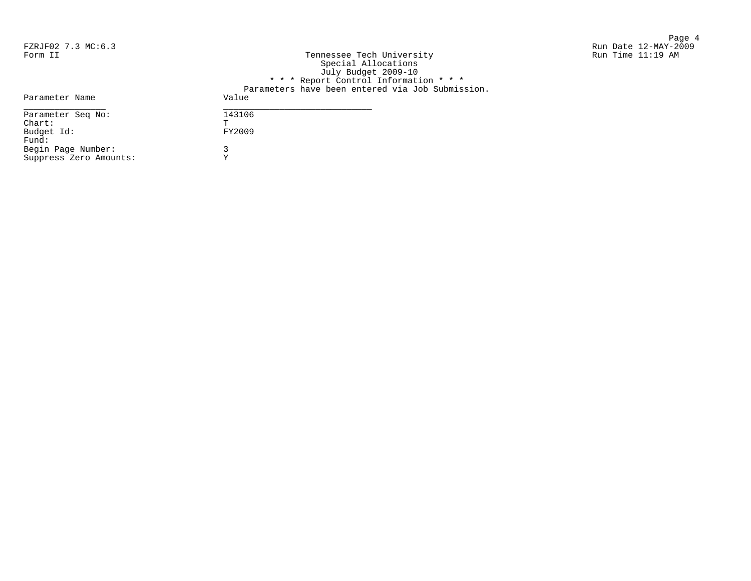Suppress Zero Amounts: Y

Page 4 FZRJF02 7.3 MC:6.3 Run Date 12-MAY-2009

| Form II            | Tennessee Tech University<br>Special Allocations<br>July Budget 2009-10 | Run Time 11:19 AM |
|--------------------|-------------------------------------------------------------------------|-------------------|
|                    | * * * Report Control Information * * *                                  |                   |
|                    | Parameters have been entered via Job Submission.                        |                   |
| Parameter Name     | Value                                                                   |                   |
| Parameter Seg No:  | 143106                                                                  |                   |
| Chart:             | m.                                                                      |                   |
| Budget Id:         | FY2009                                                                  |                   |
| Fund:              |                                                                         |                   |
| Begin Page Number: |                                                                         |                   |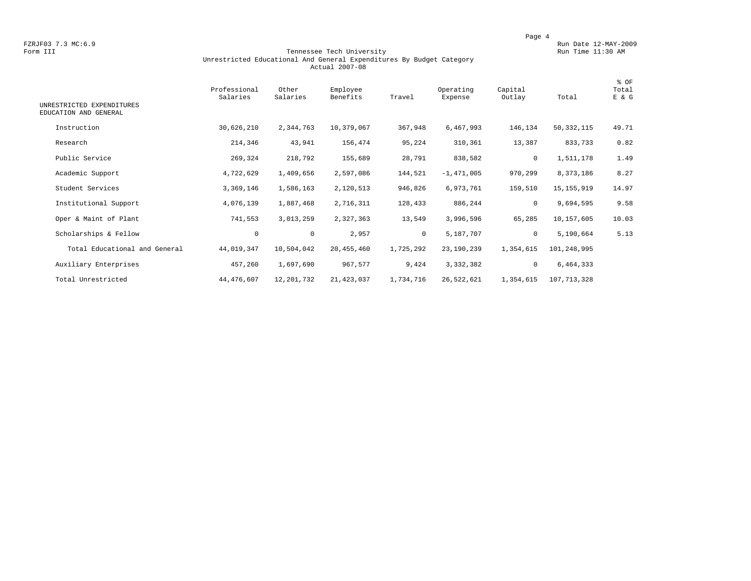### Form III Tennessee Tech University Run Time 11:30 AM Unrestricted Educational And General Expenditures By Budget Category Actual 2007-08

| UNRESTRICTED EXPENDITURES<br>EDUCATION AND GENERAL | Professional<br>Salaries | Other<br>Salaries | Employee<br>Benefits | Travel    | Operating<br>Expense | Capital<br>Outlay | Total        | % OF<br>Total<br>E & G |
|----------------------------------------------------|--------------------------|-------------------|----------------------|-----------|----------------------|-------------------|--------------|------------------------|
| Instruction                                        | 30,626,210               | 2,344,763         | 10,379,067           | 367,948   | 6,467,993            | 146,134           | 50, 332, 115 | 49.71                  |
| Research                                           | 214,346                  | 43,941            | 156,474              | 95,224    | 310,361              | 13,387            | 833,733      | 0.82                   |
| Public Service                                     | 269,324                  | 218,792           | 155,689              | 28,791    | 838,582              | 0                 | 1,511,178    | 1.49                   |
| Academic Support                                   | 4,722,629                | 1,409,656         | 2,597,086            | 144,521   | $-1,471,005$         | 970,299           | 8,373,186    | 8.27                   |
| Student Services                                   | 3,369,146                | 1,586,163         | 2,120,513            | 946,826   | 6,973,761            | 159,510           | 15, 155, 919 | 14.97                  |
| Institutional Support                              | 4,076,139                | 1,887,468         | 2,716,311            | 128,433   | 886,244              | 0                 | 9,694,595    | 9.58                   |
| Oper & Maint of Plant                              | 741,553                  | 3,013,259         | 2,327,363            | 13,549    | 3,996,596            | 65,285            | 10,157,605   | 10.03                  |
| Scholarships & Fellow                              | $\circ$                  | $\mathsf 0$       | 2,957                | $\circ$   | 5,187,707            | $\mathbf 0$       | 5,190,664    | 5.13                   |
| Total Educational and General                      | 44,019,347               | 10,504,042        | 20,455,460           | 1,725,292 | 23,190,239           | 1,354,615         | 101,248,995  |                        |
| Auxiliary Enterprises                              | 457,260                  | 1,697,690         | 967,577              | 9,424     | 3,332,382            | $\mathbf 0$       | 6,464,333    |                        |
| Total Unrestricted                                 | 44, 476, 607             | 12,201,732        | 21, 423, 037         | 1,734,716 | 26,522,621           | 1,354,615         | 107,713,328  |                        |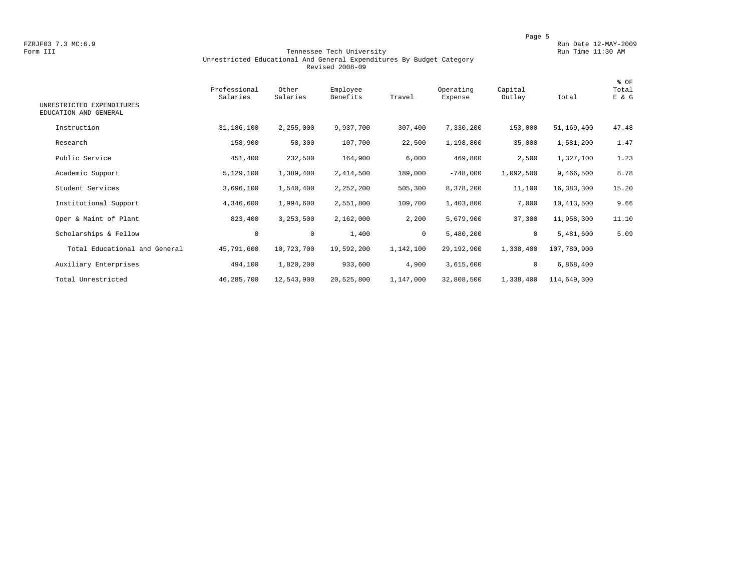### Form III Tennessee Tech University Run Time 11:30 AM Unrestricted Educational And General Expenditures By Budget Category Revised 2008-09

| UNRESTRICTED EXPENDITURES     | Professional<br>Salaries | Other<br>Salaries | Employee<br>Benefits | Travel    | Operating<br>Expense | Capital<br>Outlay | Total       | % OF<br>Total<br>E & G |
|-------------------------------|--------------------------|-------------------|----------------------|-----------|----------------------|-------------------|-------------|------------------------|
| EDUCATION AND GENERAL         |                          |                   |                      |           |                      |                   |             |                        |
| Instruction                   | 31,186,100               | 2,255,000         | 9,937,700            | 307,400   | 7,330,200            | 153,000           | 51,169,400  | 47.48                  |
| Research                      | 158,900                  | 58,300            | 107,700              | 22,500    | 1,198,800            | 35,000            | 1,581,200   | 1.47                   |
| Public Service                | 451,400                  | 232,500           | 164,900              | 6,000     | 469,800              | 2,500             | 1,327,100   | 1.23                   |
| Academic Support              | 5,129,100                | 1,389,400         | 2,414,500            | 189,000   | $-748,000$           | 1,092,500         | 9,466,500   | 8.78                   |
| Student Services              | 3,696,100                | 1,540,400         | 2,252,200            | 505,300   | 8,378,200            | 11,100            | 16,383,300  | 15.20                  |
| Institutional Support         | 4,346,600                | 1,994,600         | 2,551,800            | 109,700   | 1,403,800            | 7,000             | 10,413,500  | 9.66                   |
| Oper & Maint of Plant         | 823,400                  | 3,253,500         | 2,162,000            | 2,200     | 5,679,900            | 37,300            | 11,958,300  | 11.10                  |
| Scholarships & Fellow         | $\circ$                  | $\mathbf 0$       | 1,400                | $\circ$   | 5,480,200            | 0                 | 5,481,600   | 5.09                   |
| Total Educational and General | 45,791,600               | 10,723,700        | 19,592,200           | 1,142,100 | 29,192,900           | 1,338,400         | 107,780,900 |                        |
| Auxiliary Enterprises         | 494,100                  | 1,820,200         | 933,600              | 4,900     | 3,615,600            | 0                 | 6,868,400   |                        |
| Total Unrestricted            | 46,285,700               | 12,543,900        | 20,525,800           | 1,147,000 | 32,808,500           | 1,338,400         | 114,649,300 |                        |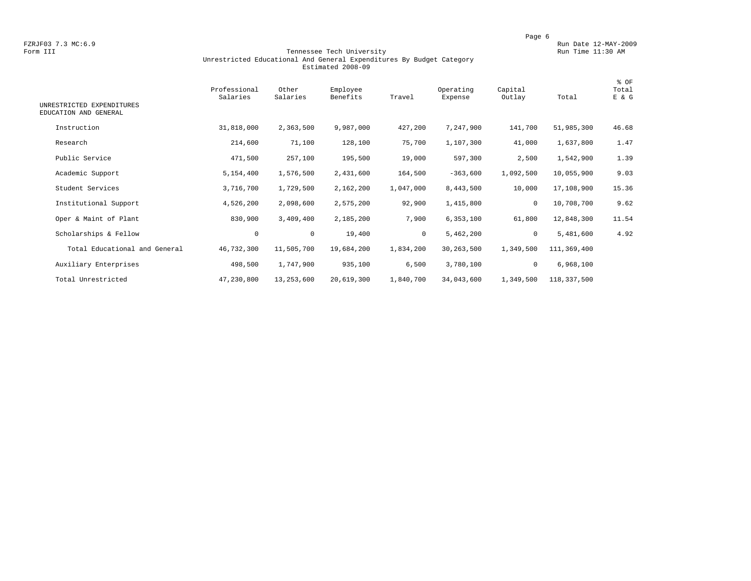### Form III Tennessee Tech University Run Time 11:30 AM Unrestricted Educational And General Expenditures By Budget Category Estimated 2008-09

| UNRESTRICTED EXPENDITURES<br>EDUCATION AND GENERAL | Professional<br>Salaries | Other<br>Salaries | Employee<br>Benefits | Travel    | Operating<br>Expense | Capital<br>Outlay | Total       | % OF<br>Total<br>E & G |
|----------------------------------------------------|--------------------------|-------------------|----------------------|-----------|----------------------|-------------------|-------------|------------------------|
| Instruction                                        | 31,818,000               | 2,363,500         | 9,987,000            | 427,200   | 7,247,900            | 141,700           | 51,985,300  | 46.68                  |
| Research                                           | 214,600                  | 71,100            | 128,100              | 75,700    | 1,107,300            | 41,000            | 1,637,800   | 1.47                   |
| Public Service                                     | 471,500                  | 257,100           | 195,500              | 19,000    | 597,300              | 2,500             | 1,542,900   | 1.39                   |
| Academic Support                                   | 5,154,400                | 1,576,500         | 2,431,600            | 164,500   | $-363,600$           | 1,092,500         | 10,055,900  | 9.03                   |
| Student Services                                   | 3,716,700                | 1,729,500         | 2,162,200            | 1,047,000 | 8,443,500            | 10,000            | 17,108,900  | 15.36                  |
| Institutional Support                              | 4,526,200                | 2,098,600         | 2,575,200            | 92,900    | 1,415,800            | 0                 | 10,708,700  | 9.62                   |
| Oper & Maint of Plant                              | 830,900                  | 3,409,400         | 2,185,200            | 7,900     | 6,353,100            | 61,800            | 12,848,300  | 11.54                  |
| Scholarships & Fellow                              | $\mathbf 0$              | $\mathbf 0$       | 19,400               | $\circ$   | 5,462,200            | 0                 | 5,481,600   | 4.92                   |
| Total Educational and General                      | 46,732,300               | 11,505,700        | 19,684,200           | 1,834,200 | 30,263,500           | 1,349,500         | 111,369,400 |                        |
| Auxiliary Enterprises                              | 498,500                  | 1,747,900         | 935,100              | 6,500     | 3,780,100            | 0                 | 6,968,100   |                        |
| Total Unrestricted                                 | 47,230,800               | 13,253,600        | 20,619,300           | 1,840,700 | 34,043,600           | 1,349,500         | 118,337,500 |                        |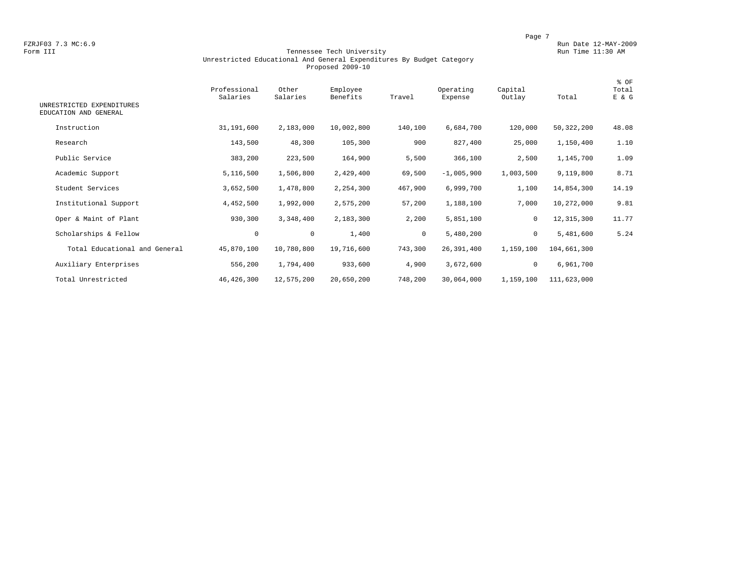### Form III Tennessee Tech University Run Time 11:30 AM Unrestricted Educational And General Expenditures By Budget Category Proposed 2009-10

| UNRESTRICTED EXPENDITURES<br>EDUCATION AND GENERAL | Professional<br>Salaries | Other<br>Salaries | Employee<br>Benefits | Travel       | Operating<br>Expense | Capital<br>Outlay | Total        | % OF<br>Total<br>E & G |
|----------------------------------------------------|--------------------------|-------------------|----------------------|--------------|----------------------|-------------------|--------------|------------------------|
| Instruction                                        | 31,191,600               | 2,183,000         | 10,002,800           | 140,100      | 6,684,700            | 120,000           | 50,322,200   | 48.08                  |
| Research                                           | 143,500                  | 48,300            | 105,300              | 900          | 827,400              | 25,000            | 1,150,400    | 1.10                   |
| Public Service                                     | 383,200                  | 223,500           | 164,900              | 5,500        | 366,100              | 2,500             | 1,145,700    | 1.09                   |
| Academic Support                                   | 5,116,500                | 1,506,800         | 2,429,400            | 69,500       | $-1,005,900$         | 1,003,500         | 9,119,800    | 8.71                   |
| Student Services                                   | 3,652,500                | 1,478,800         | 2,254,300            | 467,900      | 6,999,700            | 1,100             | 14,854,300   | 14.19                  |
| Institutional Support                              | 4,452,500                | 1,992,000         | 2,575,200            | 57,200       | 1,188,100            | 7,000             | 10,272,000   | 9.81                   |
| Oper & Maint of Plant                              | 930,300                  | 3,348,400         | 2,183,300            | 2,200        | 5,851,100            | 0                 | 12, 315, 300 | 11.77                  |
| Scholarships & Fellow                              | $\mathbf 0$              | $\mathbf 0$       | 1,400                | $\mathbf{0}$ | 5,480,200            | $\mathbf 0$       | 5,481,600    | 5.24                   |
| Total Educational and General                      | 45,870,100               | 10,780,800        | 19,716,600           | 743,300      | 26,391,400           | 1,159,100         | 104,661,300  |                        |
| Auxiliary Enterprises                              | 556,200                  | 1,794,400         | 933,600              | 4,900        | 3,672,600            | $\mathbf 0$       | 6,961,700    |                        |
| Total Unrestricted                                 | 46, 426, 300             | 12,575,200        | 20,650,200           | 748,200      | 30,064,000           | 1,159,100         | 111,623,000  |                        |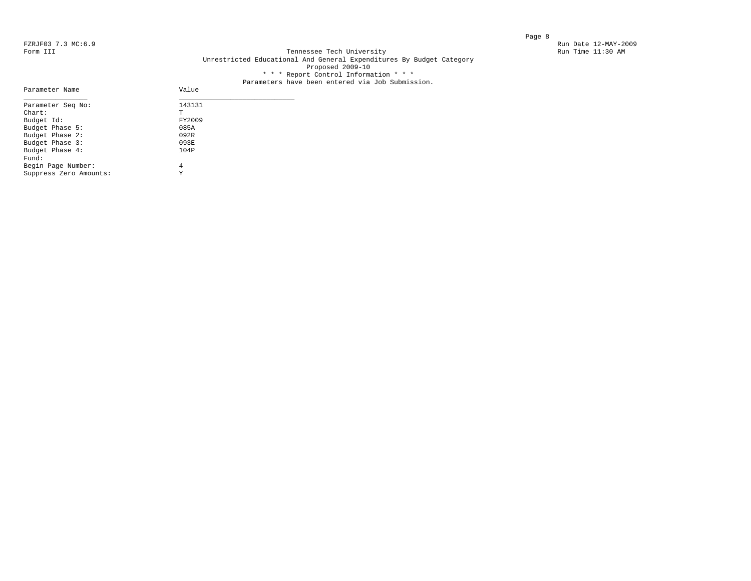Parameter Name

### FZRJF03 7.3 MC:6.9 Run Date 12-MAY-2009<br>Form III Run Date 12-MAY-2009 Run Date 12-MAY-2009 Run Date 11:30 AM Tennessee Tech University Unrestricted Educational And General Expenditures By Budget Category Proposed 2009-10 \* \* \* Report Control Information \* \* \*

# Parameters have been entered via Job Submission.<br>Value

| Parameter Seq No:      | 143131 |  |
|------------------------|--------|--|
| $Chart$ :              | T      |  |
| Budget Id:             | FY2009 |  |
| Budget Phase 5:        | 085A   |  |
| Budget Phase 2:        | 092R   |  |
| Budget Phase 3:        | 093E   |  |
| Budget Phase 4:        | 104P   |  |
| Fund:                  |        |  |
| Begin Page Number:     | 4      |  |
| Suppress Zero Amounts: | Y      |  |
|                        |        |  |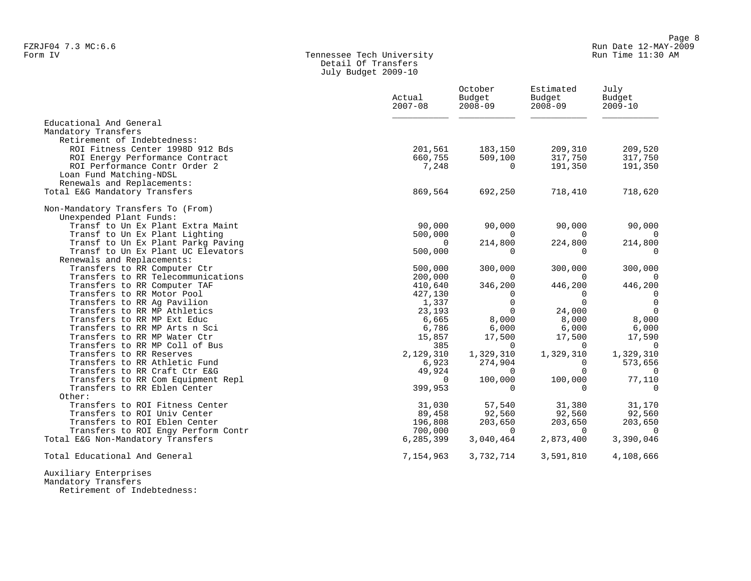# Form IV Tennessee Tech University Run Time 11:30 AM Detail Of Transfers July Budget 2009-10

|                                                                    | Actual<br>$2007 - 08$ | October<br>Budget<br>$2008 - 09$ | Estimated<br>Budget<br>$2008 - 09$ | July<br>Budget<br>$2009 - 10$ |
|--------------------------------------------------------------------|-----------------------|----------------------------------|------------------------------------|-------------------------------|
| Educational And General                                            |                       |                                  |                                    |                               |
| Mandatory Transfers                                                |                       |                                  |                                    |                               |
| Retirement of Indebtedness:                                        |                       |                                  |                                    |                               |
| ROI Fitness Center 1998D 912 Bds                                   | 201,561               | 183,150                          | 209,310                            | 209,520                       |
| ROI Energy Performance Contract<br>ROI Performance Contr Order 2   | 660,755<br>7,248      | 509,100<br>$\Omega$              | 317,750<br>191,350                 | 317,750<br>191,350            |
| Loan Fund Matching-NDSL                                            |                       |                                  |                                    |                               |
| Renewals and Replacements:                                         |                       |                                  |                                    |                               |
| Total E&G Mandatory Transfers                                      | 869,564               | 692,250                          | 718,410                            | 718,620                       |
| Non-Mandatory Transfers To (From)                                  |                       |                                  |                                    |                               |
| Unexpended Plant Funds:                                            |                       |                                  |                                    |                               |
| Transf to Un Ex Plant Extra Maint                                  | 90,000                | 90,000                           | 90,000                             | 90,000                        |
| Transf to Un Ex Plant Lighting                                     | 500,000               | $\overline{0}$                   | $\Omega$                           | $\overline{0}$                |
| Transf to Un Ex Plant Parkg Paving                                 | $\Omega$              | 214,800                          | 224,800                            | 214,800                       |
| Transf to Un Ex Plant UC Elevators                                 | 500,000               | $\Omega$                         | $\Omega$                           | $\overline{0}$                |
| Renewals and Replacements:                                         |                       |                                  |                                    |                               |
| Transfers to RR Computer Ctr                                       | 500,000               | 300,000                          | 300,000                            | 300,000                       |
| Transfers to RR Telecommunications                                 | 200,000               | $\Omega$                         | $\Omega$                           | $\Omega$                      |
| Transfers to RR Computer TAF                                       | 410,640               | 346,200                          | 446,200                            | 446,200                       |
| Transfers to RR Motor Pool                                         | 427,130               | $\Omega$                         | $\Omega$                           | $\Omega$                      |
| Transfers to RR Ag Pavilion                                        | 1,337                 | $\Omega$                         | $\Omega$                           | $\Omega$                      |
| Transfers to RR MP Athletics                                       | 23,193                | $\Omega$                         | 24,000                             | $\Omega$                      |
| Transfers to RR MP Ext Educ                                        | 6,665                 | 8,000                            | 8,000                              | 8,000                         |
| Transfers to RR MP Arts n Sci                                      | 6,786                 | 6,000                            | 6,000                              | 6,000                         |
| Transfers to RR MP Water Ctr                                       | 15,857                | 17,500                           | 17,500                             | 17,590                        |
| Transfers to RR MP Coll of Bus                                     | 385                   | $\Omega$                         | $\Omega$                           | $\overline{0}$                |
| Transfers to RR Reserves                                           | 2,129,310             | 1,329,310                        | 1,329,310                          | 1,329,310                     |
| Transfers to RR Athletic Fund                                      | 6,923                 | 274,904                          | $\Omega$                           | 573,656                       |
| Transfers to RR Craft Ctr E&G                                      | 49,924                | $\Omega$                         | $\Omega$                           |                               |
| Transfers to RR Com Equipment Repl<br>Transfers to RR Eblen Center | $\Omega$              | 100,000<br>$\Omega$              | 100,000<br>$\Omega$                | 77,110<br>$\Omega$            |
| Other:                                                             | 399,953               |                                  |                                    |                               |
| Transfers to ROI Fitness Center                                    | 31,030                | 57,540                           | 31,380                             | 31,170                        |
| Transfers to ROI Univ Center                                       | 89,458                | 92,560                           | 92,560                             | 92,560                        |
| Transfers to ROI Eblen Center                                      | 196,808               | 203,650                          | 203,650                            | 203,650                       |
| Transfers to ROI Engy Perform Contr                                | 700,000               | $\Omega$                         | $\Omega$                           | $\Omega$                      |
| Total E&G Non-Mandatory Transfers                                  | 6,285,399             | 3,040,464                        | 2,873,400                          | 3,390,046                     |
|                                                                    |                       |                                  |                                    |                               |
| Total Educational And General                                      | 7,154,963             | 3,732,714                        | 3,591,810                          | 4,108,666                     |
|                                                                    |                       |                                  |                                    |                               |

 Auxiliary Enterprises Mandatory Transfers

Retirement of Indebtedness: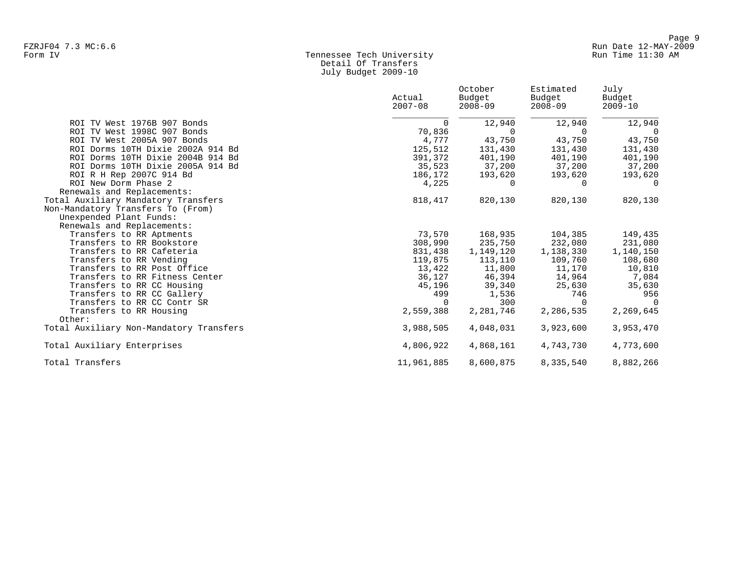## Form IV Tennessee Tech University Run Time 11:30 AM Detail Of Transfers July Budget 2009-10

|                                         | Actual<br>$2007 - 08$ | October<br>Budget<br>$2008 - 09$ | Estimated<br>Budget<br>2008-09 | July<br>Budget<br>$2009 - 10$ |
|-----------------------------------------|-----------------------|----------------------------------|--------------------------------|-------------------------------|
| ROI TV West 1976B 907 Bonds             | $\Omega$              | 12,940                           | 12,940                         | 12,940                        |
| ROI TV West 1998C 907 Bonds             | 70,836                | $\Omega$                         | $\Omega$                       | $\Omega$                      |
| ROI TV West 2005A 907 Bonds             | 4,777                 | 43,750                           | 43,750                         | 43,750                        |
| ROI Dorms 10TH Dixie 2002A 914 Bd       | 125,512               | 131,430                          | 131,430                        | 131,430                       |
| ROI Dorms 10TH Dixie 2004B 914 Bd       | 391,372               | 401,190                          | 401,190                        | 401,190                       |
| ROI Dorms 10TH Dixie 2005A 914 Bd       | 35,523                | 37,200                           | 37,200                         | 37,200                        |
| ROI R H Rep 2007C 914 Bd                | 186,172               | 193,620                          | 193,620                        | 193,620                       |
| ROI New Dorm Phase 2                    | 4,225                 | $\Omega$                         | $\Omega$                       | $\Omega$                      |
| Renewals and Replacements:              |                       |                                  |                                |                               |
| Total Auxiliary Mandatory Transfers     | 818,417               | 820,130                          | 820,130                        | 820,130                       |
| Non-Mandatory Transfers To (From)       |                       |                                  |                                |                               |
| Unexpended Plant Funds:                 |                       |                                  |                                |                               |
| Renewals and Replacements:              |                       |                                  |                                |                               |
| Transfers to RR Aptments                | 73,570                | 168,935                          | 104,385                        | 149,435                       |
| Transfers to RR Bookstore               | 308,990               | 235,750                          | 232,080                        | 231,080                       |
| Transfers to RR Cafeteria               | 831,438               | 1,149,120                        | 1,138,330                      | 1,140,150                     |
| Transfers to RR Vending                 | 119,875               | 113,110                          | 109,760                        | 108,680                       |
| Transfers to RR Post Office             | 13,422                | 11,800                           | 11,170                         | 10,810                        |
| Transfers to RR Fitness Center          | 36,127                | 46,394                           | 14,964                         | 7,084                         |
| Transfers to RR CC Housing              | 45,196                | 39,340                           | 25,630                         | 35,630                        |
| Transfers to RR CC Gallery              | 499                   | 1,536                            | 746                            | 956                           |
| Transfers to RR CC Contr SR             | $\Omega$              | 300                              | $\Omega$                       | - 0                           |
| Transfers to RR Housing                 | 2,559,388             | 2,281,746                        | 2,286,535                      | 2,269,645                     |
| Other:                                  |                       |                                  |                                |                               |
| Total Auxiliary Non-Mandatory Transfers | 3,988,505             | 4,048,031                        | 3,923,600                      | 3,953,470                     |
| Total Auxiliary Enterprises             | 4,806,922             | 4,868,161                        | 4,743,730                      | 4,773,600                     |
| Total Transfers                         | 11,961,885            | 8,600,875                        | 8,335,540                      | 8,882,266                     |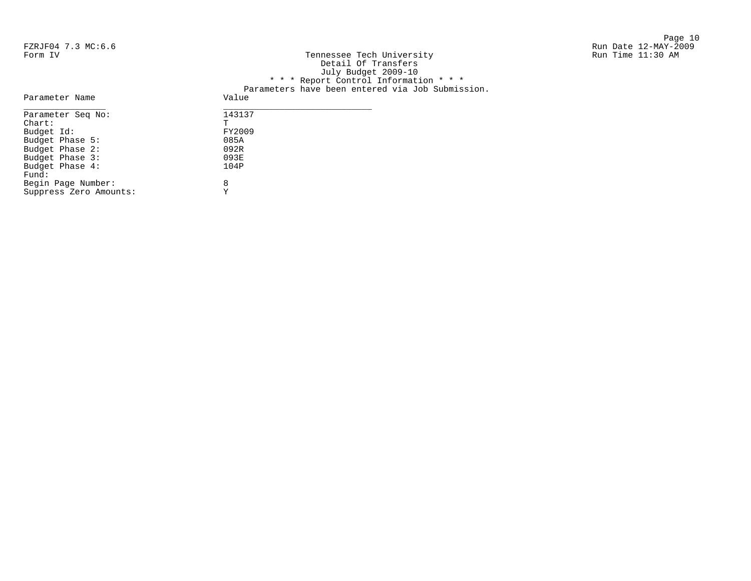Page 10 Run Time 11:30 AM

| Run Date 12-MAY-2009<br>Run Time 11:30 AM |
|-------------------------------------------|
|                                           |
|                                           |
|                                           |
|                                           |
|                                           |
|                                           |
|                                           |
|                                           |
|                                           |
|                                           |
|                                           |
|                                           |

Budget Phase 2: 092R Budget Phase 3: 093E Budget Phase 4: 104P Fund:

Begin Page Number: 8 Suppress Zero Amounts: Y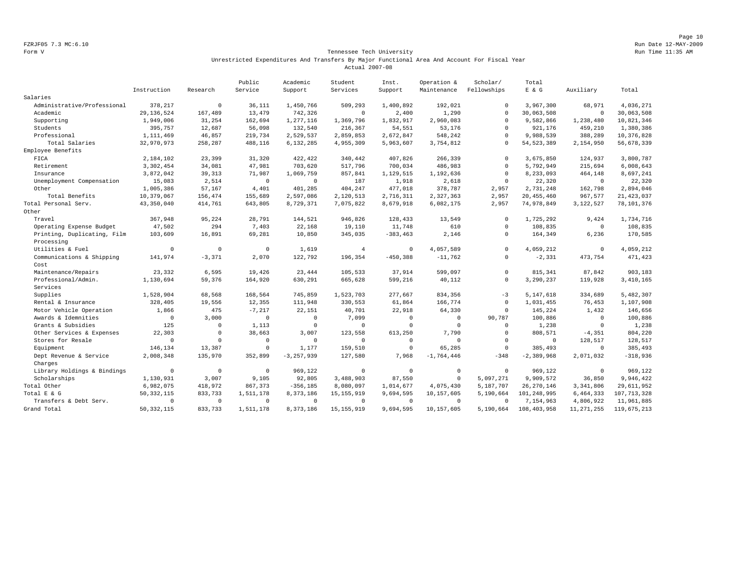Page 10 FZRJF05 7.3 MC:6.10 Run Date 12-MAY-2009

### Form V Tennessee Tech University Run Time 11:35 AM Unrestricted Expenditures And Transfers By Major Functional Area And Account For Fiscal Year Actual 2007-08

|                             |              |             | Public      | Academic       | Student        | Inst.        | Operation &    | Scholar/    | Total          |              |               |
|-----------------------------|--------------|-------------|-------------|----------------|----------------|--------------|----------------|-------------|----------------|--------------|---------------|
|                             | Instruction  | Research    | Service     | Support        | Services       | Support      | Maintenance    | Fellowships | $E$ & $G$      | Auxiliary    | Total         |
| Salaries                    |              |             |             |                |                |              |                |             |                |              |               |
| Administrative/Professional | 378,217      | $\circ$     | 36,111      | 1,450,766      | 509,293        | 1,400,892    | 192,021        | $\Omega$    | 3,967,300      | 68,971       | 4,036,271     |
| Academic                    | 29, 136, 524 | 167,489     | 13,479      | 742,326        | $\mathbf 0$    | 2,400        | 1,290          | $\Omega$    | 30,063,508     | $\Omega$     | 30,063,508    |
| Supporting                  | 1,949,006    | 31,254      | 162,694     | 1,277,116      | 1,369,796      | 1,832,917    | 2,960,083      | $\Omega$    | 9,582,866      | 1,238,480    | 10,821,346    |
| Students                    | 395,757      | 12,687      | 56,098      | 132,540        | 216,367        | 54,551       | 53,176         | $\Omega$    | 921,176        | 459,210      | 1,380,386     |
| Professional                | 1,111,469    | 46,857      | 219,734     | 2,529,537      | 2,859,853      | 2,672,847    | 548,242        | $\Omega$    | 9,988,539      | 388,289      | 10,376,828    |
| Total Salaries              | 32,970,973   | 258,287     | 488,116     | 6,132,285      | 4,955,309      | 5,963,607    | 3,754,812      | $\Omega$    | 54, 523, 389   | 2,154,950    | 56,678,339    |
| Employee Benefits           |              |             |             |                |                |              |                |             |                |              |               |
| FICA                        | 2,184,102    | 23,399      | 31,320      | 422,422        | 340,442        | 407,826      | 266,339        | $\mathbf 0$ | 3,675,850      | 124,937      | 3,800,787     |
| Retirement                  | 3,302,454    | 34,081      | 47,981      | 703,620        | 517,796        | 700,034      | 486,983        | $\Omega$    | 5,792,949      | 215,694      | 6,008,643     |
| Insurance                   | 3,872,042    | 39, 313     | 71,987      | 1,069,759      | 857,841        | 1,129,515    | 1,192,636      | $\Omega$    | 8,233,093      | 464,148      | 8,697,241     |
| Unemployment Compensation   | 15,083       | 2,514       | $\mathbf 0$ | $\mathbb O$    | 187            | 1,918        | 2,618          | $\Omega$    | 22,320         | $\circ$      | 22,320        |
| Other                       | 1,005,386    | 57,167      | 4,401       | 401,285        | 404,247        | 477,018      | 378,787        | 2,957       | 2,731,248      | 162,798      | 2,894,046     |
| Total Benefits              | 10,379,067   | 156,474     | 155,689     | 2,597,086      | 2,120,513      | 2,716,311    | 2,327,363      | 2,957       | 20, 455, 460   | 967,577      | 21, 423, 037  |
| Total Personal Serv.        | 43,350,040   | 414,761     | 643,805     | 8,729,371      | 7,075,822      | 8,679,918    | 6,082,175      | 2,957       | 74,978,849     | 3,122,527    | 78,101,376    |
| Other                       |              |             |             |                |                |              |                |             |                |              |               |
| Travel                      | 367,948      | 95,224      | 28,791      | 144,521        | 946,826        | 128,433      | 13,549         | $\Omega$    | 1,725,292      | 9,424        | 1,734,716     |
| Operating Expense Budget    | 47,502       | 294         | 7,403       | 22,168         | 19,110         | 11,748       | 610            | $\Omega$    | 108,835        | $\mathbf 0$  | 108,835       |
| Printing, Duplicating, Film | 103,609      | 16,891      | 69,281      | 10,850         | 345,035        | $-383, 463$  | 2,146          | $\Omega$    | 164,349        | 6,236        | 170,585       |
| Processing                  |              |             |             |                |                |              |                |             |                |              |               |
| Utilities & Fuel            | $\circ$      | $\mathbf 0$ | $\Omega$    | 1.619          | $\overline{4}$ | $\Omega$     | 4,057,589      | $\circ$     | 4,059,212      | $\mathbf 0$  | 4,059,212     |
| Communications & Shipping   | 141,974      | $-3,371$    | 2,070       | 122,792        | 196,354        | $-450, 388$  | $-11,762$      | $\circ$     | $-2, 331$      | 473,754      | 471,423       |
| Cost                        |              |             |             |                |                |              |                |             |                |              |               |
| Maintenance/Repairs         | 23,332       | 6,595       | 19,426      | 23,444         | 105,533        | 37.914       | 599,097        | $\Omega$    | 815, 341       | 87,842       | 903,183       |
| Professional/Admin.         | 1,130,694    | 59,376      | 164,920     | 630,291        | 665,628        | 599,216      | 40,112         | $\mathbf 0$ | 3,290,237      | 119,928      | 3,410,165     |
| Services                    |              |             |             |                |                |              |                |             |                |              |               |
| Supplies                    | 1,528,904    | 68,568      | 168,564     | 745.859        | 1,523,703      | 277,667      | 834,356        | $-3$        | 5.147.618      | 334,689      | 5,482,307     |
| Rental & Insurance          | 328,405      | 19,556      | 12,355      | 111,948        | 330,553        | 61,864       | 166,774        | $\mathbf 0$ | 1,031,455      | 76,453       | 1,107,908     |
| Motor Vehicle Operation     | 1,866        | 475         | $-7,217$    | 22,151         | 40,701         | 22,918       | 64,330         | $\Omega$    | 145,224        | 1,432        | 146,656       |
| Awards & Idemnities         | $\mathbf 0$  | 3,000       | $\mathbf 0$ | $\circ$        | 7,099          | $\mathbf{0}$ | $\mathbf 0$    | 90.787      | 100,886        | $\mathbf 0$  | 100,886       |
| Grants & Subsidies          | 125          | $\mathbf 0$ | 1,113       | $\mathbf 0$    | $\Omega$       | $\Omega$     | $\Omega$       | $\Omega$    | 1,238          | $\mathbf 0$  | 1,238         |
| Other Services & Expenses   | 22,303       | $\mathbf 0$ | 38,663      | 3,007          | 123,558        | 613,250      | 7,790          | $\mathbf 0$ | 808,571        | $-4, 351$    | 804,220       |
| Stores for Resale           | $\mathbf{0}$ | $\mathbf 0$ | $\Omega$    | $\circ$        | $\mathbf 0$    | $\mathbf 0$  | $\overline{0}$ | $\circ$     | $\circ$        | 128,517      | 128,517       |
| Equipment                   | 146,134      | 13,387      | $\Omega$    | 1,177          | 159,510        | $\Omega$     | 65,285         | $\Omega$    | 385.493        | $\mathbf 0$  | 385,493       |
| Dept Revenue & Service      | 2,008,348    | 135,970     | 352,899     | $-3, 257, 939$ | 127,580        | 7,968        | $-1,764,446$   | $-348$      | $-2, 389, 968$ | 2,071,032    | $-318,936$    |
| Charges                     |              |             |             |                |                |              |                |             |                |              |               |
| Library Holdings & Bindings | $\circ$      | $\mathbf 0$ | $\Omega$    | 969,122        | $\mathbf 0$    | $\mathbf{0}$ | $\overline{0}$ | $\mathbf 0$ | 969,122        | $\mathbf 0$  | 969,122       |
| Scholarships                | 1,130,931    | 3,007       | 9,105       | 92,805         | 3,488,903      | 87,550       | $\mathbf 0$    | 5,097,271   | 9,909,572      | 36,850       | 9,946,422     |
| Total Other                 | 6,982,075    | 418,972     | 867,373     | $-356, 185$    | 8,080,097      | 1,014,677    | 4,075,430      | 5,187,707   | 26, 270, 146   | 3,341,806    | 29,611,952    |
| Total E & G                 | 50, 332, 115 | 833,733     | 1,511,178   | 8,373,186      | 15, 155, 919   | 9,694,595    | 10,157,605     | 5,190,664   | 101,248,995    | 6,464,333    | 107, 713, 328 |
| Transfers & Debt Serv.      | $\Omega$     | $\mathbf 0$ | $\Omega$    | 0              | $^{\circ}$     | $\Omega$     | $\Omega$       | $\Omega$    | 7,154,963      | 4,806,922    | 11,961,885    |
| Grand Total                 | 50, 332, 115 | 833,733     | 1,511,178   | 8,373,186      | 15, 155, 919   | 9,694,595    | 10,157,605     | 5,190,664   | 108,403,958    | 11, 271, 255 | 119,675,213   |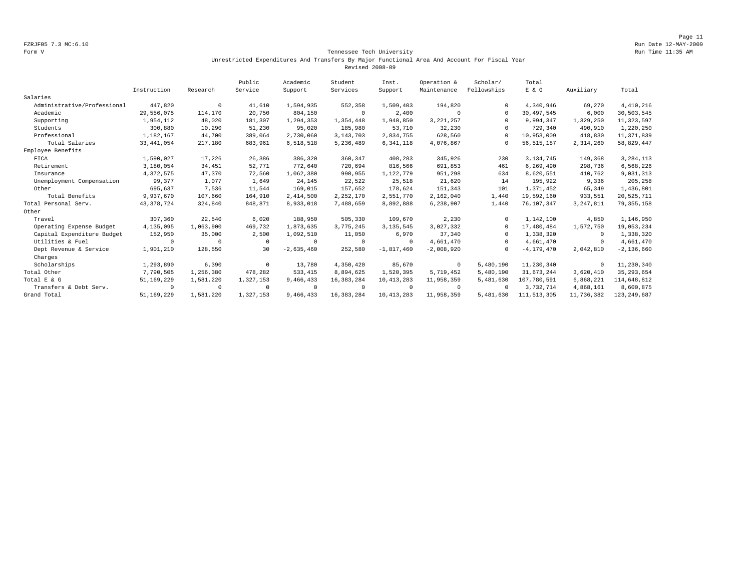Page 11 FZRJF05 7.3 MC:6.10 Run Date 12-MAY-2009

### Form V Tennessee Tech University Run Time 11:35 AM Unrestricted Expenditures And Transfers By Major Functional Area And Account For Fiscal Year Revised 2008-09

|                             |              |                | Public     | Academic     | Student      | Inst.          | Operation &  | Scholar/    | Total          |             |                |
|-----------------------------|--------------|----------------|------------|--------------|--------------|----------------|--------------|-------------|----------------|-------------|----------------|
|                             | Instruction  | Research       | Service    | Support      | Services     | Support        | Maintenance  | Fellowships | E & G          | Auxiliary   | Total          |
| Salaries                    |              |                |            |              |              |                |              |             |                |             |                |
| Administrative/Professional | 447,820      | $^{\circ}$     | 41,610     | 1,594,935    | 552,358      | 1,509,403      | 194,820      | $\Omega$    | 4,340,946      | 69,270      | 4,410,216      |
| Academic                    | 29,556,075   | 114,170        | 20,750     | 804,150      | $^{\circ}$   | 2,400          | $\mathbf 0$  | $\Omega$    | 30,497,545     | 6,000       | 30,503,545     |
| Supporting                  | 1,954,112    | 48,020         | 181,307    | 1,294,353    | 1,354,448    | 1,940,850      | 3, 221, 257  | $\Omega$    | 9,994,347      | 1,329,250   | 11, 323, 597   |
| Students                    | 300,880      | 10,290         | 51,230     | 95,020       | 185,980      | 53,710         | 32,230       | $\Omega$    | 729,340        | 490,910     | 1,220,250      |
| Professional                | 1,182,167    | 44,700         | 389,064    | 2,730,060    | 3, 143, 703  | 2,834,755      | 628,560      | $\Omega$    | 10,953,009     | 418,830     | 11, 371, 839   |
| Total Salaries              | 33, 441, 054 | 217,180        | 683,961    | 6,518,518    | 5,236,489    | 6, 341, 118    | 4,076,867    | $\Omega$    | 56, 515, 187   | 2,314,260   | 58,829,447     |
| Employee Benefits           |              |                |            |              |              |                |              |             |                |             |                |
| FICA                        | 1,590,027    | 17,226         | 26,386     | 386,320      | 360,347      | 408,283        | 345,926      | 230         | 3,134,745      | 149,368     | 3,284,113      |
| Retirement                  | 3,180,054    | 34,451         | 52,771     | 772,640      | 720,694      | 816,566        | 691,853      | 461         | 6,269,490      | 298,736     | 6,568,226      |
| Insurance                   | 4,372,575    | 47,370         | 72,560     | 1,062,380    | 990,955      | 1,122,779      | 951,298      | 634         | 8,620,551      | 410,762     | 9,031,313      |
| Unemployment Compensation   | 99,377       | 1,077          | 1,649      | 24,145       | 22,522       | 25,518         | 21,620       | 14          | 195,922        | 9,336       | 205,258        |
| Other                       | 695,637      | 7,536          | 11,544     | 169,015      | 157,652      | 178,624        | 151,343      | 101         | 1,371,452      | 65,349      | 1,436,801      |
| Total Benefits              | 9,937,670    | 107,660        | 164,910    | 2,414,500    | 2,252,170    | 2,551,770      | 2,162,040    | 1,440       | 19,592,160     | 933,551     | 20,525,711     |
| Total Personal Serv.        | 43, 378, 724 | 324,840        | 848,871    | 8,933,018    | 7,488,659    | 8,892,888      | 6,238,907    | 1,440       | 76,107,347     | 3, 247, 811 | 79, 355, 158   |
| Other                       |              |                |            |              |              |                |              |             |                |             |                |
| Travel                      | 307,360      | 22,540         | 6,020      | 188,950      | 505,330      | 109,670        | 2,230        | $\Omega$    | 1,142,100      | 4,850       | 1,146,950      |
| Operating Expense Budget    | 4,135,095    | 1,063,900      | 469,732    | 1,873,635    | 3,775,245    | 3, 135, 545    | 3,027,332    | $\Omega$    | 17,480,484     | 1,572,750   | 19,053,234     |
| Capital Expenditure Budget  | 152,950      | 35,000         | 2,500      | 1,092,510    | 11,050       | 6,970          | 37,340       | $\Omega$    | 1,338,320      | 0           | 1,338,320      |
| Utilities & Fuel            | $^{\circ}$   | $\Omega$       | $\Omega$   | $^{\circ}$   | $\Omega$     | $\Omega$       | 4,661,470    | $\Omega$    | 4,661,470      | 0           | 4,661,470      |
| Dept Revenue & Service      | 1,901,210    | 128,550        | 30         | $-2,635,460$ | 252,580      | $-1,817,460$   | $-2,008,920$ | $\Omega$    | $-4, 179, 470$ | 2,042,810   | $-2, 136, 660$ |
| Charges                     |              |                |            |              |              |                |              |             |                |             |                |
| Scholarships                | 1,293,890    | 6,390          | $\Omega$   | 13,780       | 4,350,420    | 85,670         | $^{\circ}$   | 5,480,190   | 11,230,340     | $^{\circ}$  | 11,230,340     |
| Total Other                 | 7,790,505    | 1,256,380      | 478,282    | 533, 415     | 8,894,625    | 1,520,395      | 5,719,452    | 5,480,190   | 31,673,244     | 3,620,410   | 35, 293, 654   |
| Total E & G                 | 51, 169, 229 | 1,581,220      | 1,327,153  | 9,466,433    | 16, 383, 284 | 10, 413, 283   | 11,958,359   | 5,481,630   | 107,780,591    | 6,868,221   | 114,648,812    |
| Transfers & Debt Serv.      | $^{\circ}$   | $\overline{0}$ | $^{\circ}$ | $^{\circ}$   | $\Omega$     | $\overline{0}$ | $^{\circ}$   | $\Omega$    | 3,732,714      | 4,868,161   | 8,600,875      |
| Grand Total                 | 51, 169, 229 | 1,581,220      | 1,327,153  | 9,466,433    | 16, 383, 284 | 10, 413, 283   | 11,958,359   | 5,481,630   | 111, 513, 305  | 11,736,382  | 123, 249, 687  |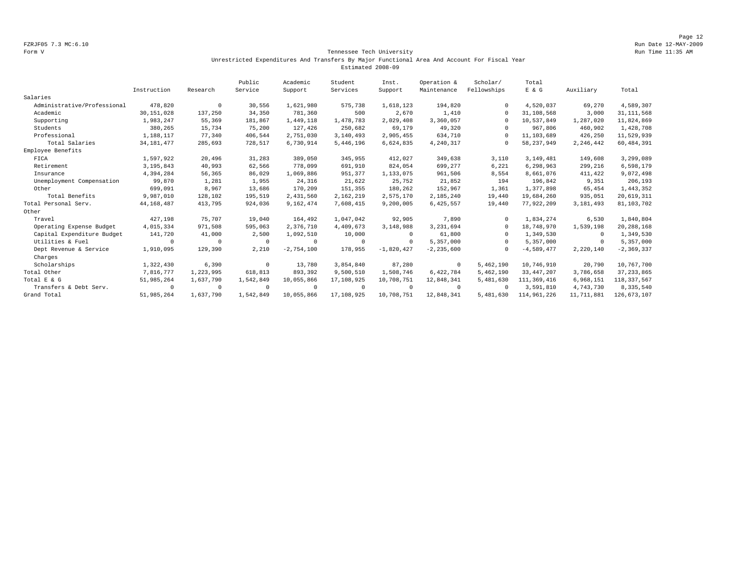Page 12 FZRJF05 7.3 MC:6.10 Run Date 12-MAY-2009

### Form V Tennessee Tech University Run Time 11:35 AM Unrestricted Expenditures And Transfers By Major Functional Area And Account For Fiscal Year Estimated 2008-09

|                             |              |            | Public    | Academic     | Student        | Inst.        | Operation &    | Scholar/    | Total        |            |                |
|-----------------------------|--------------|------------|-----------|--------------|----------------|--------------|----------------|-------------|--------------|------------|----------------|
|                             | Instruction  | Research   | Service   | Support      | Services       | Support      | Maintenance    | Fellowships | E & G        | Auxiliary  | Total          |
| Salaries                    |              |            |           |              |                |              |                |             |              |            |                |
| Administrative/Professional | 478,820      | $^{\circ}$ | 30,556    | 1,621,980    | 575,738        | 1,618,123    | 194,820        |             | 4,520,037    | 69,270     | 4,589,307      |
| Academic                    | 30, 151, 028 | 137,250    | 34,350    | 781,360      | 500            | 2,670        | 1,410          | $\cap$      | 31,108,568   | 3,000      | 31, 111, 568   |
| Supporting                  | 1,983,247    | 55,369     | 181,867   | 1,449,118    | 1,478,783      | 2,029,408    | 3,360,057      |             | 10,537,849   | 1,287,020  | 11,824,869     |
| Students                    | 380,265      | 15,734     | 75,200    | 127,426      | 250,682        | 69,179       | 49,320         |             | 967,806      | 460,902    | 1,428,708      |
| Professional                | 1,188,117    | 77,340     | 406,544   | 2,751,030    | 3,140,493      | 2,905,455    | 634,710        | $\cup$      | 11,103,689   | 426,250    | 11,529,939     |
| Total Salaries              | 34, 181, 477 | 285,693    | 728,517   | 6,730,914    | 5,446,196      | 6,624,835    | 4,240,317      |             | 58, 237, 949 | 2,246,442  | 60,484,391     |
| Employee Benefits           |              |            |           |              |                |              |                |             |              |            |                |
| FICA                        | 1,597,922    | 20,496     | 31,283    | 389,050      | 345,955        | 412,027      | 349,638        | 3,110       | 3, 149, 481  | 149,608    | 3,299,089      |
| Retirement                  | 3, 195, 843  | 40,993     | 62,566    | 778,099      | 691,910        | 824,054      | 699,277        | 6,221       | 6,298,963    | 299,216    | 6,598,179      |
| Insurance                   | 4,394,284    | 56,365     | 86,029    | 1,069,886    | 951,377        | 1,133,075    | 961,506        | 8,554       | 8,661,076    | 411,422    | 9,072,498      |
| Unemployment Compensation   | 99,870       | 1,281      | 1,955     | 24,316       | 21,622         | 25,752       | 21,852         | 194         | 196,842      | 9,351      | 206,193        |
| Other                       | 699,091      | 8,967      | 13,686    | 170,209      | 151,355        | 180,262      | 152,967        | 1,361       | 1,377,898    | 65,454     | 1,443,352      |
| Total Benefits              | 9,987,010    | 128,102    | 195,519   | 2,431,560    | 2,162,219      | 2,575,170    | 2,185,240      | 19,440      | 19,684,260   | 935,051    | 20,619,311     |
| Total Personal Serv.        | 44, 168, 487 | 413,795    | 924,036   | 9,162,474    | 7,608,415      | 9,200,005    | 6,425,557      | 19,440      | 77,922,209   | 3,181,493  | 81,103,702     |
| Other                       |              |            |           |              |                |              |                |             |              |            |                |
| Travel                      | 427,198      | 75,707     | 19,040    | 164,492      | 1,047,042      | 92,905       | 7,890          | $\cap$      | 1,834,274    | 6,530      | 1,840,804      |
| Operating Expense Budget    | 4,015,334    | 971,508    | 595,063   | 2.376.710    | 4,409,673      | 3,148,988    | 3,231,694      | $\Omega$    | 18,748,970   | 1,539,198  | 20, 288, 168   |
| Capital Expenditure Budget  | 141,720      | 41,000     | 2,500     | 1,092,510    | 10,000         | $\Omega$     | 61,800         |             | 1,349,530    | $\Omega$   | 1,349,530      |
| Utilities & Fuel            | $\Omega$     | $\Omega$   | $\Omega$  | $^{\circ}$   | $^{\circ}$     | $\Omega$     | 5,357,000      | $\cup$      | 5,357,000    | $\Omega$   | 5,357,000      |
| Dept Revenue & Service      | 1,910,095    | 129,390    | 2,210     | $-2,754,100$ | 178,955        | $-1,820,427$ | $-2, 235, 600$ |             | $-4,589,477$ | 2,220,140  | $-2, 369, 337$ |
| Charges                     |              |            |           |              |                |              |                |             |              |            |                |
| Scholarships                | 1,322,430    | 6,390      | $\Omega$  | 13,780       | 3,854,840      | 87,280       | $^{\circ}$     | 5,462,190   | 10,746,910   | 20,790     | 10,767,700     |
| Total Other                 | 7,816,777    | 1,223,995  | 618,813   | 893,392      | 9,500,510      | 1,508,746    | 6,422,784      | 5,462,190   | 33, 447, 207 | 3,786,658  | 37, 233, 865   |
| Total E & G                 | 51,985,264   | 1,637,790  | 1,542,849 | 10,055,866   | 17,108,925     | 10,708,751   | 12,848,341     | 5,481,630   | 111,369,416  | 6,968,151  | 118, 337, 567  |
| Transfers & Debt Serv.      | $\Omega$     | $^{\circ}$ | $\Omega$  | 0            | $\overline{0}$ | $\Omega$     | $\Omega$       | $\Omega$    | 3,591,810    | 4,743,730  | 8,335,540      |
| Grand Total                 | 51,985,264   | 1,637,790  | 1,542,849 | 10,055,866   | 17,108,925     | 10,708,751   | 12,848,341     | 5,481,630   | 114,961,226  | 11,711,881 | 126, 673, 107  |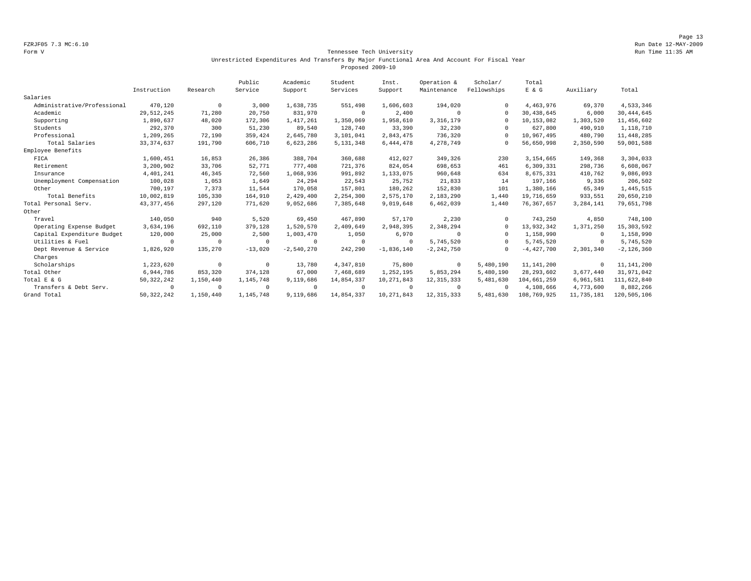Page 13 FZRJF05 7.3 MC:6.10 Run Date 12-MAY-2009

### Form V Tennessee Tech University Run Time 11:35 AM Unrestricted Expenditures And Transfers By Major Functional Area And Account For Fiscal Year Proposed 2009-10

|                             |              |            | Public     | Academic     | Student     | Inst.        | Operation &    | Scholar/    | Total        |             |                |
|-----------------------------|--------------|------------|------------|--------------|-------------|--------------|----------------|-------------|--------------|-------------|----------------|
|                             | Instruction  | Research   | Service    | Support      | Services    | Support      | Maintenance    | Fellowships | E & G        | Auxiliary   | Total          |
| Salaries                    |              |            |            |              |             |              |                |             |              |             |                |
| Administrative/Professional | 470,120      | $^{\circ}$ | 3,000      | 1,638,735    | 551,498     | 1,606,603    | 194,020        |             | 4,463,976    | 69,370      | 4,533,346      |
| Academic                    | 29, 512, 245 | 71,280     | 20,750     | 831,970      | $^{\circ}$  | 2,400        | 0              | $\Omega$    | 30, 438, 645 | 6,000       | 30, 444, 645   |
| Supporting                  | 1,890,637    | 48,020     | 172,306    | 1,417,261    | 1,350,069   | 1,958,610    | 3, 316, 179    |             | 10,153,082   | 1,303,520   | 11,456,602     |
| Students                    | 292,370      | 300        | 51,230     | 89,540       | 128,740     | 33,390       | 32,230         |             | 627,800      | 490,910     | 1,118,710      |
| Professional                | 1,209,265    | 72,190     | 359,424    | 2,645,780    | 3,101,041   | 2,843,475    | 736,320        |             | 10,967,495   | 480,790     | 11, 448, 285   |
| Total Salaries              | 33, 374, 637 | 191,790    | 606,710    | 6,623,286    | 5, 131, 348 | 6,444,478    | 4,278,749      | $\Omega$    | 56,650,998   | 2,350,590   | 59,001,588     |
| Employee Benefits           |              |            |            |              |             |              |                |             |              |             |                |
| FICA                        | 1,600,451    | 16,853     | 26,386     | 388,704      | 360,688     | 412,027      | 349,326        | 230         | 3,154,665    | 149,368     | 3,304,033      |
| Retirement                  | 3,200,902    | 33,706     | 52,771     | 777.408      | 721,376     | 824,054      | 698,653        | 461         | 6,309,331    | 298,736     | 6,608,067      |
| Insurance                   | 4,401,241    | 46,345     | 72,560     | 1,068,936    | 991,892     | 1,133,075    | 960,648        | 634         | 8,675,331    | 410,762     | 9,086,093      |
| Unemployment Compensation   | 100,028      | 1,053      | 1,649      | 24,294       | 22,543      | 25,752       | 21,833         | 14          | 197,166      | 9,336       | 206,502        |
| Other                       | 700,197      | 7,373      | 11,544     | 170,058      | 157,801     | 180,262      | 152,830        | 101         | 1,380,166    | 65,349      | 1,445,515      |
| Total Benefits              | 10,002,819   | 105,330    | 164,910    | 2,429,400    | 2,254,300   | 2,575,170    | 2,183,290      | 1,440       | 19,716,659   | 933,551     | 20,650,210     |
| Total Personal Serv.        | 43, 377, 456 | 297,120    | 771,620    | 9,052,686    | 7,385,648   | 9,019,648    | 6,462,039      | 1,440       | 76,367,657   | 3, 284, 141 | 79,651,798     |
| Other                       |              |            |            |              |             |              |                |             |              |             |                |
| Travel                      | 140,050      | 940        | 5,520      | 69,450       | 467,890     | 57,170       | 2,230          | $\Omega$    | 743,250      | 4,850       | 748,100        |
| Operating Expense Budget    | 3,634,196    | 692,110    | 379,128    | 1,520,570    | 2,409,649   | 2,948,395    | 2,348,294      | $\Omega$    | 13,932,342   | 1,371,250   | 15, 303, 592   |
| Capital Expenditure Budget  | 120,000      | 25,000     | 2,500      | 1,003,470    | 1,050       | 6,970        | $\Omega$       | $\Omega$    | 1,158,990    | $^{\circ}$  | 1,158,990      |
| Utilities & Fuel            | $\Omega$     | $\Omega$   | $^{\circ}$ | $\Omega$     | $\Omega$    | $\Omega$     | 5,745,520      | $\Omega$    | 5,745,520    | $^{\circ}$  | 5,745,520      |
| Dept Revenue & Service      | 1,826,920    | 135,270    | $-13,020$  | $-2,540,270$ | 242,290     | $-1,836,140$ | $-2, 242, 750$ | $\Omega$    | $-4,427,700$ | 2,301,340   | $-2, 126, 360$ |
| Charges                     |              |            |            |              |             |              |                |             |              |             |                |
| Scholarships                | 1,223,620    | $^{\circ}$ | $^{\circ}$ | 13,780       | 4,347,810   | 75,800       | $^{\circ}$     | 5,480,190   | 11, 141, 200 | $^{\circ}$  | 11, 141, 200   |
| Total Other                 | 6,944,786    | 853,320    | 374,128    | 67,000       | 7,468,689   | 1,252,195    | 5,853,294      | 5,480,190   | 28, 293, 602 | 3,677,440   | 31,971,042     |
| Total E & G                 | 50, 322, 242 | 1,150,440  | 1,145,748  | 9,119,686    | 14,854,337  | 10,271,843   | 12, 315, 333   | 5,481,630   | 104,661,259  | 6,961,581   | 111,622,840    |
| Transfers & Debt Serv.      | $\Omega$     | $\Omega$   | $^{\circ}$ | $\Omega$     | $\Omega$    | $\Omega$     | $^{\circ}$     | $\Omega$    | 4,108,666    | 4,773,600   | 8,882,266      |
| Grand Total                 | 50, 322, 242 | 1,150,440  | 1,145,748  | 9,119,686    | 14,854,337  | 10,271,843   | 12, 315, 333   | 5,481,630   | 108,769,925  | 11,735,181  | 120,505,106    |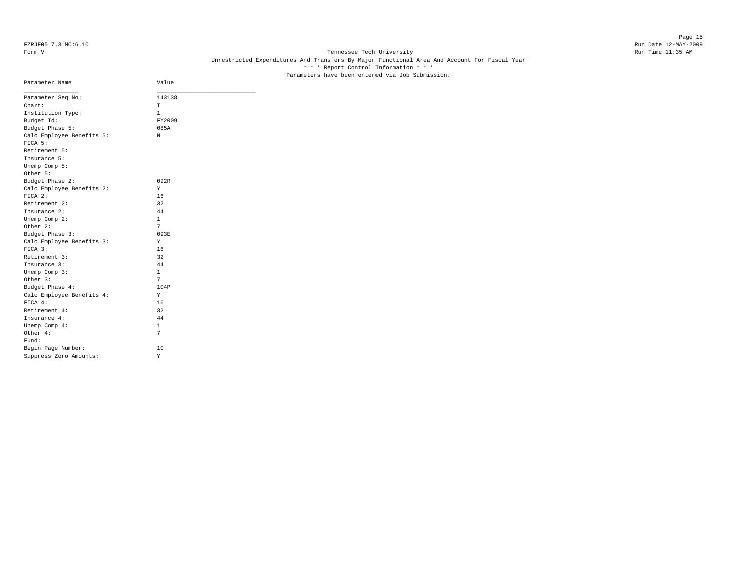# Page 15 FZRJF05 7.3 MC:6.10 Run Date 12-MAY-2009

# Form V Tennessee Tech University **Tennessee Tech University** Run Time 11:35 AM Unrestricted Expenditures And Transfers By Major Functional Area And Account For Fiscal Year \* \* \* Report Control Information \* \* \* Parameters have been entered via Job Submission.

| Parameter Name            | Value        |
|---------------------------|--------------|
| Parameter Seq No:         | 143138       |
| Chart:                    | T            |
| Institution Type:         | 1            |
| Budget Id:                | FY2009       |
| Budget Phase 5:           | 085A         |
| Calc Employee Benefits 5: | N            |
| FICA 5:                   |              |
| Retirement 5:             |              |
| Insurance 5:              |              |
| Unemp Comp 5:             |              |
| Other 5:                  |              |
| Budget Phase 2:           | 092R         |
| Calc Employee Benefits 2: | Υ            |
| FICA 2:                   | 16           |
| Retirement 2:             | 32           |
| Insurance 2:              | 44           |
| Unemp Comp 2:             | 1            |
| Other 2:                  | 7            |
| Budget Phase 3:           | 093E         |
| Calc Employee Benefits 3: | Υ            |
| $FTCA$ 3:                 | 16           |
| Retirement 3:             | 32           |
| Insurance 3:              | 44           |
| Unemp Comp 3:             | $\mathbf{1}$ |
| Other 3:                  | 7            |
| Budget Phase 4:           | 104P         |
| Calc Employee Benefits 4: | Υ            |
| FICA 4:                   | 16           |
| Retirement 4:             | 32           |
| Insurance 4:              | 44           |
| Unemp Comp 4:             | $\mathbf{1}$ |
| Other 4:                  | 7            |
| Fund:                     |              |
| Begin Page Number:        | 10           |
| Suppress Zero Amounts:    | Υ            |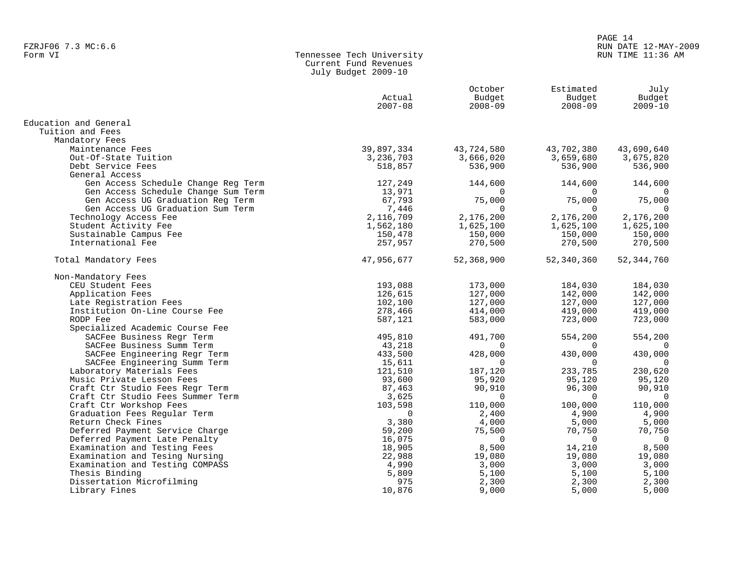# Tennessee Tech University Current Fund Revenues July Budget 2009-10

|                                     | Actual<br>$2007 - 08$ | October<br>Budget<br>$2008 - 09$ | Estimated<br>Budget<br>$2008 - 09$ | July<br>Budget<br>$2009 - 10$ |
|-------------------------------------|-----------------------|----------------------------------|------------------------------------|-------------------------------|
| Education and General               |                       |                                  |                                    |                               |
| Tuition and Fees                    |                       |                                  |                                    |                               |
| Mandatory Fees                      |                       |                                  |                                    |                               |
| Maintenance Fees                    | 39,897,334            | 43,724,580                       | 43,702,380                         | 43,690,640                    |
| Out-Of-State Tuition                | 3,236,703             | 3,666,020                        | 3,659,680                          | 3,675,820                     |
| Debt Service Fees                   | 518,857               | 536,900                          | 536,900                            | 536,900                       |
| General Access                      |                       |                                  |                                    |                               |
| Gen Access Schedule Change Reg Term | 127,249               | 144,600                          | 144,600                            | 144,600                       |
| Gen Access Schedule Change Sum Term | 13,971                | $\Omega$                         | $\Omega$                           | $\Omega$                      |
| Gen Access UG Graduation Reg Term   | 67,793                | 75,000                           | 75,000                             | 75,000                        |
| Gen Access UG Graduation Sum Term   | 7,446                 | $\Omega$                         | $\Omega$                           | $\Omega$                      |
| Technology Access Fee               | 2,116,709             | 2,176,200                        | 2,176,200                          | 2,176,200                     |
| Student Activity Fee                | 1,562,180             | 1,625,100                        | 1,625,100                          | 1,625,100                     |
| Sustainable Campus Fee              | 150,478               | 150,000                          | 150,000                            | 150,000                       |
| International Fee                   | 257,957               | 270,500                          | 270,500                            | 270,500                       |
| Total Mandatory Fees                | 47,956,677            | 52,368,900                       | 52,340,360                         | 52, 344, 760                  |
| Non-Mandatory Fees                  |                       |                                  |                                    |                               |
| CEU Student Fees                    | 193,088               | 173,000                          | 184,030                            | 184,030                       |
| Application Fees                    | 126,615               | 127,000                          | 142,000                            | 142,000                       |
| Late Registration Fees              | 102,100               | 127,000                          | 127,000                            | 127,000                       |
| Institution On-Line Course Fee      | 278,466               | 414,000                          | 419,000                            | 419,000                       |
| RODP Fee                            | 587,121               | 583,000                          | 723,000                            | 723,000                       |
| Specialized Academic Course Fee     |                       |                                  |                                    |                               |
| SACFee Business Regr Term           | 495,810               | 491,700                          | 554,200                            | 554,200                       |
| SACFee Business Summ Term           | 43,218                | $\Omega$                         | $\Omega$                           | $\overline{0}$                |
| SACFee Engineering Regr Term        | 433,500               | 428,000                          | 430,000                            | 430,000                       |
| SACFee Engineering Summ Term        | 15,611                | $\Omega$                         | $\Omega$                           | $\Omega$                      |
| Laboratory Materials Fees           | 121,510               | 187,120                          | 233,785                            | 230,620                       |
| Music Private Lesson Fees           | 93,600                | 95,920                           | 95,120                             | 95,120                        |
| Craft Ctr Studio Fees Regr Term     | 87,463                | 90,910                           | 96,300                             | 90,910                        |
| Craft Ctr Studio Fees Summer Term   | 3,625                 | $\Omega$                         | $\Omega$                           | $\Omega$                      |
| Craft Ctr Workshop Fees             | 103,598               | 110,000                          | 100,000                            | 110,000                       |
| Graduation Fees Regular Term        | $\Omega$              | 2,400                            | 4,900                              | 4,900                         |
| Return Check Fines                  | 3,380                 | 4,000                            | 5,000                              | 5,000                         |
| Deferred Payment Service Charge     | 59,200                | 75,500                           | 70,750                             | 70,750                        |
| Deferred Payment Late Penalty       | 16,075                | $\Omega$                         | $\Omega$                           | $\Omega$                      |
| Examination and Testing Fees        | 18,905                | 8,500                            | 14,210                             | 8,500                         |
| Examination and Tesing Nursing      | 22,988                | 19,080                           | 19,080                             | 19,080                        |
| Examination and Testing COMPASS     | 4,990                 | 3,000                            | 3,000                              | 3,000                         |
| Thesis Binding                      | 5,809                 | 5,100                            | 5,100                              | 5,100                         |
| Dissertation Microfilming           | 975                   | 2,300                            | 2,300                              | 2,300                         |
| Library Fines                       | 10,876                | 9,000                            | 5,000                              | 5,000                         |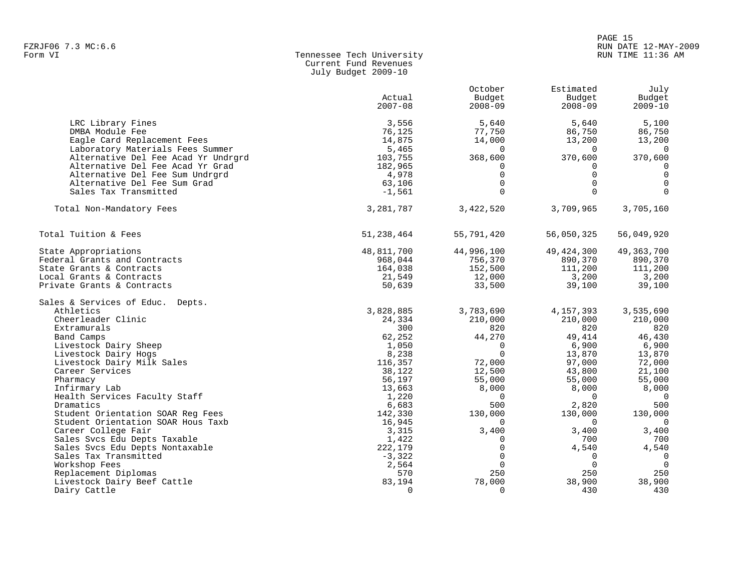# en and the set of the set of the set of the set of the set of the set of the set of the set of the set of the set of the set of the set of the set of the set of the set of the set of the set of the set of the set of the se FZRJF06 7.3 MC:6.6 RUN DATE 12-MAY-2009

# Tennessee Tech University Current Fund Revenues July Budget 2009-10

|                                                                                                         | Actual<br>$2007 - 08$              | October<br>Budget<br>$2008 - 09$      | Estimated<br>Budget<br>$2008 - 09$    | July<br>Budget<br>$2009 - 10$         |
|---------------------------------------------------------------------------------------------------------|------------------------------------|---------------------------------------|---------------------------------------|---------------------------------------|
| LRC Library Fines<br>DMBA Module Fee<br>Eagle Card Replacement Fees<br>Laboratory Materials Fees Summer | 3,556<br>76,125<br>14,875<br>5,465 | 5,640<br>77,750<br>14,000<br>$\Omega$ | 5,640<br>86,750<br>13,200<br>$\Omega$ | 5,100<br>86,750<br>13,200<br>$\Omega$ |
| Alternative Del Fee Acad Yr Undrgrd<br>Alternative Del Fee Acad Yr Grad                                 | 103,755<br>182,965                 | 368,600<br>0                          | 370,600<br>0                          | 370,600<br>$\mathbf 0$                |
| Alternative Del Fee Sum Undrgrd                                                                         | 4,978                              | $\mathbf 0$                           | $\Omega$                              | $\mathsf 0$                           |
| Alternative Del Fee Sum Grad<br>Sales Tax Transmitted                                                   | 63,106<br>$-1,561$                 | $\mathbf 0$<br>$\Omega$               | $\Omega$<br>$\Omega$                  | $\mathbf 0$<br>$\Omega$               |
| Total Non-Mandatory Fees                                                                                | 3,281,787                          | 3,422,520                             | 3,709,965                             | 3,705,160                             |
| Total Tuition & Fees                                                                                    | 51,238,464                         | 55,791,420                            | 56,050,325                            | 56,049,920                            |
| State Appropriations                                                                                    | 48,811,700                         | 44,996,100                            | 49, 424, 300                          | 49, 363, 700                          |
| Federal Grants and Contracts                                                                            | 968,044                            | 756,370                               | 890,370                               | 890,370                               |
| State Grants & Contracts                                                                                | 164,038                            | 152,500                               | 111,200                               | 111,200                               |
| Local Grants & Contracts<br>Private Grants & Contracts                                                  | 21,549<br>50,639                   | 12,000<br>33,500                      | 3,200<br>39,100                       | 3,200<br>39,100                       |
|                                                                                                         |                                    |                                       |                                       |                                       |
| Sales & Services of Educ. Depts.                                                                        |                                    |                                       |                                       |                                       |
| Athletics                                                                                               | 3,828,885                          | 3,783,690                             | 4, 157, 393                           | 3,535,690                             |
| Cheerleader Clinic                                                                                      | 24,334                             | 210,000                               | 210,000                               | 210,000                               |
| Extramurals                                                                                             | 300                                | 820                                   | 820                                   | 820                                   |
| Band Camps                                                                                              | 62,252                             | 44,270                                | 49,414                                | 46,430                                |
| Livestock Dairy Sheep                                                                                   | 1,050                              | $\Omega$                              | 6,900                                 | 6,900                                 |
| Livestock Dairy Hogs                                                                                    | 8,238                              | $\Omega$                              | 13,870                                | 13,870                                |
| Livestock Dairy Milk Sales                                                                              | 116,357                            | 72,000                                | 97,000                                | 72,000                                |
| Career Services                                                                                         | 38,122<br>56,197                   | 12,500<br>55,000                      | 43,800<br>55,000                      | 21,100<br>55,000                      |
| Pharmacy<br>Infirmary Lab                                                                               | 13,663                             | 8,000                                 | 8,000                                 | 8,000                                 |
| Health Services Faculty Staff                                                                           | 1,220                              | 0                                     | $\Omega$                              | $\overline{0}$                        |
| Dramatics                                                                                               | 6,683                              | 500                                   | 2,820                                 | 500                                   |
| Student Orientation SOAR Req Fees                                                                       | 142,330                            | 130,000                               | 130,000                               | 130,000                               |
| Student Orientation SOAR Hous Taxb                                                                      | 16,945                             | $\Omega$                              | $\Omega$                              | $\overline{0}$                        |
| Career College Fair                                                                                     | 3,315                              | 3,400                                 | 3,400                                 | 3,400                                 |
| Sales Svcs Edu Depts Taxable                                                                            | 1,422                              | $\Omega$                              | 700                                   | 700                                   |
| Sales Svcs Edu Depts Nontaxable                                                                         | 222,179                            | $\Omega$                              | 4,540                                 | 4,540                                 |
| Sales Tax Transmitted                                                                                   | $-3,322$                           | $\Omega$                              | $\Omega$                              | $\mathbf 0$                           |
| Workshop Fees                                                                                           | 2,564                              | $\Omega$                              | $\Omega$                              | $\Omega$                              |
| Replacement Diplomas                                                                                    | 570                                | 250                                   | 250                                   | 250                                   |
| Livestock Dairy Beef Cattle                                                                             | 83,194                             | 78,000                                | 38,900                                | 38,900                                |
| Dairy Cattle                                                                                            | $\Omega$                           | $\Omega$                              | 430                                   | 430                                   |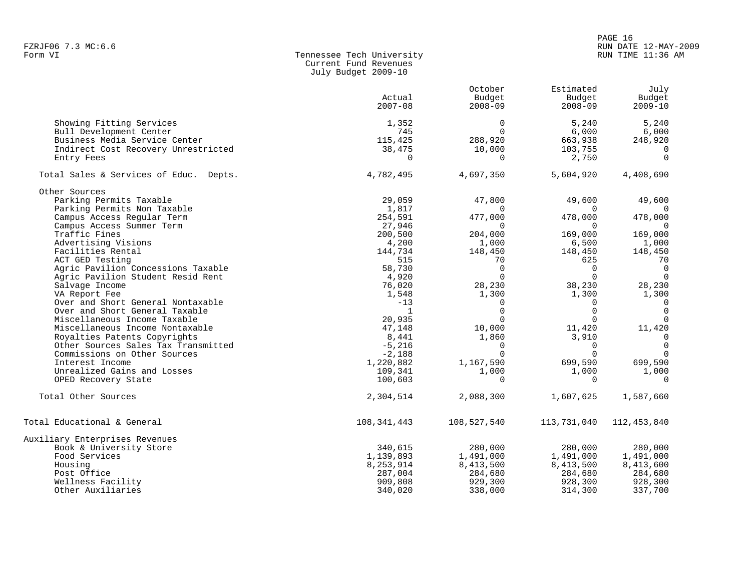### PAGE 16 FZRJF06 7.3 MC:6.6 RUN DATE 12-MAY-2009 RUN TIME 11:36 AM

| Form VI | Tennessee Tech University |
|---------|---------------------------|
|         | Current Fund Revenues     |
|         | July Budget 2009-10       |

| Actual<br>Budget<br>Budget<br>Budget<br>$2007 - 08$<br>$2008 - 09$<br>$2008 - 09$<br>$2009 - 10$<br>$\Omega$<br>5,240<br>Showing Fitting Services<br>5,240<br>1,352<br>Bull Development Center<br>745<br>$\Omega$<br>6,000<br>6,000<br>Business Media Service Center<br>115,425<br>288,920<br>663,938<br>248,920<br>Indirect Cost Recovery Unrestricted<br>38,475<br>10,000<br>103,755<br>0<br>$\Omega$<br>2,750<br>Entry Fees<br>0<br>$\Omega$<br>Total Sales & Services of Educ. Depts.<br>4,782,495<br>4,697,350<br>5,604,920<br>4,408,690<br>Other Sources<br>Parking Permits Taxable<br>29,059<br>47,800<br>49,600<br>49,600<br>Parking Permits Non Taxable<br>1,817<br>$\Omega$<br>$\Omega$<br>$\Omega$<br>Campus Access Regular Term<br>254,591<br>477,000<br>478,000<br>478,000<br>Campus Access Summer Term<br>27,946<br>$\Omega$<br>$\Omega$<br>$\Omega$<br>169,000<br>Traffic Fines<br>200,500<br>204,000<br>169,000<br>4,200<br>Advertising Visions<br>1,000<br>6,500<br>1,000<br>Facilities Rental<br>144,734<br>148,450<br>148,450<br>148,450<br>ACT GED Testing<br>515<br>70<br>625<br>70<br>Agric Pavilion Concessions Taxable<br>58,730<br>$\Omega$<br>$\Omega$<br>$\Omega$<br>$\Omega$<br>$\Omega$<br>$\Omega$<br>Agric Pavilion Student Resid Rent<br>4,920<br>Salvage Income<br>76,020<br>38,230<br>28,230<br>28,230<br>VA Report Fee<br>1,548<br>1,300<br>1,300<br>1,300<br>Over and Short General Nontaxable<br>$-13$<br>$\overline{0}$<br>$\Omega$<br>0<br>$\mathbf 0$<br>Over and Short General Taxable<br>$\Omega$<br>$\Omega$<br>$\mathbf{1}$<br>Miscellaneous Income Taxable<br>20,935<br>$\Omega$<br>$\Omega$<br>$\Omega$<br>11,420<br>Miscellaneous Income Nontaxable<br>10,000<br>11,420<br>47,148<br>Royalties Patents Copyrights<br>8,441<br>1,860<br>$\overline{0}$<br>3,910<br>$\Omega$<br>Other Sources Sales Tax Transmitted<br>$-5,216$<br>$\Omega$<br>$\Omega$<br>$\Omega$<br>$\Omega$<br>$\Omega$<br>Commissions on Other Sources<br>$-2,188$<br>1,220,882<br>699,590<br>Interest Income<br>1,167,590<br>699,590<br>Unrealized Gains and Losses<br>1,000<br>109,341<br>1,000<br>1,000<br>OPED Recovery State<br>100,603<br>$\Omega$<br>$\Omega$<br>$\Omega$<br>Total Other Sources<br>2,304,514<br>2,088,300<br>1,607,625<br>1,587,660<br>108,341,443<br>108,527,540<br>113,731,040<br>112, 453, 840<br>340,615<br>280,000<br>Book & University Store<br>280,000<br>280,000<br>Food Services<br>1,139,893<br>1,491,000<br>1,491,000<br>1,491,000<br>Housing<br>8,253,914<br>8,413,500<br>8,413,500<br>8,413,600<br>Post Office<br>287,004<br>284,680<br>284,680<br>284,680<br>928,300<br>Wellness Facility<br>909,808<br>929,300<br>928,300<br>Other Auxiliaries<br>340,020<br>338,000<br>314,300<br>337,700 |                                | October | Estimated | July |
|-----------------------------------------------------------------------------------------------------------------------------------------------------------------------------------------------------------------------------------------------------------------------------------------------------------------------------------------------------------------------------------------------------------------------------------------------------------------------------------------------------------------------------------------------------------------------------------------------------------------------------------------------------------------------------------------------------------------------------------------------------------------------------------------------------------------------------------------------------------------------------------------------------------------------------------------------------------------------------------------------------------------------------------------------------------------------------------------------------------------------------------------------------------------------------------------------------------------------------------------------------------------------------------------------------------------------------------------------------------------------------------------------------------------------------------------------------------------------------------------------------------------------------------------------------------------------------------------------------------------------------------------------------------------------------------------------------------------------------------------------------------------------------------------------------------------------------------------------------------------------------------------------------------------------------------------------------------------------------------------------------------------------------------------------------------------------------------------------------------------------------------------------------------------------------------------------------------------------------------------------------------------------------------------------------------------------------------------------------------------------------------------------------------------------------------------------------------------------------------------------------------------------------------------------------------------------------------------------------------------------------------------------------------------------------------------------------------------------------------------------------|--------------------------------|---------|-----------|------|
|                                                                                                                                                                                                                                                                                                                                                                                                                                                                                                                                                                                                                                                                                                                                                                                                                                                                                                                                                                                                                                                                                                                                                                                                                                                                                                                                                                                                                                                                                                                                                                                                                                                                                                                                                                                                                                                                                                                                                                                                                                                                                                                                                                                                                                                                                                                                                                                                                                                                                                                                                                                                                                                                                                                                                     |                                |         |           |      |
|                                                                                                                                                                                                                                                                                                                                                                                                                                                                                                                                                                                                                                                                                                                                                                                                                                                                                                                                                                                                                                                                                                                                                                                                                                                                                                                                                                                                                                                                                                                                                                                                                                                                                                                                                                                                                                                                                                                                                                                                                                                                                                                                                                                                                                                                                                                                                                                                                                                                                                                                                                                                                                                                                                                                                     |                                |         |           |      |
|                                                                                                                                                                                                                                                                                                                                                                                                                                                                                                                                                                                                                                                                                                                                                                                                                                                                                                                                                                                                                                                                                                                                                                                                                                                                                                                                                                                                                                                                                                                                                                                                                                                                                                                                                                                                                                                                                                                                                                                                                                                                                                                                                                                                                                                                                                                                                                                                                                                                                                                                                                                                                                                                                                                                                     |                                |         |           |      |
|                                                                                                                                                                                                                                                                                                                                                                                                                                                                                                                                                                                                                                                                                                                                                                                                                                                                                                                                                                                                                                                                                                                                                                                                                                                                                                                                                                                                                                                                                                                                                                                                                                                                                                                                                                                                                                                                                                                                                                                                                                                                                                                                                                                                                                                                                                                                                                                                                                                                                                                                                                                                                                                                                                                                                     |                                |         |           |      |
|                                                                                                                                                                                                                                                                                                                                                                                                                                                                                                                                                                                                                                                                                                                                                                                                                                                                                                                                                                                                                                                                                                                                                                                                                                                                                                                                                                                                                                                                                                                                                                                                                                                                                                                                                                                                                                                                                                                                                                                                                                                                                                                                                                                                                                                                                                                                                                                                                                                                                                                                                                                                                                                                                                                                                     |                                |         |           |      |
|                                                                                                                                                                                                                                                                                                                                                                                                                                                                                                                                                                                                                                                                                                                                                                                                                                                                                                                                                                                                                                                                                                                                                                                                                                                                                                                                                                                                                                                                                                                                                                                                                                                                                                                                                                                                                                                                                                                                                                                                                                                                                                                                                                                                                                                                                                                                                                                                                                                                                                                                                                                                                                                                                                                                                     |                                |         |           |      |
|                                                                                                                                                                                                                                                                                                                                                                                                                                                                                                                                                                                                                                                                                                                                                                                                                                                                                                                                                                                                                                                                                                                                                                                                                                                                                                                                                                                                                                                                                                                                                                                                                                                                                                                                                                                                                                                                                                                                                                                                                                                                                                                                                                                                                                                                                                                                                                                                                                                                                                                                                                                                                                                                                                                                                     |                                |         |           |      |
|                                                                                                                                                                                                                                                                                                                                                                                                                                                                                                                                                                                                                                                                                                                                                                                                                                                                                                                                                                                                                                                                                                                                                                                                                                                                                                                                                                                                                                                                                                                                                                                                                                                                                                                                                                                                                                                                                                                                                                                                                                                                                                                                                                                                                                                                                                                                                                                                                                                                                                                                                                                                                                                                                                                                                     |                                |         |           |      |
|                                                                                                                                                                                                                                                                                                                                                                                                                                                                                                                                                                                                                                                                                                                                                                                                                                                                                                                                                                                                                                                                                                                                                                                                                                                                                                                                                                                                                                                                                                                                                                                                                                                                                                                                                                                                                                                                                                                                                                                                                                                                                                                                                                                                                                                                                                                                                                                                                                                                                                                                                                                                                                                                                                                                                     |                                |         |           |      |
|                                                                                                                                                                                                                                                                                                                                                                                                                                                                                                                                                                                                                                                                                                                                                                                                                                                                                                                                                                                                                                                                                                                                                                                                                                                                                                                                                                                                                                                                                                                                                                                                                                                                                                                                                                                                                                                                                                                                                                                                                                                                                                                                                                                                                                                                                                                                                                                                                                                                                                                                                                                                                                                                                                                                                     |                                |         |           |      |
|                                                                                                                                                                                                                                                                                                                                                                                                                                                                                                                                                                                                                                                                                                                                                                                                                                                                                                                                                                                                                                                                                                                                                                                                                                                                                                                                                                                                                                                                                                                                                                                                                                                                                                                                                                                                                                                                                                                                                                                                                                                                                                                                                                                                                                                                                                                                                                                                                                                                                                                                                                                                                                                                                                                                                     |                                |         |           |      |
|                                                                                                                                                                                                                                                                                                                                                                                                                                                                                                                                                                                                                                                                                                                                                                                                                                                                                                                                                                                                                                                                                                                                                                                                                                                                                                                                                                                                                                                                                                                                                                                                                                                                                                                                                                                                                                                                                                                                                                                                                                                                                                                                                                                                                                                                                                                                                                                                                                                                                                                                                                                                                                                                                                                                                     |                                |         |           |      |
|                                                                                                                                                                                                                                                                                                                                                                                                                                                                                                                                                                                                                                                                                                                                                                                                                                                                                                                                                                                                                                                                                                                                                                                                                                                                                                                                                                                                                                                                                                                                                                                                                                                                                                                                                                                                                                                                                                                                                                                                                                                                                                                                                                                                                                                                                                                                                                                                                                                                                                                                                                                                                                                                                                                                                     |                                |         |           |      |
|                                                                                                                                                                                                                                                                                                                                                                                                                                                                                                                                                                                                                                                                                                                                                                                                                                                                                                                                                                                                                                                                                                                                                                                                                                                                                                                                                                                                                                                                                                                                                                                                                                                                                                                                                                                                                                                                                                                                                                                                                                                                                                                                                                                                                                                                                                                                                                                                                                                                                                                                                                                                                                                                                                                                                     |                                |         |           |      |
|                                                                                                                                                                                                                                                                                                                                                                                                                                                                                                                                                                                                                                                                                                                                                                                                                                                                                                                                                                                                                                                                                                                                                                                                                                                                                                                                                                                                                                                                                                                                                                                                                                                                                                                                                                                                                                                                                                                                                                                                                                                                                                                                                                                                                                                                                                                                                                                                                                                                                                                                                                                                                                                                                                                                                     |                                |         |           |      |
|                                                                                                                                                                                                                                                                                                                                                                                                                                                                                                                                                                                                                                                                                                                                                                                                                                                                                                                                                                                                                                                                                                                                                                                                                                                                                                                                                                                                                                                                                                                                                                                                                                                                                                                                                                                                                                                                                                                                                                                                                                                                                                                                                                                                                                                                                                                                                                                                                                                                                                                                                                                                                                                                                                                                                     |                                |         |           |      |
|                                                                                                                                                                                                                                                                                                                                                                                                                                                                                                                                                                                                                                                                                                                                                                                                                                                                                                                                                                                                                                                                                                                                                                                                                                                                                                                                                                                                                                                                                                                                                                                                                                                                                                                                                                                                                                                                                                                                                                                                                                                                                                                                                                                                                                                                                                                                                                                                                                                                                                                                                                                                                                                                                                                                                     |                                |         |           |      |
|                                                                                                                                                                                                                                                                                                                                                                                                                                                                                                                                                                                                                                                                                                                                                                                                                                                                                                                                                                                                                                                                                                                                                                                                                                                                                                                                                                                                                                                                                                                                                                                                                                                                                                                                                                                                                                                                                                                                                                                                                                                                                                                                                                                                                                                                                                                                                                                                                                                                                                                                                                                                                                                                                                                                                     |                                |         |           |      |
|                                                                                                                                                                                                                                                                                                                                                                                                                                                                                                                                                                                                                                                                                                                                                                                                                                                                                                                                                                                                                                                                                                                                                                                                                                                                                                                                                                                                                                                                                                                                                                                                                                                                                                                                                                                                                                                                                                                                                                                                                                                                                                                                                                                                                                                                                                                                                                                                                                                                                                                                                                                                                                                                                                                                                     |                                |         |           |      |
|                                                                                                                                                                                                                                                                                                                                                                                                                                                                                                                                                                                                                                                                                                                                                                                                                                                                                                                                                                                                                                                                                                                                                                                                                                                                                                                                                                                                                                                                                                                                                                                                                                                                                                                                                                                                                                                                                                                                                                                                                                                                                                                                                                                                                                                                                                                                                                                                                                                                                                                                                                                                                                                                                                                                                     |                                |         |           |      |
|                                                                                                                                                                                                                                                                                                                                                                                                                                                                                                                                                                                                                                                                                                                                                                                                                                                                                                                                                                                                                                                                                                                                                                                                                                                                                                                                                                                                                                                                                                                                                                                                                                                                                                                                                                                                                                                                                                                                                                                                                                                                                                                                                                                                                                                                                                                                                                                                                                                                                                                                                                                                                                                                                                                                                     |                                |         |           |      |
|                                                                                                                                                                                                                                                                                                                                                                                                                                                                                                                                                                                                                                                                                                                                                                                                                                                                                                                                                                                                                                                                                                                                                                                                                                                                                                                                                                                                                                                                                                                                                                                                                                                                                                                                                                                                                                                                                                                                                                                                                                                                                                                                                                                                                                                                                                                                                                                                                                                                                                                                                                                                                                                                                                                                                     |                                |         |           |      |
|                                                                                                                                                                                                                                                                                                                                                                                                                                                                                                                                                                                                                                                                                                                                                                                                                                                                                                                                                                                                                                                                                                                                                                                                                                                                                                                                                                                                                                                                                                                                                                                                                                                                                                                                                                                                                                                                                                                                                                                                                                                                                                                                                                                                                                                                                                                                                                                                                                                                                                                                                                                                                                                                                                                                                     |                                |         |           |      |
|                                                                                                                                                                                                                                                                                                                                                                                                                                                                                                                                                                                                                                                                                                                                                                                                                                                                                                                                                                                                                                                                                                                                                                                                                                                                                                                                                                                                                                                                                                                                                                                                                                                                                                                                                                                                                                                                                                                                                                                                                                                                                                                                                                                                                                                                                                                                                                                                                                                                                                                                                                                                                                                                                                                                                     |                                |         |           |      |
|                                                                                                                                                                                                                                                                                                                                                                                                                                                                                                                                                                                                                                                                                                                                                                                                                                                                                                                                                                                                                                                                                                                                                                                                                                                                                                                                                                                                                                                                                                                                                                                                                                                                                                                                                                                                                                                                                                                                                                                                                                                                                                                                                                                                                                                                                                                                                                                                                                                                                                                                                                                                                                                                                                                                                     |                                |         |           |      |
|                                                                                                                                                                                                                                                                                                                                                                                                                                                                                                                                                                                                                                                                                                                                                                                                                                                                                                                                                                                                                                                                                                                                                                                                                                                                                                                                                                                                                                                                                                                                                                                                                                                                                                                                                                                                                                                                                                                                                                                                                                                                                                                                                                                                                                                                                                                                                                                                                                                                                                                                                                                                                                                                                                                                                     |                                |         |           |      |
|                                                                                                                                                                                                                                                                                                                                                                                                                                                                                                                                                                                                                                                                                                                                                                                                                                                                                                                                                                                                                                                                                                                                                                                                                                                                                                                                                                                                                                                                                                                                                                                                                                                                                                                                                                                                                                                                                                                                                                                                                                                                                                                                                                                                                                                                                                                                                                                                                                                                                                                                                                                                                                                                                                                                                     |                                |         |           |      |
|                                                                                                                                                                                                                                                                                                                                                                                                                                                                                                                                                                                                                                                                                                                                                                                                                                                                                                                                                                                                                                                                                                                                                                                                                                                                                                                                                                                                                                                                                                                                                                                                                                                                                                                                                                                                                                                                                                                                                                                                                                                                                                                                                                                                                                                                                                                                                                                                                                                                                                                                                                                                                                                                                                                                                     |                                |         |           |      |
|                                                                                                                                                                                                                                                                                                                                                                                                                                                                                                                                                                                                                                                                                                                                                                                                                                                                                                                                                                                                                                                                                                                                                                                                                                                                                                                                                                                                                                                                                                                                                                                                                                                                                                                                                                                                                                                                                                                                                                                                                                                                                                                                                                                                                                                                                                                                                                                                                                                                                                                                                                                                                                                                                                                                                     |                                |         |           |      |
|                                                                                                                                                                                                                                                                                                                                                                                                                                                                                                                                                                                                                                                                                                                                                                                                                                                                                                                                                                                                                                                                                                                                                                                                                                                                                                                                                                                                                                                                                                                                                                                                                                                                                                                                                                                                                                                                                                                                                                                                                                                                                                                                                                                                                                                                                                                                                                                                                                                                                                                                                                                                                                                                                                                                                     |                                |         |           |      |
|                                                                                                                                                                                                                                                                                                                                                                                                                                                                                                                                                                                                                                                                                                                                                                                                                                                                                                                                                                                                                                                                                                                                                                                                                                                                                                                                                                                                                                                                                                                                                                                                                                                                                                                                                                                                                                                                                                                                                                                                                                                                                                                                                                                                                                                                                                                                                                                                                                                                                                                                                                                                                                                                                                                                                     |                                |         |           |      |
|                                                                                                                                                                                                                                                                                                                                                                                                                                                                                                                                                                                                                                                                                                                                                                                                                                                                                                                                                                                                                                                                                                                                                                                                                                                                                                                                                                                                                                                                                                                                                                                                                                                                                                                                                                                                                                                                                                                                                                                                                                                                                                                                                                                                                                                                                                                                                                                                                                                                                                                                                                                                                                                                                                                                                     |                                |         |           |      |
|                                                                                                                                                                                                                                                                                                                                                                                                                                                                                                                                                                                                                                                                                                                                                                                                                                                                                                                                                                                                                                                                                                                                                                                                                                                                                                                                                                                                                                                                                                                                                                                                                                                                                                                                                                                                                                                                                                                                                                                                                                                                                                                                                                                                                                                                                                                                                                                                                                                                                                                                                                                                                                                                                                                                                     | Total Educational & General    |         |           |      |
|                                                                                                                                                                                                                                                                                                                                                                                                                                                                                                                                                                                                                                                                                                                                                                                                                                                                                                                                                                                                                                                                                                                                                                                                                                                                                                                                                                                                                                                                                                                                                                                                                                                                                                                                                                                                                                                                                                                                                                                                                                                                                                                                                                                                                                                                                                                                                                                                                                                                                                                                                                                                                                                                                                                                                     | Auxiliary Enterprises Revenues |         |           |      |
|                                                                                                                                                                                                                                                                                                                                                                                                                                                                                                                                                                                                                                                                                                                                                                                                                                                                                                                                                                                                                                                                                                                                                                                                                                                                                                                                                                                                                                                                                                                                                                                                                                                                                                                                                                                                                                                                                                                                                                                                                                                                                                                                                                                                                                                                                                                                                                                                                                                                                                                                                                                                                                                                                                                                                     |                                |         |           |      |
|                                                                                                                                                                                                                                                                                                                                                                                                                                                                                                                                                                                                                                                                                                                                                                                                                                                                                                                                                                                                                                                                                                                                                                                                                                                                                                                                                                                                                                                                                                                                                                                                                                                                                                                                                                                                                                                                                                                                                                                                                                                                                                                                                                                                                                                                                                                                                                                                                                                                                                                                                                                                                                                                                                                                                     |                                |         |           |      |
|                                                                                                                                                                                                                                                                                                                                                                                                                                                                                                                                                                                                                                                                                                                                                                                                                                                                                                                                                                                                                                                                                                                                                                                                                                                                                                                                                                                                                                                                                                                                                                                                                                                                                                                                                                                                                                                                                                                                                                                                                                                                                                                                                                                                                                                                                                                                                                                                                                                                                                                                                                                                                                                                                                                                                     |                                |         |           |      |
|                                                                                                                                                                                                                                                                                                                                                                                                                                                                                                                                                                                                                                                                                                                                                                                                                                                                                                                                                                                                                                                                                                                                                                                                                                                                                                                                                                                                                                                                                                                                                                                                                                                                                                                                                                                                                                                                                                                                                                                                                                                                                                                                                                                                                                                                                                                                                                                                                                                                                                                                                                                                                                                                                                                                                     |                                |         |           |      |
|                                                                                                                                                                                                                                                                                                                                                                                                                                                                                                                                                                                                                                                                                                                                                                                                                                                                                                                                                                                                                                                                                                                                                                                                                                                                                                                                                                                                                                                                                                                                                                                                                                                                                                                                                                                                                                                                                                                                                                                                                                                                                                                                                                                                                                                                                                                                                                                                                                                                                                                                                                                                                                                                                                                                                     |                                |         |           |      |
|                                                                                                                                                                                                                                                                                                                                                                                                                                                                                                                                                                                                                                                                                                                                                                                                                                                                                                                                                                                                                                                                                                                                                                                                                                                                                                                                                                                                                                                                                                                                                                                                                                                                                                                                                                                                                                                                                                                                                                                                                                                                                                                                                                                                                                                                                                                                                                                                                                                                                                                                                                                                                                                                                                                                                     |                                |         |           |      |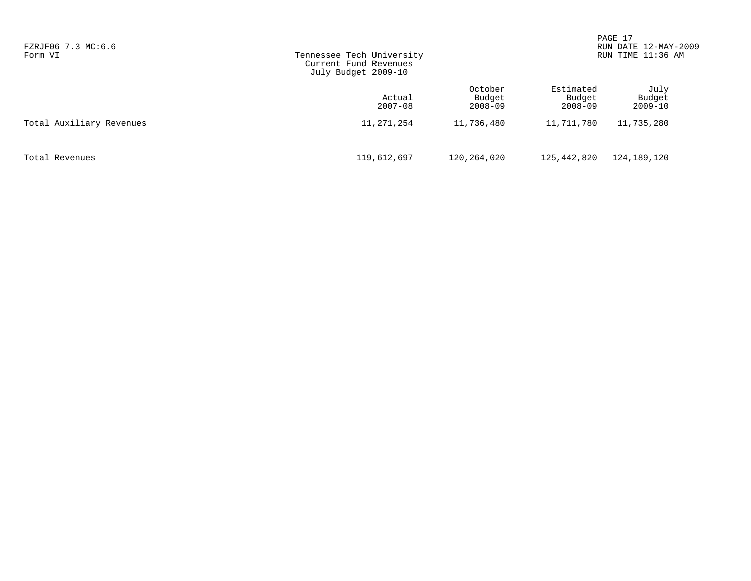| FZRJF06 7.3 MC:6.6<br>Form VI | Tennessee Tech University<br>Current Fund Revenues<br>July Budget 2009-10 |                                  |                                    | PAGE 17<br>RUN DATE 12-MAY-2009<br>RUN TIME 11:36 AM |  |
|-------------------------------|---------------------------------------------------------------------------|----------------------------------|------------------------------------|------------------------------------------------------|--|
|                               | Actual<br>$2007 - 08$                                                     | October<br>Budget<br>$2008 - 09$ | Estimated<br>Budget<br>$2008 - 09$ | July<br>Budget<br>$2009 - 10$                        |  |
| Total Auxiliary Revenues      | 11,271,254                                                                | 11,736,480                       | 11,711,780                         | 11,735,280                                           |  |
| Total Revenues                | 119,612,697                                                               | 120,264,020                      | 125,442,820                        | 124,189,120                                          |  |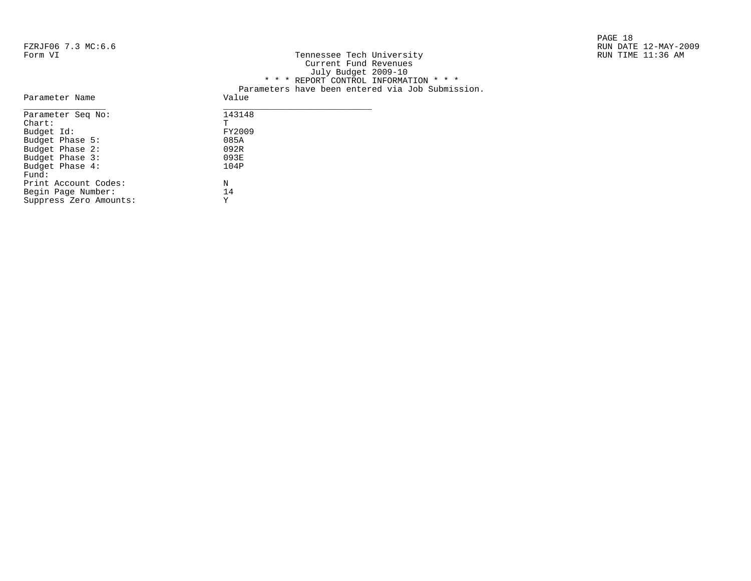|                    |                           | PAGE 18              |
|--------------------|---------------------------|----------------------|
| FZRJF06 7.3 MC:6.6 |                           | RUN DATE 12-MAY-2009 |
| Form VI            | Tennessee Tech University | RUN TIME 11:36 AM    |

| FZRJFU6 /.3 MC:6.6 |                                                  | RUN DAIE 12-MAY-2 |
|--------------------|--------------------------------------------------|-------------------|
| Form VI            | Tennessee Tech University                        | RUN TIME 11:36 AM |
|                    | Current Fund Revenues                            |                   |
|                    | July Budget 2009-10                              |                   |
|                    | * * * REPORT CONTROL INFORMATION * * *           |                   |
|                    | Parameters have been entered via Job Submission. |                   |
| Parameter Name     | Value                                            |                   |
| Parameter Seq No:  | 143148                                           |                   |
| Chart:             |                                                  |                   |
| Budget Id:         | FY2009                                           |                   |
| Budget Phase 5:    | 085A                                             |                   |
| Budget Phase 2:    | 092R                                             |                   |
|                    |                                                  |                   |

| Parameter Seq No:      | 143148 |
|------------------------|--------|
| $chart$ :              | Ͳ      |
| Budget Id:             | FY2009 |
| Budget Phase 5:        | 085A   |
| Budget Phase 2:        | 092R   |
| Budget Phase 3:        | 093E   |
| Budget Phase 4:        | 104P   |
| Fund:                  |        |
| Print Account Codes:   | N      |
| Begin Page Number:     | 14     |
| Suppress Zero Amounts: | Y      |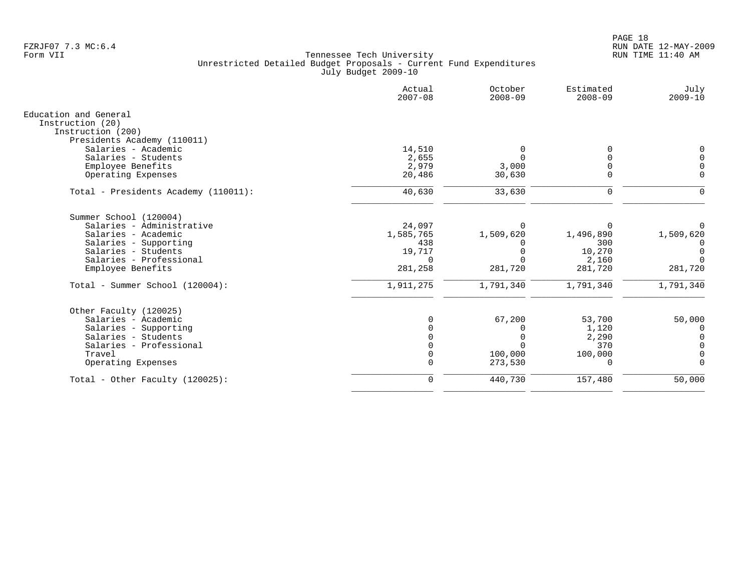|                                       | Actual<br>$2007 - 08$ | October<br>$2008 - 09$ | Estimated<br>$2008 - 09$ | July<br>$2009 - 10$ |
|---------------------------------------|-----------------------|------------------------|--------------------------|---------------------|
| Education and General                 |                       |                        |                          |                     |
| Instruction (20)<br>Instruction (200) |                       |                        |                          |                     |
| Presidents Academy (110011)           |                       |                        |                          |                     |
| Salaries - Academic                   | 14,510                | 0                      | $\Omega$                 | $\Omega$            |
| Salaries - Students                   | 2,655                 | $\Omega$               | $\Omega$                 |                     |
| Employee Benefits                     | 2,979                 | 3,000                  |                          |                     |
| Operating Expenses                    | 20,486                | 30,630                 | $\mathbf 0$              | $\Omega$            |
| Total - Presidents Academy (110011):  | 40,630                | 33,630                 | 0                        | $\Omega$            |
| Summer School (120004)                |                       |                        |                          |                     |
| Salaries - Administrative             | 24,097                | $\Omega$               | $\Omega$                 |                     |
| Salaries - Academic                   | 1,585,765             | 1,509,620              | 1,496,890                | 1,509,620           |
| Salaries - Supporting                 | 438                   |                        | 300                      | $\Omega$            |
| Salaries - Students                   | 19,717                |                        | 10,270                   | $\Omega$            |
| Salaries - Professional               | $\Omega$              | $\cap$                 | 2,160                    | $\cap$              |
| Employee Benefits                     | 281,258               | 281,720                | 281,720                  | 281,720             |
| Total - Summer School (120004):       | 1,911,275             | 1,791,340              | 1,791,340                | 1,791,340           |
| Other Faculty (120025)                |                       |                        |                          |                     |
| Salaries - Academic                   | <sup>n</sup>          | 67,200                 | 53,700                   | 50,000              |
| Salaries - Supporting                 |                       |                        | 1,120                    | 0                   |
| Salaries - Students                   |                       |                        | 2,290                    | $\Omega$            |
| Salaries - Professional               |                       |                        | 370                      |                     |
| Travel                                | 0                     | 100,000                | 100,000                  | 0                   |
| Operating Expenses                    | $\mathbf 0$           | 273,530                | 0                        | $\Omega$            |
| Total - Other Faculty $(120025)$ :    | $\mathbf 0$           | 440,730                | 157,480                  | 50,000              |
|                                       |                       |                        |                          |                     |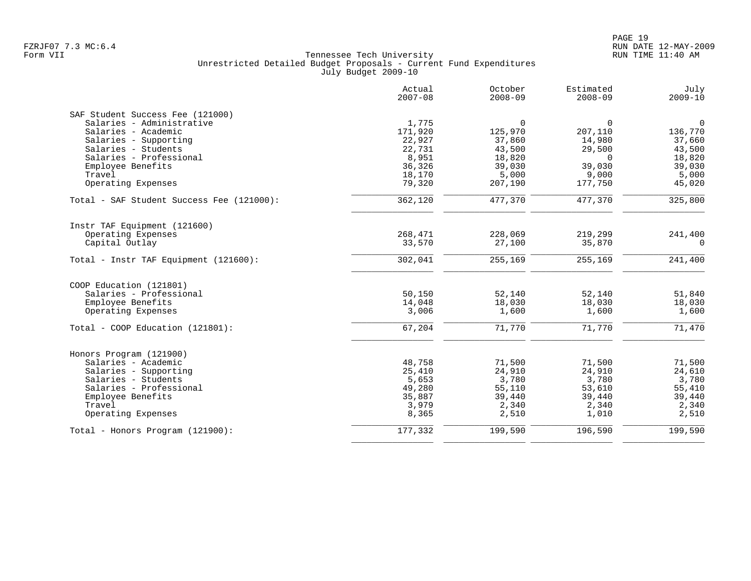| $\mathbf 0$<br>136,770<br>37,660<br>43,500<br>18,820<br>39,030<br>5,000 |
|-------------------------------------------------------------------------|
|                                                                         |
|                                                                         |
|                                                                         |
|                                                                         |
|                                                                         |
|                                                                         |
|                                                                         |
|                                                                         |
| 45,020                                                                  |
| 325,800                                                                 |
|                                                                         |
| 241,400                                                                 |
| $\Omega$                                                                |
| 241,400                                                                 |
|                                                                         |
| 51,840                                                                  |
| 18,030                                                                  |
| 1,600                                                                   |
| 71,470                                                                  |
|                                                                         |
| 71,500                                                                  |
| 24,610                                                                  |
| 3,780                                                                   |
| 55,410                                                                  |
| 39,440                                                                  |
| 2,340                                                                   |
| 2,510                                                                   |
| 199,590                                                                 |
|                                                                         |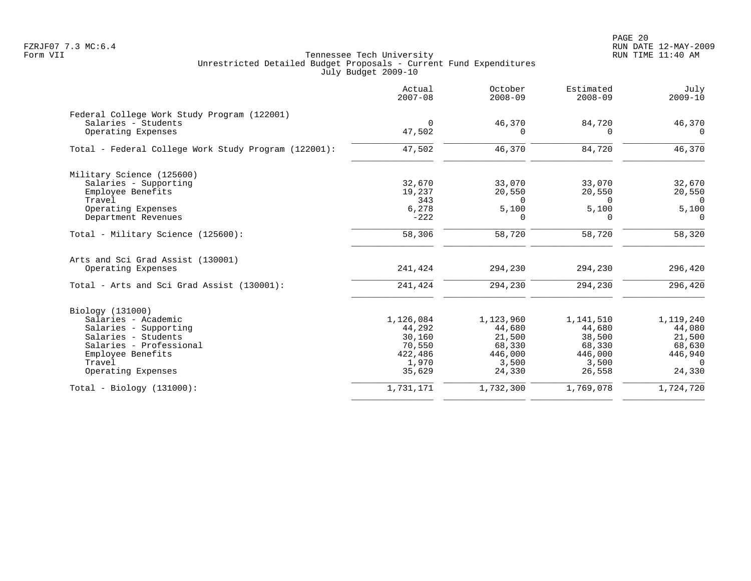|                                                      | Actual<br>$2007 - 08$ | October<br>$2008 - 09$ | Estimated<br>$2008 - 09$ | July<br>$2009 - 10$ |
|------------------------------------------------------|-----------------------|------------------------|--------------------------|---------------------|
| Federal College Work Study Program (122001)          |                       |                        |                          |                     |
| Salaries - Students                                  | $\Omega$              | 46,370                 | 84,720                   | 46,370              |
| Operating Expenses                                   | 47,502                |                        |                          | $\Omega$            |
| Total - Federal College Work Study Program (122001): | 47,502                | 46,370                 | 84,720                   | 46,370              |
| Military Science (125600)                            |                       |                        |                          |                     |
| Salaries - Supporting                                | 32,670                | 33,070                 | 33,070                   | 32,670              |
| Employee Benefits                                    | 19,237                | 20,550                 | 20,550                   | 20,550              |
| Travel                                               | 343                   | $\Omega$               | $\Omega$                 | $\Omega$            |
| Operating Expenses                                   | 6,278                 | 5,100                  | 5,100                    | 5,100               |
| Department Revenues                                  | $-222$                | 0                      | $\Omega$                 | $\Omega$            |
| Total - Military Science (125600):                   | 58,306                | 58,720                 | 58,720                   | 58,320              |
| Arts and Sci Grad Assist (130001)                    |                       |                        |                          |                     |
| Operating Expenses                                   | 241,424               | 294,230                | 294,230                  | 296,420             |
| Total - Arts and Sci Grad Assist (130001):           | 241,424               | 294,230                | 294,230                  | 296,420             |
| Biology (131000)                                     |                       |                        |                          |                     |
| Salaries - Academic                                  | 1,126,084             | 1,123,960              | 1,141,510                | 1,119,240           |
| Salaries - Supporting                                | 44,292                | 44,680                 | 44,680                   | 44,080              |
| Salaries - Students                                  | 30,160                | 21,500                 | 38,500                   | 21,500              |
| Salaries - Professional                              | 70,550                | 68,330                 | 68,330                   | 68,630              |
| Employee Benefits                                    | 422,486               | 446,000                | 446,000                  | 446,940             |
| Travel                                               | 1,970                 | 3,500                  | 3,500                    | $\Omega$            |
| Operating Expenses                                   | 35,629                | 24,330                 | 26,558                   | 24,330              |
| $Total - Biology (131000):$                          | 1,731,171             | 1,732,300              | 1,769,078                | 1,724,720           |
|                                                      |                       |                        |                          |                     |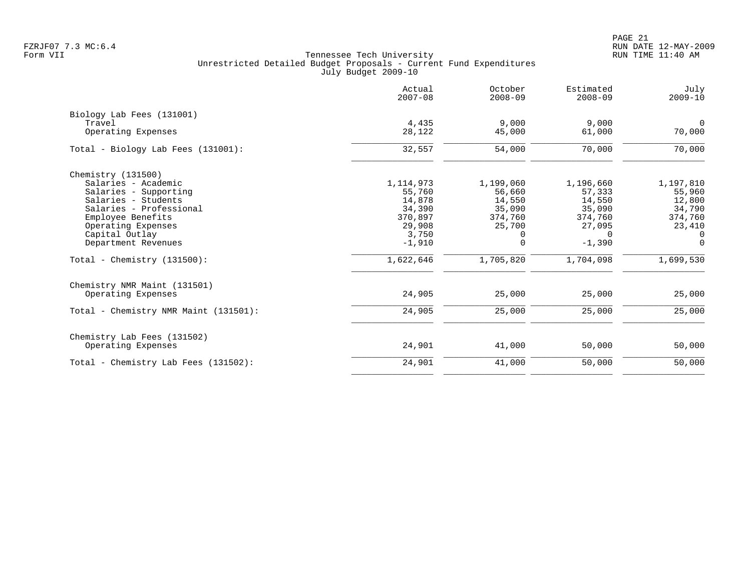PAGE 21 FZRJF07 7.3 MC:6.4 RUN DATE 12-MAY-2009

|                                       | Actual<br>$2007 - 08$ | October<br>$2008 - 09$ | Estimated<br>$2008 - 09$ | July<br>$2009 - 10$      |
|---------------------------------------|-----------------------|------------------------|--------------------------|--------------------------|
| Biology Lab Fees (131001)             |                       |                        |                          |                          |
| Travel<br>Operating Expenses          | 4,435<br>28,122       | 9,000<br>45,000        | 9,000<br>61,000          | $\overline{0}$<br>70,000 |
| Total - Biology Lab Fees (131001):    | 32,557                | 54,000                 | 70,000                   | 70,000                   |
| Chemistry $(131500)$                  |                       |                        |                          |                          |
| Salaries - Academic                   | 1,114,973             | 1,199,060              | 1,196,660                | 1,197,810                |
| Salaries - Supporting                 | 55,760                | 56,660                 | 57,333                   | 55,960                   |
| Salaries - Students                   | 14,878                | 14,550                 | 14,550                   | 12,800                   |
| Salaries - Professional               | 34,390                | 35,090                 | 35,090                   | 34,790                   |
| Employee Benefits                     | 370,897               | 374,760                | 374,760                  | 374,760                  |
| Operating Expenses                    | 29,908                | 25,700                 | 27,095                   | 23,410                   |
| Capital Outlay                        | 3,750                 | 0                      | $\Omega$                 | $\Omega$                 |
| Department Revenues                   | $-1,910$              | $\Omega$               | $-1,390$                 | $\Omega$                 |
| Total - Chemistry $(131500)$ :        | 1,622,646             | 1,705,820              | 1,704,098                | 1,699,530                |
| Chemistry NMR Maint (131501)          |                       |                        |                          |                          |
| Operating Expenses                    | 24,905                | 25,000                 | 25,000                   | 25,000                   |
| Total - Chemistry NMR Maint (131501): | 24,905                | 25,000                 | 25,000                   | 25,000                   |
| Chemistry Lab Fees (131502)           |                       |                        |                          |                          |
| Operating Expenses                    | 24,901                | 41,000                 | 50,000                   | 50,000                   |
| Total - Chemistry Lab Fees (131502):  | 24,901                | 41,000                 | 50,000                   | 50,000                   |
|                                       |                       |                        |                          |                          |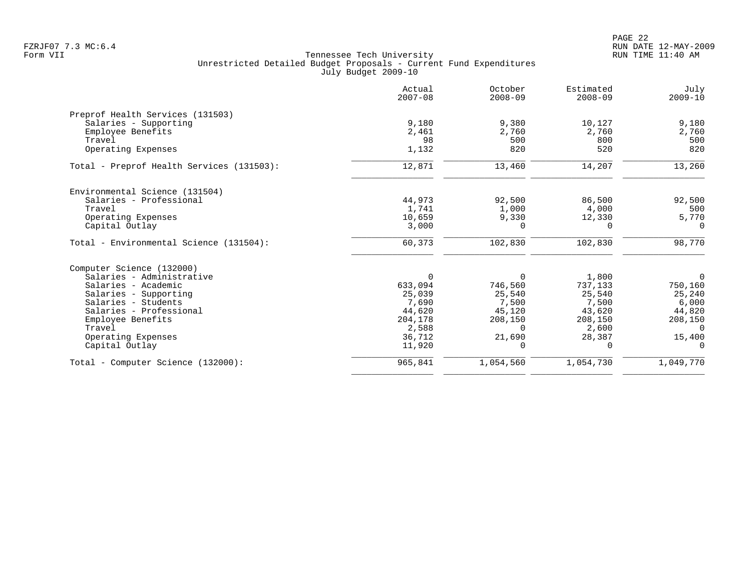| Actual<br>$2007 - 08$ | October<br>$2008 - 09$                                  | Estimated<br>$2008 - 09$             | July<br>$2009 - 10$                                                |
|-----------------------|---------------------------------------------------------|--------------------------------------|--------------------------------------------------------------------|
|                       |                                                         |                                      |                                                                    |
| 9,180                 | 9,380                                                   | 10,127                               | 9,180                                                              |
| 2,461                 | 2,760                                                   | 2,760                                | 2,760                                                              |
| 98                    | 500                                                     | 800                                  | 500                                                                |
| 1,132                 | 820                                                     | 520                                  | 820                                                                |
| 12,871                | 13,460                                                  | 14,207                               | 13,260                                                             |
|                       |                                                         |                                      |                                                                    |
| 44,973                | 92,500                                                  | 86,500                               | 92,500                                                             |
| 1,741                 | 1,000                                                   | 4,000                                | 500                                                                |
| 10,659                | 9,330                                                   |                                      | 5,770                                                              |
| 3,000                 | $\Omega$                                                | $\Omega$                             | $\Omega$                                                           |
| 60,373                | 102,830                                                 | 102,830                              | 98,770                                                             |
|                       |                                                         |                                      |                                                                    |
| $\Omega$              | $\Omega$                                                | 1,800                                | $\overline{0}$                                                     |
| 633,094               | 746,560                                                 |                                      | 750,160                                                            |
|                       |                                                         |                                      | 25,240                                                             |
|                       |                                                         |                                      | 6,000                                                              |
|                       |                                                         |                                      | 44,820                                                             |
|                       |                                                         |                                      | 208,150                                                            |
|                       | $\Omega$                                                |                                      | $\Omega$                                                           |
|                       | 21,690                                                  | 28,387                               | 15,400                                                             |
| 11,920                | $\Omega$                                                | $\Omega$                             | $\Omega$                                                           |
| 965,841               | 1,054,560                                               | 1,054,730                            | 1,049,770                                                          |
|                       | 25,039<br>7,690<br>44,620<br>204,178<br>2,588<br>36,712 | 25,540<br>7,500<br>45,120<br>208,150 | 12,330<br>737,133<br>25,540<br>7,500<br>43,620<br>208,150<br>2,600 |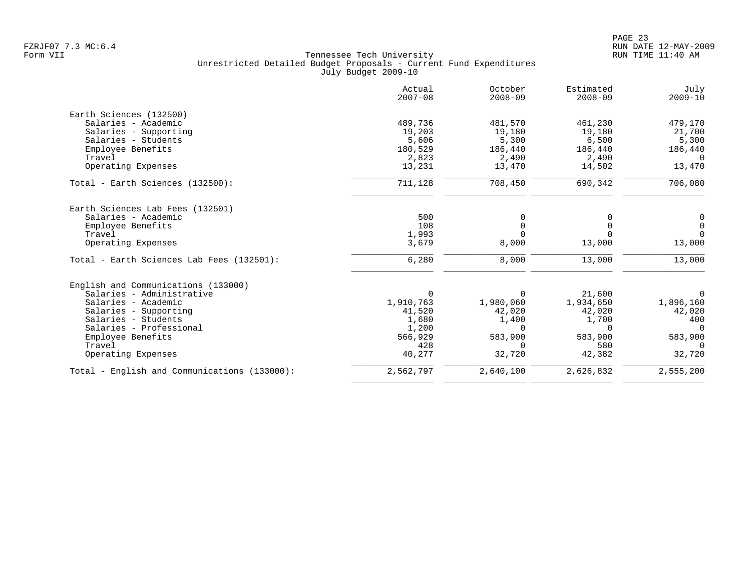|                                              | Actual<br>$2007 - 08$ | October<br>$2008 - 09$ | Estimated<br>$2008 - 09$ | July<br>$2009 - 10$ |
|----------------------------------------------|-----------------------|------------------------|--------------------------|---------------------|
| Earth Sciences (132500)                      |                       |                        |                          |                     |
| Salaries - Academic                          | 489,736               | 481,570                | 461,230                  | 479,170             |
| Salaries - Supporting                        | 19,203                | 19,180                 | 19,180                   | 21,700              |
| Salaries - Students                          | 5,606                 | 5,300                  | 6,500                    | 5,300               |
| Employee Benefits                            | 180,529               | 186,440                | 186,440                  | 186,440             |
| Travel                                       | 2,823                 | 2,490                  | 2,490                    | $\Omega$            |
| Operating Expenses                           | 13,231                | 13,470                 | 14,502                   | 13,470              |
| Total - Earth Sciences (132500):             | 711,128               | 708,450                | 690,342                  | 706,080             |
| Earth Sciences Lab Fees (132501)             |                       |                        |                          |                     |
| Salaries - Academic                          | 500                   | 0                      |                          | 0                   |
| Employee Benefits                            | 108                   | $\mathbf 0$            | $\Omega$                 | $\overline{0}$      |
| Travel                                       | 1,993                 | $\Omega$               | $\Omega$                 | $\Omega$            |
| Operating Expenses                           | 3,679                 | 8,000                  | 13,000                   | 13,000              |
| Total - Earth Sciences Lab Fees (132501):    | 6,280                 | 8,000                  | 13,000                   | 13,000              |
| English and Communications (133000)          |                       |                        |                          |                     |
| Salaries - Administrative                    | 0                     | $\Omega$               | 21,600                   | 0                   |
| Salaries - Academic                          | 1,910,763             | 1,980,060              | 1,934,650                | 1,896,160           |
| Salaries - Supporting                        | 41,520                | 42,020                 | 42,020                   | 42,020              |
| Salaries - Students                          | 1,680                 | 1,400                  | 1,700                    | 400                 |
| Salaries - Professional                      | 1,200                 | $\Omega$               | $\Omega$                 | $\Omega$            |
| Employee Benefits                            | 566,929               | 583,900                | 583,900                  | 583,900             |
| Travel                                       | 428                   | $\Omega$               | 580                      | $\Omega$            |
| Operating Expenses                           | 40,277                | 32,720                 | 42,382                   | 32,720              |
| Total - English and Communications (133000): | 2,562,797             | 2,640,100              | 2,626,832                | 2,555,200           |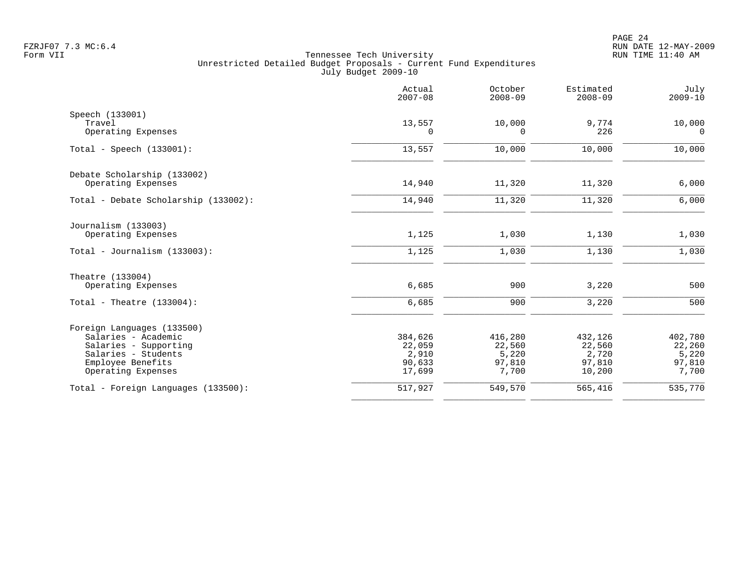|                                              | Actual<br>$2007 - 08$ | October<br>$2008 - 09$ | Estimated<br>$2008 - 09$ | July<br>$2009 - 10$ |
|----------------------------------------------|-----------------------|------------------------|--------------------------|---------------------|
| Speech (133001)<br>Travel                    | 13,557                | 10,000                 | 9,774                    | 10,000              |
| Operating Expenses                           | 0                     | 0                      | 226                      | 0                   |
| Total - Speech $(133001)$ :                  | 13,557                | 10,000                 | 10,000                   | 10,000              |
| Debate Scholarship (133002)                  |                       |                        |                          |                     |
| Operating Expenses                           | 14,940                | 11,320                 | 11,320                   | 6,000               |
| Total - Debate Scholarship (133002):         | 14,940                | 11,320                 | 11,320                   | 6,000               |
| Journalism (133003)                          |                       |                        |                          |                     |
| Operating Expenses                           | 1,125                 | 1,030                  | 1,130                    | 1,030               |
| Total - Journalism $(133003)$ :              | 1,125                 | 1,030                  | 1,130                    | 1,030               |
| Theatre (133004)                             |                       |                        |                          |                     |
| Operating Expenses                           | 6,685                 | 900                    | 3,220                    | 500                 |
| Total - Theatre $(133004)$ :                 | 6,685                 | 900                    | 3,220                    | 500                 |
| Foreign Languages (133500)                   |                       |                        |                          |                     |
| Salaries - Academic                          | 384,626               | 416,280                | 432,126                  | 402,780             |
| Salaries - Supporting<br>Salaries - Students | 22,059<br>2,910       | 22,560<br>5,220        | 22,560<br>2,720          | 22,260<br>5,220     |
| Employee Benefits                            | 90,633                | 97,810                 | 97,810                   | 97,810              |
| Operating Expenses                           | 17,699                | 7,700                  | 10,200                   | 7,700               |
| Total - Foreign Languages (133500):          | 517,927               | 549,570                | 565,416                  | 535,770             |
|                                              |                       |                        |                          |                     |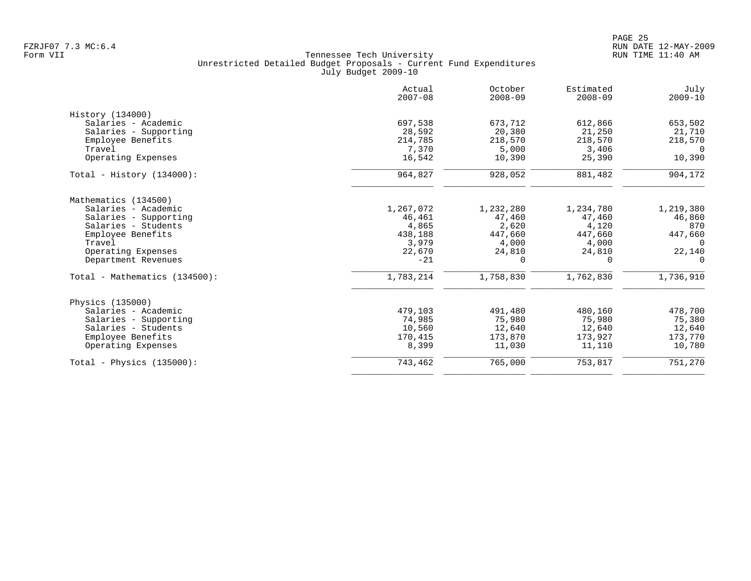|                               | Actual<br>$2007 - 08$ | October<br>$2008 - 09$ | Estimated<br>$2008 - 09$ | July<br>$2009 - 10$ |
|-------------------------------|-----------------------|------------------------|--------------------------|---------------------|
| History (134000)              |                       |                        |                          |                     |
| Salaries - Academic           | 697,538               | 673,712                | 612,866                  | 653,502             |
| Salaries - Supporting         | 28,592                | 20,380                 | 21,250                   | 21,710              |
| Employee Benefits             | 214,785               | 218,570                | 218,570                  | 218,570             |
| Travel                        | 7,370                 | 5,000                  | 3,406                    | $\Omega$            |
| Operating Expenses            | 16,542                | 10,390                 | 25,390                   | 10,390              |
| Total - History $(134000)$ :  | 964,827               | 928,052                | 881,482                  | 904,172             |
| Mathematics (134500)          |                       |                        |                          |                     |
| Salaries - Academic           | 1,267,072             | 1,232,280              | 1,234,780                | 1,219,380           |
| Salaries - Supporting         | 46,461                | 47,460                 | 47,460                   | 46,860              |
| Salaries - Students           | 4,865                 | 2,620                  | 4,120                    | 870                 |
| Employee Benefits             | 438,188               | 447,660                | 447,660                  | 447,660             |
| Travel                        | 3,979                 | 4,000                  | 4,000                    | $\Omega$            |
| Operating Expenses            | 22,670                | 24,810                 | 24,810                   | 22,140              |
| Department Revenues           | $-21$                 | $\Omega$               | $\Omega$                 | 0                   |
| Total - Mathematics (134500): | 1,783,214             | 1,758,830              | 1,762,830                | 1,736,910           |
| Physics (135000)              |                       |                        |                          |                     |
| Salaries - Academic           | 479,103               | 491,480                | 480,160                  | 478,700             |
| Salaries - Supporting         | 74,985                | 75,980                 | 75,980                   | 75,380              |
| Salaries - Students           | 10,560                | 12,640                 | 12,640                   | 12,640              |
| Employee Benefits             | 170,415               | 173,870                | 173,927                  | 173,770             |
| Operating Expenses            | 8,399                 | 11,030                 | 11,110                   | 10,780              |
| Total - Physics $(135000)$ :  | 743,462               | 765,000                | 753,817                  | 751,270             |
|                               |                       |                        |                          |                     |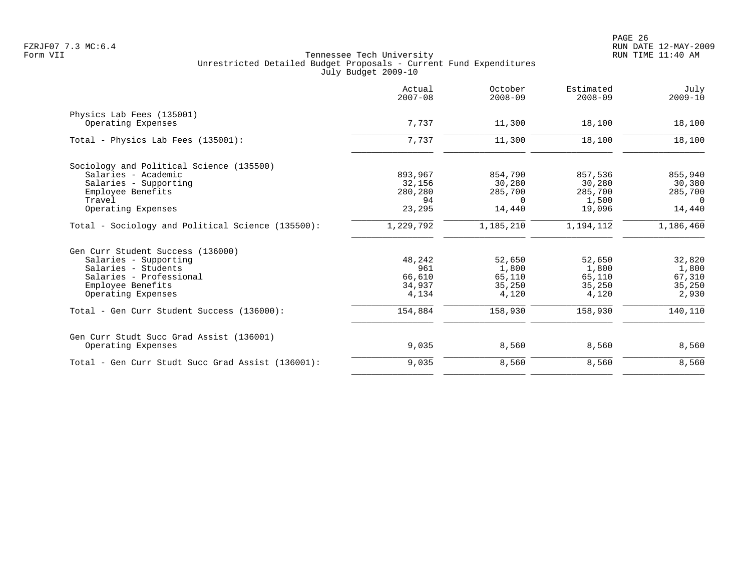|                                                   | Actual<br>$2007 - 08$ | October<br>$2008 - 09$ | Estimated<br>$2008 - 09$ | July<br>$2009 - 10$ |
|---------------------------------------------------|-----------------------|------------------------|--------------------------|---------------------|
| Physics Lab Fees (135001)                         |                       |                        |                          |                     |
| Operating Expenses                                | 7,737                 | 11,300                 | 18,100                   | 18,100              |
| Total - Physics Lab Fees (135001):                | 7,737                 | 11,300                 | 18,100                   | 18,100              |
| Sociology and Political Science (135500)          |                       |                        |                          |                     |
| Salaries - Academic                               | 893,967               | 854,790                | 857,536                  | 855,940             |
| Salaries - Supporting                             | 32,156                | 30,280                 | 30,280                   | 30,380              |
| Employee Benefits                                 | 280,280               | 285,700                | 285,700                  | 285,700             |
| Travel                                            | 94                    | $\Omega$               | 1,500                    | $\Omega$            |
| Operating Expenses                                | 23,295                | 14,440                 | 19,096                   | 14,440              |
| Total - Sociology and Political Science (135500): | 1,229,792             | 1,185,210              | 1,194,112                | 1,186,460           |
| Gen Curr Student Success (136000)                 |                       |                        |                          |                     |
| Salaries - Supporting                             | 48,242                | 52,650                 | 52,650                   | 32,820              |
| Salaries - Students                               | 961                   | 1,800                  | 1,800                    | 1,800               |
| Salaries - Professional                           | 66,610                | 65,110                 | 65,110                   | 67,310              |
| Employee Benefits                                 | 34,937                | 35,250                 | 35,250                   | 35,250              |
| Operating Expenses                                | 4,134                 | 4,120                  | 4,120                    | 2,930               |
| Total - Gen Curr Student Success (136000):        | 154,884               | 158,930                | 158,930                  | 140,110             |
| Gen Curr Studt Succ Grad Assist (136001)          |                       |                        |                          |                     |
| Operating Expenses                                | 9,035                 | 8,560                  | 8,560                    | 8,560               |
| Total - Gen Curr Studt Succ Grad Assist (136001): | 9,035                 | 8,560                  | 8,560                    | 8,560               |
|                                                   |                       |                        |                          |                     |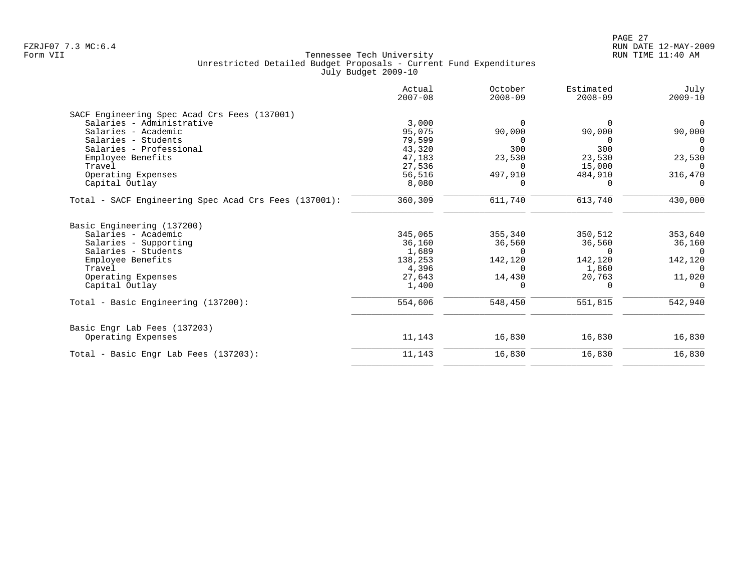|                                                       | Actual<br>$2007 - 08$ | October<br>$2008 - 09$ | Estimated<br>$2008 - 09$ | July<br>$2009 - 10$ |
|-------------------------------------------------------|-----------------------|------------------------|--------------------------|---------------------|
| SACF Engineering Spec Acad Crs Fees (137001)          |                       |                        |                          |                     |
| Salaries - Administrative                             | 3,000                 | $\Omega$               | $\Omega$                 | $\Omega$            |
| Salaries - Academic                                   | 95,075                | 90,000                 | 90,000                   | 90,000              |
| Salaries - Students                                   | 79,599                | $\Omega$               | $\Omega$                 | $\Omega$            |
| Salaries - Professional                               | 43,320                | 300                    | 300                      | $\Omega$            |
| Employee Benefits                                     | 47,183                | 23,530                 | 23,530                   | 23,530              |
| Travel                                                | 27,536                | $\Omega$               | 15,000                   | $\Omega$            |
| Operating Expenses                                    | 56,516                | 497,910                | 484,910                  | 316,470             |
| Capital Outlay                                        | 8,080                 | 0                      | $\Omega$                 | $\Omega$            |
| Total - SACF Engineering Spec Acad Crs Fees (137001): | 360,309               | 611,740                | 613,740                  | 430,000             |
| Basic Engineering (137200)<br>Salaries - Academic     | 345,065               | 355,340                | 350,512                  | 353,640             |
|                                                       |                       |                        |                          |                     |
| Salaries - Supporting<br>Salaries - Students          | 36,160                | 36,560<br>$\Omega$     | 36,560<br>$\Omega$       | 36,160<br>$\Omega$  |
|                                                       | 1,689<br>138,253      |                        | 142,120                  | 142,120             |
| Employee Benefits<br>Travel                           | 4,396                 | 142,120<br>$\Omega$    | 1,860                    | $\Omega$            |
| Operating Expenses                                    | 27,643                | 14,430                 | 20,763                   | 11,020              |
| Capital Outlay                                        | 1,400                 |                        | $\Omega$                 | $\Omega$            |
|                                                       |                       |                        |                          |                     |
| Total - Basic Engineering (137200):                   | 554,606               | 548,450                | 551,815                  | 542,940             |
| Basic Engr Lab Fees (137203)                          |                       |                        |                          |                     |
| Operating Expenses                                    | 11,143                | 16,830                 | 16,830                   | 16,830              |
| Total - Basic Engr Lab Fees (137203):                 | 11,143                | 16,830                 | 16,830                   | 16,830              |
|                                                       |                       |                        |                          |                     |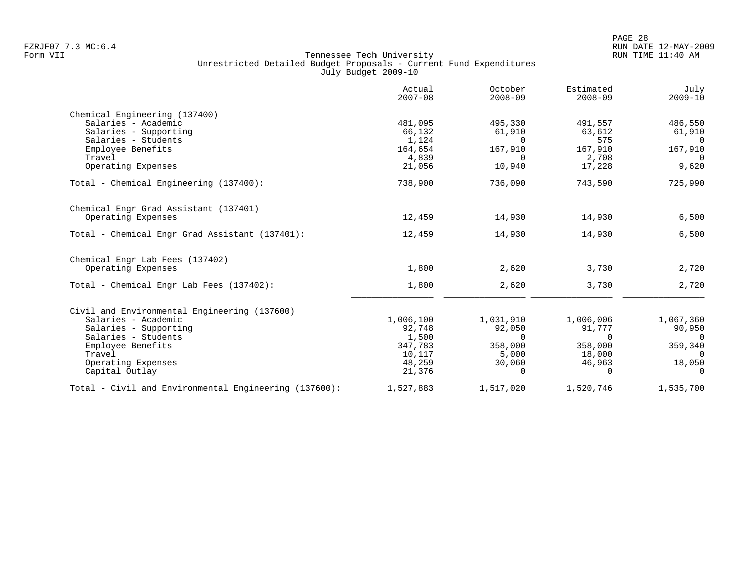| Actual<br>$2007 - 08$ | October<br>$2008 - 09$                                                                     | Estimated<br>$2008 - 09$                                                            | July<br>$2009 - 10$                                                                      |
|-----------------------|--------------------------------------------------------------------------------------------|-------------------------------------------------------------------------------------|------------------------------------------------------------------------------------------|
|                       |                                                                                            |                                                                                     |                                                                                          |
|                       |                                                                                            |                                                                                     | 486,550                                                                                  |
|                       |                                                                                            |                                                                                     | 61,910                                                                                   |
|                       |                                                                                            |                                                                                     | $\Omega$<br>167,910                                                                      |
|                       | $\Omega$                                                                                   |                                                                                     | $\Omega$                                                                                 |
| 21,056                | 10,940                                                                                     | 17,228                                                                              | 9,620                                                                                    |
| 738,900               | 736,090                                                                                    | 743,590                                                                             | 725,990                                                                                  |
|                       |                                                                                            |                                                                                     |                                                                                          |
| 12,459                | 14,930                                                                                     | 14,930                                                                              | 6,500                                                                                    |
| 12,459                | 14,930                                                                                     | 14,930                                                                              | 6,500                                                                                    |
|                       |                                                                                            |                                                                                     |                                                                                          |
| 1,800                 | 2,620                                                                                      | 3,730                                                                               | 2,720                                                                                    |
| 1,800                 | 2,620                                                                                      | 3,730                                                                               | 2,720                                                                                    |
|                       |                                                                                            |                                                                                     |                                                                                          |
|                       |                                                                                            |                                                                                     | 1,067,360                                                                                |
| 92,748                | 92,050                                                                                     | 91,777                                                                              | 90,950                                                                                   |
| 1,500                 | $\Omega$                                                                                   | 0                                                                                   | 0                                                                                        |
|                       |                                                                                            |                                                                                     | 359,340                                                                                  |
|                       |                                                                                            |                                                                                     | $\mathbf 0$                                                                              |
| 21,376                | $\Omega$                                                                                   | $\Omega$                                                                            | 18,050<br>$\Omega$                                                                       |
| 1,527,883             | 1,517,020                                                                                  | 1,520,746                                                                           | 1,535,700                                                                                |
|                       | 481,095<br>66,132<br>1,124<br>164,654<br>4,839<br>1,006,100<br>347,783<br>10,117<br>48,259 | 495,330<br>61,910<br>$\Omega$<br>167,910<br>1,031,910<br>358,000<br>5,000<br>30,060 | 491,557<br>63,612<br>575<br>167,910<br>2,708<br>1,006,006<br>358,000<br>18,000<br>46,963 |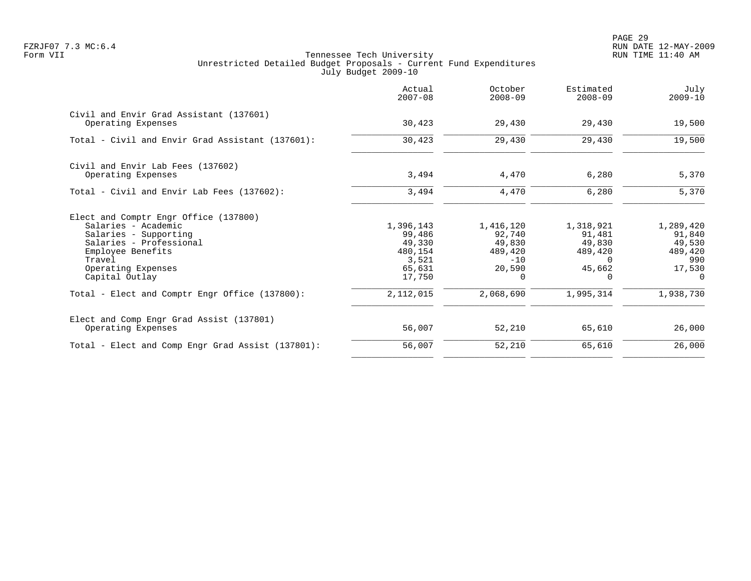PAGE 29 FZRJF07 7.3 MC:6.4 RUN DATE 12-MAY-2009

|                                                               | Actual<br>$2007 - 08$ | October<br>$2008 - 09$ | Estimated<br>$2008 - 09$ | July<br>$2009 - 10$ |
|---------------------------------------------------------------|-----------------------|------------------------|--------------------------|---------------------|
| Civil and Envir Grad Assistant (137601)<br>Operating Expenses | 30,423                | 29,430                 | 29,430                   | 19,500              |
| Total - Civil and Envir Grad Assistant (137601):              | 30,423                | 29,430                 | 29,430                   | 19,500              |
| Civil and Envir Lab Fees (137602)                             |                       |                        |                          |                     |
| Operating Expenses                                            | 3,494                 | 4,470                  | 6,280                    | 5,370               |
| Total - Civil and Envir Lab Fees (137602):                    | 3,494                 | 4,470                  | 6,280                    | 5,370               |
| Elect and Comptr Engr Office (137800)                         |                       |                        |                          |                     |
| Salaries - Academic                                           | 1,396,143             | 1,416,120              | 1,318,921                | 1,289,420           |
| Salaries - Supporting                                         | 99,486                | 92,740                 | 91,481                   | 91,840              |
| Salaries - Professional                                       | 49,330                | 49,830                 | 49,830                   | 49,530              |
| Employee Benefits<br>Travel                                   | 480,154<br>3,521      | 489,420<br>$-10$       | 489,420<br>$\Omega$      | 489,420<br>990      |
| Operating Expenses                                            | 65,631                | 20,590                 | 45,662                   | 17,530              |
| Capital Outlay                                                | 17,750                | $\Omega$               | $\Omega$                 | $\Omega$            |
| Total - Elect and Comptr Engr Office (137800):                | 2,112,015             | 2,068,690              | 1,995,314                | 1,938,730           |
| Elect and Comp Engr Grad Assist (137801)                      |                       |                        |                          |                     |
| Operating Expenses                                            | 56,007                | 52,210                 | 65,610                   | 26,000              |
| Total - Elect and Comp Engr Grad Assist (137801):             | 56,007                | 52,210                 | 65,610                   | 26,000              |
|                                                               |                       |                        |                          |                     |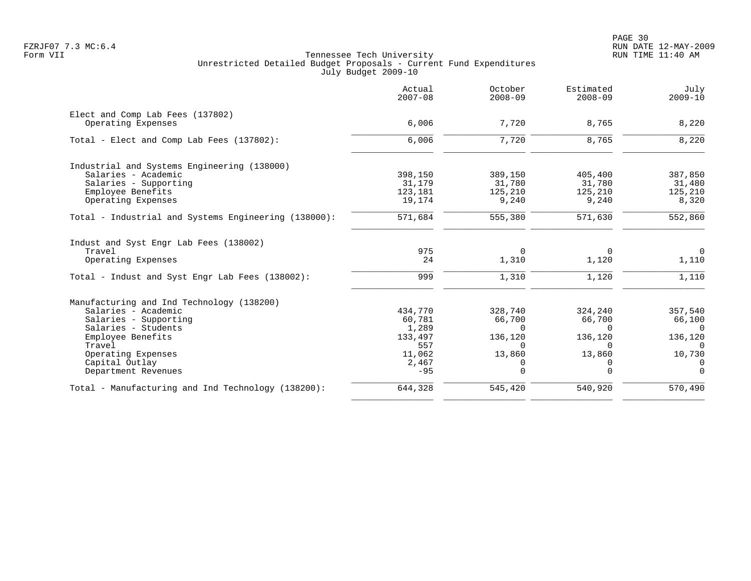|                                                      | Actual<br>$2007 - 08$ | October<br>$2008 - 09$ | Estimated<br>$2008 - 09$ | July<br>$2009 - 10$    |
|------------------------------------------------------|-----------------------|------------------------|--------------------------|------------------------|
| Elect and Comp Lab Fees (137802)                     |                       |                        |                          |                        |
| Operating Expenses                                   | 6,006                 | 7,720                  | 8,765                    | 8,220                  |
| Total - Elect and Comp Lab Fees (137802):            | 6,006                 | 7,720                  | 8,765                    | 8,220                  |
| Industrial and Systems Engineering (138000)          |                       |                        |                          |                        |
| Salaries - Academic                                  | 398,150               | 389,150                | 405,400                  | 387,850                |
| Salaries - Supporting                                | 31,179                | 31,780                 | 31,780                   | 31,480                 |
| Employee Benefits                                    | 123,181               | 125,210                | 125,210                  | 125,210                |
| Operating Expenses                                   | 19,174                | 9,240                  | 9,240                    | 8,320                  |
| Total - Industrial and Systems Engineering (138000): | 571,684               | 555,380                | 571,630                  | 552,860                |
| Indust and Syst Engr Lab Fees (138002)               |                       |                        |                          |                        |
| Travel                                               | 975                   | $\Omega$               | $\Omega$                 | $\Omega$               |
| Operating Expenses                                   | 24                    | 1,310                  | 1,120                    | 1,110                  |
| Total - Indust and Syst Engr Lab Fees (138002):      | 999                   | 1,310                  | 1,120                    | 1,110                  |
| Manufacturing and Ind Technology (138200)            |                       |                        |                          |                        |
| Salaries - Academic                                  | 434,770               | 328,740                | 324,240                  | 357,540                |
| Salaries - Supporting                                | 60,781                | 66,700                 | 66,700                   | 66,100                 |
| Salaries - Students                                  | 1,289                 | $\Omega$               | $\Omega$                 | $\overline{0}$         |
| Employee Benefits                                    | 133,497               | 136,120                | 136,120                  | 136,120                |
| Travel                                               | 557                   | $\Omega$               | $\Omega$                 | $\Omega$               |
| Operating Expenses                                   | 11,062                | 13,860                 | 13,860                   | 10,730                 |
| Capital Outlay                                       | 2,467                 | 0                      | 0                        | 0                      |
| Department Revenues                                  | $-95$                 | 0                      | $\mathbf 0$              | $\Omega$               |
| Total - Manufacturing and Ind Technology (138200):   | 644,328               | 545,420                | 540,920                  | $\overline{570}$ , 490 |
|                                                      |                       |                        |                          |                        |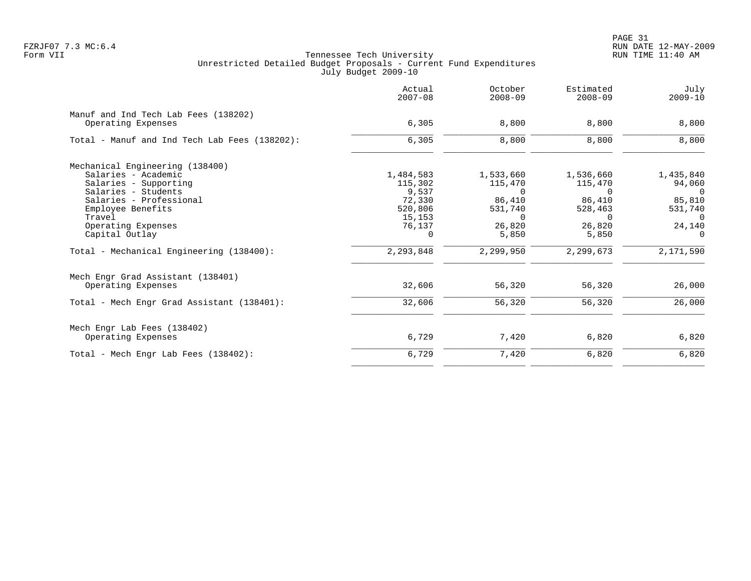PAGE 31 FZRJF07 7.3 MC:6.4 RUN DATE 12-MAY-2009

|                                               | Actual<br>$2007 - 08$ | October<br>$2008 - 09$ | Estimated<br>$2008 - 09$ | July<br>$2009 - 10$ |
|-----------------------------------------------|-----------------------|------------------------|--------------------------|---------------------|
| Manuf and Ind Tech Lab Fees (138202)          |                       |                        |                          |                     |
| Operating Expenses                            | 6,305                 | 8,800                  | 8,800                    | 8,800               |
| Total - Manuf and Ind Tech Lab Fees (138202): | 6,305                 | 8,800                  | 8,800                    | 8,800               |
| Mechanical Engineering (138400)               |                       |                        |                          |                     |
| Salaries - Academic                           | 1,484,583             | 1,533,660              | 1,536,660                | 1,435,840           |
| Salaries - Supporting                         | 115,302               | 115,470                | 115,470                  | 94,060              |
| Salaries - Students                           | 9,537                 | $\Omega$               | $\Omega$                 | $\Omega$            |
| Salaries - Professional                       | 72,330                | 86,410                 | 86,410                   | 85,810              |
| Employee Benefits                             | 520,806               | 531,740                | 528,463                  | 531,740             |
| Travel                                        | 15,153                | $\Omega$               | $\Omega$                 | $\Omega$            |
| Operating Expenses                            | 76,137                | 26,820                 | 26,820                   | 24,140              |
| Capital Outlay                                | $\Omega$              | 5,850                  | 5,850                    | $\Omega$            |
| Total - Mechanical Engineering (138400):      | 2,293,848             | 2,299,950              | 2,299,673                | 2,171,590           |
| Mech Engr Grad Assistant (138401)             |                       |                        |                          |                     |
| Operating Expenses                            | 32,606                | 56,320                 | 56,320                   | 26,000              |
| Total - Mech Engr Grad Assistant (138401):    | 32,606                | 56,320                 | 56,320                   | 26,000              |
| Mech Engr Lab Fees (138402)                   |                       |                        |                          |                     |
| Operating Expenses                            | 6,729                 | 7,420                  | 6,820                    | 6,820               |
| Total - Mech Engr Lab Fees (138402):          | 6,729                 | 7,420                  | 6,820                    | 6,820               |
|                                               |                       |                        |                          |                     |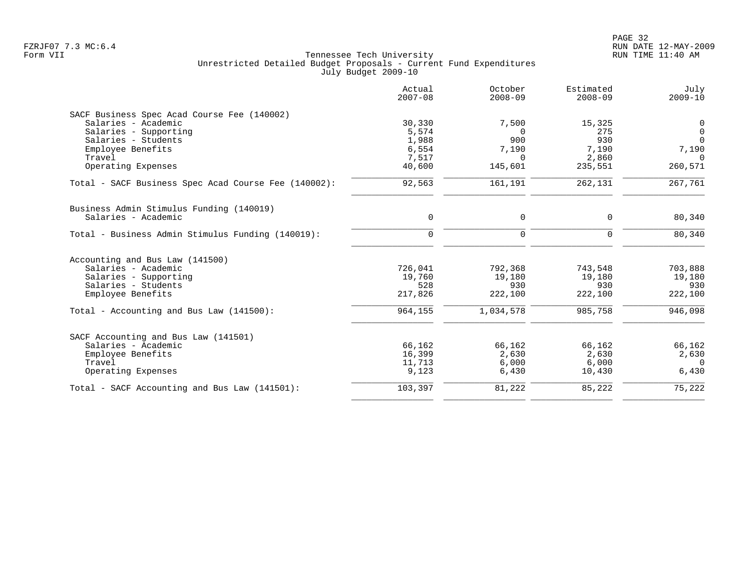| Actual<br>$2007 - 08$ | October<br>$2008 - 09$                                 | Estimated<br>$2008 - 09$                             | July<br>$2009 - 10$                                           |
|-----------------------|--------------------------------------------------------|------------------------------------------------------|---------------------------------------------------------------|
|                       |                                                        |                                                      |                                                               |
| 30,330                | 7,500                                                  | 15,325                                               | 0                                                             |
| 5,574                 | $\Omega$                                               | 275                                                  | $\mathbf 0$                                                   |
| 1,988                 | 900                                                    | 930                                                  | $\Omega$                                                      |
| 6,554                 | 7,190                                                  | 7,190                                                | 7,190                                                         |
| 7,517                 | $\Omega$                                               |                                                      | $\cap$                                                        |
| 40,600                | 145,601                                                | 235,551                                              | 260,571                                                       |
| 92,563                | 161,191                                                | 262,131                                              | 267,761                                                       |
|                       |                                                        |                                                      |                                                               |
| $\mathbf 0$           | 0                                                      | $\mathbf 0$                                          | 80,340                                                        |
| $\mathbf 0$           | $\mathbf 0$                                            | $\mathbf 0$                                          | 80,340                                                        |
|                       |                                                        |                                                      |                                                               |
|                       |                                                        |                                                      | 703,888                                                       |
|                       |                                                        |                                                      | 19,180                                                        |
|                       |                                                        |                                                      | 930                                                           |
| 217,826               | 222,100                                                | 222,100                                              | 222,100                                                       |
| 964,155               | 1,034,578                                              | 985,758                                              | 946,098                                                       |
|                       |                                                        |                                                      |                                                               |
|                       |                                                        |                                                      | 66,162                                                        |
|                       |                                                        |                                                      | 2,630                                                         |
|                       |                                                        |                                                      | $\Omega$                                                      |
| 9,123                 | 6,430                                                  | 10,430                                               | 6,430                                                         |
| 103,397               | 81,222                                                 | 85,222                                               | 75,222                                                        |
|                       | 726,041<br>19,760<br>528<br>66,162<br>16,399<br>11,713 | 792,368<br>19,180<br>930<br>66,162<br>2,630<br>6,000 | 2,860<br>743,548<br>19,180<br>930<br>66,162<br>2,630<br>6,000 |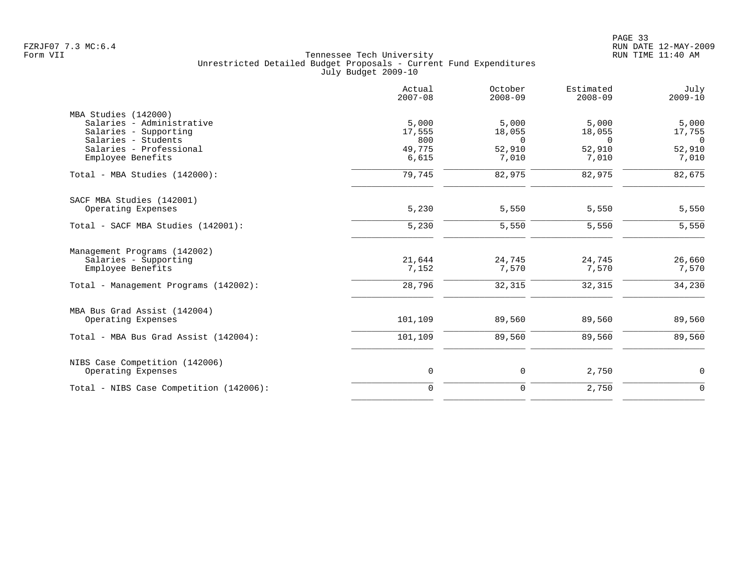|                                                      | Actual<br>$2007 - 08$ | October<br>$2008 - 09$ | Estimated<br>$2008 - 09$ | July<br>$2009 - 10$ |
|------------------------------------------------------|-----------------------|------------------------|--------------------------|---------------------|
| MBA Studies (142000)                                 |                       |                        |                          |                     |
| Salaries - Administrative                            | 5,000                 | 5,000                  | 5,000                    | 5,000               |
| Salaries - Supporting                                | 17,555                | 18,055                 | 18,055                   | 17,755              |
| Salaries - Students                                  | 800                   | $\Omega$               | $\Omega$                 | $\Omega$            |
| Salaries - Professional                              | 49,775                | 52,910                 | 52,910                   | 52,910              |
| Employee Benefits                                    | 6,615                 | 7,010                  | 7,010                    | 7,010               |
| Total - MBA Studies (142000):                        | 79,745                | 82,975                 | 82,975                   | 82,675              |
| SACF MBA Studies (142001)                            |                       |                        |                          |                     |
| Operating Expenses                                   | 5,230                 | 5,550                  | 5,550                    | 5,550               |
| Total - SACF MBA Studies (142001):                   | 5,230                 | 5,550                  | 5,550                    | 5,550               |
| Management Programs (142002)                         |                       |                        |                          |                     |
| Salaries - Supporting                                | 21,644                | 24,745                 | 24,745                   | 26,660              |
| Employee Benefits                                    | 7,152                 | 7,570                  | 7,570                    | 7,570               |
| Total - Management Programs (142002):                | 28,796                | 32,315                 | 32,315                   | 34,230              |
| MBA Bus Grad Assist (142004)                         |                       |                        |                          |                     |
| Operating Expenses                                   | 101,109               | 89,560                 | 89,560                   | 89,560              |
| Total - MBA Bus Grad Assist (142004):                | 101,109               | 89,560                 | 89,560                   | 89,560              |
|                                                      |                       |                        |                          |                     |
| NIBS Case Competition (142006)<br>Operating Expenses | $\mathsf{O}$          | 0                      | 2,750                    | $\mathbf 0$         |
|                                                      |                       |                        |                          |                     |
| Total - NIBS Case Competition (142006):              | $\mathbf 0$           | $\mathbf 0$            | 2,750                    | $\mathbf 0$         |
|                                                      |                       |                        |                          |                     |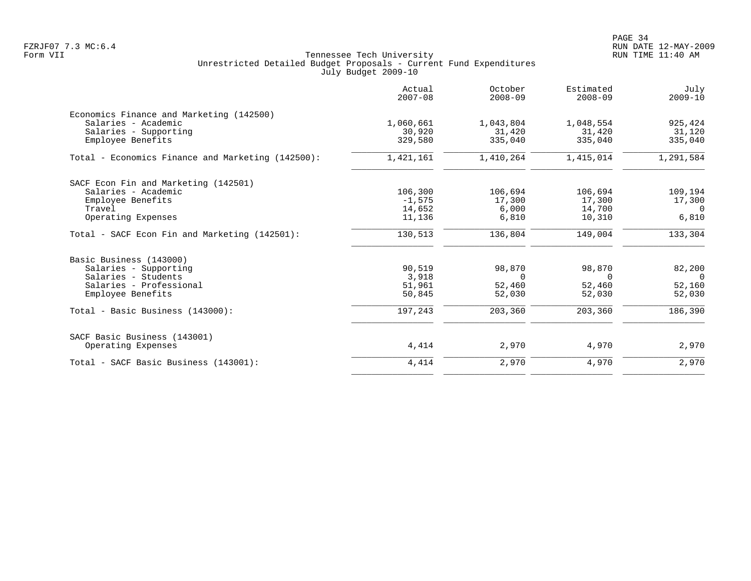|                                                   | Actual<br>$2007 - 08$ | October<br>$2008 - 09$ | Estimated<br>$2008 - 09$ | July<br>$2009 - 10$ |
|---------------------------------------------------|-----------------------|------------------------|--------------------------|---------------------|
| Economics Finance and Marketing (142500)          |                       |                        |                          |                     |
| Salaries - Academic                               | 1,060,661             | 1,043,804              | 1,048,554                | 925,424             |
| Salaries - Supporting                             | 30,920                | 31,420                 | 31,420                   | 31,120              |
| Employee Benefits                                 | 329,580               | 335,040                | 335,040                  | 335,040             |
| Total - Economics Finance and Marketing (142500): | 1,421,161             | 1,410,264              | 1,415,014                | 1,291,584           |
| SACF Econ Fin and Marketing (142501)              |                       |                        |                          |                     |
| Salaries - Academic                               | 106,300               | 106,694                | 106,694                  | 109,194             |
| Employee Benefits                                 | $-1,575$              | 17,300                 | 17,300                   | 17,300              |
| Travel                                            | 14,652                | 6,000                  | 14,700                   | $\Omega$            |
| Operating Expenses                                | 11,136                | 6,810                  | 10,310                   | 6,810               |
| Total - SACF Econ Fin and Marketing (142501):     | 130,513               | 136,804                | 149,004                  | 133,304             |
| Basic Business (143000)                           |                       |                        |                          |                     |
| Salaries - Supporting                             | 90,519                | 98,870                 | 98,870                   | 82,200              |
| Salaries - Students                               | 3,918                 | $\Omega$               | 0                        | $\overline{0}$      |
| Salaries - Professional                           | 51,961                | 52,460                 | 52,460                   | 52,160              |
| Employee Benefits                                 | 50,845                | 52,030                 | 52,030                   | 52,030              |
| Total - Basic Business (143000):                  | 197,243               | 203,360                | 203,360                  | 186,390             |
| SACF Basic Business (143001)                      |                       |                        |                          |                     |
| Operating Expenses                                | 4,414                 | 2,970                  | 4,970                    | 2,970               |
| Total - SACF Basic Business (143001):             | 4,414                 | 2,970                  | 4,970                    | 2,970               |
|                                                   |                       |                        |                          |                     |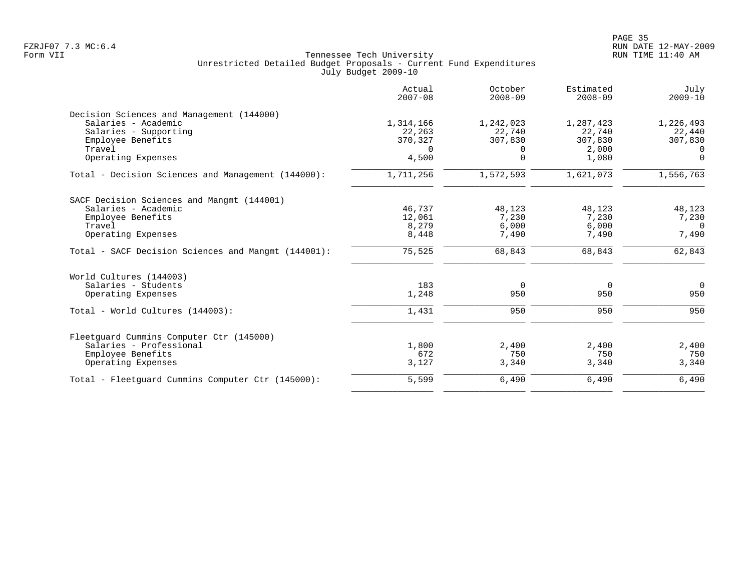|                                                     | Actual<br>$2007 - 08$ | October<br>$2008 - 09$ | Estimated<br>$2008 - 09$ | July<br>$2009 - 10$ |
|-----------------------------------------------------|-----------------------|------------------------|--------------------------|---------------------|
| Decision Sciences and Management (144000)           |                       |                        |                          |                     |
| Salaries - Academic                                 | 1,314,166             | 1,242,023              | 1,287,423                | 1,226,493           |
| Salaries - Supporting                               | 22,263                | 22,740                 | 22,740                   | 22,440              |
| Employee Benefits                                   | 370,327               | 307,830                | 307,830                  | 307,830             |
| Travel                                              | $\Omega$              | $\Omega$               | 2,000                    | $\Omega$            |
| Operating Expenses                                  | 4,500                 | $\Omega$               | 1,080                    | $\Omega$            |
| Total - Decision Sciences and Management (144000):  | 1,711,256             | 1,572,593              | 1,621,073                | 1,556,763           |
| SACF Decision Sciences and Mangmt (144001)          |                       |                        |                          |                     |
| Salaries - Academic                                 | 46,737                | 48,123                 | 48,123                   | 48,123              |
| Employee Benefits                                   | 12,061                | 7,230                  | 7,230                    | 7,230               |
| Travel                                              | 8,279                 | 6,000                  | 6,000                    | $\Omega$            |
| Operating Expenses                                  | 8,448                 | 7,490                  | 7,490                    | 7,490               |
| Total - SACF Decision Sciences and Mangmt (144001): | 75,525                | 68,843                 | 68,843                   | 62,843              |
| World Cultures (144003)                             |                       |                        |                          |                     |
| Salaries - Students                                 | 183                   | 0                      | $\overline{0}$           | $\overline{0}$      |
| Operating Expenses                                  | 1,248                 | 950                    | 950                      | 950                 |
| Total - World Cultures (144003):                    | 1,431                 | 950                    | 950                      | 950                 |
| Fleetquard Cummins Computer Ctr (145000)            |                       |                        |                          |                     |
| Salaries - Professional                             | 1,800                 | 2,400                  | 2,400                    | 2,400               |
| Employee Benefits                                   | 672                   | 750                    | 750                      | 750                 |
| Operating Expenses                                  | 3,127                 | 3,340                  | 3,340                    | 3,340               |
| Total - Fleetquard Cummins Computer Ctr (145000):   | 5,599                 | 6,490                  | 6,490                    | 6,490               |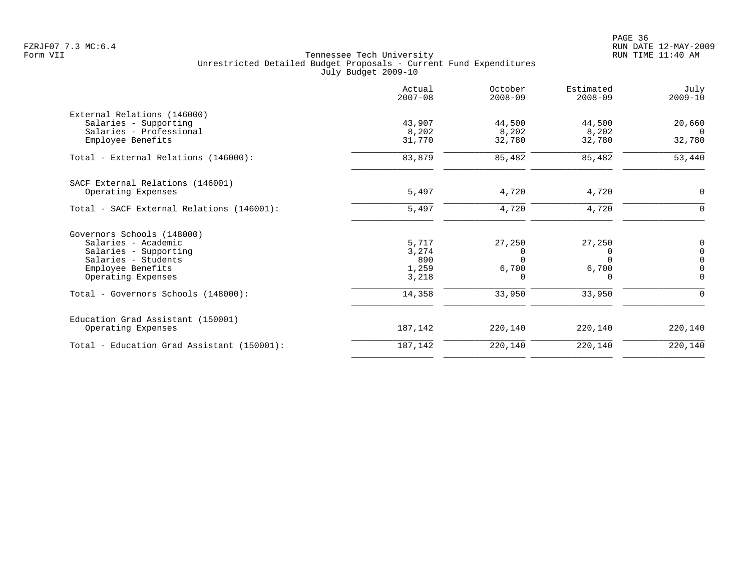en and the state of the state of the state of the state of the state of the state of the state of the state of the state of the state of the state of the state of the state of the state of the state of the state of the sta FZRJF07 7.3 MC:6.4 RUN DATE 12-MAY-2009

|                                            | Actual<br>$2007 - 08$ | October<br>$2008 - 09$ | Estimated<br>$2008 - 09$ | July<br>$2009 - 10$ |
|--------------------------------------------|-----------------------|------------------------|--------------------------|---------------------|
| External Relations (146000)                |                       |                        |                          |                     |
| Salaries - Supporting                      | 43,907                | 44,500                 | 44,500                   | 20,660              |
| Salaries - Professional                    | 8,202                 | 8,202                  | 8,202                    | $\Omega$            |
| Employee Benefits                          | 31,770                | 32,780                 | 32,780                   | 32,780              |
| Total - External Relations (146000):       | 83,879                | 85,482                 | 85,482                   | 53,440              |
| SACF External Relations (146001)           |                       |                        |                          |                     |
| Operating Expenses                         | 5,497                 | 4,720                  | 4,720                    | 0                   |
| Total - SACF External Relations (146001):  | 5,497                 | 4,720                  | 4,720                    | 0                   |
| Governors Schools (148000)                 |                       |                        |                          |                     |
| Salaries - Academic                        | 5,717                 | 27,250                 | 27,250                   | 0                   |
| Salaries - Supporting                      | 3,274                 | 0                      | 0                        | $\mathsf 0$         |
| Salaries - Students                        | 890                   | ∩                      | $\Omega$                 | $\overline{0}$      |
| Employee Benefits                          | 1,259                 | 6,700                  | 6,700                    | $\overline{0}$      |
| Operating Expenses                         | 3,218                 | $\Omega$               | $\Omega$                 | $\Omega$            |
| Total - Governors Schools (148000):        | 14,358                | 33,950                 | 33,950                   | 0                   |
| Education Grad Assistant (150001)          |                       |                        |                          |                     |
| Operating Expenses                         | 187,142               | 220,140                | 220,140                  | 220,140             |
| Total - Education Grad Assistant (150001): | 187,142               | 220,140                | 220,140                  | 220,140             |
|                                            |                       |                        |                          |                     |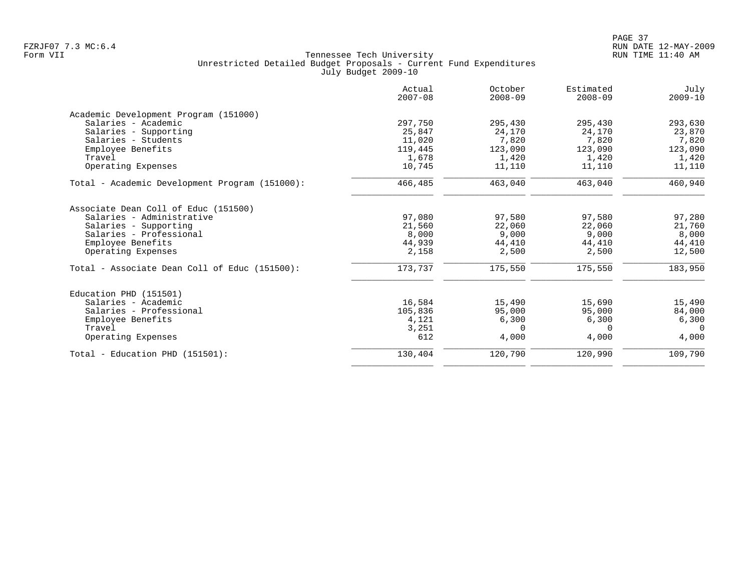| Actual<br>$2007 - 08$ | October<br>$2008 - 09$ | Estimated<br>$2008 - 09$ | July<br>$2009 - 10$ |
|-----------------------|------------------------|--------------------------|---------------------|
|                       |                        |                          |                     |
| 297,750               | 295,430                | 295,430                  | 293,630             |
| 25,847                | 24,170                 | 24,170                   | 23,870              |
| 11,020                | 7,820                  | 7,820                    | 7,820               |
| 119,445               | 123,090                | 123,090                  | 123,090             |
| 1,678                 | 1,420                  | 1,420                    | 1,420               |
| 10,745                | 11,110                 | 11,110                   | 11,110              |
| 466,485               | 463,040                | 463,040                  | 460,940             |
|                       |                        |                          |                     |
| 97,080                | 97,580                 | 97,580                   | 97,280              |
| 21,560                | 22,060                 | 22,060                   | 21,760              |
| 8,000                 | 9,000                  | 9,000                    | 8,000               |
| 44,939                | 44,410                 | 44,410                   | 44,410              |
| 2,158                 | 2,500                  | 2,500                    | 12,500              |
| 173,737               | 175,550                | 175,550                  | 183,950             |
|                       |                        |                          |                     |
| 16,584                | 15,490                 | 15,690                   | 15,490              |
| 105,836               | 95,000                 | 95,000                   | 84,000              |
| 4,121                 | 6,300                  | 6,300                    | 6,300               |
| 3,251                 | $\Omega$               | $\Omega$                 | $\Omega$            |
| 612                   | 4,000                  | 4,000                    | 4,000               |
| 130,404               | 120,790                | 120,990                  | 109,790             |
|                       |                        |                          |                     |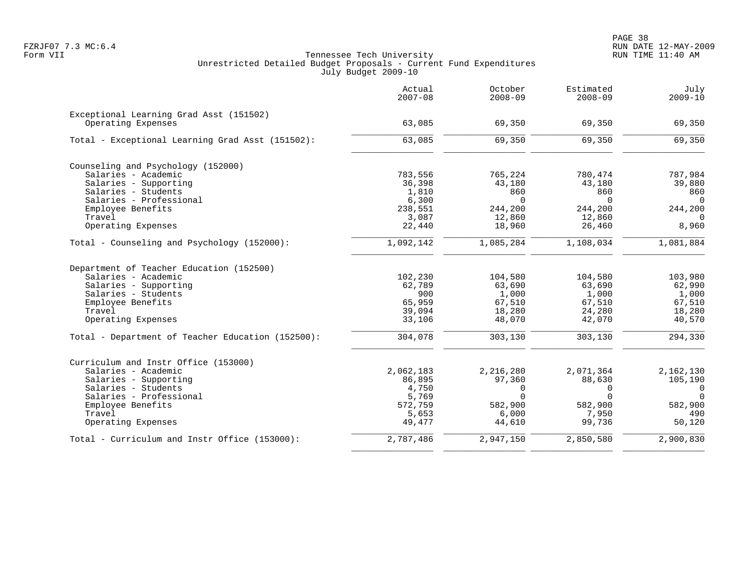|                                                   | Actual<br>$2007 - 08$ | October<br>$2008 - 09$ | Estimated<br>$2008 - 09$ | July<br>$2009 - 10$ |
|---------------------------------------------------|-----------------------|------------------------|--------------------------|---------------------|
| Exceptional Learning Grad Asst (151502)           |                       |                        |                          |                     |
| Operating Expenses                                | 63,085                | 69,350                 | 69,350                   | 69,350              |
| Total - Exceptional Learning Grad Asst (151502):  | 63,085                | 69,350                 | 69,350                   | 69,350              |
| Counseling and Psychology (152000)                |                       |                        |                          |                     |
| Salaries - Academic                               | 783,556               | 765,224                | 780,474                  | 787,984             |
| Salaries - Supporting                             | 36,398                | 43,180                 | 43,180                   | 39,880              |
| Salaries - Students                               | 1,810                 | 860                    | 860                      | 860                 |
| Salaries - Professional                           | 6,300                 | $\Omega$               | $\Omega$                 | $\Omega$            |
| Employee Benefits                                 | 238,551               | 244,200                | 244,200                  | 244,200             |
| Travel                                            | 3,087                 | 12,860                 | 12,860                   | $\Omega$            |
| Operating Expenses                                | 22,440                | 18,960                 | 26,460                   | 8,960               |
| Total - Counseling and Psychology (152000):       | 1,092,142             | 1,085,284              | 1,108,034                | 1,081,884           |
| Department of Teacher Education (152500)          |                       |                        |                          |                     |
| Salaries - Academic                               | 102,230               | 104,580                | 104,580                  | 103,980             |
| Salaries - Supporting                             | 62,789                | 63,690                 | 63,690                   | 62,990              |
| Salaries - Students                               | 900                   | 1,000                  | 1,000                    | 1,000               |
| Employee Benefits                                 | 65,959                | 67,510                 | 67,510                   | 67,510              |
| Travel                                            | 39,094                | 18,280                 | 24,280                   | 18,280              |
| Operating Expenses                                | 33,106                | 48,070                 | 42,070                   | 40,570              |
| Total - Department of Teacher Education (152500): | 304,078               | 303,130                | 303,130                  | 294,330             |
| Curriculum and Instr Office (153000)              |                       |                        |                          |                     |
| Salaries - Academic                               | 2,062,183             | 2,216,280              | 2,071,364                | 2,162,130           |
| Salaries - Supporting                             | 86,895                | 97,360                 | 88,630                   | 105,190             |
| Salaries - Students                               | 4,750                 | 0                      | $\mathbf 0$              | $\mathbf 0$         |
| Salaries - Professional                           | 5,769                 | $\Omega$               | $\Omega$                 | $\Omega$            |
| Employee Benefits                                 | 572,759               | 582,900                | 582,900                  | 582,900             |
| Travel                                            | 5,653                 | 6,000                  | 7,950                    | 490                 |
| Operating Expenses                                | 49,477                | 44,610                 | 99,736                   | 50,120              |
| Total - Curriculum and Instr Office (153000):     | 2,787,486             | 2,947,150              | 2,850,580                | 2,900,830           |
|                                                   |                       |                        |                          |                     |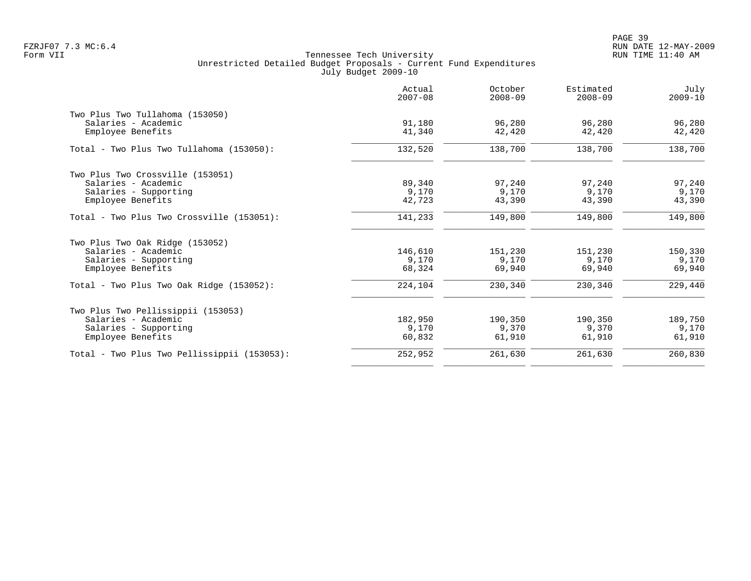PAGE 39 FZRJF07 7.3 MC:6.4 RUN DATE 12-MAY-2009

|                                             | Actual<br>$2007 - 08$ | October<br>$2008 - 09$ | Estimated<br>$2008 - 09$ | July<br>$2009 - 10$ |
|---------------------------------------------|-----------------------|------------------------|--------------------------|---------------------|
| Two Plus Two Tullahoma (153050)             |                       |                        |                          |                     |
| Salaries - Academic                         | 91,180                | 96,280                 | 96,280                   | 96,280              |
| Employee Benefits                           | 41,340                | 42,420                 | 42,420                   | 42,420              |
| Total - Two Plus Two Tullahoma (153050):    | 132,520               | 138,700                | 138,700                  | 138,700             |
| Two Plus Two Crossville (153051)            |                       |                        |                          |                     |
| Salaries - Academic                         | 89,340                | 97,240                 | 97,240                   | 97,240              |
| Salaries - Supporting                       | 9,170                 | 9,170                  | 9,170                    | 9,170               |
| Employee Benefits                           | 42,723                | 43,390                 | 43,390                   | 43,390              |
| Total - Two Plus Two Crossville (153051):   | 141,233               | 149,800                | 149,800                  | 149,800             |
| Two Plus Two Oak Ridge (153052)             |                       |                        |                          |                     |
| Salaries - Academic                         | 146,610               | 151,230                | 151,230                  | 150,330             |
| Salaries - Supporting                       | 9,170                 | 9,170                  | 9,170                    | 9,170               |
| Employee Benefits                           | 68,324                | 69,940                 | 69,940                   | 69,940              |
| Total - Two Plus Two Oak Ridge $(153052)$ : | 224,104               | 230,340                | 230,340                  | 229,440             |
| Two Plus Two Pellissippii (153053)          |                       |                        |                          |                     |
| Salaries - Academic                         | 182,950               | 190,350                | 190,350                  | 189,750             |
| Salaries - Supporting                       | 9,170                 | 9,370                  | 9,370                    | 9,170               |
| Employee Benefits                           | 60,832                | 61,910                 | 61,910                   | 61,910              |
| Total - Two Plus Two Pellissippii (153053): | 252,952               | 261,630                | 261,630                  | 260,830             |
|                                             |                       |                        |                          |                     |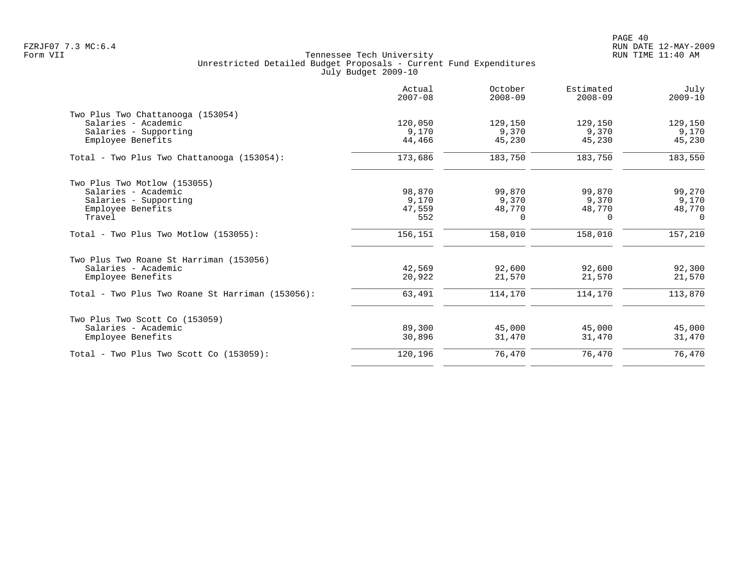| Actual<br>$2007 - 08$ | October<br>$2008 - 09$ | Estimated<br>$2008 - 09$ | July<br>$2009 - 10$ |
|-----------------------|------------------------|--------------------------|---------------------|
|                       |                        |                          |                     |
| 120,050               | 129,150                | 129,150                  | 129,150             |
| 9,170                 | 9,370                  | 9,370                    | 9,170               |
| 44,466                | 45,230                 | 45,230                   | 45,230              |
| 173,686               | 183,750                | 183,750                  | 183,550             |
|                       |                        |                          |                     |
| 98,870                | 99,870                 | 99,870                   | 99,270              |
| 9,170                 | 9,370                  | 9,370                    | 9,170               |
| 47,559                |                        |                          | 48,770              |
| 552                   | $\Omega$               | 0                        | $\Omega$            |
| 156,151               | 158,010                | 158,010                  | 157,210             |
|                       |                        |                          |                     |
|                       |                        |                          | 92,300              |
| 20,922                | 21,570                 | 21,570                   | 21,570              |
| 63,491                | 114,170                | 114,170                  | 113,870             |
|                       |                        |                          |                     |
| 89,300                | 45,000                 | 45,000                   | 45,000              |
| 30,896                | 31,470                 | 31,470                   | 31,470              |
| 120,196               | 76,470                 | 76,470                   | 76,470              |
|                       | 42,569                 | 48,770<br>92,600         | 48,770<br>92,600    |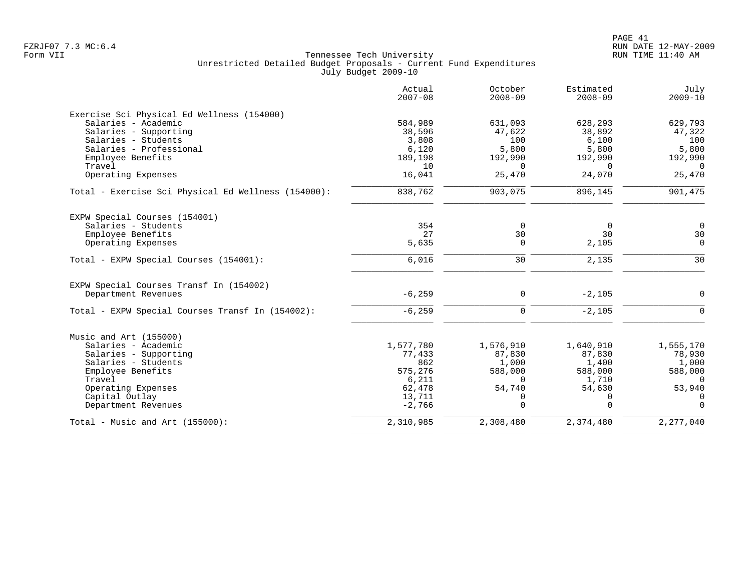|                                                     | Actual<br>$2007 - 08$ | October<br>$2008 - 09$ | Estimated<br>$2008 - 09$ | July<br>$2009 - 10$ |
|-----------------------------------------------------|-----------------------|------------------------|--------------------------|---------------------|
| Exercise Sci Physical Ed Wellness (154000)          |                       |                        |                          |                     |
| Salaries - Academic                                 | 584,989               | 631,093                | 628,293                  | 629,793             |
| Salaries - Supporting                               | 38,596                | 47.622                 | 38,892                   | 47,322              |
| Salaries - Students                                 | 3,808                 | 100                    | 6,100                    | 100                 |
| Salaries - Professional                             | 6,120                 | 5,800                  | 5,800                    | 5,800               |
| Employee Benefits                                   | 189,198               | 192,990                | 192,990                  | 192,990             |
| Travel                                              | 10                    | $\Omega$               | $\Omega$                 | $\Omega$            |
| Operating Expenses                                  | 16,041                | 25,470                 | 24,070                   | 25,470              |
| Total - Exercise Sci Physical Ed Wellness (154000): | 838,762               | 903,075                | 896,145                  | 901,475             |
| EXPW Special Courses (154001)                       |                       |                        |                          |                     |
| Salaries - Students                                 | 354                   | $\mathbf 0$            | 0                        | $\mathbf 0$         |
| Employee Benefits                                   | 27                    | 30                     | 30                       | 30                  |
| Operating Expenses                                  | 5,635                 | $\mathbf 0$            | 2,105                    | 0                   |
|                                                     |                       |                        |                          |                     |
| Total - EXPW Special Courses (154001):              | 6,016                 | 30                     | 2,135                    | 30                  |
| EXPW Special Courses Transf In (154002)             |                       |                        |                          |                     |
| Department Revenues                                 | $-6, 259$             | $\mathbf 0$            | $-2,105$                 | $\overline{0}$      |
| Total - EXPW Special Courses Transf In (154002):    | $-6, 259$             | $\Omega$               | $-2,105$                 | $\Omega$            |
| Music and Art (155000)                              |                       |                        |                          |                     |
| Salaries - Academic                                 | 1,577,780             | 1,576,910              | 1,640,910                | 1,555,170           |
| Salaries - Supporting                               | 77,433                | 87,830                 | 87,830                   | 78,930              |
| Salaries - Students                                 | 862                   | 1,000                  | 1,400                    | 1,000               |
| Employee Benefits                                   | 575,276               | 588,000                | 588,000                  | 588,000             |
| Travel                                              | 6,211                 | $\Omega$               | 1,710                    | $\Omega$            |
| Operating Expenses                                  | 62,478                | 54,740                 | 54,630                   | 53,940              |
| Capital Outlay                                      | 13,711                | 0                      | 0                        | 0                   |
| Department Revenues                                 | $-2,766$              | $\Omega$               | $\Omega$                 | $\Omega$            |
| Total - Music and Art $(155000)$ :                  | 2,310,985             | 2,308,480              | 2,374,480                | 2,277,040           |
|                                                     |                       |                        |                          |                     |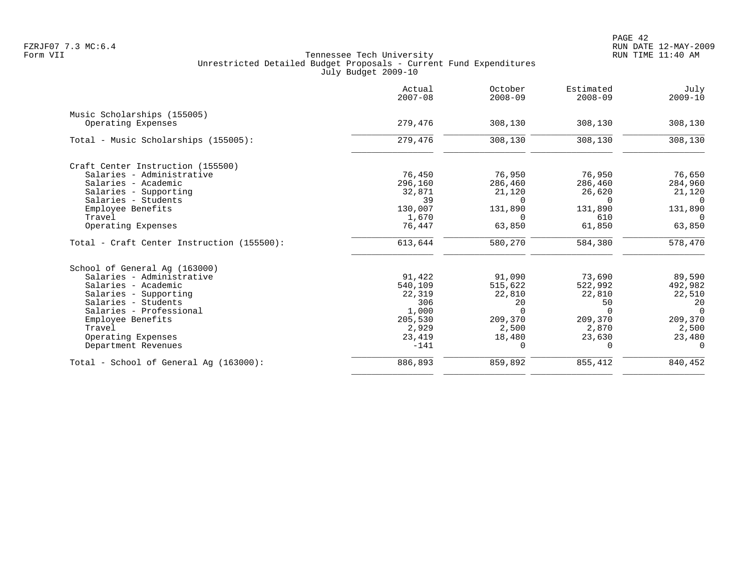|                                            | Actual<br>$2007 - 08$ | October<br>$2008 - 09$ | Estimated<br>$2008 - 09$ | July<br>$2009 - 10$ |
|--------------------------------------------|-----------------------|------------------------|--------------------------|---------------------|
| Music Scholarships (155005)                |                       |                        |                          |                     |
| Operating Expenses                         | 279,476               | 308,130                | 308,130                  | 308,130             |
| Total - Music Scholarships (155005):       | 279,476               | 308,130                | 308,130                  | 308,130             |
| Craft Center Instruction (155500)          |                       |                        |                          |                     |
| Salaries - Administrative                  | 76,450                | 76,950                 | 76,950                   | 76,650              |
| Salaries - Academic                        | 296,160               | 286,460                | 286,460                  | 284,960             |
| Salaries - Supporting                      | 32,871                | 21,120                 | 26,620                   | 21,120              |
| Salaries - Students                        | 39                    | $\Omega$               | $\Omega$                 | $\Omega$            |
| Employee Benefits                          | 130,007               | 131,890                | 131,890                  | 131,890             |
| Travel                                     | 1,670                 | $\Omega$               | 610                      | $\Omega$            |
| Operating Expenses                         | 76,447                | 63,850                 | 61,850                   | 63,850              |
| Total - Craft Center Instruction (155500): | 613,644               | 580,270                | 584,380                  | 578,470             |
| School of General Aq (163000)              |                       |                        |                          |                     |
| Salaries - Administrative                  | 91,422                | 91,090                 | 73,690                   | 89,590              |
| Salaries - Academic                        | 540,109               | 515,622                | 522,992                  | 492,982             |
| Salaries - Supporting                      | 22,319                | 22,810                 | 22,810                   | 22,510              |
| Salaries - Students                        | 306                   | 20                     | 50                       | 20                  |
| Salaries - Professional                    | 1,000                 | $\Omega$               | $\Omega$                 | $\Omega$            |
| Employee Benefits                          | 205,530               | 209,370                | 209,370                  | 209,370             |
| Travel                                     | 2,929                 | 2,500                  | 2,870                    | 2,500               |
| Operating Expenses                         | 23,419                | 18,480                 | 23,630                   | 23,480              |
| Department Revenues                        | $-141$                | $\Omega$               | $\Omega$                 | $\Omega$            |
| Total - School of General Aq (163000):     | 886,893               | 859,892                | 855,412                  | 840,452             |
|                                            |                       |                        |                          |                     |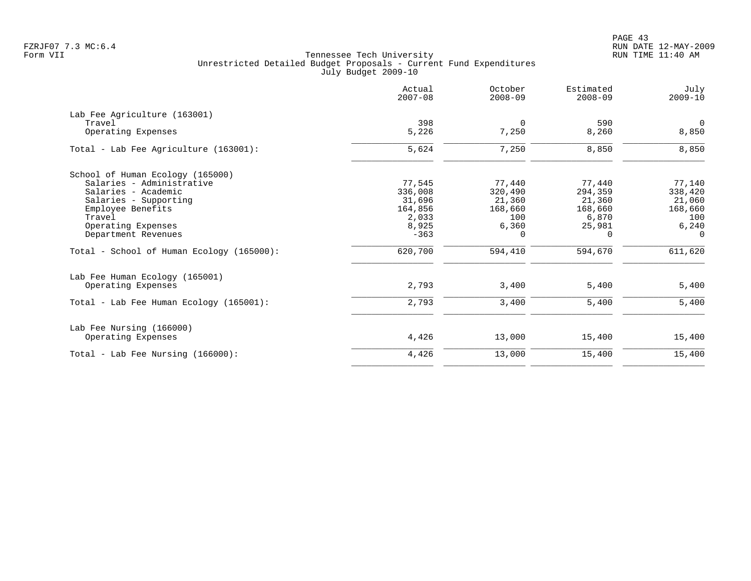PAGE 43 FZRJF07 7.3 MC:6.4 RUN DATE 12-MAY-2009

|                                           | Actual<br>$2007 - 08$ | October<br>$2008 - 09$ | Estimated<br>$2008 - 09$ | July<br>$2009 - 10$  |
|-------------------------------------------|-----------------------|------------------------|--------------------------|----------------------|
| Lab Fee Agriculture (163001)              |                       |                        |                          |                      |
| Travel<br>Operating Expenses              | 398<br>5,226          | $\mathbf 0$<br>7,250   | 590<br>8,260             | $\mathbf 0$<br>8,850 |
| Total - Lab Fee Agriculture (163001):     | 5,624                 | 7,250                  | 8,850                    | 8,850                |
| School of Human Ecology (165000)          |                       |                        |                          |                      |
| Salaries - Administrative                 | 77,545                | 77,440                 | 77,440                   | 77,140               |
| Salaries - Academic                       | 336,008               | 320,490                | 294,359                  | 338,420              |
| Salaries - Supporting                     | 31,696                | 21,360                 | 21,360                   | 21,060               |
| Employee Benefits                         | 164,856               | 168,660                | 168,660                  | 168,660              |
| Travel                                    | 2,033                 | 100                    | 6,870                    | 100                  |
| Operating Expenses                        | 8,925                 | 6,360                  | 25,981                   | 6,240                |
| Department Revenues                       | $-363$                | $\Omega$               | $\Omega$                 | $\Omega$             |
| Total - School of Human Ecology (165000): | 620,700               | 594,410                | 594,670                  | 611,620              |
| Lab Fee Human Ecology (165001)            |                       |                        |                          |                      |
| Operating Expenses                        | 2,793                 | 3,400                  | 5,400                    | 5,400                |
| Total - Lab Fee Human Ecology (165001):   | 2,793                 | 3,400                  | 5,400                    | 5,400                |
| Lab Fee Nursing (166000)                  |                       |                        |                          |                      |
| Operating Expenses                        | 4,426                 | 13,000                 | 15,400                   | 15,400               |
| Total - Lab Fee Nursing $(166000)$ :      | 4,426                 | 13,000                 | 15,400                   | 15,400               |
|                                           |                       |                        |                          |                      |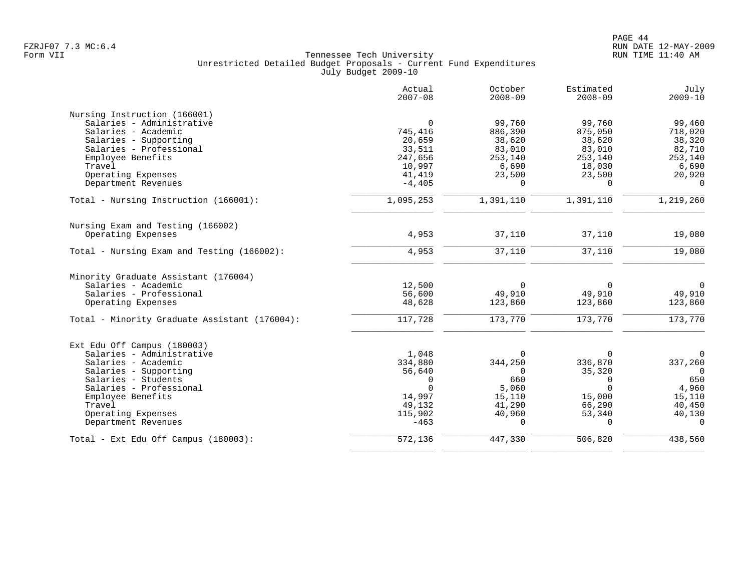|                                               | Actual<br>$2007 - 08$ | October<br>$2008 - 09$ | Estimated<br>$2008 - 09$ | July<br>$2009 - 10$ |
|-----------------------------------------------|-----------------------|------------------------|--------------------------|---------------------|
| Nursing Instruction (166001)                  |                       |                        |                          |                     |
| Salaries - Administrative                     | $\mathbf 0$           | 99,760                 | 99,760                   | 99,460              |
| Salaries - Academic                           | 745,416               | 886,390                | 875,050                  | 718,020             |
| Salaries - Supporting                         | 20,659                | 38,620                 | 38,620                   | 38,320              |
| Salaries - Professional                       | 33,511                | 83,010                 | 83,010                   | 82,710              |
| Employee Benefits                             | 247,656               | 253,140                | 253,140                  | 253,140             |
| Travel                                        | 10,997                | 6,690                  | 18,030                   | 6,690               |
| Operating Expenses                            | 41,419                | 23,500                 | 23,500                   | 20,920              |
| Department Revenues                           | $-4,405$              | $\Omega$               | $\Omega$                 | $\Omega$            |
| Total - Nursing Instruction (166001):         | 1,095,253             | 1,391,110              | 1,391,110                | 1,219,260           |
| Nursing Exam and Testing (166002)             |                       |                        |                          |                     |
| Operating Expenses                            | 4,953                 | 37,110                 | 37,110                   | 19,080              |
| Total - Nursing Exam and Testing (166002):    | 4,953                 | 37,110                 | 37,110                   | 19,080              |
| Minority Graduate Assistant (176004)          |                       |                        |                          |                     |
| Salaries - Academic                           | 12,500                | $\Omega$               | $\Omega$                 | $\Omega$            |
| Salaries - Professional                       | 56,600                | 49,910                 | 49,910                   | 49,910              |
| Operating Expenses                            | 48,628                | 123,860                | 123,860                  | 123,860             |
| Total - Minority Graduate Assistant (176004): | 117,728               | 173,770                | 173,770                  | 173,770             |
| Ext Edu Off Campus (180003)                   |                       |                        |                          |                     |
| Salaries - Administrative                     | 1,048                 | $\Omega$               | $\Omega$                 | $\Omega$            |
| Salaries - Academic                           | 334,880               | 344,250                | 336,870                  | 337,260             |
| Salaries - Supporting                         | 56,640                | $\Omega$               | 35,320                   | $\Omega$            |
| Salaries - Students                           | 0                     | 660                    | 0                        | 650                 |
| Salaries - Professional                       | $\Omega$              | 5,060                  | $\Omega$                 | 4,960               |
| Employee Benefits                             | 14,997                | 15,110                 | 15,000                   | 15,110              |
| Travel                                        | 49,132                | 41,290                 | 66,290                   | 40,450              |
| Operating Expenses                            | 115,902               | 40,960                 | 53,340                   | 40,130              |
| Department Revenues                           | $-463$                | $\Omega$               | $\Omega$                 | $\cap$              |
| Total - Ext Edu Off Campus (180003):          | 572,136               | 447,330                | 506,820                  | 438,560             |
|                                               |                       |                        |                          |                     |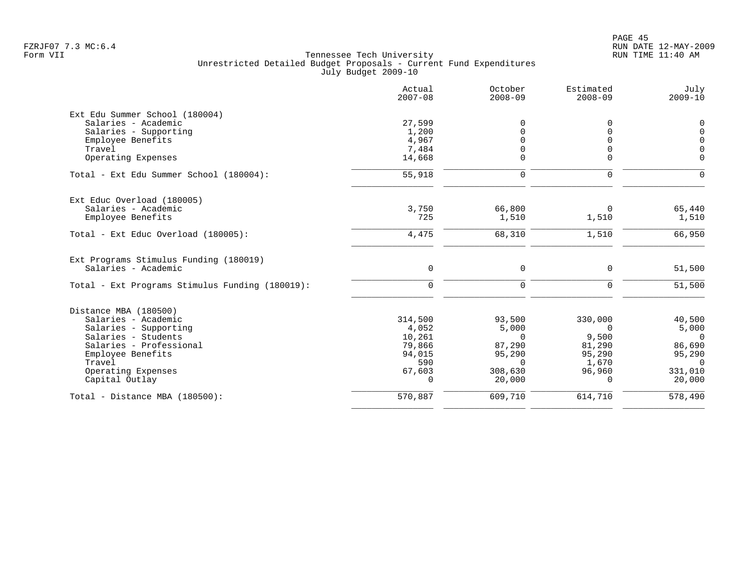|                                                 | Actual<br>$2007 - 08$ | October<br>$2008 - 09$ | Estimated<br>$2008 - 09$ | July<br>$2009 - 10$ |
|-------------------------------------------------|-----------------------|------------------------|--------------------------|---------------------|
| Ext Edu Summer School (180004)                  |                       |                        |                          |                     |
| Salaries - Academic                             | 27,599                | U                      |                          | $\Omega$            |
| Salaries - Supporting                           | 1,200                 |                        |                          | $\Omega$            |
| Employee Benefits                               | 4,967                 |                        | $\Omega$                 | $\Omega$            |
| Travel                                          | 7,484                 |                        | 0                        | $\Omega$            |
| Operating Expenses                              | 14,668                | $\Omega$               | 0                        | $\Omega$            |
| Total - Ext Edu Summer School (180004):         | 55,918                | 0                      | $\mathbf 0$              | $\cap$              |
| Ext Educ Overload (180005)                      |                       |                        |                          |                     |
| Salaries - Academic                             | 3,750                 | 66,800                 | 0                        | 65,440              |
| Employee Benefits                               | 725                   | 1,510                  | 1,510                    | 1,510               |
| Total - Ext Educ Overload (180005):             | 4,475                 | 68,310                 | 1,510                    | 66,950              |
| Ext Programs Stimulus Funding (180019)          |                       |                        |                          |                     |
| Salaries - Academic                             | $\mathbf 0$           | $\mathbf 0$            | $\Omega$                 | 51,500              |
| Total - Ext Programs Stimulus Funding (180019): | $\Omega$              | $\mathbf 0$            | $\Omega$                 | 51,500              |
| Distance MBA (180500)                           |                       |                        |                          |                     |
| Salaries - Academic                             | 314,500               | 93,500                 | 330,000                  | 40,500              |
| Salaries - Supporting                           | 4,052                 | 5,000                  | $\Omega$                 | 5,000               |
| Salaries - Students                             | 10,261                | $\Omega$               | 9,500                    | $\Omega$            |
| Salaries - Professional                         | 79,866                | 87,290                 | 81,290                   | 86,690              |
| Employee Benefits                               | 94,015                | 95,290                 | 95,290                   | 95,290              |
| Travel                                          | 590                   | $\Omega$               | 1,670                    | $\overline{0}$      |
| Operating Expenses                              | 67,603                | 308,630                | 96,960                   | 331,010             |
| Capital Outlay                                  | $\Omega$              | 20,000                 | $\Omega$                 | 20,000              |
| Total - Distance MBA (180500):                  | 570,887               | 609,710                | 614,710                  | 578,490             |
|                                                 |                       |                        |                          |                     |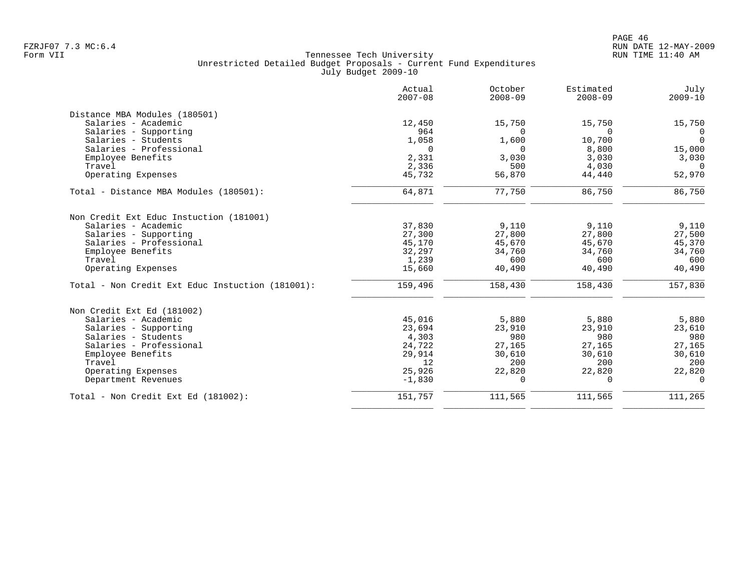|                                                  | Actual<br>$2007 - 08$ | October<br>$2008 - 09$ | Estimated<br>$2008 - 09$ | July<br>$2009 - 10$ |
|--------------------------------------------------|-----------------------|------------------------|--------------------------|---------------------|
| Distance MBA Modules (180501)                    |                       |                        |                          |                     |
| Salaries - Academic                              | 12,450                | 15,750                 | 15,750                   | 15,750              |
| Salaries - Supporting                            | 964                   | $\Omega$               | $\Omega$                 | $\Omega$            |
| Salaries - Students                              | 1,058                 | 1,600                  | 10,700                   | $\Omega$            |
| Salaries - Professional                          | $\Omega$              | $\Omega$               | 8,800                    | 15,000              |
| Employee Benefits                                | 2,331                 | 3,030                  | 3,030                    | 3,030               |
| Travel                                           | 2,336                 | 500                    | 4,030                    | $\Omega$            |
| Operating Expenses                               | 45,732                | 56,870                 | 44,440                   | 52,970              |
| Total - Distance MBA Modules (180501):           | 64,871                | 77,750                 | 86,750                   | 86,750              |
| Non Credit Ext Educ Instuction (181001)          |                       |                        |                          |                     |
| Salaries - Academic                              | 37,830                | 9,110                  | 9,110                    | 9,110               |
| Salaries - Supporting                            | 27,300                | 27,800                 | 27,800                   | 27,500              |
| Salaries - Professional                          | 45,170                | 45,670                 | 45,670                   | 45,370              |
| Employee Benefits                                | 32,297                | 34,760                 | 34,760                   | 34,760              |
| Travel                                           | 1,239                 | 600                    | 600                      | 600                 |
| Operating Expenses                               | 15,660                | 40,490                 | 40,490                   | 40,490              |
| Total - Non Credit Ext Educ Instuction (181001): | 159,496               | 158,430                | 158,430                  | 157,830             |
| Non Credit Ext Ed (181002)                       |                       |                        |                          |                     |
| Salaries - Academic                              | 45,016                | 5,880                  | 5,880                    | 5,880               |
| Salaries - Supporting                            | 23,694                | 23,910                 | 23,910                   | 23,610              |
| Salaries - Students                              | 4,303                 | 980                    | 980                      | 980                 |
| Salaries - Professional                          | 24,722                | 27,165                 | 27,165                   | 27,165              |
| Employee Benefits                                | 29,914                | 30,610                 | 30,610                   | 30,610              |
| Travel                                           | 12                    | 200                    | 200                      | 200                 |
| Operating Expenses                               | 25,926                | 22,820                 | 22,820                   | 22,820              |
| Department Revenues                              | $-1,830$              | $\Omega$               | $\Omega$                 | $\Omega$            |
| Total - Non Credit Ext Ed (181002):              | 151,757               | 111,565                | 111,565                  | 111,265             |
|                                                  |                       |                        |                          |                     |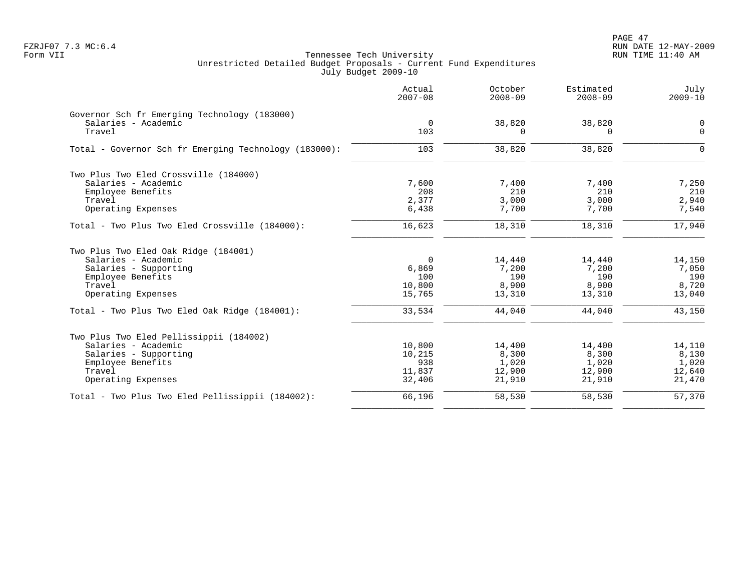PAGE 47 FZRJF07 7.3 MC:6.4 RUN DATE 12-MAY-2009

|                                                       | Actual<br>$2007 - 08$ | October<br>$2008 - 09$ | Estimated<br>$2008 - 09$ | July<br>$2009 - 10$ |
|-------------------------------------------------------|-----------------------|------------------------|--------------------------|---------------------|
| Governor Sch fr Emerging Technology (183000)          |                       |                        |                          |                     |
| Salaries - Academic<br>Travel                         | $\mathbf 0$<br>103    | 38,820<br>U            | 38,820<br>$\Omega$       | 0<br>$\mathbf 0$    |
| Total - Governor Sch fr Emerging Technology (183000): | 103                   | 38,820                 | 38,820                   | $\Omega$            |
| Two Plus Two Eled Crossville (184000)                 |                       |                        |                          |                     |
| Salaries - Academic                                   | 7,600                 | 7,400                  | 7,400                    | 7,250               |
| Employee Benefits                                     | 208                   | 210                    | 210                      | 210                 |
| Travel                                                | 2,377                 | 3,000                  | 3,000                    | 2,940               |
| Operating Expenses                                    | 6,438                 | 7,700                  | 7,700                    | 7,540               |
| Total - Two Plus Two Eled Crossville (184000):        | 16,623                | 18,310                 | 18,310                   | 17,940              |
| Two Plus Two Eled Oak Ridge (184001)                  |                       |                        |                          |                     |
| Salaries - Academic                                   | $\overline{0}$        | 14,440                 | 14,440                   | 14,150              |
| Salaries - Supporting                                 | 6,869                 | 7,200                  | 7,200                    | 7,050               |
| Employee Benefits                                     | 100                   | 190                    | 190                      | 190                 |
| Travel                                                | 10,800                | 8,900                  | 8,900                    | 8,720               |
| Operating Expenses                                    | 15,765                | 13,310                 | 13,310                   | 13,040              |
| Total - Two Plus Two Eled Oak Ridge (184001):         | 33,534                | 44,040                 | 44,040                   | 43,150              |
| Two Plus Two Eled Pellissippii (184002)               |                       |                        |                          |                     |
| Salaries - Academic                                   | 10,800                | 14,400                 | 14,400                   | 14,110              |
| Salaries - Supporting                                 | 10,215                | 8,300                  | 8,300                    | 8,130               |
| Employee Benefits                                     | 938                   | 1,020                  | 1,020                    | 1,020               |
| Travel                                                | 11,837                | 12,900                 | 12,900                   | 12,640              |
| Operating Expenses                                    | 32,406                | 21,910                 | 21,910                   | 21,470              |
| Total - Two Plus Two Eled Pellissippii (184002):      | 66,196                | 58,530                 | 58,530                   | 57,370              |
|                                                       |                       |                        |                          |                     |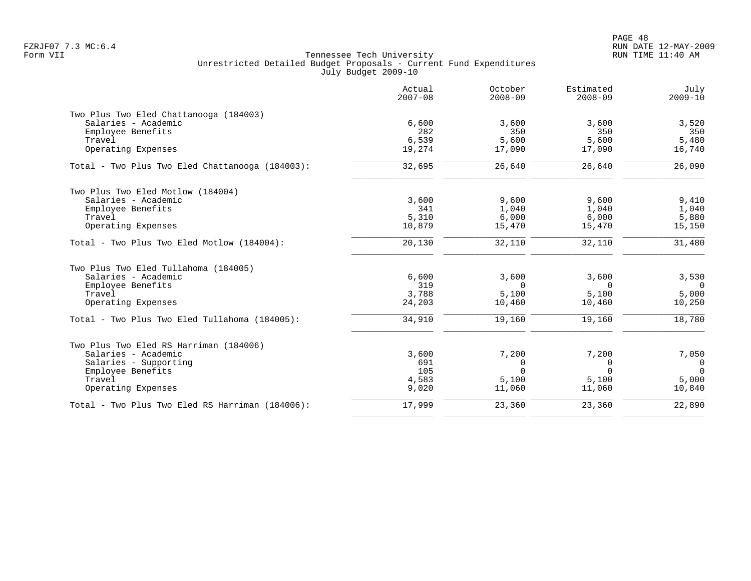|                                                 | Actual<br>$2007 - 08$ | October<br>$2008 - 09$ | Estimated<br>$2008 - 09$ | July<br>$2009 - 10$ |
|-------------------------------------------------|-----------------------|------------------------|--------------------------|---------------------|
| Two Plus Two Eled Chattanooga (184003)          |                       |                        |                          |                     |
| Salaries - Academic                             | 6,600                 | 3,600                  | 3,600                    | 3,520               |
| Employee Benefits                               | 282                   | 350                    | 350                      | 350                 |
| Travel                                          | 6,539                 | 5,600                  | 5,600                    | 5,480               |
| Operating Expenses                              | 19,274                | 17,090                 | 17,090                   | 16,740              |
| Total - Two Plus Two Eled Chattanooga (184003): | 32,695                | 26,640                 | 26,640                   | 26,090              |
| Two Plus Two Eled Motlow (184004)               |                       |                        |                          |                     |
| Salaries - Academic                             | 3,600                 | 9,600                  | 9,600                    | 9,410               |
| Employee Benefits                               | 341                   | 1,040                  | 1,040                    | 1,040               |
| Travel                                          | 5,310                 | 6,000                  | 6,000                    | 5,880               |
| Operating Expenses                              | 10,879                | 15,470                 | 15,470                   | 15,150              |
| Total - Two Plus Two Eled Motlow (184004):      | 20,130                | 32,110                 | 32,110                   | 31,480              |
| Two Plus Two Eled Tullahoma (184005)            |                       |                        |                          |                     |
| Salaries - Academic                             | 6,600                 | 3,600                  | 3,600                    | 3,530               |
| Employee Benefits                               | 319                   | $\Omega$               | $\Omega$                 | $\Omega$            |
| Travel                                          | 3,788                 | 5,100                  | 5,100                    | 5,000               |
| Operating Expenses                              | 24,203                | 10,460                 | 10,460                   | 10,250              |
| Total - Two Plus Two Eled Tullahoma (184005):   | 34,910                | 19,160                 | 19,160                   | 18,780              |
| Two Plus Two Eled RS Harriman (184006)          |                       |                        |                          |                     |
| Salaries - Academic                             | 3,600                 | 7,200                  | 7,200                    | 7,050               |
| Salaries - Supporting                           | 691                   | $\Omega$               | 0                        | $\mathbf 0$         |
| Employee Benefits                               | 105                   | $\Omega$               | $\Omega$                 | $\Omega$            |
| Travel                                          | 4,583                 | 5,100                  | 5,100                    | 5,000               |
| Operating Expenses                              | 9,020                 | 11,060                 | 11,060                   | 10,840              |
| Total - Two Plus Two Eled RS Harriman (184006): | 17,999                | 23,360                 | 23,360                   | 22,890              |
|                                                 |                       |                        |                          |                     |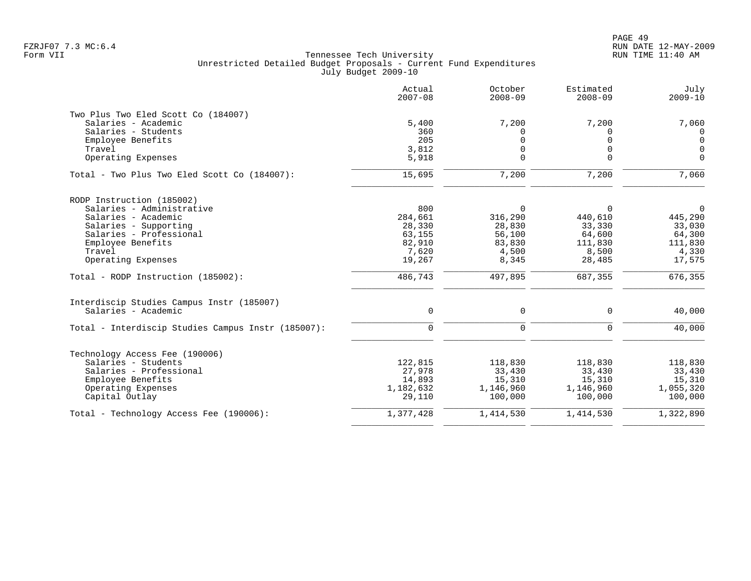|                                                    | Actual<br>$2007 - 08$ | October<br>$2008 - 09$ | Estimated<br>$2008 - 09$ | July<br>$2009 - 10$ |
|----------------------------------------------------|-----------------------|------------------------|--------------------------|---------------------|
| Two Plus Two Eled Scott Co (184007)                |                       |                        |                          |                     |
| Salaries - Academic                                | 5,400                 | 7,200                  | 7,200                    | 7,060               |
| Salaries - Students                                | 360                   | $\Omega$               | <sup>0</sup>             | $\mathbf{0}$        |
| Employee Benefits                                  | 205                   | $\mathbf 0$            | $\Omega$                 | $\mathbf 0$         |
| Travel                                             | 3,812                 | $\mathbf 0$            | $\Omega$                 | $\mathbf 0$         |
| Operating Expenses                                 | 5,918                 | $\Omega$               | $\Omega$                 | $\mathbf 0$         |
| Total - Two Plus Two Eled Scott Co (184007):       | 15,695                | 7,200                  | 7,200                    | 7,060               |
| RODP Instruction (185002)                          |                       |                        |                          |                     |
| Salaries - Administrative                          | 800                   | 0                      | $\Omega$                 | $\mathbf 0$         |
| Salaries - Academic                                | 284,661               | 316,290                | 440,610                  | 445,290             |
| Salaries - Supporting                              | 28,330                | 28,830                 | 33,330                   | 33,030              |
| Salaries - Professional                            | 63,155                | 56,100                 | 64,600                   | 64,300              |
| Employee Benefits                                  | 82,910                | 83,830                 | 111,830                  | 111,830             |
| Travel                                             | 7,620                 | 4,500                  | 8,500                    | 4,330               |
| Operating Expenses                                 | 19,267                | 8,345                  | 28,485                   | 17,575              |
| Total - RODP Instruction (185002):                 | 486,743               | 497,895                | 687,355                  | 676,355             |
| Interdiscip Studies Campus Instr (185007)          |                       |                        |                          |                     |
| Salaries - Academic                                | $\mathbf 0$           | 0                      | $\mathbf 0$              | 40,000              |
| Total - Interdiscip Studies Campus Instr (185007): | $\mathbf 0$           | $\mathbf 0$            | $\mathbf 0$              | 40,000              |
|                                                    |                       |                        |                          |                     |
| Technology Access Fee (190006)                     |                       |                        |                          |                     |
| Salaries - Students                                | 122,815               | 118,830                | 118,830                  | 118,830             |
| Salaries - Professional                            | 27,978                | 33,430                 | 33,430                   | 33,430              |
| Employee Benefits                                  | 14,893                | 15,310                 | 15,310                   | 15,310              |
| Operating Expenses                                 | 1,182,632             | 1,146,960              | 1,146,960                | 1,055,320           |
| Capital Outlay                                     | 29,110                | 100,000                | 100,000                  | 100,000             |
| Total - Technology Access Fee (190006):            | 1,377,428             | 1,414,530              | 1,414,530                | 1,322,890           |
|                                                    |                       |                        |                          |                     |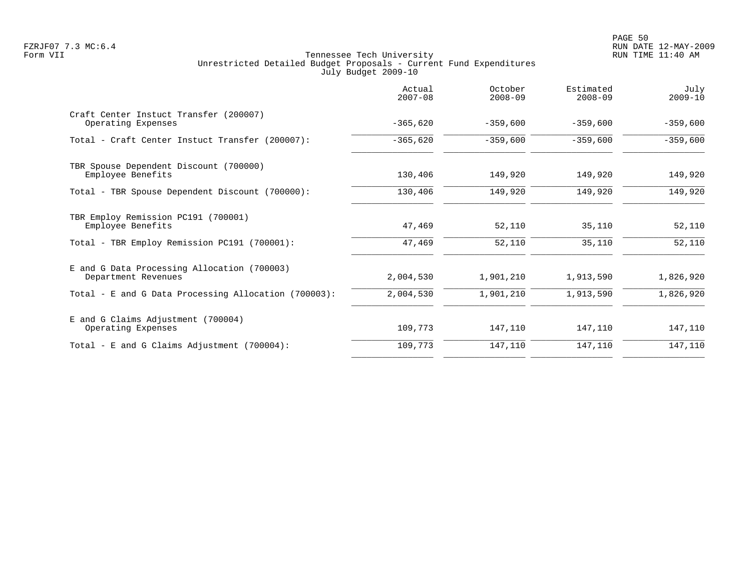|                                                                    | Actual<br>$2007 - 08$ | October<br>$2008 - 09$ | Estimated<br>$2008 - 09$ | July<br>$2009 - 10$ |
|--------------------------------------------------------------------|-----------------------|------------------------|--------------------------|---------------------|
| Craft Center Instuct Transfer (200007)<br>Operating Expenses       | $-365,620$            | $-359,600$             | $-359,600$               | $-359,600$          |
| Total - Craft Center Instuct Transfer (200007):                    | $-365,620$            | $-359,600$             | $-359,600$               | $-359,600$          |
| TBR Spouse Dependent Discount (700000)<br>Employee Benefits        | 130,406               | 149,920                | 149,920                  | 149,920             |
| Total - TBR Spouse Dependent Discount (700000):                    | 130,406               | 149,920                | 149,920                  | 149,920             |
| TBR Employ Remission PC191 (700001)<br>Employee Benefits           | 47,469                | 52,110                 | 35,110                   | 52,110              |
| Total - TBR Employ Remission PC191 (700001):                       | 47,469                | 52,110                 | 35,110                   | 52,110              |
| E and G Data Processing Allocation (700003)<br>Department Revenues | 2,004,530             | 1,901,210              | 1,913,590                | 1,826,920           |
| Total - E and G Data Processing Allocation (700003):               | 2,004,530             | 1,901,210              | 1,913,590                | 1,826,920           |
| E and G Claims Adjustment (700004)<br>Operating Expenses           | 109,773               | 147,110                | 147,110                  | 147,110             |
| Total - E and G Claims Adjustment $(700004)$ :                     | 109,773               | 147,110                | 147,110                  | 147,110             |
|                                                                    |                       |                        |                          |                     |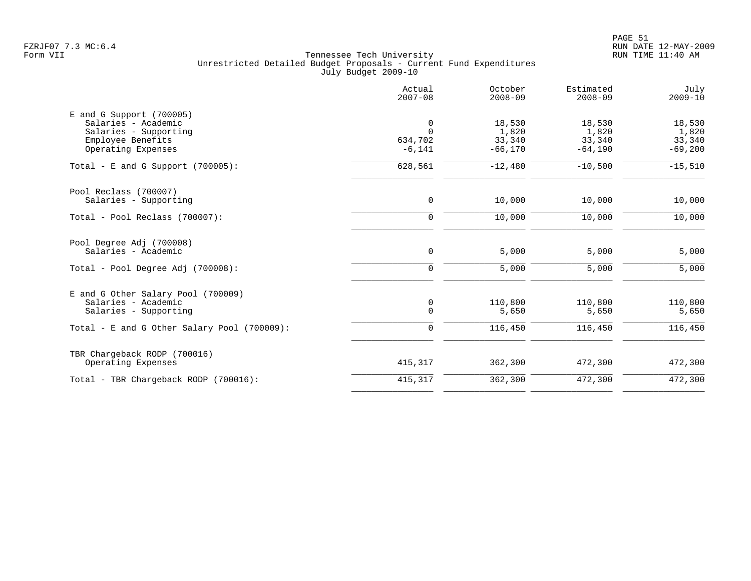|                                                    | Actual<br>$2007 - 08$ | October<br>$2008 - 09$ | Estimated<br>$2008 - 09$ | July<br>$2009 - 10$ |
|----------------------------------------------------|-----------------------|------------------------|--------------------------|---------------------|
| $E$ and G Support (700005)                         |                       |                        |                          |                     |
| Salaries - Academic                                | 0                     | 18,530                 | 18,530                   | 18,530              |
| Salaries - Supporting                              | $\Omega$              | 1,820                  | 1,820                    | 1,820               |
| Employee Benefits                                  | 634,702               | 33,340                 | 33,340                   | 33,340              |
| Operating Expenses                                 | $-6, 141$             | $-66, 170$             | $-64,190$                | $-69,200$           |
| Total - E and G Support $(700005)$ :               | 628,561               | $-12,480$              | $-10,500$                | $-15,510$           |
| Pool Reclass (700007)                              |                       |                        |                          |                     |
| Salaries - Supporting                              | $\mathbf 0$           | 10,000                 | 10,000                   | 10,000              |
| Total - Pool Reclass (700007):                     | $\mathbf 0$           | 10,000                 | 10,000                   | 10,000              |
| Pool Degree Adj (700008)                           |                       |                        |                          |                     |
| Salaries - Academic                                | $\mathsf{O}$          | 5,000                  | 5,000                    | 5,000               |
| Total - Pool Degree Adj (700008):                  | $\mathbf 0$           | 5,000                  | 5,000                    | 5,000               |
| E and G Other Salary Pool (700009)                 |                       |                        |                          |                     |
| Salaries - Academic                                | 0                     | 110,800                | 110,800                  | 110,800             |
| Salaries - Supporting                              | $\Omega$              | 5,650                  | 5,650                    | 5,650               |
| Total - E and G Other Salary Pool (700009):        | 0                     | 116,450                | 116,450                  | 116,450             |
|                                                    |                       |                        |                          |                     |
| TBR Chargeback RODP (700016)<br>Operating Expenses | 415,317               | 362,300                | 472,300                  | 472,300             |
| Total - TBR Chargeback RODP (700016):              | 415,317               | 362,300                | 472,300                  | 472,300             |
|                                                    |                       |                        |                          |                     |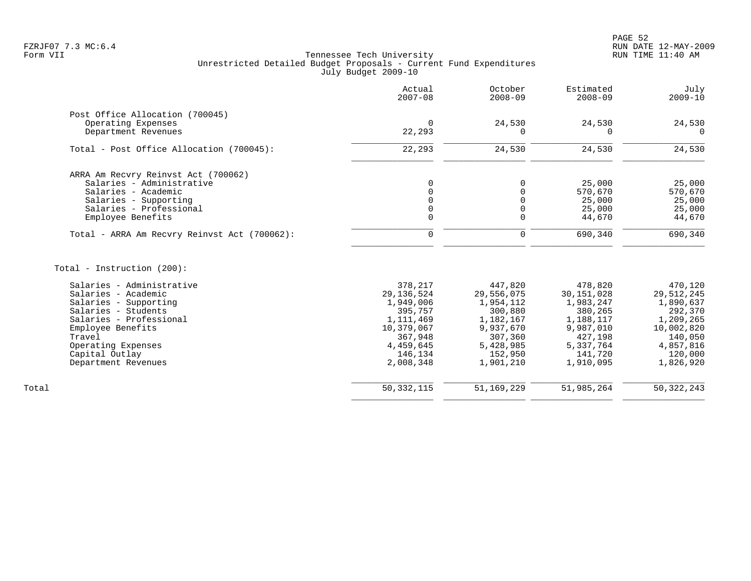|                                              | Actual<br>$2007 - 08$ | October<br>$2008 - 09$ | Estimated<br>$2008 - 09$ | July<br>$2009 - 10$ |
|----------------------------------------------|-----------------------|------------------------|--------------------------|---------------------|
| Post Office Allocation (700045)              |                       |                        |                          |                     |
| Operating Expenses<br>Department Revenues    | $\Omega$<br>22,293    | 24,530<br>$\Omega$     | 24,530<br>0              | 24,530<br>$\Omega$  |
| Total - Post Office Allocation (700045):     | 22,293                | 24,530                 | 24,530                   | 24,530              |
| ARRA Am Recvry Reinvst Act (700062)          |                       |                        |                          |                     |
| Salaries - Administrative                    | $\Omega$              | $\mathbf 0$            | 25,000                   | 25,000              |
| Salaries - Academic                          | $\Omega$              | $\mathbf 0$            | 570,670                  | 570,670             |
| Salaries - Supporting                        |                       | $\Omega$               | 25,000                   | 25,000              |
| Salaries - Professional                      |                       | $\mathbf 0$            | 25,000                   | 25,000              |
| Employee Benefits                            | $\mathbf 0$           | $\mathbf 0$            | 44,670                   | 44,670              |
| Total - ARRA Am Recvry Reinvst Act (700062): | 0                     | 0                      | 690,340                  | 690,340             |
| Total - Instruction (200):                   |                       |                        |                          |                     |
| Salaries - Administrative                    | 378,217               | 447,820                | 478,820                  | 470,120             |
| Salaries - Academic                          | 29, 136, 524          | 29,556,075             | 30, 151, 028             | 29,512,245          |
| Salaries - Supporting                        | 1,949,006             | 1,954,112              | 1,983,247                | 1,890,637           |
| Salaries - Students                          | 395,757               | 300,880                | 380,265                  | 292,370             |
| Salaries - Professional                      | 1,111,469             | 1,182,167              | 1,188,117                | 1,209,265           |
| Employee Benefits                            | 10,379,067            | 9,937,670              | 9,987,010                | 10,002,820          |
| Travel                                       | 367,948               | 307,360                | 427,198                  | 140,050             |
| Operating Expenses                           | 4,459,645             | 5,428,985              | 5,337,764                | 4,857,816           |
| Capital Outlay                               | 146,134               | 152,950                | 141,720                  | 120,000             |
| Department Revenues                          | 2,008,348             | 1,901,210              | 1,910,095                | 1,826,920           |
|                                              |                       |                        |                          |                     |
| Total                                        | 50, 332, 115          | 51, 169, 229           | 51,985,264               | 50, 322, 243        |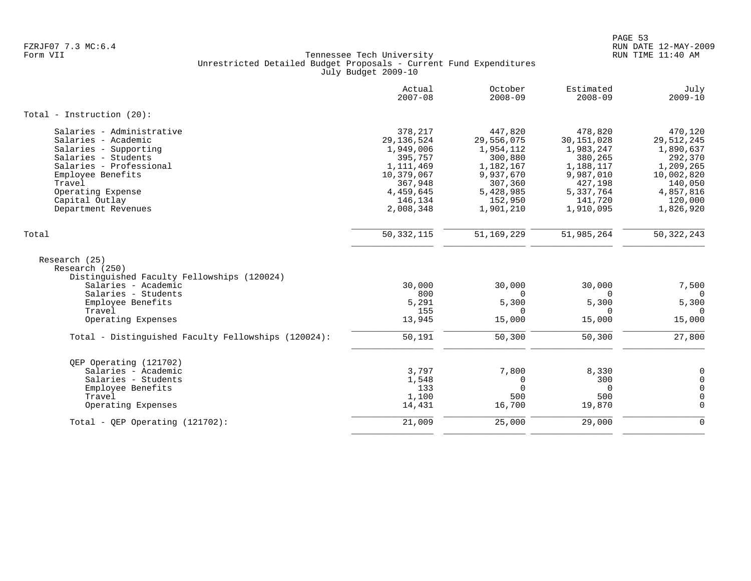|                                                                                                                                                                                                   | Actual<br>$2007 - 08$                                                                                           | October<br>$2008 - 09$                                                                                     | Estimated<br>$2008 - 09$                                                                                   | July<br>$2009 - 10$                                                                                         |
|---------------------------------------------------------------------------------------------------------------------------------------------------------------------------------------------------|-----------------------------------------------------------------------------------------------------------------|------------------------------------------------------------------------------------------------------------|------------------------------------------------------------------------------------------------------------|-------------------------------------------------------------------------------------------------------------|
| Total - Instruction $(20)$ :                                                                                                                                                                      |                                                                                                                 |                                                                                                            |                                                                                                            |                                                                                                             |
| Salaries - Administrative<br>Salaries - Academic<br>Salaries - Supporting<br>Salaries - Students<br>Salaries - Professional<br>Employee Benefits<br>Travel<br>Operating Expense<br>Capital Outlay | 378,217<br>29, 136, 524<br>1,949,006<br>395,757<br>1, 111, 469<br>10,379,067<br>367,948<br>4,459,645<br>146,134 | 447,820<br>29,556,075<br>1,954,112<br>300,880<br>1,182,167<br>9,937,670<br>307,360<br>5,428,985<br>152,950 | 478,820<br>30,151,028<br>1,983,247<br>380,265<br>1,188,117<br>9,987,010<br>427,198<br>5,337,764<br>141,720 | 470,120<br>29,512,245<br>1,890,637<br>292,370<br>1,209,265<br>10,002,820<br>140,050<br>4,857,816<br>120,000 |
| Department Revenues                                                                                                                                                                               | 2,008,348                                                                                                       | 1,901,210                                                                                                  | 1,910,095                                                                                                  | 1,826,920                                                                                                   |
| Total                                                                                                                                                                                             | 50, 332, 115                                                                                                    | 51, 169, 229                                                                                               | 51,985,264                                                                                                 | 50, 322, 243                                                                                                |
| Research (25)<br>Research (250)<br>Distinguished Faculty Fellowships (120024)                                                                                                                     |                                                                                                                 |                                                                                                            |                                                                                                            |                                                                                                             |
| Salaries - Academic                                                                                                                                                                               | 30,000                                                                                                          | 30,000                                                                                                     | 30,000                                                                                                     | 7,500                                                                                                       |
| Salaries - Students<br>Employee Benefits<br>Travel                                                                                                                                                | 800<br>5,291<br>155                                                                                             | $\Omega$<br>5,300<br>$\Omega$                                                                              | $\Omega$<br>5,300<br>$\Omega$                                                                              | $\Omega$<br>5,300<br>$\Omega$                                                                               |
| Operating Expenses                                                                                                                                                                                | 13,945                                                                                                          | 15,000                                                                                                     | 15,000                                                                                                     | 15,000                                                                                                      |
| Total - Distinguished Faculty Fellowships (120024):                                                                                                                                               | 50,191                                                                                                          | 50,300                                                                                                     | 50,300                                                                                                     | 27,800                                                                                                      |
| OEP Operating (121702)                                                                                                                                                                            |                                                                                                                 |                                                                                                            |                                                                                                            |                                                                                                             |
| Salaries - Academic<br>Salaries - Students                                                                                                                                                        | 3,797<br>1,548                                                                                                  | 7,800<br>0                                                                                                 | 8,330<br>300                                                                                               | $\overline{0}$<br>$\mathsf{O}$                                                                              |
| Employee Benefits                                                                                                                                                                                 | 133                                                                                                             | $\overline{0}$                                                                                             | $\mathbf 0$                                                                                                | $\mathsf{O}$                                                                                                |
| Travel<br>Operating Expenses                                                                                                                                                                      | 1,100<br>14,431                                                                                                 | 500<br>16,700                                                                                              | 500<br>19,870                                                                                              | $\mathsf{O}$<br>$\mathbf 0$                                                                                 |
| Total - OEP Operating $(121702)$ :                                                                                                                                                                | 21,009                                                                                                          | 25,000                                                                                                     | 29,000                                                                                                     | $\mathbf 0$                                                                                                 |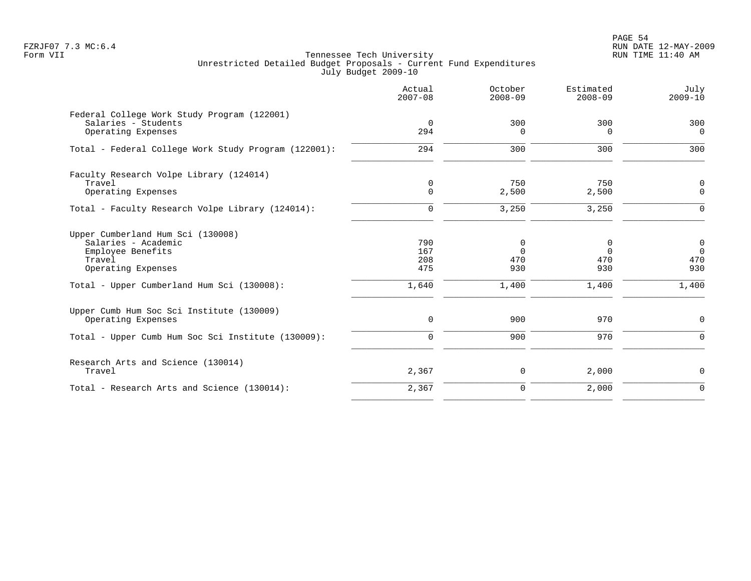PAGE 54 FZRJF07 7.3 MC:6.4 RUN DATE 12-MAY-2009

|                                                                                                                                                             | Actual<br>$2007 - 08$             | October<br>$2008 - 09$               | Estimated<br>$2008 - 09$             | July<br>$2009 - 10$                            |
|-------------------------------------------------------------------------------------------------------------------------------------------------------------|-----------------------------------|--------------------------------------|--------------------------------------|------------------------------------------------|
| Federal College Work Study Program (122001)<br>Salaries - Students<br>Operating Expenses                                                                    | $\overline{0}$<br>294             | 300<br>$\Omega$                      | 300<br>0                             | 300<br>$\overline{0}$                          |
| Total - Federal College Work Study Program (122001):                                                                                                        | 294                               | 300                                  | 300                                  | 300                                            |
| Faculty Research Volpe Library (124014)<br>Travel<br>Operating Expenses                                                                                     | 0<br>$\mathbf 0$                  | 750<br>2,500                         | 750<br>2,500                         | $\mathbf 0$<br>$\mathbf 0$                     |
| Total - Faculty Research Volpe Library (124014):                                                                                                            | $\mathbf 0$                       | 3,250                                | 3,250                                | $\mathbf 0$                                    |
| Upper Cumberland Hum Sci (130008)<br>Salaries - Academic<br>Employee Benefits<br>Travel<br>Operating Expenses<br>Total - Upper Cumberland Hum Sci (130008): | 790<br>167<br>208<br>475<br>1,640 | 0<br>$\Omega$<br>470<br>930<br>1,400 | 0<br>$\Omega$<br>470<br>930<br>1,400 | $\mathbf 0$<br>$\Omega$<br>470<br>930<br>1,400 |
|                                                                                                                                                             |                                   |                                      |                                      |                                                |
| Upper Cumb Hum Soc Sci Institute (130009)<br>Operating Expenses                                                                                             | 0                                 | 900                                  | 970                                  | 0                                              |
| Total - Upper Cumb Hum Soc Sci Institute (130009):                                                                                                          | $\mathbf 0$                       | 900                                  | 970                                  | $\mathbf 0$                                    |
| Research Arts and Science (130014)<br>Travel                                                                                                                | 2,367                             | 0                                    | 2,000                                | $\mathbf 0$                                    |
| Total - Research Arts and Science (130014):                                                                                                                 | 2,367                             | $\mathbf 0$                          | 2,000                                | $\mathbf 0$                                    |
|                                                                                                                                                             |                                   |                                      |                                      |                                                |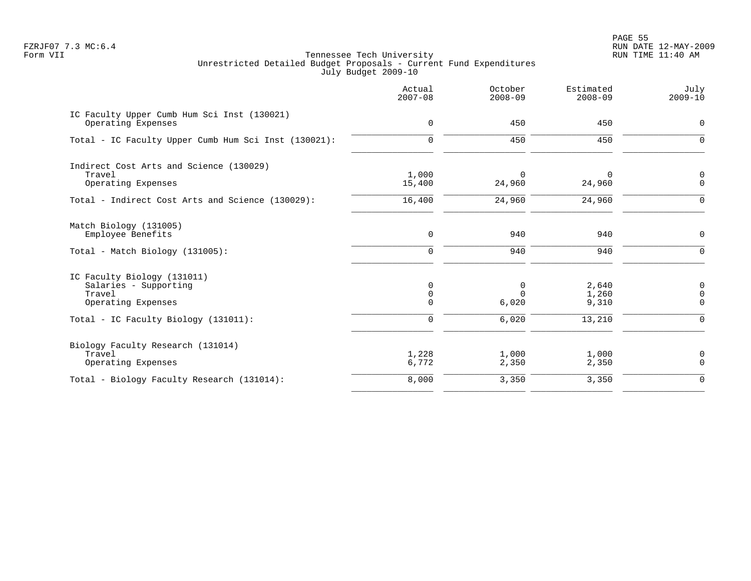PAGE 55 FZRJF07 7.3 MC:6.4 RUN DATE 12-MAY-2009

|                                                                                      | Actual<br>$2007 - 08$        | October<br>$2008 - 09$ | Estimated<br>$2008 - 09$ | July<br>$2009 - 10$                       |
|--------------------------------------------------------------------------------------|------------------------------|------------------------|--------------------------|-------------------------------------------|
| IC Faculty Upper Cumb Hum Sci Inst (130021)<br>Operating Expenses                    | $\mathbf 0$                  | 450                    | 450                      | $\mathbf 0$                               |
| Total - IC Faculty Upper Cumb Hum Sci Inst (130021):                                 | $\mathbf 0$                  | 450                    | 450                      | $\mathbf 0$                               |
| Indirect Cost Arts and Science (130029)<br>Travel<br>Operating Expenses              | 1,000<br>15,400              | 0<br>24,960            | 0<br>24,960              | $\mathbf 0$<br>$\Omega$                   |
| Total - Indirect Cost Arts and Science (130029):                                     | 16,400                       | 24,960                 | 24,960                   | $\Omega$                                  |
| Match Biology (131005)<br>Employee Benefits                                          | $\mathbf 0$                  | 940                    | 940                      | $\mathbf 0$                               |
| $Total - Match Biology (131005):$                                                    | $\mathbf 0$                  | 940                    | 940                      | $\Omega$                                  |
| IC Faculty Biology (131011)<br>Salaries - Supporting<br>Travel<br>Operating Expenses | 0<br>$\mathbf 0$<br>$\Omega$ | 0<br>$\Omega$<br>6,020 | 2,640<br>1,260<br>9,310  | $\mathbf 0$<br>$\overline{0}$<br>$\Omega$ |
| Total - IC Faculty Biology (131011):                                                 | $\mathbf 0$                  | 6,020                  | 13,210                   | $\Omega$                                  |
| Biology Faculty Research (131014)<br>Travel<br>Operating Expenses                    | 1,228<br>6,772               | 1,000<br>2,350         | 1,000<br>2,350           | 0<br>$\Omega$                             |
| Total - Biology Faculty Research (131014):                                           | 8,000                        | 3,350                  | 3,350                    | $\mathbf 0$                               |
|                                                                                      |                              |                        |                          |                                           |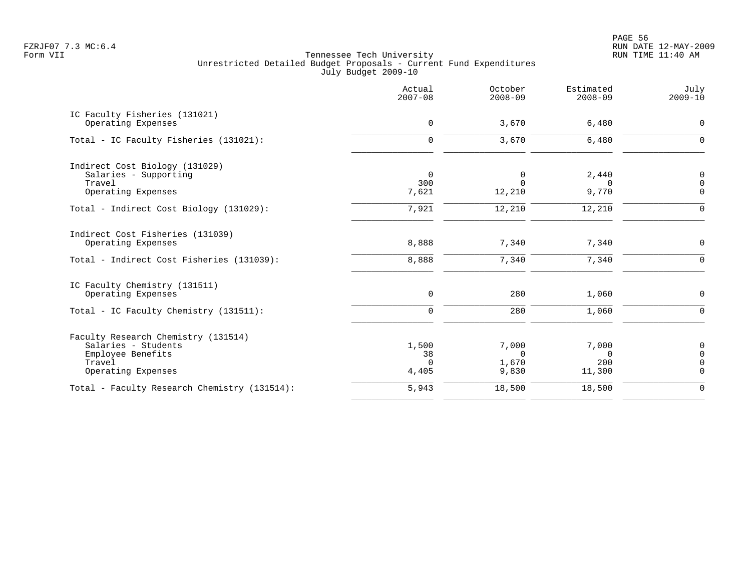en and the state of the state of the state of the state of the state of the state of the state of the state of the state of the state of the state of the state of the state of the state of the state of the state of the sta FZRJF07 7.3 MC:6.4 RUN DATE 12-MAY-2009

| 3,670<br>6,480<br>3,670<br>6,480                  | $\mathbf 0$<br>$\Omega$                                                                                          |
|---------------------------------------------------|------------------------------------------------------------------------------------------------------------------|
|                                                   |                                                                                                                  |
|                                                   |                                                                                                                  |
| 2,440<br>0<br>$\Omega$<br>$\Omega$                | 0<br>$\mathbf 0$<br>$\Omega$                                                                                     |
| 12,210                                            | $\mathbf 0$                                                                                                      |
| 7,340                                             | 0<br>0                                                                                                           |
|                                                   | $\mathsf{O}$                                                                                                     |
| 1,060                                             | $\mathbf 0$                                                                                                      |
| 7,000<br>$\Omega$<br>$\mathbf 0$<br>200<br>11,300 | 0<br>$\overline{0}$<br>$\overline{0}$<br>$\overline{0}$                                                          |
| 18,500                                            | $\mathbf 0$                                                                                                      |
|                                                   | 9,770<br>12,210<br>12,210<br>7,340<br>7,340<br>7,340<br>280<br>1,060<br>280<br>7,000<br>1,670<br>9,830<br>18,500 |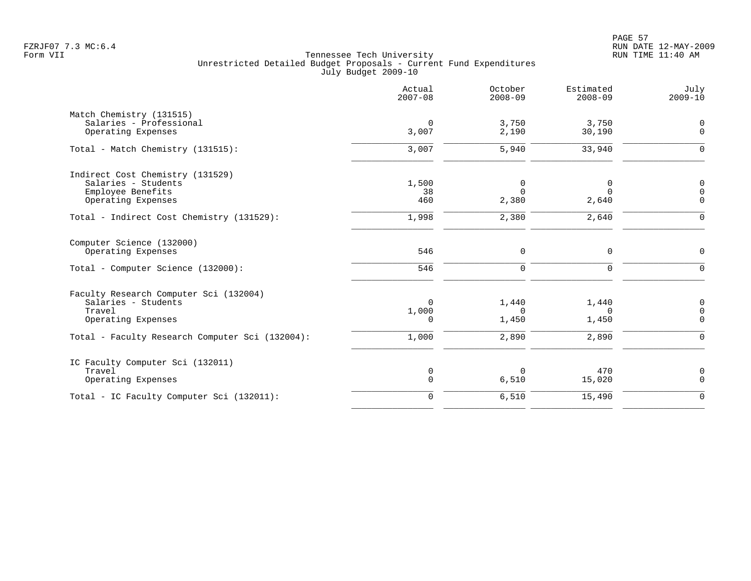PAGE 57 FZRJF07 7.3 MC:6.4 RUN DATE 12-MAY-2009

|                                                 | Actual<br>$2007 - 08$ | October<br>$2008 - 09$ | Estimated<br>$2008 - 09$ | July<br>$2009 - 10$     |
|-------------------------------------------------|-----------------------|------------------------|--------------------------|-------------------------|
| Match Chemistry (131515)                        |                       |                        |                          |                         |
| Salaries - Professional<br>Operating Expenses   | $\mathbf 0$<br>3,007  | 3,750<br>2,190         | 3,750<br>30,190          | 0<br>$\Omega$           |
| Total - Match Chemistry (131515):               | 3,007                 | 5,940                  | 33,940                   | $\Omega$                |
| Indirect Cost Chemistry (131529)                |                       |                        |                          |                         |
| Salaries - Students                             | 1,500                 | $\Omega$               | 0                        | $\Omega$                |
| Employee Benefits                               | 38<br>460             | $\Omega$               | $\Omega$                 | $\Omega$<br>$\Omega$    |
| Operating Expenses                              |                       | 2,380                  | 2,640                    |                         |
| Total - Indirect Cost Chemistry (131529):       | 1,998                 | 2,380                  | 2,640                    | $\Omega$                |
| Computer Science (132000)                       |                       |                        |                          |                         |
| Operating Expenses                              | 546                   | $\mathbf 0$            | $\mathbf 0$              | $\Omega$                |
| Total - Computer Science (132000):              | 546                   | $\Omega$               | $\Omega$                 | $\Omega$                |
| Faculty Research Computer Sci (132004)          |                       |                        |                          |                         |
| Salaries - Students                             | $\Omega$              | 1,440                  | 1,440                    | 0                       |
| Travel<br>Operating Expenses                    | 1,000<br>$\Omega$     | $\Omega$<br>1,450      | $\Omega$<br>1,450        | $\mathbf 0$<br>$\Omega$ |
|                                                 |                       |                        |                          |                         |
| Total - Faculty Research Computer Sci (132004): | 1,000                 | 2,890                  | 2,890                    | $\Omega$                |
| IC Faculty Computer Sci (132011)                |                       |                        |                          |                         |
| Travel                                          | 0                     | $\Omega$               | 470                      | $\mathbf 0$             |
| Operating Expenses                              | $\mathbf 0$           | 6,510                  | 15,020                   | $\Omega$                |
| Total - IC Faculty Computer Sci (132011):       | $\mathbf 0$           | 6,510                  | 15,490                   | $\Omega$                |
|                                                 |                       |                        |                          |                         |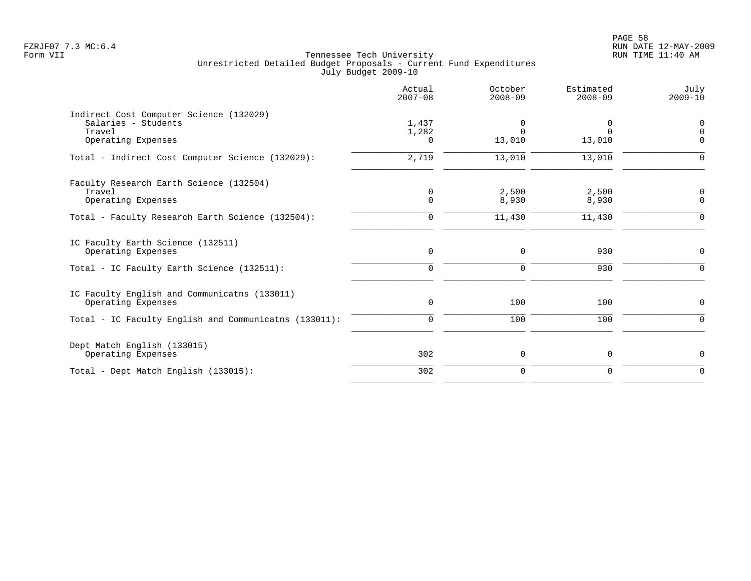PAGE 58 FZRJF07 7.3 MC:6.4 RUN DATE 12-MAY-2009

|                                                                                                | Actual<br>$2007 - 08$      | October<br>$2008 - 09$  | Estimated<br>$2008 - 09$       | July<br>$2009 - 10$          |
|------------------------------------------------------------------------------------------------|----------------------------|-------------------------|--------------------------------|------------------------------|
| Indirect Cost Computer Science (132029)<br>Salaries - Students<br>Travel<br>Operating Expenses | 1,437<br>1,282<br>$\Omega$ | 0<br>$\Omega$<br>13,010 | $\Omega$<br>$\Omega$<br>13,010 | 0<br>$\mathbf 0$<br>$\Omega$ |
| Total - Indirect Cost Computer Science (132029):                                               | 2,719                      | 13,010                  | 13,010                         | $\Omega$                     |
| Faculty Research Earth Science (132504)<br>Travel<br>Operating Expenses                        | $\mathbf 0$<br>$\Omega$    | 2,500<br>8,930          | 2,500<br>8,930                 | 0<br>$\Omega$                |
| Total - Faculty Research Earth Science (132504):                                               | 0                          | 11,430                  | 11,430                         | $\Omega$                     |
| IC Faculty Earth Science (132511)<br>Operating Expenses                                        | $\mathbf 0$                | $\mathbf 0$             | 930                            | 0                            |
| Total - IC Faculty Earth Science (132511):                                                     | $\Omega$                   | $\mathbf 0$             | 930                            | $\Omega$                     |
| IC Faculty English and Communicatns (133011)<br>Operating Expenses                             | $\mathbf 0$                | 100                     | 100                            | 0                            |
| Total - IC Faculty English and Communicatns (133011):                                          | $\mathbf 0$                | 100                     | 100                            | 0                            |
| Dept Match English (133015)<br>Operating Expenses                                              | 302                        | 0                       | 0                              | 0                            |
| Total - Dept Match English (133015):                                                           | 302                        | $\mathbf 0$             | $\Omega$                       | $\Omega$                     |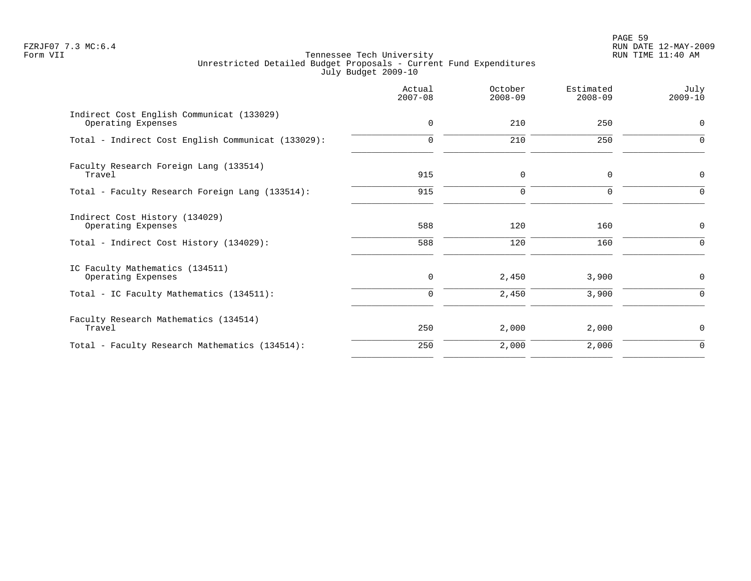PAGE 59 FZRJF07 7.3 MC:6.4 RUN DATE 12-MAY-2009

|                                                                 | Actual<br>$2007 - 08$ | October<br>$2008 - 09$ | Estimated<br>$2008 - 09$ | July<br>$2009 - 10$ |
|-----------------------------------------------------------------|-----------------------|------------------------|--------------------------|---------------------|
| Indirect Cost English Communicat (133029)<br>Operating Expenses | $\mathbf 0$           | 210                    | 250                      | $\mathbf 0$         |
| Total - Indirect Cost English Communicat (133029):              | $\Omega$              | 210                    | 250                      | $\Omega$            |
| Faculty Research Foreign Lang (133514)<br>Travel                | 915                   | $\mathbf 0$            | $\mathbf 0$              | $\mathbf 0$         |
| Total - Faculty Research Foreign Lang (133514):                 | 915                   | $\Omega$               | $\Omega$                 | $\Omega$            |
| Indirect Cost History (134029)<br>Operating Expenses            | 588                   | 120                    | 160                      | $\mathbf 0$         |
| Total - Indirect Cost History (134029):                         | 588                   | 120                    | 160                      | 0                   |
| IC Faculty Mathematics (134511)<br>Operating Expenses           | 0                     | 2,450                  | 3,900                    | $\mathbf 0$         |
| Total - IC Faculty Mathematics (134511):                        | 0                     | 2,450                  | 3,900                    | 0                   |
| Faculty Research Mathematics (134514)<br>Travel                 | 250                   | 2,000                  | 2,000                    | 0                   |
| Total - Faculty Research Mathematics (134514):                  | 250                   | 2,000                  | 2,000                    | $\mathbf 0$         |
|                                                                 |                       |                        |                          |                     |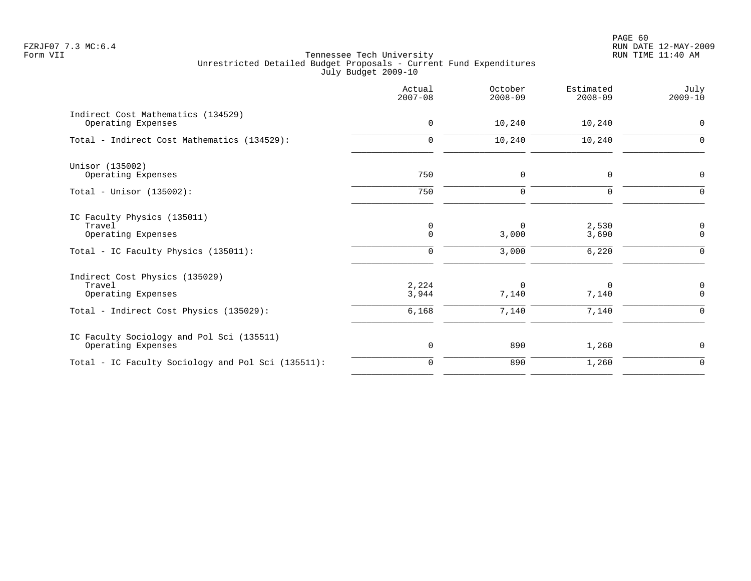PAGE 60 FZRJF07 7.3 MC:6.4 RUN DATE 12-MAY-2009

|                                                                 | Actual<br>$2007 - 08$ | October<br>$2008 - 09$ | Estimated<br>$2008 - 09$ | July<br>$2009 - 10$                |
|-----------------------------------------------------------------|-----------------------|------------------------|--------------------------|------------------------------------|
| Indirect Cost Mathematics (134529)<br>Operating Expenses        | 0                     | 10,240                 | 10,240                   | 0                                  |
| Total - Indirect Cost Mathematics (134529):                     | $\mathbf 0$           | 10,240                 | 10,240                   | $\mathbf 0$                        |
| Unisor (135002)<br>Operating Expenses                           | 750                   | $\mathbf 0$            | $\mathbf 0$              | $\mathbf 0$                        |
| Total - Unisor $(135002)$ :                                     | 750                   | $\mathbf 0$            | $\mathbf 0$              | $\mathbf 0$                        |
| IC Faculty Physics (135011)<br>Travel<br>Operating Expenses     | 0<br>$\mathbf 0$      | $\Omega$<br>3,000      | 2,530<br>3,690           | 0<br>$\mathbf 0$                   |
| Total - IC Faculty Physics (135011):                            | 0                     | 3,000                  | 6,220                    | 0                                  |
| Indirect Cost Physics (135029)<br>Travel<br>Operating Expenses  | 2,224<br>3,944        | $\mathbf 0$<br>7,140   | $\Omega$<br>7,140        | $\boldsymbol{0}$<br>$\overline{0}$ |
| Total - Indirect Cost Physics (135029):                         | 6,168                 | 7,140                  | 7,140                    | $\Omega$                           |
| IC Faculty Sociology and Pol Sci (135511)<br>Operating Expenses | 0                     | 890                    | 1,260                    | 0                                  |
| Total - IC Faculty Sociology and Pol Sci (135511):              | $\mathbf 0$           | 890                    | 1,260                    | $\mathbf 0$                        |
|                                                                 |                       |                        |                          |                                    |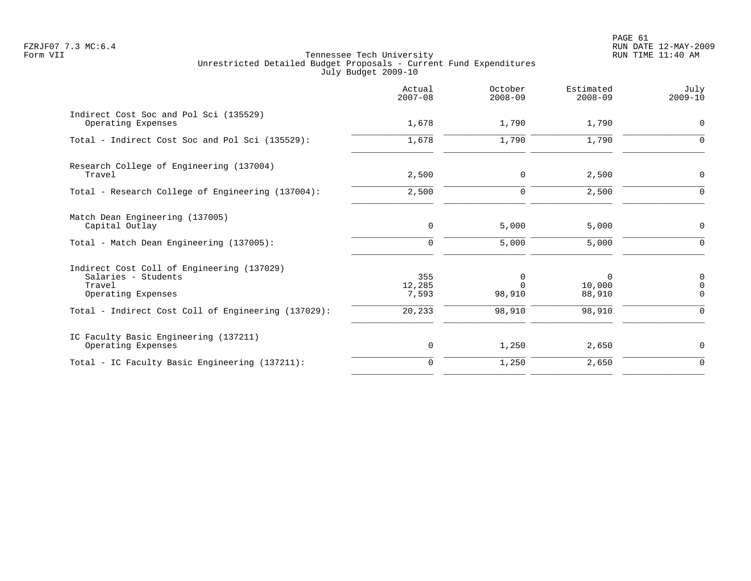PAGE 61 FZRJF07 7.3 MC:6.4 RUN DATE 12-MAY-2009

|                                                                                                   | Actual<br>$2007 - 08$  | October<br>$2008 - 09$  | Estimated<br>$2008 - 09$     | July<br>$2009 - 10$ |
|---------------------------------------------------------------------------------------------------|------------------------|-------------------------|------------------------------|---------------------|
| Indirect Cost Soc and Pol Sci (135529)<br>Operating Expenses                                      | 1,678                  | 1,790                   | 1,790                        | 0                   |
| Total - Indirect Cost Soc and Pol Sci (135529):                                                   | 1,678                  | 1,790                   | 1,790                        | $\mathbf 0$         |
| Research College of Engineering (137004)<br>Travel                                                | 2,500                  | $\mathbf 0$             | 2,500                        | $\mathbf 0$         |
| Total - Research College of Engineering (137004):                                                 | 2,500                  | $\mathbf 0$             | 2,500                        | $\mathbf 0$         |
| Match Dean Engineering (137005)<br>Capital Outlay                                                 | $\mathbf 0$            | 5,000                   | 5,000                        | 0                   |
| Total - Match Dean Engineering (137005):                                                          | $\Omega$               | 5,000                   | 5,000                        | $\Omega$            |
| Indirect Cost Coll of Engineering (137029)<br>Salaries - Students<br>Travel<br>Operating Expenses | 355<br>12,285<br>7,593 | 0<br>$\Omega$<br>98,910 | $\Omega$<br>10,000<br>88,910 | 0<br>0<br>$\Omega$  |
| Total - Indirect Cost Coll of Engineering (137029):                                               | 20,233                 | 98,910                  | 98,910                       | $\Omega$            |
| IC Faculty Basic Engineering (137211)<br>Operating Expenses                                       | 0                      | 1,250                   | 2,650                        | 0                   |
| Total - IC Faculty Basic Engineering (137211):                                                    | $\mathbf 0$            | 1,250                   | 2,650                        | $\mathbf 0$         |
|                                                                                                   |                        |                         |                              |                     |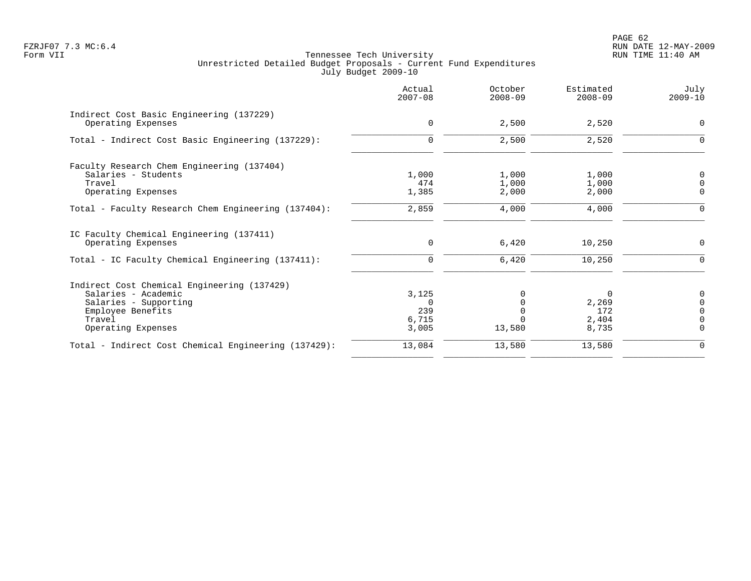PAGE 62 FZRJF07 7.3 MC:6.4 RUN DATE 12-MAY-2009

|                                                                             | Actual<br>$2007 - 08$ | October<br>$2008 - 09$ | Estimated<br>$2008 - 09$ | July<br>$2009 - 10$     |
|-----------------------------------------------------------------------------|-----------------------|------------------------|--------------------------|-------------------------|
| Indirect Cost Basic Engineering (137229)<br>Operating Expenses              | $\mathbf 0$           | 2,500                  | 2,520                    | $\mathbf 0$             |
| Total - Indirect Cost Basic Engineering (137229):                           | $\mathbf 0$           | 2,500                  | 2,520                    | 0                       |
| Faculty Research Chem Engineering (137404)<br>Salaries - Students<br>Travel | 1,000<br>474          | 1,000<br>1,000         | 1,000<br>1,000           | 0<br>$\mathsf 0$        |
| Operating Expenses                                                          | 1,385                 | 2,000                  | 2,000                    | 0                       |
| Total - Faculty Research Chem Engineering (137404):                         | 2,859                 | 4,000                  | 4,000                    | $\mathbf 0$             |
| IC Faculty Chemical Engineering (137411)<br>Operating Expenses              | 0                     | 6,420                  | 10,250                   | 0                       |
| Total - IC Faculty Chemical Engineering (137411):                           | 0                     | 6,420                  | 10,250                   | $\Omega$                |
| Indirect Cost Chemical Engineering (137429)                                 |                       |                        |                          |                         |
| Salaries - Academic                                                         | 3,125                 | 0                      | $\Omega$                 | 0                       |
| Salaries - Supporting                                                       | $\Omega$              | $\Omega$               | 2,269                    | 0                       |
| Employee Benefits                                                           | 239                   | $\cap$                 | 172                      | $\Omega$                |
| Travel<br>Operating Expenses                                                | 6,715<br>3,005        | 13,580                 | 2,404<br>8,735           | $\mathbf 0$<br>$\Omega$ |
| Total - Indirect Cost Chemical Engineering (137429):                        | 13,084                | 13,580                 | 13,580                   | 0                       |
|                                                                             |                       |                        |                          |                         |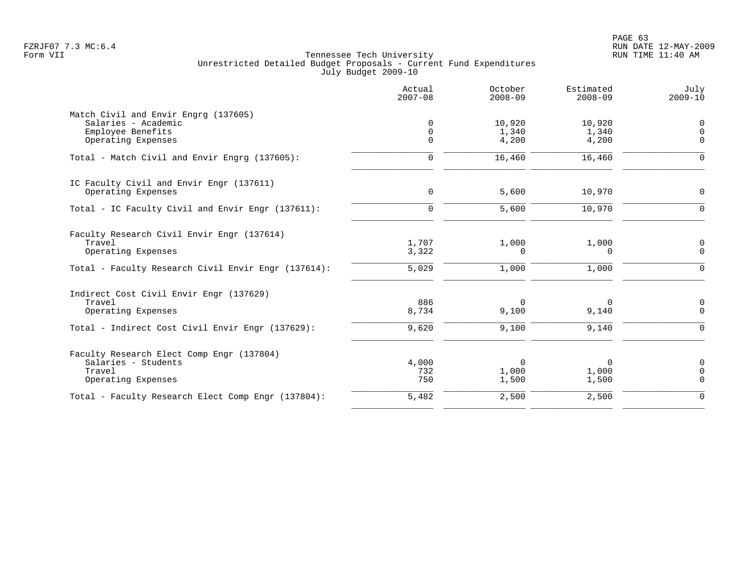|                                                     | Actual<br>$2007 - 08$ | October<br>$2008 - 09$ | Estimated<br>$2008 - 09$ | July<br>$2009 - 10$        |
|-----------------------------------------------------|-----------------------|------------------------|--------------------------|----------------------------|
| Match Civil and Envir Engrg (137605)                |                       |                        |                          |                            |
| Salaries - Academic                                 | $\Omega$              | 10,920                 | 10,920                   | 0                          |
| Employee Benefits                                   | $\Omega$<br>$\Omega$  | 1,340                  | 1,340                    | $\overline{0}$<br>$\Omega$ |
| Operating Expenses                                  |                       | 4,200                  | 4,200                    |                            |
| Total - Match Civil and Envir Engrg (137605):       | $\Omega$              | 16,460                 | 16,460                   | ∩                          |
| IC Faculty Civil and Envir Engr (137611)            |                       |                        |                          |                            |
| Operating Expenses                                  | $\mathbf 0$           | 5,600                  | 10,970                   | $\Omega$                   |
| Total - IC Faculty Civil and Envir Engr (137611):   | $\Omega$              | 5,600                  | 10,970                   | $\Omega$                   |
| Faculty Research Civil Envir Engr (137614)          |                       |                        |                          |                            |
| Travel                                              | 1,707                 | 1,000                  | 1,000                    | 0                          |
| Operating Expenses                                  | 3,322                 | $\Omega$               | $\Omega$                 | $\Omega$                   |
| Total - Faculty Research Civil Envir Engr (137614): | 5,029                 | 1,000                  | 1,000                    | $\Omega$                   |
| Indirect Cost Civil Envir Engr (137629)             |                       |                        |                          |                            |
| Travel                                              | 886                   | $\Omega$               | 0                        | 0                          |
| Operating Expenses                                  | 8,734                 | 9,100                  | 9,140                    | $\Omega$                   |
| Total - Indirect Cost Civil Envir Engr (137629):    | 9,620                 | 9,100                  | 9,140                    | $\Omega$                   |
| Faculty Research Elect Comp Engr (137804)           |                       |                        |                          |                            |
| Salaries - Students                                 | 4,000                 | $\Omega$               | 0                        | $\mathbf 0$                |
| Travel                                              | 732                   | 1,000                  | 1,000                    | $\Omega$                   |
| Operating Expenses                                  | 750                   | 1,500                  | 1,500                    | $\Omega$                   |
| Total - Faculty Research Elect Comp Engr (137804):  | 5,482                 | 2,500                  | 2,500                    | $\Omega$                   |
|                                                     |                       |                        |                          |                            |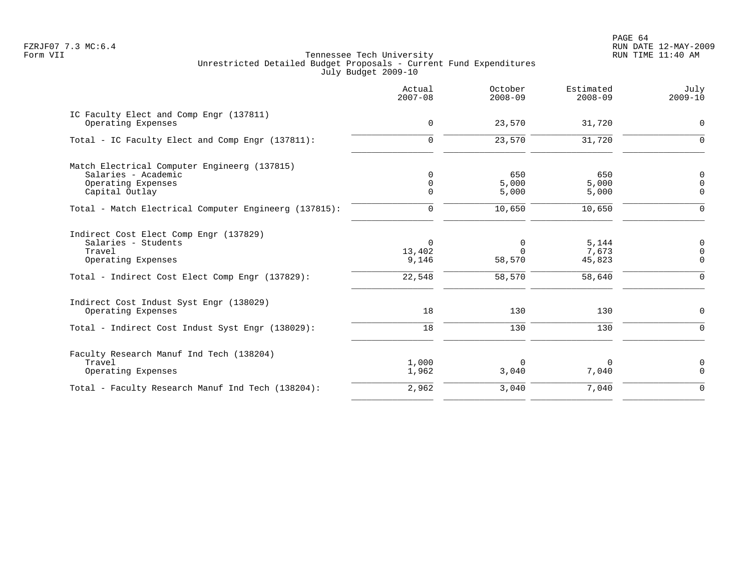|                                                                                                                                                  | Actual<br>$2007 - 08$                 | October<br>$2008 - 09$            | Estimated<br>$2008 - 09$           | July<br>$2009 - 10$                            |
|--------------------------------------------------------------------------------------------------------------------------------------------------|---------------------------------------|-----------------------------------|------------------------------------|------------------------------------------------|
| IC Faculty Elect and Comp Engr (137811)<br>Operating Expenses                                                                                    | $\mathbf 0$                           | 23,570                            | 31,720                             | $\mathbf 0$                                    |
| Total - IC Faculty Elect and Comp Engr (137811):                                                                                                 | $\mathbf 0$                           | 23,570                            | 31,720                             | $\Omega$                                       |
| Match Electrical Computer Engineerg (137815)<br>Salaries - Academic<br>Operating Expenses<br>Capital Outlay                                      | $\Omega$<br>$\mathbf 0$<br>$\Omega$   | 650<br>5,000<br>5,000             | 650<br>5,000<br>5,000              | 0<br>$\overline{0}$<br>$\Omega$                |
| Total - Match Electrical Computer Engineerg (137815):                                                                                            | 0                                     | 10,650                            | 10,650                             | $\mathbf 0$                                    |
| Indirect Cost Elect Comp Engr (137829)<br>Salaries - Students<br>Travel<br>Operating Expenses<br>Total - Indirect Cost Elect Comp Engr (137829): | $\Omega$<br>13,402<br>9,146<br>22,548 | 0<br>$\Omega$<br>58,570<br>58,570 | 5,144<br>7,673<br>45,823<br>58,640 | 0<br>$\mathbf 0$<br>$\mathbf 0$<br>$\mathbf 0$ |
| Indirect Cost Indust Syst Engr (138029)<br>Operating Expenses<br>Total - Indirect Cost Indust Syst Engr (138029):                                | 18<br>18                              | 130<br>130                        | 130<br>130                         | $\mathbf 0$<br>$\mathbf 0$                     |
| Faculty Research Manuf Ind Tech (138204)<br>Travel<br>Operating Expenses                                                                         | 1,000<br>1,962                        | $\Omega$<br>3,040                 | 0<br>7,040                         | $\mathbf 0$<br>$\mathbf 0$                     |
| Total - Faculty Research Manuf Ind Tech (138204):                                                                                                | 2,962                                 | 3,040                             | 7,040                              | $\mathbf 0$                                    |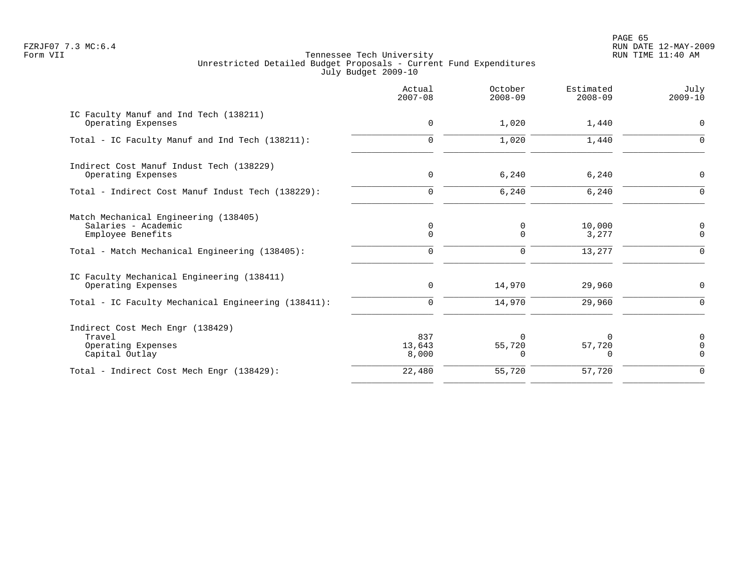en and the set of the set of the set of the set of the set of the set of the set of the set of the set of the set of the set of the set of the set of the set of the set of the set of the set of the set of the set of the se FZRJF07 7.3 MC:6.4 RUN DATE 12-MAY-2009

|                                                                                                                                     | Actual<br>$2007 - 08$           | October<br>$2008 - 09$ | Estimated<br>$2008 - 09$  | July<br>$2009 - 10$                |
|-------------------------------------------------------------------------------------------------------------------------------------|---------------------------------|------------------------|---------------------------|------------------------------------|
| IC Faculty Manuf and Ind Tech (138211)<br>Operating Expenses                                                                        | $\mathbf 0$                     | 1,020                  | 1,440                     | $\mathbf 0$                        |
| Total - IC Faculty Manuf and Ind Tech (138211):                                                                                     | $\mathbf 0$                     | 1,020                  | 1,440                     | $\Omega$                           |
| Indirect Cost Manuf Indust Tech (138229)<br>Operating Expenses                                                                      | $\mathbf 0$                     | 6,240                  | 6,240                     | $\Omega$                           |
| Total - Indirect Cost Manuf Indust Tech (138229):                                                                                   | $\mathbf 0$                     | 6,240                  | 6,240                     | $\Omega$                           |
| Match Mechanical Engineering (138405)<br>Salaries - Academic<br>Employee Benefits<br>Total - Match Mechanical Engineering (138405): | 0<br>$\mathbf 0$<br>$\mathbf 0$ | 0<br>0<br>0            | 10,000<br>3,277<br>13,277 | 0<br>$\mathbf 0$<br>$\overline{0}$ |
| IC Faculty Mechanical Engineering (138411)<br>Operating Expenses                                                                    | $\mathbf 0$                     | 14,970                 | 29,960                    | 0                                  |
| Total - IC Faculty Mechanical Engineering (138411):                                                                                 | $\mathbf 0$                     | 14,970                 | 29,960                    | $\Omega$                           |
| Indirect Cost Mech Engr (138429)<br>Travel<br>Operating Expenses<br>Capital Outlay                                                  | 837<br>13,643<br>8,000          | 55,720<br><sup>n</sup> | 57,720<br>0               | $\Omega$<br>$\Omega$<br>$\Omega$   |
| Total - Indirect Cost Mech Engr (138429):                                                                                           | 22,480                          | 55,720                 | 57,720                    | $\mathbf 0$                        |
|                                                                                                                                     |                                 |                        |                           |                                    |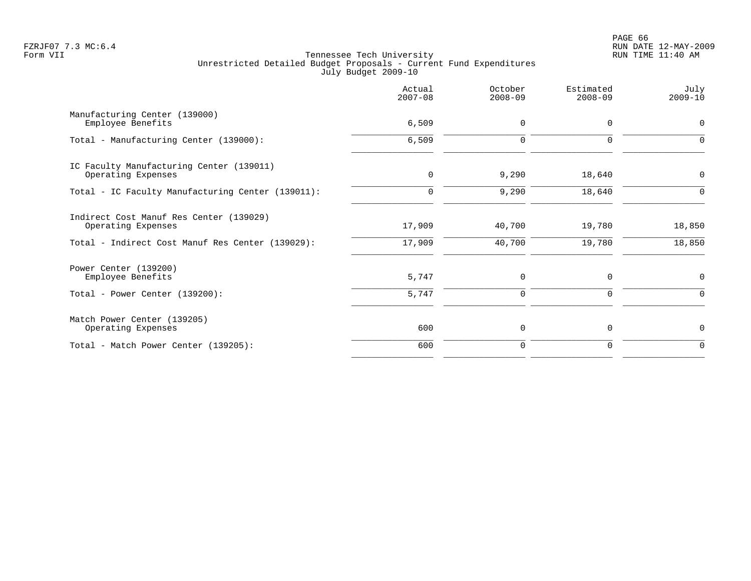|                                                                | Actual<br>$2007 - 08$ | October<br>$2008 - 09$ | Estimated<br>$2008 - 09$ | July<br>$2009 - 10$ |
|----------------------------------------------------------------|-----------------------|------------------------|--------------------------|---------------------|
| Manufacturing Center (139000)<br>Employee Benefits             | 6,509                 | $\mathbf 0$            | $\Omega$                 | $\mathbf 0$         |
| Total - Manufacturing Center (139000):                         | 6,509                 | $\mathbf 0$            | $\mathbf 0$              | 0                   |
| IC Faculty Manufacturing Center (139011)<br>Operating Expenses | $\mathbf 0$           | 9,290                  | 18,640                   | 0                   |
| Total - IC Faculty Manufacturing Center (139011):              | 0                     | 9,290                  | 18,640                   | $\mathbf 0$         |
| Indirect Cost Manuf Res Center (139029)<br>Operating Expenses  | 17,909                | 40,700                 | 19,780                   | 18,850              |
| Total - Indirect Cost Manuf Res Center (139029):               | 17,909                | 40,700                 | 19,780                   | 18,850              |
| Power Center (139200)<br>Employee Benefits                     | 5,747                 | $\mathbf 0$            | 0                        | 0                   |
| Total - Power Center (139200):                                 | 5,747                 | 0                      | 0                        | 0                   |
| Match Power Center (139205)<br>Operating Expenses              | 600                   | 0                      | $\mathbf 0$              | 0                   |
| Total - Match Power Center (139205):                           | 600                   | $\mathbf 0$            | 0                        | 0                   |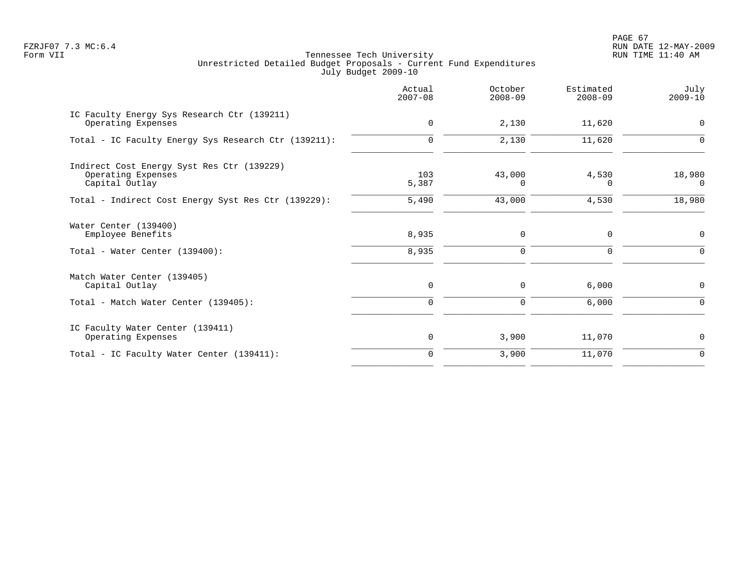PAGE 67 FZRJF07 7.3 MC:6.4 RUN DATE 12-MAY-2009

|                                                                                    | Actual<br>$2007 - 08$ | October<br>$2008 - 09$ | Estimated<br>$2008 - 09$ | July<br>$2009 - 10$ |
|------------------------------------------------------------------------------------|-----------------------|------------------------|--------------------------|---------------------|
| IC Faculty Energy Sys Research Ctr (139211)<br>Operating Expenses                  | $\mathbf 0$           | 2,130                  | 11,620                   | 0                   |
| Total - IC Faculty Energy Sys Research Ctr (139211):                               | $\Omega$              | 2,130                  | 11,620                   | $\Omega$            |
| Indirect Cost Energy Syst Res Ctr (139229)<br>Operating Expenses<br>Capital Outlay | 103<br>5,387          | 43,000<br>$\Omega$     | 4,530<br>$\Omega$        | 18,980<br>$\Omega$  |
| Total - Indirect Cost Energy Syst Res Ctr (139229):                                | 5,490                 | 43,000                 | 4,530                    | 18,980              |
| Water Center (139400)<br>Employee Benefits                                         | 8,935                 | $\mathbf 0$            | $\mathbf 0$              | $\mathbf 0$         |
| Total - Water Center (139400):                                                     | 8,935                 | $\mathbf 0$            | $\Omega$                 | $\Omega$            |
| Match Water Center (139405)<br>Capital Outlay                                      | 0                     | 0                      | 6,000                    | 0                   |
| Total - Match Water Center (139405):                                               | $\mathbf 0$           | $\mathbf 0$            | 6,000                    | 0                   |
| IC Faculty Water Center (139411)<br>Operating Expenses                             | $\mathbf 0$           | 3,900                  | 11,070                   | 0                   |
| Total - IC Faculty Water Center (139411):                                          | $\mathbf 0$           | 3,900                  | 11,070                   | $\mathbf 0$         |
|                                                                                    |                       |                        |                          |                     |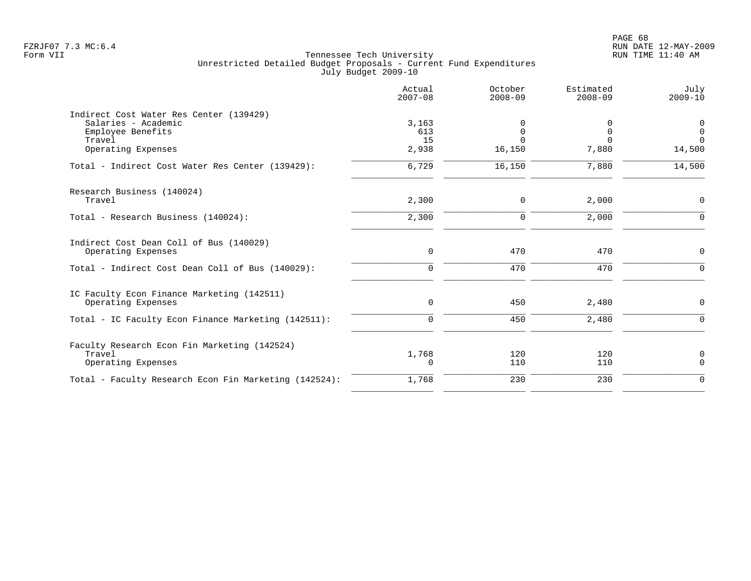|                                                       | Actual<br>$2007 - 08$ | October<br>$2008 - 09$ | Estimated<br>$2008 - 09$ | July<br>$2009 - 10$ |
|-------------------------------------------------------|-----------------------|------------------------|--------------------------|---------------------|
| Indirect Cost Water Res Center (139429)               |                       |                        |                          |                     |
| Salaries - Academic                                   | 3,163                 | 0                      | 0                        | 0                   |
| Employee Benefits                                     | 613                   | $\mathsf 0$            | $\mathbf 0$              | $\mathbf 0$         |
| Travel                                                | 15                    | $\Omega$               | ∩                        | $\Omega$            |
| Operating Expenses                                    | 2,938                 | 16,150                 | 7,880                    | 14,500              |
| Total - Indirect Cost Water Res Center (139429):      | 6,729                 | 16,150                 | 7,880                    | 14,500              |
| Research Business (140024)                            |                       |                        |                          |                     |
| Travel                                                | 2,300                 | 0                      | 2,000                    | $\mathbf 0$         |
| Total - Research Business (140024):                   | 2,300                 | $\Omega$               | 2,000                    | $\Omega$            |
| Indirect Cost Dean Coll of Bus (140029)               |                       |                        |                          |                     |
| Operating Expenses                                    | $\mathbf 0$           | 470                    | 470                      | $\mathbf 0$         |
| Total - Indirect Cost Dean Coll of Bus (140029):      | $\mathbf 0$           | 470                    | 470                      | $\Omega$            |
| IC Faculty Econ Finance Marketing (142511)            |                       |                        |                          |                     |
| Operating Expenses                                    | 0                     | 450                    | 2,480                    | $\mathbf 0$         |
| Total - IC Faculty Econ Finance Marketing (142511):   | $\mathbf 0$           | 450                    | 2,480                    | $\Omega$            |
| Faculty Research Econ Fin Marketing (142524)          |                       |                        |                          |                     |
| Travel                                                | 1,768                 | 120                    | 120                      | 0                   |
| Operating Expenses                                    | 0                     | 110                    | 110                      | $\mathbf 0$         |
| Total - Faculty Research Econ Fin Marketing (142524): | 1,768                 | 230                    | 230                      | $\mathbf 0$         |
|                                                       |                       |                        |                          |                     |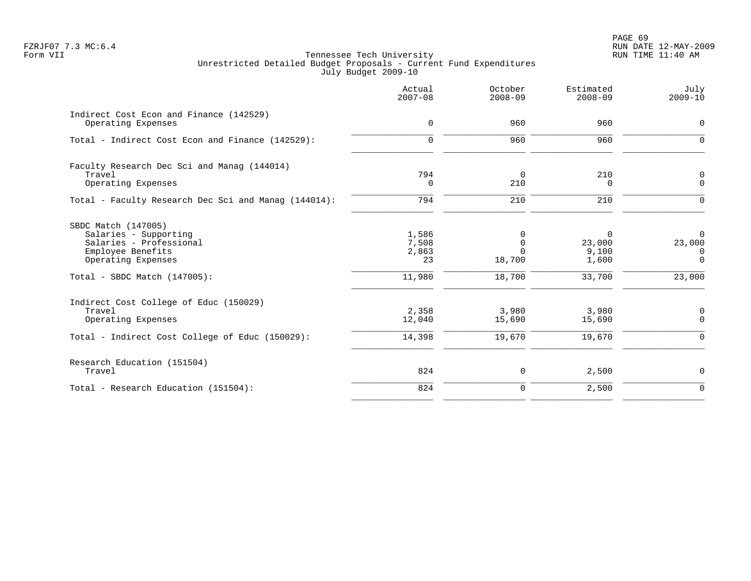| Actual<br>$2007 - 08$         | October<br>$2008 - 09$       | Estimated<br>$2008 - 09$      | July<br>$2009 - 10$                       |
|-------------------------------|------------------------------|-------------------------------|-------------------------------------------|
| $\mathbf 0$                   | 960                          | 960                           | $\mathbf 0$                               |
| $\mathbf 0$                   | 960                          | 960                           | $\mathbf 0$                               |
| 794                           | 0                            | 210                           | 0<br>$\mathbf 0$                          |
| 794                           | 210                          | 210                           | $\Omega$                                  |
| 1,586<br>7,508<br>2,863<br>23 | 0<br>0<br>$\Omega$<br>18,700 | 0<br>23,000<br>9,100<br>1,600 | $\mathbf 0$<br>23,000<br>0<br>$\mathbf 0$ |
| 11,980                        | 18,700                       | 33,700                        | 23,000                                    |
| 2,358<br>12,040               | 3,980<br>15,690              | 3,980<br>15,690               | $\mathbf 0$<br>$\mathbf 0$                |
|                               |                              |                               | $\mathbf 0$                               |
| 824                           | 0                            | 2,500                         | $\mathbf 0$                               |
| 824                           | $\mathbf 0$                  | 2,500                         | $\overline{0}$                            |
|                               | 0<br>14,398                  | 210<br>19,670                 | 0<br>19,670                               |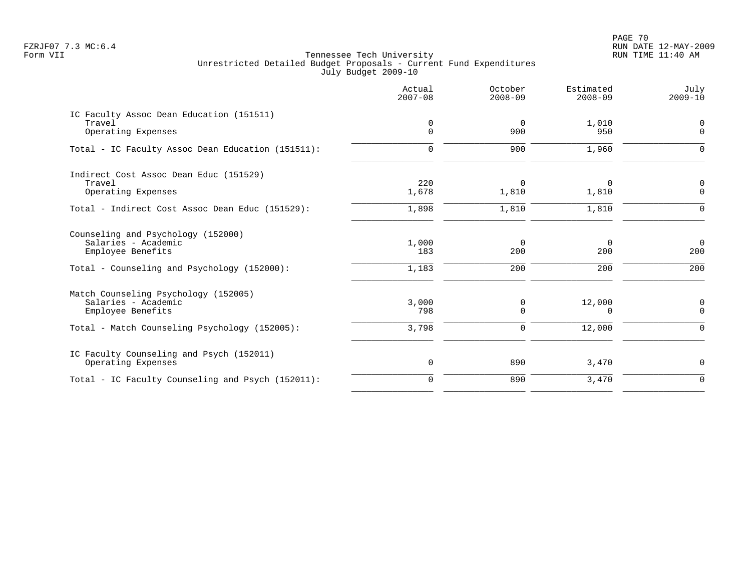PAGE 70 FZRJF07 7.3 MC:6.4 RUN DATE 12-MAY-2009

|                                                           | Actual<br>$2007 - 08$ | October<br>$2008 - 09$ | Estimated<br>$2008 - 09$ | July<br>$2009 - 10$ |
|-----------------------------------------------------------|-----------------------|------------------------|--------------------------|---------------------|
| IC Faculty Assoc Dean Education (151511)                  |                       |                        |                          |                     |
| Travel<br>Operating Expenses                              | 0<br>$\Omega$         | 0<br>900               | 1,010<br>950             | 0<br>$\mathbf 0$    |
| Total - IC Faculty Assoc Dean Education (151511):         | 0                     | 900                    | 1,960                    | $\Omega$            |
| Indirect Cost Assoc Dean Educ (151529)                    |                       |                        |                          |                     |
| Travel<br>Operating Expenses                              | 220<br>1,678          | $\Omega$<br>1,810      | $\Omega$<br>1,810        | 0<br>$\mathbf 0$    |
| Total - Indirect Cost Assoc Dean Educ (151529):           | 1,898                 | 1,810                  | 1,810                    | $\Omega$            |
| Counseling and Psychology (152000)<br>Salaries - Academic | 1,000                 | $\mathbf 0$            | $\Omega$                 | $\overline{0}$      |
| Employee Benefits                                         | 183                   | 200                    | 200                      | 200                 |
| Total - Counseling and Psychology (152000):               | 1,183                 | 200                    | 200                      | 200                 |
| Match Counseling Psychology (152005)                      |                       |                        |                          |                     |
| Salaries - Academic<br>Employee Benefits                  | 3,000<br>798          | 0<br>$\Omega$          | 12,000<br>0              | 0<br>$\Omega$       |
| Total - Match Counseling Psychology (152005):             | 3,798                 | 0                      | 12,000                   | $\mathbf 0$         |
| IC Faculty Counseling and Psych (152011)                  |                       |                        |                          |                     |
| Operating Expenses                                        | $\mathbf 0$           | 890                    | 3,470                    | 0                   |
| Total - IC Faculty Counseling and Psych (152011):         | $\Omega$              | 890                    | 3,470                    | $\Omega$            |
|                                                           |                       |                        |                          |                     |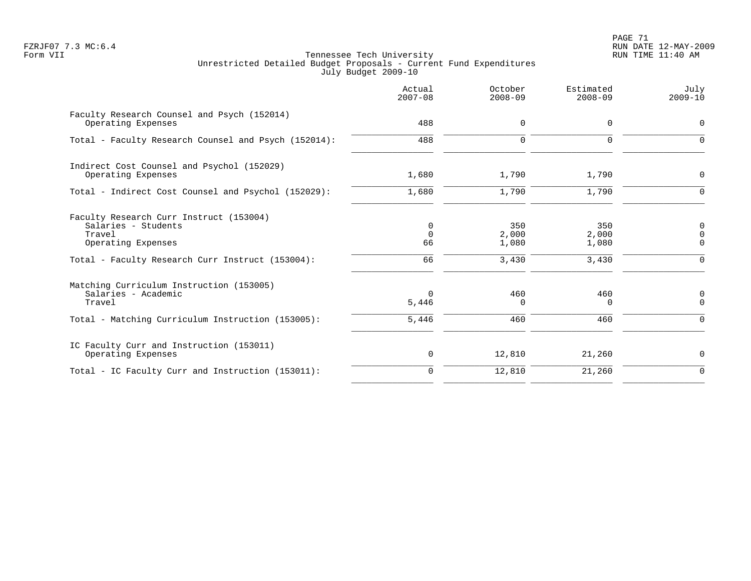PAGE 71 FZRJF07 7.3 MC:6.4 RUN DATE 12-MAY-2009

|                                                                                                                                                    | Actual<br>$2007 - 08$      | October<br>$2008 - 09$         | Estimated<br>$2008 - 09$       | July<br>$2009 - 10$               |
|----------------------------------------------------------------------------------------------------------------------------------------------------|----------------------------|--------------------------------|--------------------------------|-----------------------------------|
| Faculty Research Counsel and Psych (152014)<br>Operating Expenses                                                                                  | 488                        | $\mathbf 0$                    | $\Omega$                       | $\mathbf 0$                       |
| Total - Faculty Research Counsel and Psych (152014):                                                                                               | 488                        | $\mathbf 0$                    | $\mathbf 0$                    | 0                                 |
| Indirect Cost Counsel and Psychol (152029)<br>Operating Expenses                                                                                   | 1,680                      | 1,790                          | 1,790                          | 0                                 |
| Total - Indirect Cost Counsel and Psychol (152029):                                                                                                | 1,680                      | 1,790                          | 1,790                          | $\Omega$                          |
| Faculty Research Curr Instruct (153004)<br>Salaries - Students<br>Travel<br>Operating Expenses<br>Total - Faculty Research Curr Instruct (153004): | 0<br>$\Omega$<br>66<br>66  | 350<br>2,000<br>1,080<br>3,430 | 350<br>2,000<br>1,080<br>3,430 | 0<br>$\mathbf 0$<br>0<br>$\Omega$ |
| Matching Curriculum Instruction (153005)<br>Salaries - Academic<br>Travel<br>Total - Matching Curriculum Instruction (153005):                     | $\Omega$<br>5,446<br>5,446 | 460<br>$\Omega$<br>460         | 460<br>$\Omega$<br>460         | 0<br>$\Omega$<br>$\Omega$         |
|                                                                                                                                                    |                            |                                |                                |                                   |
| IC Faculty Curr and Instruction (153011)<br>Operating Expenses                                                                                     | 0                          | 12,810                         | 21,260                         | 0                                 |
| Total - IC Faculty Curr and Instruction (153011):                                                                                                  | $\mathbf 0$                | 12,810                         | 21,260                         | $\mathbf 0$                       |
|                                                                                                                                                    |                            |                                |                                |                                   |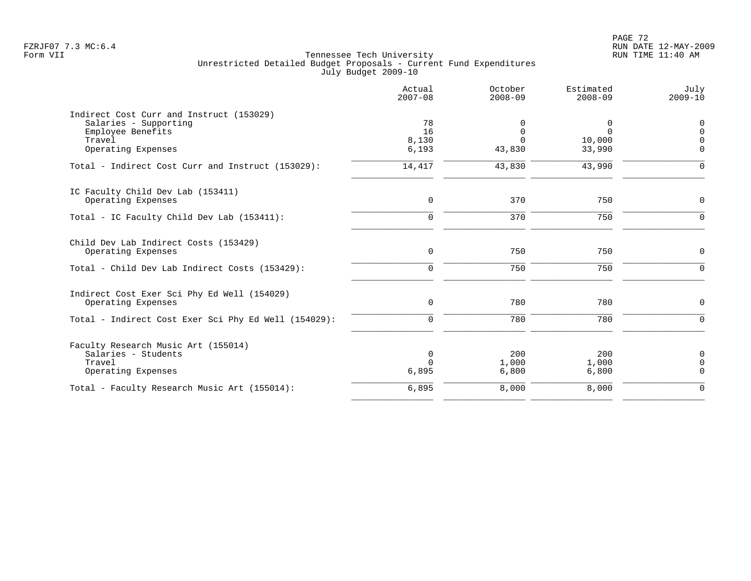|                                                                   | Actual<br>$2007 - 08$ | October<br>$2008 - 09$ | Estimated<br>$2008 - 09$ | July<br>$2009 - 10$ |
|-------------------------------------------------------------------|-----------------------|------------------------|--------------------------|---------------------|
| Indirect Cost Curr and Instruct (153029)<br>Salaries - Supporting | 78                    |                        | 0                        | 0                   |
| Employee Benefits                                                 | 16                    | 0                      | $\Omega$                 | $\mathbf 0$         |
| Travel                                                            | 8,130                 | $\Omega$               | 10,000                   | $\Omega$            |
| Operating Expenses                                                | 6,193                 | 43,830                 | 33,990                   | $\Omega$            |
| Total - Indirect Cost Curr and Instruct (153029):                 | 14,417                | 43,830                 | 43,990                   | $\Omega$            |
| IC Faculty Child Dev Lab (153411)                                 |                       |                        |                          |                     |
| Operating Expenses                                                | $\mathbf 0$           | 370                    | 750                      | $\mathbf 0$         |
| Total - IC Faculty Child Dev Lab (153411):                        | $\Omega$              | 370                    | 750                      | $\Omega$            |
| Child Dev Lab Indirect Costs (153429)                             |                       |                        |                          |                     |
| Operating Expenses                                                | $\mathbf 0$           | 750                    | 750                      | $\mathbf 0$         |
| Total - Child Dev Lab Indirect Costs (153429):                    | $\mathbf 0$           | 750                    | 750                      | $\mathbf 0$         |
| Indirect Cost Exer Sci Phy Ed Well (154029)                       |                       |                        |                          |                     |
| Operating Expenses                                                | $\mathsf{O}$          | 780                    | 780                      | $\mathbf 0$         |
| Total - Indirect Cost Exer Sci Phy Ed Well (154029):              | 0                     | 780                    | 780                      | $\mathbf 0$         |
| Faculty Research Music Art (155014)                               |                       |                        |                          |                     |
| Salaries - Students                                               | $\mathbf 0$           | 200                    | 200                      | $\mathbf 0$         |
| Travel                                                            | $\cap$                | 1,000                  | 1,000                    | $\mathbf 0$         |
| Operating Expenses                                                | 6,895                 | 6,800                  | 6,800                    | $\mathbf 0$         |
| Total - Faculty Research Music Art (155014):                      | 6,895                 | 8,000                  | 8,000                    | $\mathbf 0$         |
|                                                                   |                       |                        |                          |                     |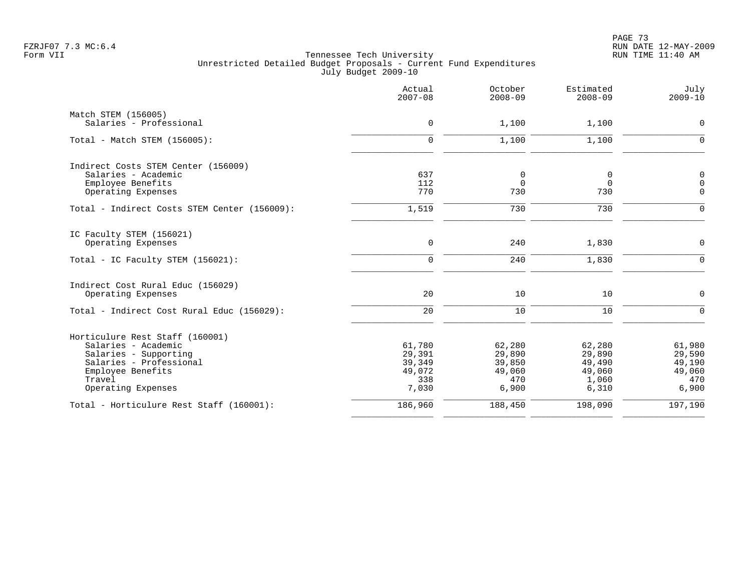PAGE 73 FZRJF07 7.3 MC:6.4 RUN DATE 12-MAY-2009

|                                              | Actual<br>$2007 - 08$ | October<br>$2008 - 09$ | Estimated<br>$2008 - 09$ | July<br>$2009 - 10$ |
|----------------------------------------------|-----------------------|------------------------|--------------------------|---------------------|
| Match STEM (156005)                          |                       |                        |                          |                     |
| Salaries - Professional                      | $\mathsf{O}$          | 1,100                  | 1,100                    | $\mathbf 0$         |
| Total - Match STEM (156005):                 | $\mathbf 0$           | 1,100                  | 1,100                    | $\Omega$            |
| Indirect Costs STEM Center (156009)          |                       |                        |                          |                     |
| Salaries - Academic                          | 637                   | 0                      | 0                        | 0                   |
| Employee Benefits                            | 112                   | $\mathbf 0$            | $\mathbf 0$              | $\mathsf 0$         |
| Operating Expenses                           | 770                   | 730                    | 730                      | $\mathbf 0$         |
| Total - Indirect Costs STEM Center (156009): | 1,519                 | 730                    | 730                      | $\Omega$            |
| IC Faculty STEM (156021)                     |                       |                        |                          |                     |
| Operating Expenses                           | $\mathbf 0$           | 240                    | 1,830                    | $\mathbf 0$         |
| Total - IC Faculty STEM (156021):            | $\mathbf 0$           | 240                    | 1,830                    | $\mathbf 0$         |
| Indirect Cost Rural Educ (156029)            |                       |                        |                          |                     |
| Operating Expenses                           | 20                    | 10                     | 10                       | $\mathbf 0$         |
| Total - Indirect Cost Rural Educ (156029):   | 20                    | 10                     | 10                       | $\Omega$            |
| Horticulure Rest Staff (160001)              |                       |                        |                          |                     |
| Salaries - Academic                          | 61,780                | 62,280                 | 62,280                   | 61,980              |
| Salaries - Supporting                        | 29,391                | 29,890                 | 29,890                   | 29,590              |
| Salaries - Professional                      | 39,349<br>49,072      | 39,850                 | 49,490                   | 49,190              |
| Employee Benefits<br>Travel                  | 338                   | 49,060<br>470          | 49,060<br>1,060          | 49,060<br>470       |
| Operating Expenses                           | 7,030                 | 6,900                  | 6,310                    | 6,900               |
| Total - Horticulure Rest Staff (160001):     | 186,960               | 188,450                | 198,090                  | 197,190             |
|                                              |                       |                        |                          |                     |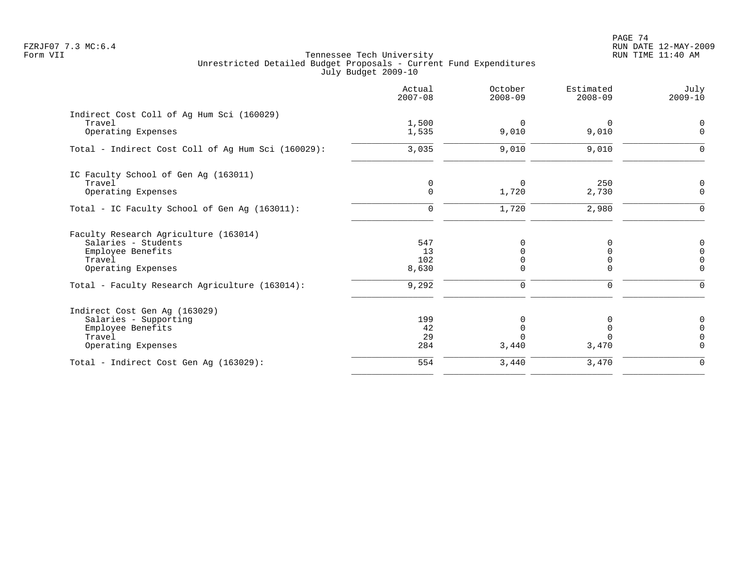PAGE 74 FZRJF07 7.3 MC:6.4 RUN DATE 12-MAY-2009

|                                                    | Actual<br>$2007 - 08$ | October<br>$2008 - 09$ | Estimated<br>$2008 - 09$ | July<br>$2009 - 10$ |
|----------------------------------------------------|-----------------------|------------------------|--------------------------|---------------------|
| Indirect Cost Coll of Ag Hum Sci (160029)          |                       |                        |                          |                     |
| Travel                                             | 1,500                 | $\Omega$               | 0                        |                     |
| Operating Expenses                                 | 1,535                 | 9,010                  | 9,010                    | $\Omega$            |
| Total - Indirect Cost Coll of Aq Hum Sci (160029): | 3,035                 | 9,010                  | 9,010                    |                     |
| IC Faculty School of Gen Ag (163011)               |                       |                        |                          |                     |
| Travel                                             | 0                     | $\Omega$               | 250                      | $\mathbf 0$         |
| Operating Expenses                                 | $\mathbf 0$           | 1,720                  | 2,730                    | $\mathbf 0$         |
| Total - IC Faculty School of Gen Aq (163011):      | $\Omega$              | 1,720                  | 2,980                    | $\Omega$            |
| Faculty Research Agriculture (163014)              |                       |                        |                          |                     |
| Salaries - Students                                | 547                   |                        |                          | $\Omega$            |
| Employee Benefits                                  | 13                    |                        | U                        | $\Omega$            |
| Travel                                             | 102                   |                        | 0                        | $\Omega$            |
| Operating Expenses                                 | 8,630                 |                        | 0                        | $\Omega$            |
| Total - Faculty Research Agriculture (163014):     | 9,292                 | 0                      | 0                        | $\Omega$            |
| Indirect Cost Gen Ag (163029)                      |                       |                        |                          |                     |
| Salaries - Supporting                              | 199                   | U                      |                          | 0                   |
| Employee Benefits                                  | 42                    |                        |                          | $\Omega$            |
| Travel                                             | 29                    |                        | $\cap$                   | $\Omega$            |
| Operating Expenses                                 | 284                   | 3,440                  | 3,470                    | $\Omega$            |
| Total - Indirect Cost Gen Aq (163029):             | 554                   | 3,440                  | 3,470                    | $\mathbf 0$         |
|                                                    |                       |                        |                          |                     |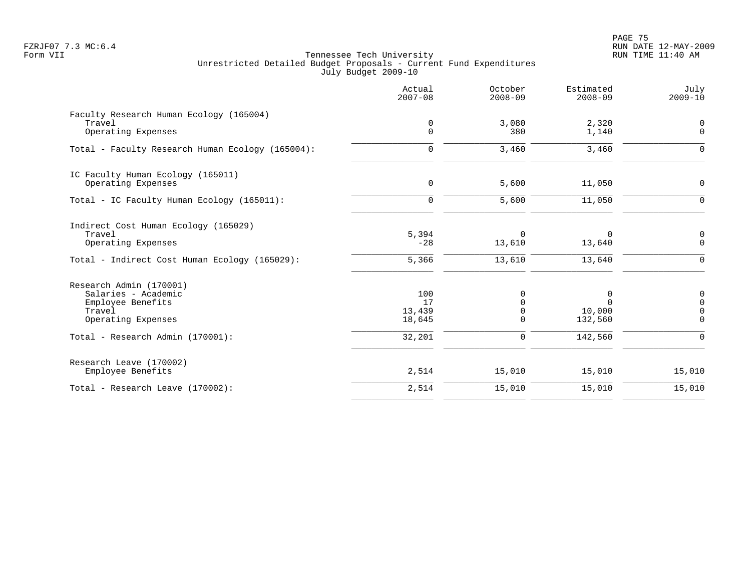PAGE 75 FZRJF07 7.3 MC:6.4 RUN DATE 12-MAY-2009

|                                                   | Actual<br>$2007 - 08$ | October<br>$2008 - 09$ | Estimated<br>$2008 - 09$ | July<br>$2009 - 10$        |
|---------------------------------------------------|-----------------------|------------------------|--------------------------|----------------------------|
| Faculty Research Human Ecology (165004)<br>Travel | 0                     | 3,080                  | 2,320                    | $\overline{0}$             |
| Operating Expenses                                | $\mathbf 0$           | 380                    | 1,140                    | $\mathbf 0$                |
| Total - Faculty Research Human Ecology (165004):  | 0                     | 3,460                  | 3,460                    | $\Omega$                   |
| IC Faculty Human Ecology (165011)                 |                       |                        |                          |                            |
| Operating Expenses                                | $\mathbf 0$           | 5,600                  | 11,050                   | $\mathbf 0$                |
| Total - IC Faculty Human Ecology (165011):        | $\mathbf 0$           | 5,600                  | 11,050                   | $\mathbf 0$                |
| Indirect Cost Human Ecology (165029)              |                       |                        |                          |                            |
| Travel<br>Operating Expenses                      | 5,394<br>$-28$        | $\Omega$<br>13,610     | $\Omega$<br>13,640       | 0<br>$\mathbf 0$           |
| Total - Indirect Cost Human Ecology (165029):     | 5,366                 | 13,610                 | 13,640                   | $\mathbf 0$                |
| Research Admin (170001)                           |                       |                        |                          |                            |
| Salaries - Academic                               | 100                   | 0                      | 0                        | 0                          |
| Employee Benefits<br>Travel                       | 17<br>13,439          | $\Omega$<br>0          | $\Omega$<br>10,000       | $\mathbf 0$<br>$\mathbf 0$ |
| Operating Expenses                                | 18,645                | $\mathbf 0$            | 132,560                  | 0                          |
| Total - Research Admin (170001):                  | 32,201                | $\mathbf 0$            | 142,560                  | $\mathbf 0$                |
| Research Leave (170002)                           |                       |                        |                          |                            |
| Employee Benefits                                 | 2,514                 | 15,010                 | 15,010                   | 15,010                     |
| Total - Research Leave (170002):                  | 2,514                 | 15,010                 | 15,010                   | 15,010                     |
|                                                   |                       |                        |                          |                            |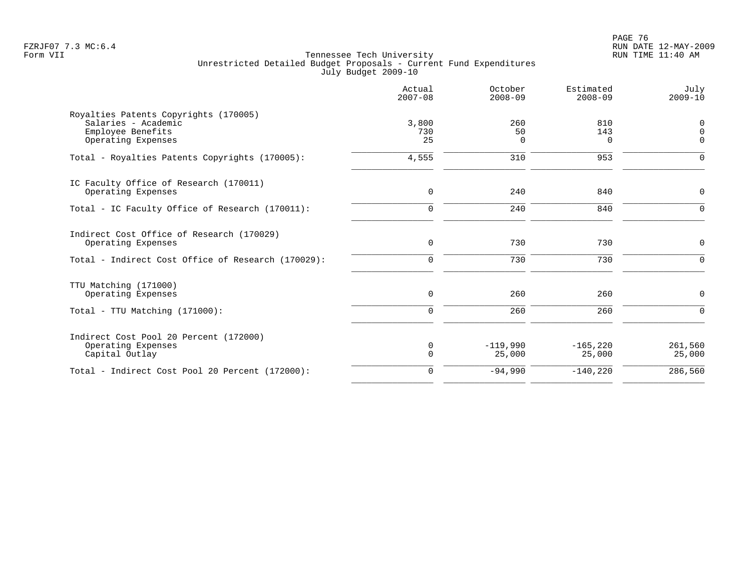| Actual<br>$2007 - 08$ | October<br>$2008 - 09$                 | Estimated<br>$2008 - 09$                   | July<br>$2009 - 10$                          |
|-----------------------|----------------------------------------|--------------------------------------------|----------------------------------------------|
|                       |                                        |                                            |                                              |
|                       |                                        |                                            | $\mathbf 0$                                  |
|                       |                                        |                                            | $\Omega$                                     |
|                       |                                        |                                            | $\Omega$                                     |
| 4,555                 | 310                                    | 953                                        | $\Omega$                                     |
|                       |                                        |                                            |                                              |
|                       |                                        |                                            | $\mathbf 0$                                  |
| $\Omega$              | 240                                    | 840                                        | $\Omega$                                     |
|                       |                                        |                                            |                                              |
| $\mathbf 0$           | 730                                    | 730                                        | $\mathbf 0$                                  |
| $\mathbf 0$           | 730                                    | 730                                        | $\Omega$                                     |
|                       |                                        |                                            |                                              |
| $\mathbf 0$           | 260                                    | 260                                        | $\mathbf 0$                                  |
| $\mathbf 0$           | 260                                    | 260                                        | $\Omega$                                     |
|                       |                                        |                                            |                                              |
|                       |                                        |                                            | 261,560                                      |
| $\mathbf 0$           | 25,000                                 | 25,000                                     | 25,000                                       |
| $\Omega$              | $-94,990$                              | $-140,220$                                 | 286,560                                      |
|                       | 3,800<br>730<br>25<br>$\mathbf 0$<br>0 | 260<br>50<br>$\Omega$<br>240<br>$-119,990$ | 810<br>143<br>$\Omega$<br>840<br>$-165, 220$ |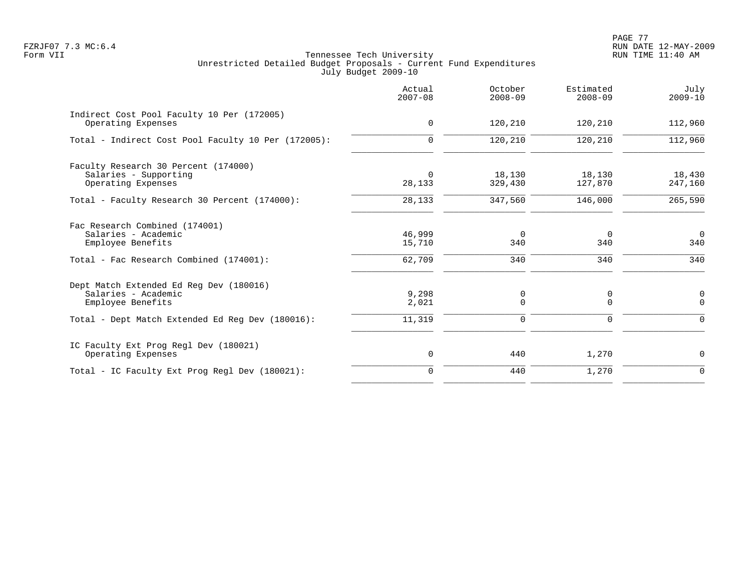PAGE 77 FZRJF07 7.3 MC:6.4 RUN DATE 12-MAY-2009

|                                                                                                                                         | Actual<br>$2007 - 08$      | October<br>$2008 - 09$ | Estimated<br>$2008 - 09$ | July<br>$2009 - 10$       |
|-----------------------------------------------------------------------------------------------------------------------------------------|----------------------------|------------------------|--------------------------|---------------------------|
| Indirect Cost Pool Faculty 10 Per (172005)<br>Operating Expenses                                                                        | $\mathbf 0$                | 120,210                | 120,210                  | 112,960                   |
| Total - Indirect Cost Pool Faculty 10 Per (172005):                                                                                     | $\mathbf 0$                | 120,210                | 120,210                  | 112,960                   |
| Faculty Research 30 Percent (174000)<br>Salaries - Supporting<br>Operating Expenses                                                     | $\Omega$<br>28,133         | 18,130<br>329,430      | 18,130<br>127,870        | 18,430<br>247,160         |
| Total - Faculty Research 30 Percent (174000):                                                                                           | 28,133                     | 347,560                | 146,000                  | 265,590                   |
| Fac Research Combined (174001)<br>Salaries - Academic<br>Employee Benefits<br>Total - Fac Research Combined (174001):                   | 46,999<br>15,710<br>62,709 | $\Omega$<br>340<br>340 | $\Omega$<br>340<br>340   | $\Omega$<br>340<br>340    |
| Dept Match Extended Ed Req Dev (180016)<br>Salaries - Academic<br>Employee Benefits<br>Total - Dept Match Extended Ed Req Dev (180016): | 9,298<br>2,021<br>11,319   | 0<br>$\mathbf 0$<br>0  | 0<br>$\Omega$<br>0       | 0<br>$\Omega$<br>$\Omega$ |
| IC Faculty Ext Prog Regl Dev (180021)<br>Operating Expenses                                                                             | 0                          | 440                    | 1,270                    | 0                         |
| Total - IC Faculty Ext Prog Regl Dev (180021):                                                                                          | $\mathbf 0$                | 440                    | 1,270                    | $\mathbf 0$               |
|                                                                                                                                         |                            |                        |                          |                           |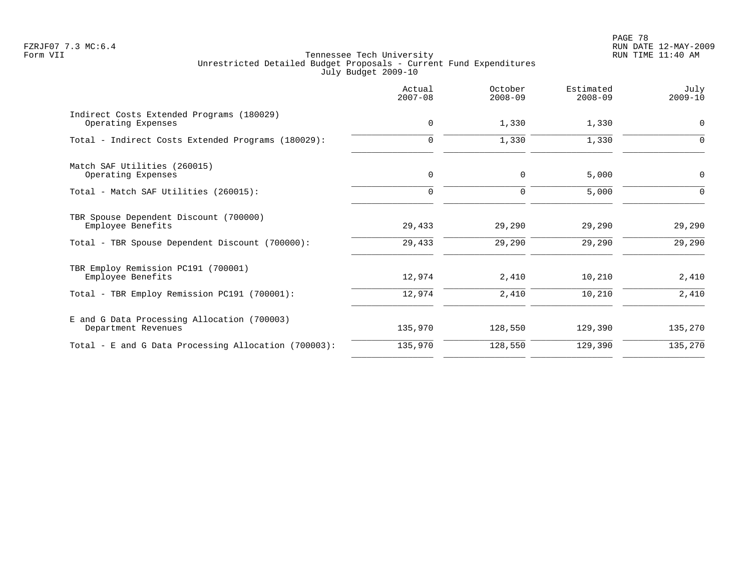PAGE 78 FZRJF07 7.3 MC:6.4 RUN DATE 12-MAY-2009

|                                                                    | Actual<br>$2007 - 08$ | October<br>$2008 - 09$ | Estimated<br>$2008 - 09$ | July<br>$2009 - 10$ |
|--------------------------------------------------------------------|-----------------------|------------------------|--------------------------|---------------------|
| Indirect Costs Extended Programs (180029)<br>Operating Expenses    | $\mathbf 0$           | 1,330                  | 1,330                    | 0                   |
| Total - Indirect Costs Extended Programs (180029):                 | 0                     | 1,330                  | 1,330                    | 0                   |
| Match SAF Utilities (260015)<br>Operating Expenses                 | $\mathbf 0$           | $\mathbf 0$            | 5,000                    | 0                   |
| Total - Match SAF Utilities (260015):                              | $\Omega$              | $\mathbf 0$            | 5,000                    | $\Omega$            |
| TBR Spouse Dependent Discount (700000)<br>Employee Benefits        | 29,433                | 29,290                 | 29,290                   | 29,290              |
| Total - TBR Spouse Dependent Discount (700000):                    | 29,433                | 29,290                 | 29,290                   | 29,290              |
| TBR Employ Remission PC191 (700001)<br>Employee Benefits           | 12,974                | 2,410                  | 10,210                   | 2,410               |
| Total - TBR Employ Remission PC191 (700001):                       | 12,974                | 2,410                  | 10,210                   | 2,410               |
| E and G Data Processing Allocation (700003)<br>Department Revenues | 135,970               | 128,550                | 129,390                  | 135,270             |
| Total - E and G Data Processing Allocation (700003):               | 135,970               | 128,550                | 129,390                  | 135,270             |
|                                                                    |                       |                        |                          |                     |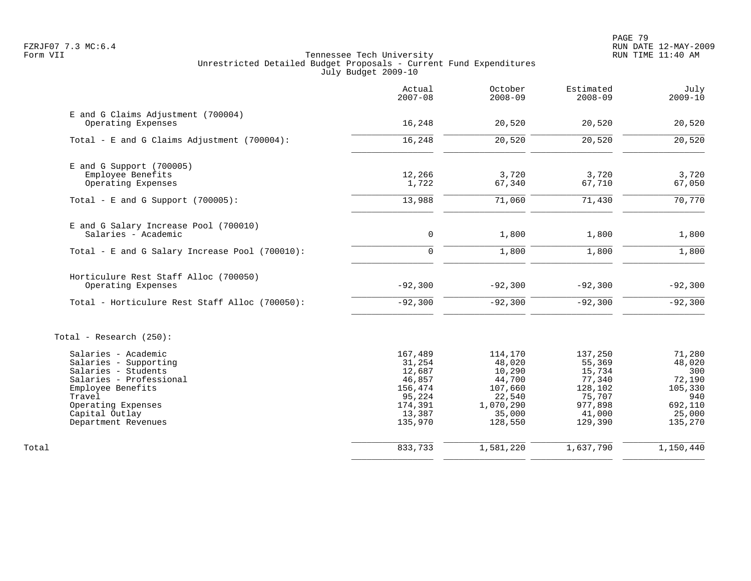PAGE 79 FZRJF07 7.3 MC:6.4 RUN DATE 12-MAY-2009

|                                                          | Actual<br>$2007 - 08$ | October<br>$2008 - 09$ | Estimated<br>$2008 - 09$ | July<br>$2009 - 10$ |
|----------------------------------------------------------|-----------------------|------------------------|--------------------------|---------------------|
| E and G Claims Adjustment (700004)<br>Operating Expenses | 16,248                | 20,520                 | 20,520                   | 20,520              |
| Total - E and G Claims Adjustment $(700004)$ :           | 16,248                | 20,520                 | 20,520                   | 20,520              |
| $E$ and G Support (700005)                               |                       |                        |                          |                     |
| Employee Benefits                                        | 12,266                | 3,720                  | 3,720                    | 3,720               |
| Operating Expenses                                       | 1,722                 | 67,340                 | 67,710                   | 67,050              |
| Total - E and G Support $(700005)$ :                     | 13,988                | 71,060                 | 71,430                   | 70,770              |
| E and G Salary Increase Pool (700010)                    |                       |                        |                          |                     |
| Salaries - Academic                                      | $\mathbf 0$           | 1,800                  | 1,800                    | 1,800               |
| Total - E and G Salary Increase Pool (700010):           | $\Omega$              | 1,800                  | 1,800                    | 1,800               |
| Horticulure Rest Staff Alloc (700050)                    |                       |                        |                          |                     |
| Operating Expenses                                       | $-92,300$             | $-92,300$              | $-92,300$                | $-92,300$           |
| Total - Horticulure Rest Staff Alloc (700050):           | $-92,300$             | $-92,300$              | $-92,300$                | $-92,300$           |
| Total - Research $(250)$ :                               |                       |                        |                          |                     |
| Salaries - Academic                                      | 167,489               | 114,170                | 137,250                  | 71,280              |
| Salaries - Supporting                                    | 31,254                | 48,020                 | 55,369                   | 48,020              |
| Salaries - Students<br>Salaries - Professional           | 12,687<br>46,857      | 10,290<br>44,700       | 15,734<br>77,340         | 300<br>72,190       |
| Employee Benefits                                        | 156,474               | 107,660                | 128,102                  | 105,330             |
| Travel                                                   | 95,224                | 22,540                 | 75,707                   | 940                 |
| Operating Expenses                                       | 174,391               | 1,070,290              | 977,898                  | 692,110             |
| Capital Outlay<br>Department Revenues                    | 13,387<br>135,970     | 35,000<br>128,550      | 41,000<br>129,390        | 25,000<br>135,270   |
|                                                          |                       |                        |                          |                     |
| Total                                                    | 833,733               | 1,581,220              | 1,637,790                | 1,150,440           |
|                                                          |                       |                        |                          |                     |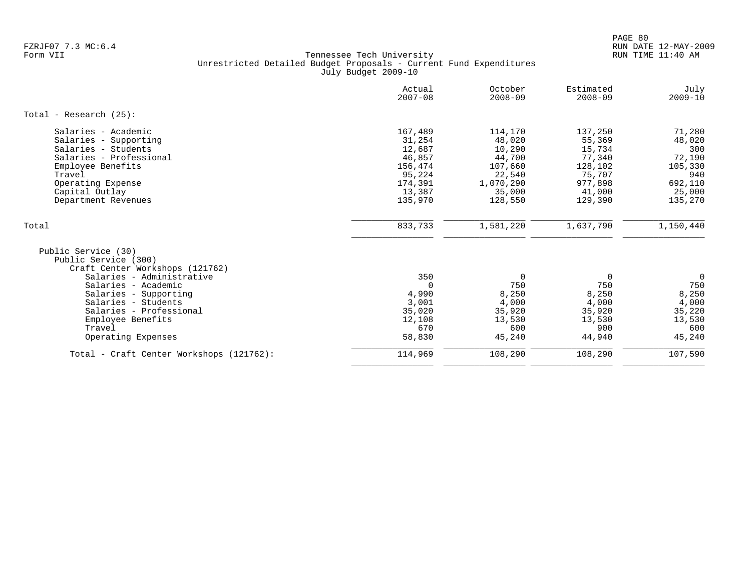|                                                                                                                                                                                                               | Actual<br>$2007 - 08$                                                                      | October<br>$2008 - 09$                                                                       | Estimated<br>$2008 - 09$                                                                   | July<br>$2009 - 10$                                                                 |
|---------------------------------------------------------------------------------------------------------------------------------------------------------------------------------------------------------------|--------------------------------------------------------------------------------------------|----------------------------------------------------------------------------------------------|--------------------------------------------------------------------------------------------|-------------------------------------------------------------------------------------|
| Total - Research $(25)$ :                                                                                                                                                                                     |                                                                                            |                                                                                              |                                                                                            |                                                                                     |
| Salaries - Academic<br>Salaries - Supporting<br>Salaries - Students<br>Salaries - Professional<br>Employee Benefits<br>Travel<br>Operating Expense<br>Capital Outlay<br>Department Revenues                   | 167,489<br>31,254<br>12,687<br>46,857<br>156,474<br>95,224<br>174,391<br>13,387<br>135,970 | 114,170<br>48,020<br>10,290<br>44,700<br>107,660<br>22,540<br>1,070,290<br>35,000<br>128,550 | 137,250<br>55,369<br>15,734<br>77,340<br>128,102<br>75,707<br>977,898<br>41,000<br>129,390 | 71,280<br>48,020<br>300<br>72,190<br>105,330<br>940<br>692,110<br>25,000<br>135,270 |
| Total                                                                                                                                                                                                         | 833,733                                                                                    | 1,581,220                                                                                    | 1,637,790                                                                                  | 1,150,440                                                                           |
| Public Service (30)<br>Public Service (300)<br>Craft Center Workshops (121762)<br>Salaries - Administrative<br>Salaries - Academic<br>Salaries - Supporting<br>Salaries - Students<br>Salaries - Professional | 350<br>$\Omega$<br>4,990<br>3,001<br>35,020                                                | $\Omega$<br>750<br>8,250<br>4,000<br>35,920                                                  | 0<br>750<br>8,250<br>4,000<br>35,920                                                       | $\overline{0}$<br>750<br>8,250<br>4,000<br>35,220                                   |
| Employee Benefits<br>Travel<br>Operating Expenses                                                                                                                                                             | 12,108<br>670<br>58,830                                                                    | 13,530<br>600<br>45,240                                                                      | 13,530<br>900<br>44,940                                                                    | 13,530<br>600<br>45,240                                                             |
| Total - Craft Center Workshops (121762):                                                                                                                                                                      | 114,969                                                                                    | 108,290                                                                                      | 108,290                                                                                    | 107,590                                                                             |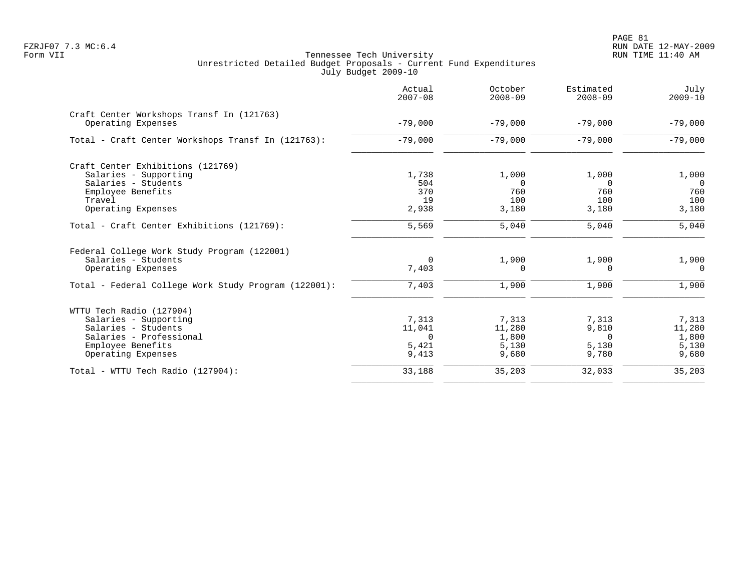PAGE 81 FZRJF07 7.3 MC:6.4 RUN DATE 12-MAY-2009

|                                                      | Actual<br>$2007 - 08$ | October<br>$2008 - 09$ | Estimated<br>$2008 - 09$ | July<br>$2009 - 10$ |
|------------------------------------------------------|-----------------------|------------------------|--------------------------|---------------------|
| Craft Center Workshops Transf In (121763)            |                       |                        |                          |                     |
| Operating Expenses                                   | $-79,000$             | $-79,000$              | $-79,000$                | $-79,000$           |
| Total - Craft Center Workshops Transf In (121763):   | $-79,000$             | $-79,000$              | $-79,000$                | $-79,000$           |
| Craft Center Exhibitions (121769)                    |                       |                        |                          |                     |
| Salaries - Supporting                                | 1,738                 | 1,000                  | 1,000                    | 1,000               |
| Salaries - Students                                  | 504                   | $\Omega$               | $\Omega$                 | $\Omega$            |
| Employee Benefits                                    | 370                   | 760                    | 760                      | 760                 |
| Travel                                               | 19                    | 100                    | 100                      | 100                 |
| Operating Expenses                                   | 2,938                 | 3,180                  | 3,180                    | 3,180               |
| Total - Craft Center Exhibitions (121769):           | 5,569                 | 5,040                  | 5,040                    | 5,040               |
| Federal College Work Study Program (122001)          |                       |                        |                          |                     |
| Salaries - Students                                  | $\mathbf 0$           | 1,900                  | 1,900                    | 1,900               |
| Operating Expenses                                   | 7,403                 | 0                      | $\Omega$                 | $\Omega$            |
| Total - Federal College Work Study Program (122001): | 7,403                 | 1,900                  | 1,900                    | 1,900               |
| WTTU Tech Radio (127904)                             |                       |                        |                          |                     |
| Salaries - Supporting                                | 7,313                 | 7,313                  | 7,313                    | 7,313               |
| Salaries - Students                                  | 11,041                | 11,280                 | 9,810                    | 11,280              |
| Salaries - Professional                              | $\Omega$              | 1,800                  | $\Omega$                 | 1,800               |
| Employee Benefits                                    | 5,421                 | 5,130                  | 5,130                    | 5,130               |
| Operating Expenses                                   | 9,413                 | 9,680                  | 9,780                    | 9,680               |
| Total - WTTU Tech Radio (127904):                    | 33,188                | 35,203                 | 32,033                   | 35,203              |
|                                                      |                       |                        |                          |                     |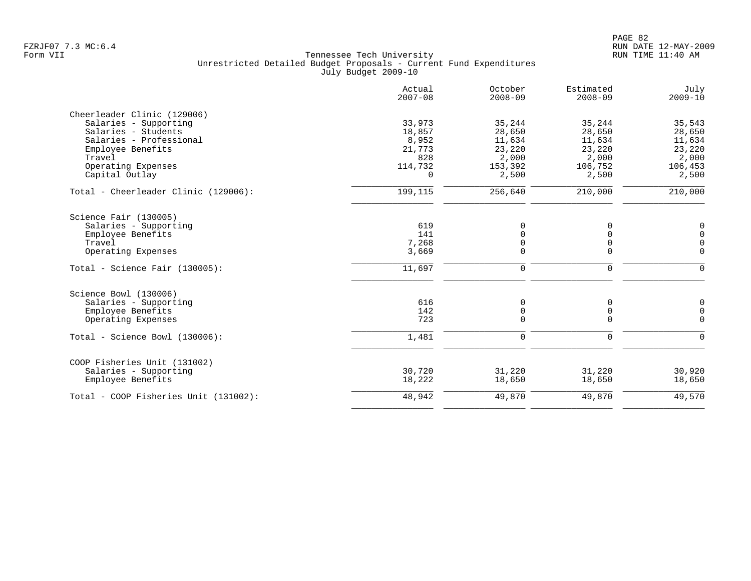|                                       | Actual<br>$2007 - 08$ | October<br>$2008 - 09$ | Estimated<br>$2008 - 09$ | July<br>$2009 - 10$ |
|---------------------------------------|-----------------------|------------------------|--------------------------|---------------------|
| Cheerleader Clinic (129006)           |                       |                        |                          |                     |
| Salaries - Supporting                 | 33,973                | 35,244                 | 35,244                   | 35,543              |
| Salaries - Students                   | 18,857                | 28,650                 | 28,650                   | 28,650              |
| Salaries - Professional               | 8,952                 | 11,634                 | 11,634                   | 11,634              |
| Employee Benefits                     | 21,773                | 23,220                 | 23,220                   | 23,220              |
| Travel                                | 828                   | 2,000                  | 2,000                    | 2,000               |
| Operating Expenses<br>Capital Outlay  | 114,732<br>$\Omega$   | 153,392<br>2,500       | 106,752<br>2,500         | 106,453<br>2,500    |
| Total - Cheerleader Clinic (129006):  | 199,115               | 256,640                | 210,000                  | 210,000             |
| Science Fair (130005)                 |                       |                        |                          |                     |
| Salaries - Supporting                 | 619                   | $\Omega$               | $\Omega$                 | 0                   |
| Employee Benefits                     | 141                   | $\Omega$               | 0                        | $\mathsf 0$         |
| Travel                                | 7,268                 | $\Omega$               | $\mathbf 0$              | $\mathsf 0$         |
| Operating Expenses                    | 3,669                 | $\Omega$               | $\Omega$                 | $\Omega$            |
| Total - Science Fair $(130005)$ :     | 11,697                | $\mathbf 0$            | $\mathbf 0$              | $\Omega$            |
| Science Bowl (130006)                 |                       |                        |                          |                     |
| Salaries - Supporting                 | 616                   | 0                      | 0                        | 0                   |
| Employee Benefits                     | 142                   | $\mathbf 0$            | $\mathbf 0$              | $\mathsf 0$         |
| Operating Expenses                    | 723                   | $\Omega$               | $\Omega$                 | $\Omega$            |
| Total - Science Bowl (130006):        | 1,481                 | 0                      | $\mathbf 0$              | $\Omega$            |
| COOP Fisheries Unit (131002)          |                       |                        |                          |                     |
| Salaries - Supporting                 | 30,720                | 31,220                 | 31,220                   | 30,920              |
| Employee Benefits                     | 18,222                | 18,650                 | 18,650                   | 18,650              |
| Total - COOP Fisheries Unit (131002): | 48,942                | 49,870                 | 49,870                   | 49,570              |
|                                       |                       |                        |                          |                     |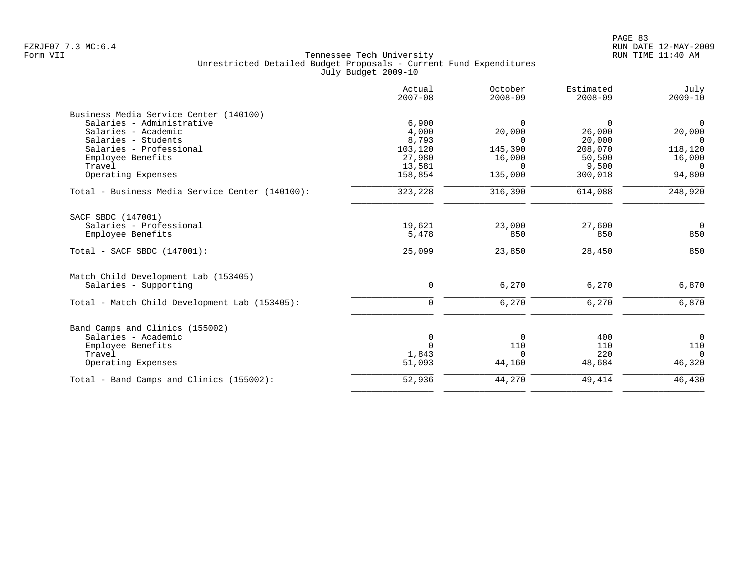| Actual<br>$2007 - 08$ | October<br>$2008 - 09$                              | Estimated<br>$2008 - 09$                           | July<br>$2009 - 10$                   |
|-----------------------|-----------------------------------------------------|----------------------------------------------------|---------------------------------------|
|                       |                                                     |                                                    |                                       |
| 6,900                 | $\Omega$                                            | $\Omega$                                           | $\Omega$                              |
| 4,000                 | 20,000                                              | 26,000                                             | 20,000                                |
| 8,793                 | $\Omega$                                            | 20,000                                             | $\Omega$                              |
| 103,120               | 145,390                                             | 208,070                                            | 118,120                               |
| 27,980                | 16,000                                              | 50,500                                             | 16,000                                |
| 13,581                | $\Omega$                                            | 9,500                                              | $\Omega$                              |
| 158,854               | 135,000                                             | 300,018                                            | 94,800                                |
| 323,228               | 316,390                                             | 614,088                                            | 248,920                               |
|                       |                                                     |                                                    |                                       |
|                       |                                                     |                                                    | $\overline{0}$                        |
|                       | 850                                                 | 850                                                | 850                                   |
|                       |                                                     |                                                    |                                       |
|                       |                                                     |                                                    | 850                                   |
|                       |                                                     |                                                    |                                       |
| $\mathbf 0$           | 6,270                                               | 6,270                                              | 6,870                                 |
| 0                     | 6,270                                               | 6,270                                              | 6,870                                 |
|                       |                                                     |                                                    |                                       |
|                       |                                                     |                                                    | $\overline{0}$                        |
|                       |                                                     |                                                    | 110                                   |
|                       |                                                     |                                                    | $\Omega$                              |
| 51,093                | 44,160                                              | 48,684                                             | 46,320                                |
| 52,936                | 44,270                                              | 49,414                                             | 46,430                                |
|                       | 19,621<br>5,478<br>25,099<br>0<br>$\Omega$<br>1,843 | 23,000<br>23,850<br>$\mathbf 0$<br>110<br>$\Omega$ | 27,600<br>28,450<br>400<br>110<br>220 |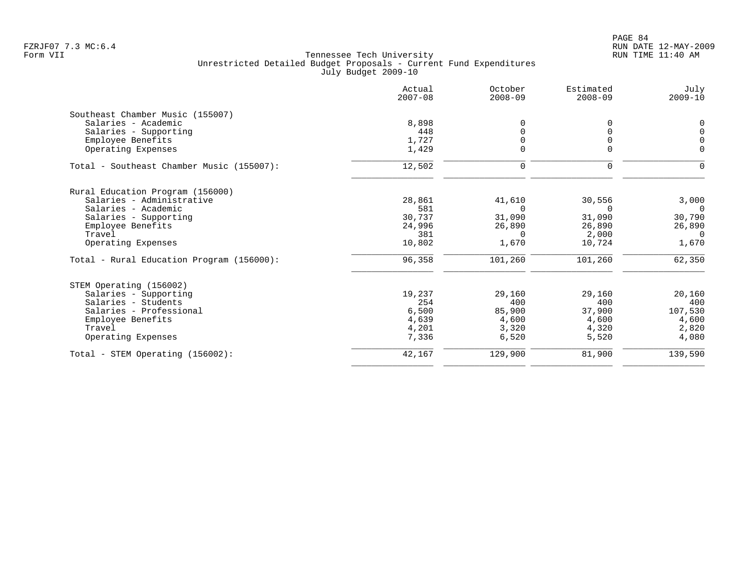|                                           | Actual<br>$2007 - 08$ | October<br>$2008 - 09$ | Estimated<br>$2008 - 09$ | July<br>$2009 - 10$ |
|-------------------------------------------|-----------------------|------------------------|--------------------------|---------------------|
| Southeast Chamber Music (155007)          |                       |                        |                          |                     |
| Salaries - Academic                       | 8,898                 | $\Omega$               | 0                        | 0                   |
| Salaries - Supporting                     | 448                   | 0                      |                          | $\mathbf 0$         |
| Employee Benefits                         | 1,727                 | 0                      | 0                        | $\overline{0}$      |
| Operating Expenses                        | 1,429                 | $\Omega$               | $\Omega$                 | $\mathbf 0$         |
| Total - Southeast Chamber Music (155007): | 12,502                | 0                      | 0                        | $\mathbf 0$         |
| Rural Education Program (156000)          |                       |                        |                          |                     |
| Salaries - Administrative                 | 28,861                | 41,610                 | 30,556                   | 3,000               |
| Salaries - Academic                       | 581                   | $\Omega$               | <sup>n</sup>             | $\cap$              |
| Salaries - Supporting                     | 30,737                | 31,090                 | 31,090                   | 30,790              |
| Employee Benefits                         | 24,996                | 26,890                 | 26,890                   | 26,890              |
| Travel                                    | 381                   | $\Omega$               | 2,000                    | $\Omega$            |
| Operating Expenses                        | 10,802                | 1,670                  | 10,724                   | 1,670               |
| Total - Rural Education Program (156000): | 96,358                | 101,260                | 101,260                  | 62,350              |
| STEM Operating (156002)                   |                       |                        |                          |                     |
| Salaries - Supporting                     | 19,237                | 29,160                 | 29,160                   | 20,160              |
| Salaries - Students                       | 254                   | 400                    | 400                      | 400                 |
| Salaries - Professional                   | 6,500                 | 85,900                 | 37,900                   | 107,530             |
| Employee Benefits                         | 4,639                 | 4,600                  | 4,600                    | 4,600               |
| Travel                                    | 4,201                 | 3,320                  | 4,320                    | 2,820               |
| Operating Expenses                        | 7,336                 | 6,520                  | 5,520                    | 4,080               |
| Total - STEM Operating (156002):          | 42,167                | 129,900                | 81,900                   | 139,590             |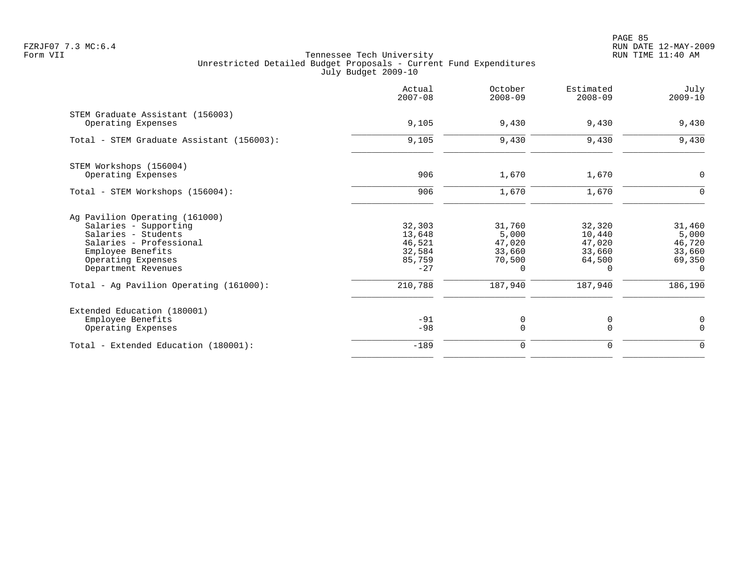PAGE 85 FZRJF07 7.3 MC:6.4 RUN DATE 12-MAY-2009

|                                                        | Actual<br>$2007 - 08$ | October<br>$2008 - 09$ | Estimated<br>$2008 - 09$ | July<br>$2009 - 10$ |
|--------------------------------------------------------|-----------------------|------------------------|--------------------------|---------------------|
| STEM Graduate Assistant (156003)<br>Operating Expenses | 9,105                 | 9,430                  | 9,430                    | 9,430               |
| Total - STEM Graduate Assistant (156003):              | 9,105                 | 9,430                  | 9,430                    | 9,430               |
| STEM Workshops (156004)                                |                       |                        |                          |                     |
| Operating Expenses                                     | 906                   | 1,670                  | 1,670                    | $\mathbf 0$         |
| Total - STEM Workshops (156004):                       | 906                   | 1,670                  | 1,670                    | $\mathbf 0$         |
| Ag Pavilion Operating (161000)                         |                       |                        |                          |                     |
| Salaries - Supporting                                  | 32,303                | 31,760                 | 32,320                   | 31,460              |
| Salaries - Students                                    | 13,648                | 5,000                  | 10,440                   | 5,000               |
| Salaries - Professional                                | 46,521                | 47,020                 | 47,020                   | 46,720              |
| Employee Benefits<br>Operating Expenses                | 32,584<br>85,759      | 33,660<br>70,500       | 33,660<br>64,500         | 33,660<br>69,350    |
| Department Revenues                                    | $-27$                 | $\Omega$               | $\Omega$                 | $\Omega$            |
| Total - Ag Pavilion Operating (161000):                | 210,788               | 187,940                | 187,940                  | 186,190             |
| Extended Education (180001)                            |                       |                        |                          |                     |
| Employee Benefits                                      | $-91$                 | 0                      | 0                        | 0                   |
| Operating Expenses                                     | $-98$                 | $\mathbf 0$            | $\Omega$                 | $\Omega$            |
| Total - Extended Education (180001):                   | $-189$                | 0                      | $\mathbf 0$              | $\mathbf 0$         |
|                                                        |                       |                        |                          |                     |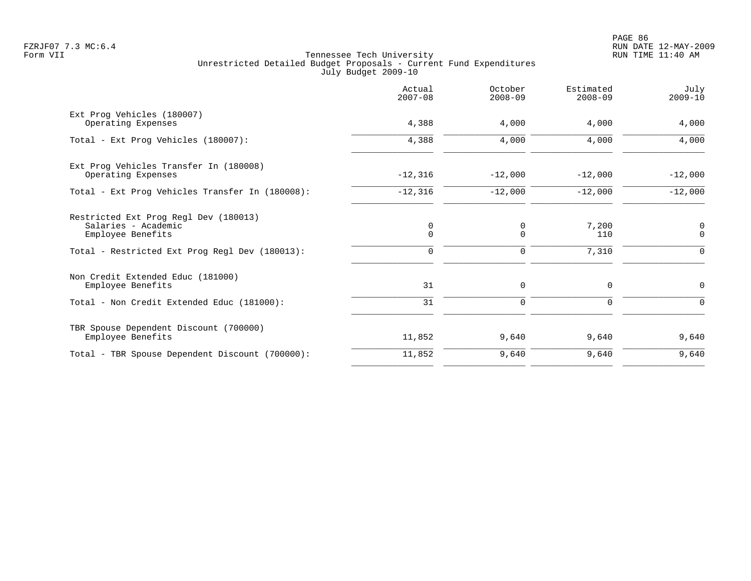PAGE 86 FZRJF07 7.3 MC:6.4 RUN DATE 12-MAY-2009

|                                                                                   | Actual<br>$2007 - 08$      | October<br>$2008 - 09$ | Estimated<br>$2008 - 09$ | July<br>$2009 - 10$ |
|-----------------------------------------------------------------------------------|----------------------------|------------------------|--------------------------|---------------------|
| Ext Prog Vehicles (180007)<br>Operating Expenses                                  | 4,388                      | 4,000                  | 4,000                    | 4,000               |
| Total - Ext Prog Vehicles (180007):                                               | 4,388                      | 4,000                  | 4,000                    | 4,000               |
| Ext Prog Vehicles Transfer In (180008)<br>Operating Expenses                      | $-12,316$                  | $-12,000$              | $-12,000$                | $-12,000$           |
| Total - Ext Prog Vehicles Transfer In (180008):                                   | $-12,316$                  | $-12,000$              | $-12,000$                | $-12,000$           |
| Restricted Ext Prog Regl Dev (180013)<br>Salaries - Academic<br>Employee Benefits | $\mathbf 0$<br>$\mathbf 0$ | 0<br>$\mathbf 0$       | 7,200<br>110             | 0<br>$\mathbf 0$    |
| Total - Restricted Ext Prog Regl Dev (180013):                                    | $\Omega$                   | $\Omega$               | 7,310                    | $\Omega$            |
| Non Credit Extended Educ (181000)<br>Employee Benefits                            | 31                         | 0                      | 0                        | 0                   |
| Total - Non Credit Extended Educ (181000):                                        | 31                         | $\mathbf 0$            | $\Omega$                 | $\Omega$            |
| TBR Spouse Dependent Discount (700000)<br>Employee Benefits                       | 11,852                     | 9,640                  | 9,640                    | 9,640               |
| Total - TBR Spouse Dependent Discount (700000):                                   | 11,852                     | 9,640                  | 9,640                    | 9,640               |
|                                                                                   |                            |                        |                          |                     |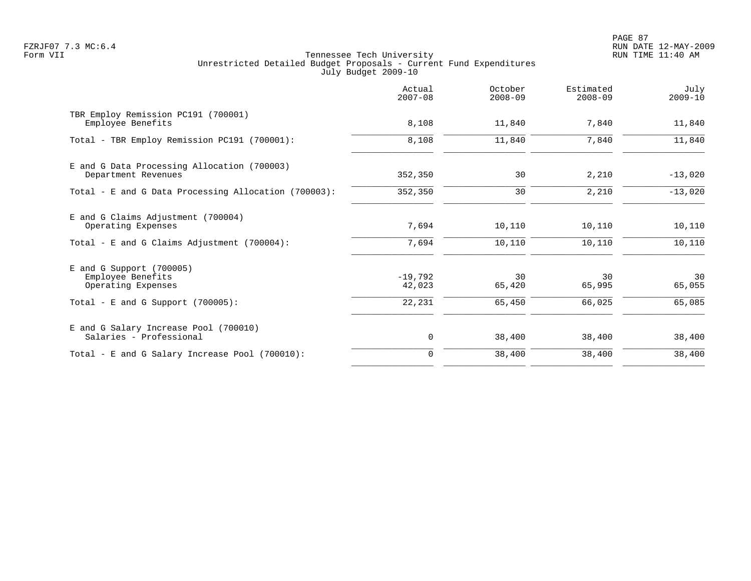PAGE 87 FZRJF07 7.3 MC:6.4 RUN DATE 12-MAY-2009

|                                                                       | Actual<br>$2007 - 08$ | October<br>$2008 - 09$ | Estimated<br>$2008 - 09$ | July<br>$2009 - 10$ |
|-----------------------------------------------------------------------|-----------------------|------------------------|--------------------------|---------------------|
| TBR Employ Remission PC191 (700001)<br>Employee Benefits              | 8,108                 | 11,840                 | 7,840                    | 11,840              |
| Total - TBR Employ Remission PC191 (700001):                          | 8,108                 | 11,840                 | 7,840                    | 11,840              |
| E and G Data Processing Allocation (700003)<br>Department Revenues    | 352,350               | 30                     | 2,210                    | $-13,020$           |
| Total - E and G Data Processing Allocation (700003):                  | 352,350               | 30                     | 2,210                    | $-13,020$           |
| E and G Claims Adjustment (700004)<br>Operating Expenses              | 7,694                 | 10,110                 | 10,110                   | 10,110              |
| Total - E and G Claims Adjustment $(700004)$ :                        | 7,694                 | 10,110                 | 10,110                   | 10,110              |
| $E$ and G Support (700005)<br>Employee Benefits<br>Operating Expenses | $-19,792$<br>42,023   | 30<br>65,420           | 30<br>65,995             | 30<br>65,055        |
| Total - E and G Support $(700005)$ :                                  | 22,231                | 65,450                 | 66,025                   | 65,085              |
| E and G Salary Increase Pool (700010)<br>Salaries - Professional      | 0                     | 38,400                 | 38,400                   | 38,400              |
| Total - E and G Salary Increase Pool (700010):                        | $\mathbf 0$           | 38,400                 | 38,400                   | 38,400              |
|                                                                       |                       |                        |                          |                     |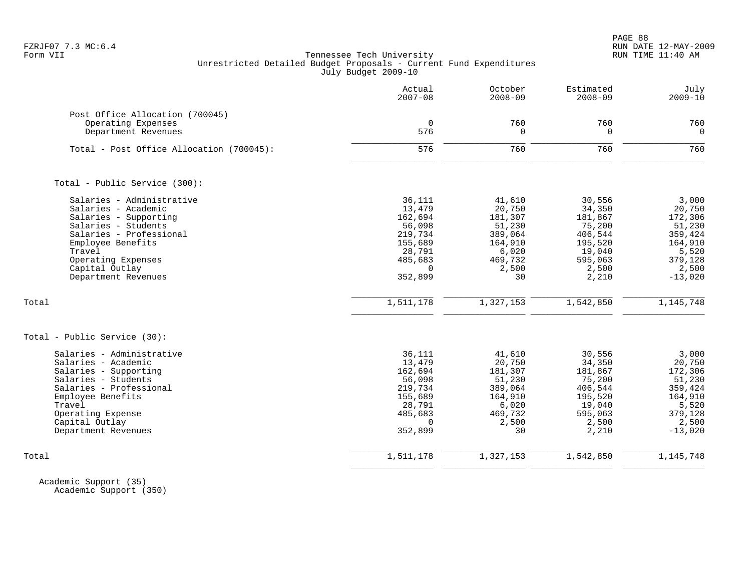PAGE 88 FZRJF07 7.3 MC:6.4 RUN DATE 12-MAY-2009

### Form VII Tennessee Tech University RUN TIME 11:40 AM Unrestricted Detailed Budget Proposals - Current Fund Expenditures July Budget 2009-10

|                                                | Actual<br>$2007 - 08$ | October<br>$2008 - 09$ | Estimated<br>$2008 - 09$ | July<br>$2009 - 10$   |
|------------------------------------------------|-----------------------|------------------------|--------------------------|-----------------------|
| Post Office Allocation (700045)                |                       |                        |                          |                       |
| Operating Expenses<br>Department Revenues      | $\mathbf 0$<br>576    | 760<br>$\Omega$        | 760<br>$\mathbf 0$       | 760<br>$\overline{0}$ |
| Total - Post Office Allocation (700045):       | 576                   | 760                    | 760                      | 760                   |
| Total - Public Service (300):                  |                       |                        |                          |                       |
| Salaries - Administrative                      | 36,111                | 41,610                 | 30,556                   | 3,000                 |
| Salaries - Academic                            | 13,479                | 20,750                 | 34,350                   | 20,750                |
| Salaries - Supporting                          | 162,694               | 181,307                | 181,867                  | 172,306               |
| Salaries - Students<br>Salaries - Professional | 56,098                | 51,230                 | 75,200                   | 51,230                |
| Employee Benefits                              | 219,734<br>155,689    | 389,064<br>164,910     | 406,544<br>195,520       | 359,424<br>164,910    |
| Travel                                         | 28,791                | 6,020                  | 19,040                   | 5,520                 |
| Operating Expenses                             | 485,683               | 469,732                | 595,063                  | 379,128               |
| Capital Outlay                                 | $\Omega$              | 2,500                  | 2,500                    | 2,500                 |
| Department Revenues                            | 352,899               | 30                     | 2,210                    | $-13,020$             |
| Total                                          | 1,511,178             | 1,327,153              | 1,542,850                | 1,145,748             |
| Total - Public Service (30):                   |                       |                        |                          |                       |
| Salaries - Administrative                      | 36,111                | 41,610                 | 30,556                   | 3,000                 |
| Salaries - Academic                            | 13,479                | 20,750                 | 34,350                   | 20,750                |
| Salaries - Supporting                          | 162,694               | 181,307                | 181,867                  | 172,306               |
| Salaries - Students                            | 56,098                | 51,230                 | 75,200                   | 51,230                |
| Salaries - Professional                        | 219,734               | 389,064                | 406,544                  | 359,424               |
| Employee Benefits                              | 155,689               | 164,910                | 195,520                  | 164,910               |
| Travel<br>Operating Expense                    | 28,791<br>485,683     | 6,020<br>469,732       | 19,040<br>595,063        | 5,520<br>379,128      |
| Capital Outlay                                 | $\Omega$              | 2,500                  | 2,500                    | 2,500                 |
| Department Revenues                            | 352,899               | 30                     | 2,210                    | $-13,020$             |
| Total                                          | 1,511,178             | 1,327,153              | 1,542,850                | 1, 145, 748           |
|                                                |                       |                        |                          |                       |

 Academic Support (35) Academic Support (350)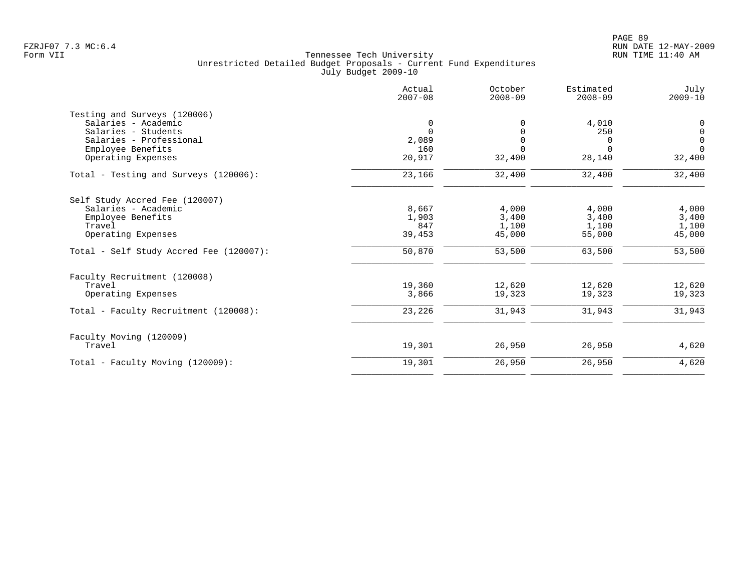|                                         | Actual<br>$2007 - 08$ | October<br>$2008 - 09$ | Estimated<br>$2008 - 09$ | July<br>$2009 - 10$ |
|-----------------------------------------|-----------------------|------------------------|--------------------------|---------------------|
| Testing and Surveys (120006)            |                       |                        |                          |                     |
| Salaries - Academic                     | 0                     |                        | 4,010                    | 0                   |
| Salaries - Students                     | $\Omega$              |                        | 250                      | $\mathbf 0$         |
| Salaries - Professional                 | 2,089                 | $\Omega$               | $\Omega$                 | $\mathsf{O}$        |
| Employee Benefits                       | 160                   | $\Omega$               | $\Omega$                 | $\Omega$            |
| Operating Expenses                      | 20,917                | 32,400                 | 28,140                   | 32,400              |
| Total - Testing and Surveys (120006):   | 23,166                | 32,400                 | 32,400                   | 32,400              |
| Self Study Accred Fee (120007)          |                       |                        |                          |                     |
| Salaries - Academic                     | 8,667                 | 4,000                  | 4,000                    | 4,000               |
| Employee Benefits                       | 1,903                 | 3,400                  | 3,400                    | 3,400               |
| Travel                                  | 847                   | 1,100                  | 1,100                    | 1,100               |
| Operating Expenses                      | 39,453                | 45,000                 | 55,000                   | 45,000              |
| Total - Self Study Accred Fee (120007): | 50,870                | 53,500                 | 63,500                   | 53,500              |
| Faculty Recruitment (120008)            |                       |                        |                          |                     |
| Travel                                  | 19,360                | 12,620                 | 12,620                   | 12,620              |
| Operating Expenses                      | 3,866                 | 19,323                 | 19,323                   | 19,323              |
| Total - Faculty Recruitment (120008):   | 23,226                | 31,943                 | 31,943                   | 31,943              |
| Faculty Moving (120009)                 |                       |                        |                          |                     |
| Travel                                  | 19,301                | 26,950                 | 26,950                   | 4,620               |
| Total - Faculty Moving (120009):        | 19,301                | 26,950                 | 26,950                   | 4,620               |
|                                         |                       |                        |                          |                     |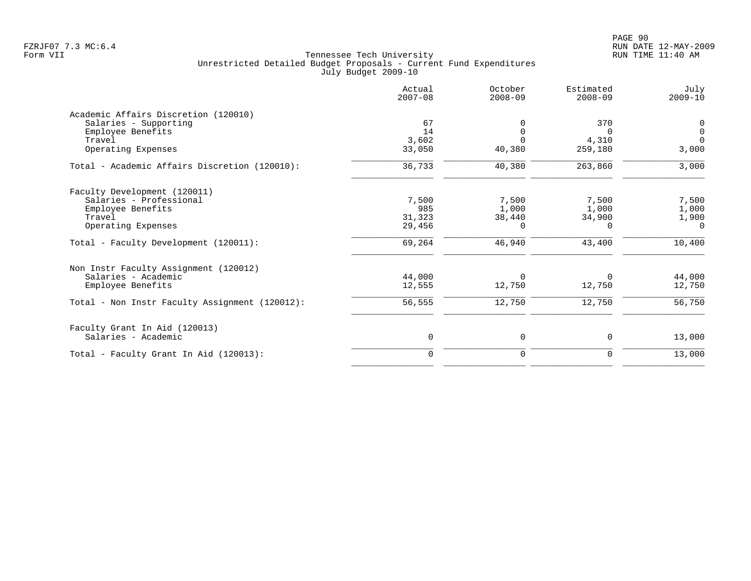PAGE 90 FZRJF07 7.3 MC:6.4 RUN DATE 12-MAY-2009

|                                                | Actual<br>$2007 - 08$ | October<br>$2008 - 09$ | Estimated<br>$2008 - 09$ | July<br>$2009 - 10$ |
|------------------------------------------------|-----------------------|------------------------|--------------------------|---------------------|
| Academic Affairs Discretion (120010)           |                       |                        |                          |                     |
| Salaries - Supporting                          | 67                    | $\Omega$               | 370                      | 0                   |
| Employee Benefits                              | 14                    | $\Omega$               | $\Omega$                 | $\overline{0}$      |
| Travel                                         | 3,602                 | $\Omega$               | 4,310                    | $\overline{0}$      |
| Operating Expenses                             | 33,050                | 40,380                 | 259,180                  | 3,000               |
| Total - Academic Affairs Discretion (120010):  | 36,733                | 40,380                 | 263,860                  | 3,000               |
| Faculty Development (120011)                   |                       |                        |                          |                     |
| Salaries - Professional                        | 7,500                 | 7,500                  | 7,500                    | 7,500               |
| Employee Benefits                              | 985                   | 1,000                  | 1,000                    | 1,000               |
| Travel                                         | 31,323                | 38,440                 | 34,900                   | 1,900               |
| Operating Expenses                             | 29,456                | 0                      | $\Omega$                 | $\Omega$            |
| Total - Faculty Development (120011):          | 69,264                | 46,940                 | 43,400                   | 10,400              |
| Non Instr Faculty Assignment (120012)          |                       |                        |                          |                     |
| Salaries - Academic                            | 44,000                | 0                      | $\Omega$                 | 44,000              |
| Employee Benefits                              | 12,555                | 12,750                 | 12,750                   | 12,750              |
| Total - Non Instr Faculty Assignment (120012): | 56,555                | 12,750                 | 12,750                   | 56,750              |
| Faculty Grant In Aid (120013)                  |                       |                        |                          |                     |
| Salaries - Academic                            | 0                     | 0                      | $\mathbf 0$              | 13,000              |
| Total - Faculty Grant In Aid (120013):         | $\mathbf 0$           | $\mathbf 0$            | $\mathbf 0$              | 13,000              |
|                                                |                       |                        |                          |                     |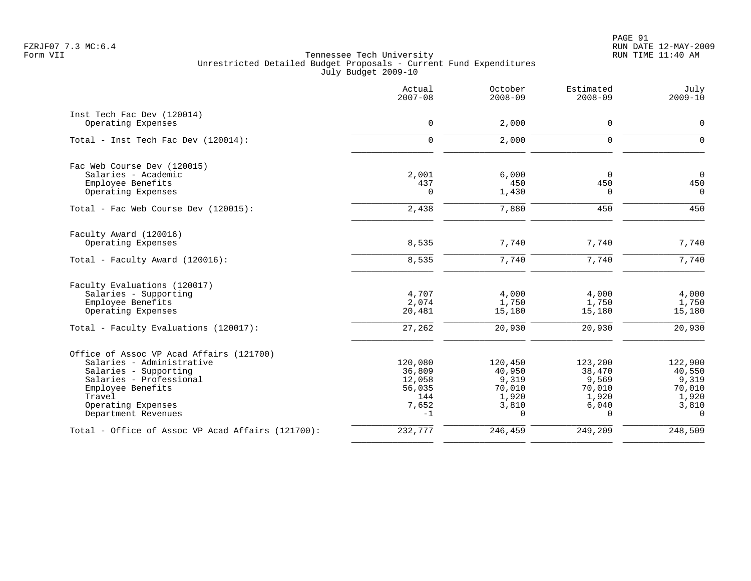|                                                                                                                                                                                                       | Actual<br>$2007 - 08$                                         | October<br>$2008 - 09$                                             | Estimated<br>$2008 - 09$                                           | July<br>$2009 - 10$                                                |
|-------------------------------------------------------------------------------------------------------------------------------------------------------------------------------------------------------|---------------------------------------------------------------|--------------------------------------------------------------------|--------------------------------------------------------------------|--------------------------------------------------------------------|
| Inst Tech Fac Dev (120014)<br>Operating Expenses                                                                                                                                                      | $\mathbf 0$                                                   | 2,000                                                              | 0                                                                  | $\mathbf 0$                                                        |
| Total - Inst Tech Fac Dev (120014):                                                                                                                                                                   | $\mathbf 0$                                                   | 2,000                                                              | 0                                                                  | $\mathbf 0$                                                        |
| Fac Web Course Dev (120015)<br>Salaries - Academic<br>Employee Benefits<br>Operating Expenses                                                                                                         | 2,001<br>437<br>$\Omega$                                      | 6,000<br>450<br>1,430                                              | $\Omega$<br>450<br>$\Omega$                                        | $\overline{0}$<br>450<br>$\Omega$                                  |
| Total - Fac Web Course Dev (120015):                                                                                                                                                                  | 2,438                                                         | 7,880                                                              | 450                                                                | 450                                                                |
| Faculty Award (120016)<br>Operating Expenses                                                                                                                                                          | 8,535                                                         | 7,740                                                              | 7,740                                                              | 7,740                                                              |
| Total - Faculty Award (120016):                                                                                                                                                                       | 8,535                                                         | 7,740                                                              | 7,740                                                              | 7,740                                                              |
| Faculty Evaluations (120017)<br>Salaries - Supporting<br>Employee Benefits<br>Operating Expenses<br>Total - Faculty Evaluations (120017):                                                             | 4,707<br>2,074<br>20,481<br>27,262                            | 4,000<br>1,750<br>15,180<br>20,930                                 | 4,000<br>1,750<br>15,180<br>20,930                                 | 4,000<br>1,750<br>15,180<br>20,930                                 |
|                                                                                                                                                                                                       |                                                               |                                                                    |                                                                    |                                                                    |
| Office of Assoc VP Acad Affairs (121700)<br>Salaries - Administrative<br>Salaries - Supporting<br>Salaries - Professional<br>Employee Benefits<br>Travel<br>Operating Expenses<br>Department Revenues | 120,080<br>36,809<br>12,058<br>56,035<br>144<br>7,652<br>$-1$ | 120,450<br>40,950<br>9,319<br>70,010<br>1,920<br>3,810<br>$\Omega$ | 123,200<br>38,470<br>9,569<br>70,010<br>1,920<br>6,040<br>$\Omega$ | 122,900<br>40,550<br>9,319<br>70,010<br>1,920<br>3,810<br>$\Omega$ |
| Total - Office of Assoc VP Acad Affairs (121700):                                                                                                                                                     | 232,777                                                       | 246,459                                                            | 249,209                                                            | 248,509                                                            |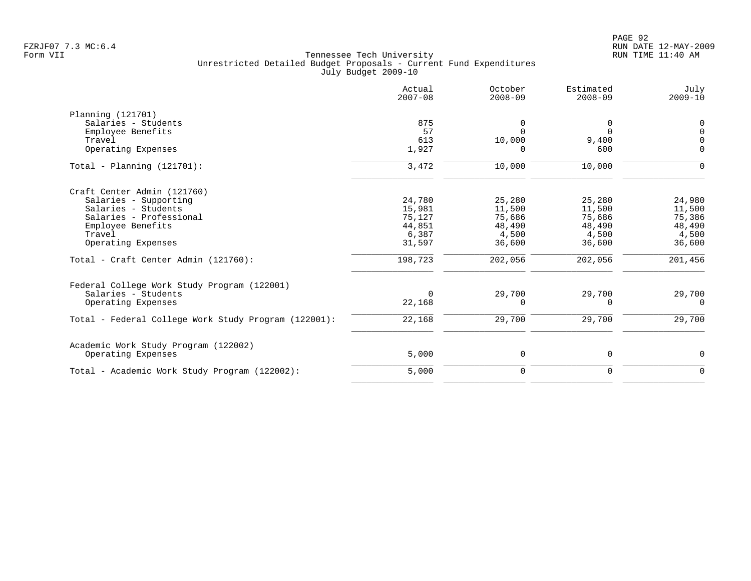|                                                      | Actual<br>$2007 - 08$ | October<br>$2008 - 09$ | Estimated<br>$2008 - 09$ | July<br>$2009 - 10$ |
|------------------------------------------------------|-----------------------|------------------------|--------------------------|---------------------|
| Planning (121701)                                    |                       |                        |                          |                     |
| Salaries - Students                                  | 875                   | 0                      | 0                        | 0                   |
| Employee Benefits                                    | 57                    | $\cap$                 | $\Omega$                 | $\Omega$            |
| Travel                                               | 613                   | 10,000                 | 9,400                    | $\cap$              |
| Operating Expenses                                   | 1,927                 | O                      | 600                      | $\Omega$            |
| $Total - Planning (121701):$                         | 3,472                 | 10,000                 | 10,000                   | $\Omega$            |
| Craft Center Admin (121760)                          |                       |                        |                          |                     |
| Salaries - Supporting                                | 24,780                | 25,280                 | 25,280                   | 24,980              |
| Salaries - Students                                  | 15,981                | 11,500                 | 11,500                   | 11,500              |
| Salaries - Professional                              | 75,127                | 75,686                 | 75,686                   | 75,386              |
| Employee Benefits                                    | 44,851                | 48,490                 | 48,490                   | 48,490              |
| Travel                                               | 6,387                 | 4,500                  | 4,500                    | 4,500               |
| Operating Expenses                                   | 31,597                | 36,600                 | 36,600                   | 36,600              |
| Total - Craft Center Admin (121760):                 | 198,723               | 202,056                | 202,056                  | 201,456             |
| Federal College Work Study Program (122001)          |                       |                        |                          |                     |
| Salaries - Students                                  | $\Omega$              | 29,700                 | 29,700                   | 29,700              |
| Operating Expenses                                   | 22,168                | 0                      | $\Omega$                 | $\Omega$            |
| Total - Federal College Work Study Program (122001): | 22,168                | 29,700                 | 29,700                   | 29,700              |
| Academic Work Study Program (122002)                 |                       |                        |                          |                     |
| Operating Expenses                                   | 5,000                 | 0                      | 0                        | 0                   |
| Total - Academic Work Study Program (122002):        | 5,000                 | $\mathbf 0$            | $\mathbf 0$              | $\Omega$            |
|                                                      |                       |                        |                          |                     |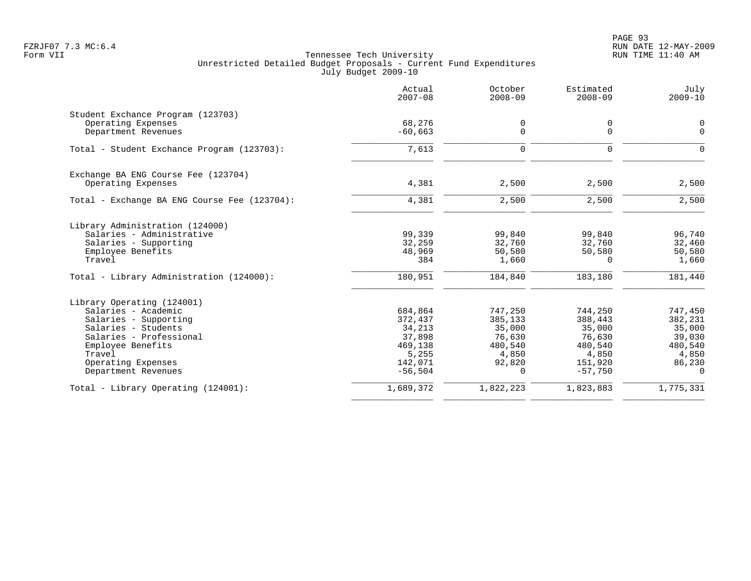|                                                         | Actual<br>$2007 - 08$ | October<br>$2008 - 09$ | Estimated<br>$2008 - 09$ | July<br>$2009 - 10$ |
|---------------------------------------------------------|-----------------------|------------------------|--------------------------|---------------------|
| Student Exchance Program (123703)<br>Operating Expenses | 68,276                | 0                      | 0                        | $\mathbf 0$         |
| Department Revenues                                     | $-60,663$             | 0                      | $\mathbf 0$              | $\mathbf 0$         |
| Total - Student Exchance Program (123703):              | 7,613                 | 0                      | $\mathbf 0$              | $\mathbf 0$         |
| Exchange BA ENG Course Fee (123704)                     |                       |                        |                          |                     |
| Operating Expenses                                      | 4,381                 | 2,500                  | 2,500                    | 2,500               |
| Total - Exchange BA ENG Course Fee (123704):            | 4,381                 | 2,500                  | 2,500                    | 2,500               |
| Library Administration (124000)                         |                       |                        |                          |                     |
| Salaries - Administrative                               | 99,339                | 99,840                 | 99,840                   | 96,740              |
| Salaries - Supporting                                   | 32,259<br>48,969      | 32,760                 | 32,760<br>50,580         | 32,460<br>50,580    |
| Employee Benefits<br>Travel                             | 384                   | 50,580<br>1,660        | $\Omega$                 | 1,660               |
| Total - Library Administration (124000):                | 180,951               | 184,840                | 183,180                  | 181,440             |
| Library Operating (124001)                              |                       |                        |                          |                     |
| Salaries - Academic                                     | 684,864               | 747,250                | 744,250                  | 747,450             |
| Salaries - Supporting                                   | 372,437               | 385,133                | 388,443                  | 382,231             |
| Salaries - Students                                     | 34,213                | 35,000                 | 35,000                   | 35,000              |
| Salaries - Professional                                 | 37,898                | 76,630                 | 76,630                   | 39,030              |
| Employee Benefits<br>Travel                             | 469,138<br>5,255      | 480,540<br>4,850       | 480,540                  | 480,540<br>4,850    |
| Operating Expenses                                      | 142,071               | 92,820                 | 4,850<br>151,920         | 86,230              |
| Department Revenues                                     | $-56,504$             | $\Omega$               | $-57,750$                | $\Omega$            |
| Total - Library Operating (124001):                     | 1,689,372             | 1,822,223              | 1,823,883                | 1,775,331           |
|                                                         |                       |                        |                          |                     |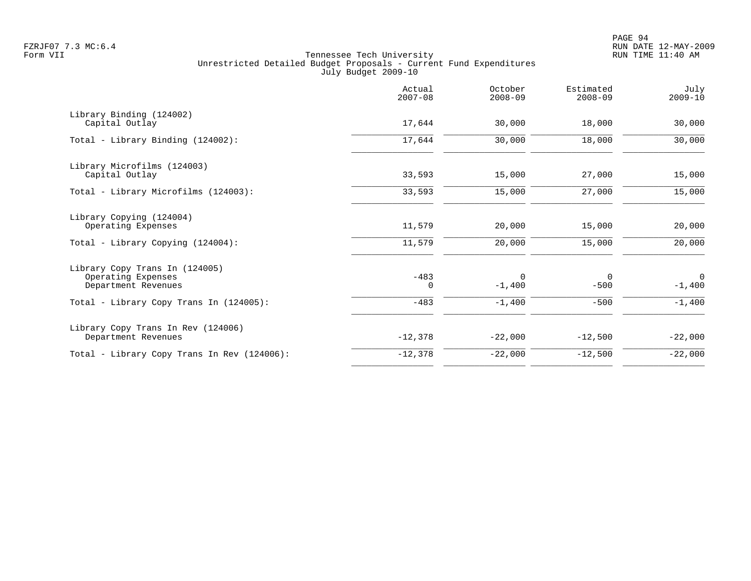|                                                                             | Actual<br>$2007 - 08$ | October<br>$2008 - 09$ | Estimated<br>$2008 - 09$ | July<br>$2009 - 10$     |
|-----------------------------------------------------------------------------|-----------------------|------------------------|--------------------------|-------------------------|
| Library Binding (124002)<br>Capital Outlay                                  | 17,644                | 30,000                 | 18,000                   | 30,000                  |
| Total - Library Binding (124002):                                           | 17,644                | 30,000                 | 18,000                   | 30,000                  |
| Library Microfilms (124003)<br>Capital Outlay                               | 33,593                | 15,000                 | 27,000                   | 15,000                  |
| Total - Library Microfilms (124003):                                        | 33,593                | 15,000                 | 27,000                   | 15,000                  |
| Library Copying (124004)<br>Operating Expenses                              | 11,579                | 20,000                 | 15,000                   | 20,000                  |
| Total - Library Copying (124004):                                           | 11,579                | 20,000                 | 15,000                   | 20,000                  |
| Library Copy Trans In (124005)<br>Operating Expenses<br>Department Revenues | $-483$<br>0           | 0<br>$-1,400$          | $\mathbf 0$<br>$-500$    | $\mathbf 0$<br>$-1,400$ |
| Total - Library Copy Trans In (124005):                                     | $-483$                | $-1,400$               | $-500$                   | $-1,400$                |
| Library Copy Trans In Rev (124006)<br>Department Revenues                   | $-12,378$             | $-22,000$              | $-12,500$                | $-22,000$               |
| Total - Library Copy Trans In Rev (124006):                                 | $-12,378$             | $-22,000$              | $-12,500$                | $-22,000$               |
|                                                                             |                       |                        |                          |                         |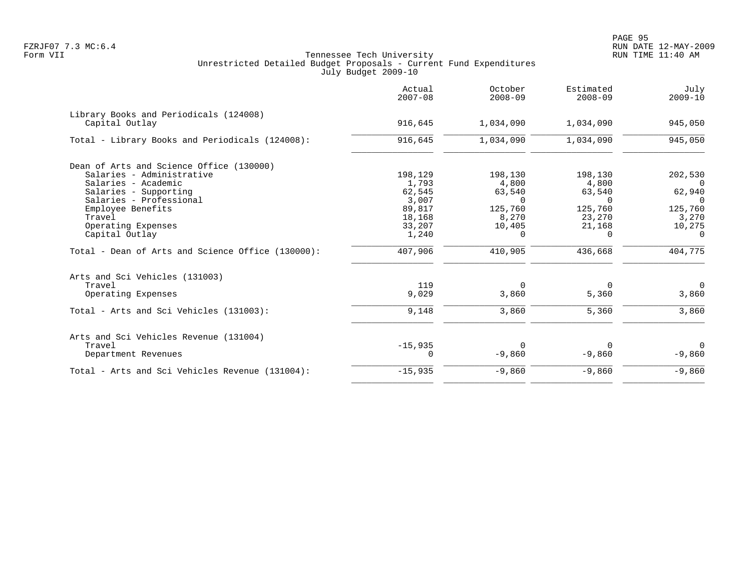|                                                          | Actual<br>$2007 - 08$ | October<br>$2008 - 09$ | Estimated<br>$2008 - 09$ | July<br>$2009 - 10$ |
|----------------------------------------------------------|-----------------------|------------------------|--------------------------|---------------------|
| Library Books and Periodicals (124008)<br>Capital Outlay | 916,645               | 1,034,090              | 1,034,090                | 945,050             |
| Total - Library Books and Periodicals (124008):          | 916,645               | 1,034,090              | 1,034,090                | 945,050             |
| Dean of Arts and Science Office (130000)                 |                       |                        |                          |                     |
| Salaries - Administrative                                | 198,129               | 198,130                | 198,130                  | 202,530             |
| Salaries - Academic                                      | 1,793                 | 4,800                  | 4,800                    | $\Omega$            |
| Salaries - Supporting                                    | 62,545                | 63,540                 | 63,540                   | 62,940              |
| Salaries - Professional                                  | 3,007                 | $\Omega$               | $\Omega$                 | $\Omega$            |
| Employee Benefits                                        | 89,817                | 125,760                | 125,760                  | 125,760             |
| Travel                                                   | 18,168                | 8,270                  | 23,270                   | 3,270               |
| Operating Expenses                                       | 33,207                | 10,405                 | 21,168                   | 10,275              |
| Capital Outlay                                           | 1,240                 | 0                      | $\Omega$                 | 0                   |
| Total - Dean of Arts and Science Office (130000):        | 407,906               | 410,905                | 436,668                  | 404,775             |
| Arts and Sci Vehicles (131003)                           |                       |                        |                          |                     |
| Travel                                                   | 119                   | $\Omega$               | $\Omega$                 | $\Omega$            |
| Operating Expenses                                       | 9,029                 | 3,860                  | 5,360                    | 3,860               |
| Total - Arts and Sci Vehicles (131003):                  | 9,148                 | 3,860                  | 5,360                    | 3,860               |
| Arts and Sci Vehicles Revenue (131004)                   |                       |                        |                          |                     |
| Travel                                                   | $-15,935$             | $\Omega$               | $\Omega$                 | $\Omega$            |
| Department Revenues                                      | $\Omega$              | $-9,860$               | $-9,860$                 | $-9,860$            |
| Total - Arts and Sci Vehicles Revenue (131004):          | $-15,935$             | $-9,860$               | $-9,860$                 | $-9,860$            |
|                                                          |                       |                        |                          |                     |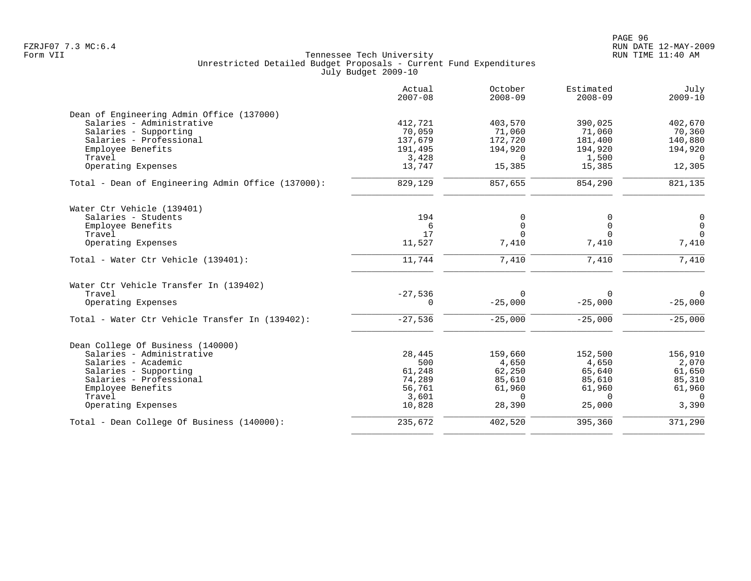PAGE 96 FZRJF07 7.3 MC:6.4 RUN DATE 12-MAY-2009

|                                                    | Actual<br>$2007 - 08$ | October<br>$2008 - 09$ | Estimated<br>$2008 - 09$ | July<br>$2009 - 10$ |
|----------------------------------------------------|-----------------------|------------------------|--------------------------|---------------------|
| Dean of Engineering Admin Office (137000)          |                       |                        |                          |                     |
| Salaries - Administrative                          | 412,721               | 403,570                | 390,025                  | 402,670             |
| Salaries - Supporting                              | 70,059                | 71,060                 | 71,060                   | 70,360              |
| Salaries - Professional                            | 137,679               | 172,720                | 181,400                  | 140,880             |
| Employee Benefits                                  | 191,495               | 194,920                | 194,920                  | 194,920             |
| Travel                                             | 3,428                 | $\Omega$               | 1,500                    | $\Omega$            |
| Operating Expenses                                 | 13,747                | 15,385                 | 15,385                   | 12,305              |
| Total - Dean of Engineering Admin Office (137000): | 829,129               | 857,655                | 854,290                  | 821,135             |
| Water Ctr Vehicle (139401)                         |                       |                        |                          |                     |
| Salaries - Students                                | 194                   | 0                      | 0                        | $\mathbf 0$         |
| Employee Benefits                                  | 6                     | 0                      | $\Omega$                 | $\mathsf{O}$        |
| Travel                                             | 17                    | $\Omega$               | $\Omega$                 | $\Omega$            |
| Operating Expenses                                 | 11,527                | 7,410                  | 7,410                    | 7,410               |
| Total - Water Ctr Vehicle (139401):                | 11,744                | 7,410                  | 7,410                    | 7,410               |
| Water Ctr Vehicle Transfer In (139402)             |                       |                        |                          |                     |
| Travel                                             | $-27,536$             | $\Omega$               | $\Omega$                 | $\Omega$            |
| Operating Expenses                                 | $\Omega$              | $-25,000$              | $-25,000$                | $-25,000$           |
| Total - Water Ctr Vehicle Transfer In (139402):    | $-27,536$             | $-25,000$              | $-25,000$                | $-25,000$           |
| Dean College Of Business (140000)                  |                       |                        |                          |                     |
| Salaries - Administrative                          | 28,445                | 159,660                | 152,500                  | 156,910             |
| Salaries - Academic                                | 500                   | 4,650                  | 4,650                    | 2,070               |
| Salaries - Supporting                              | 61,248                | 62,250                 | 65,640                   | 61,650              |
| Salaries - Professional                            | 74,289                | 85,610                 | 85,610                   | 85,310              |
| Employee Benefits                                  | 56,761                | 61,960                 | 61,960                   | 61,960              |
| Travel                                             | 3,601                 | $\Omega$               | $\Omega$                 | $\Omega$            |
| Operating Expenses                                 | 10,828                | 28,390                 | 25,000                   | 3,390               |
| Total - Dean College Of Business (140000):         | 235,672               | 402,520                | 395,360                  | 371,290             |
|                                                    |                       |                        |                          |                     |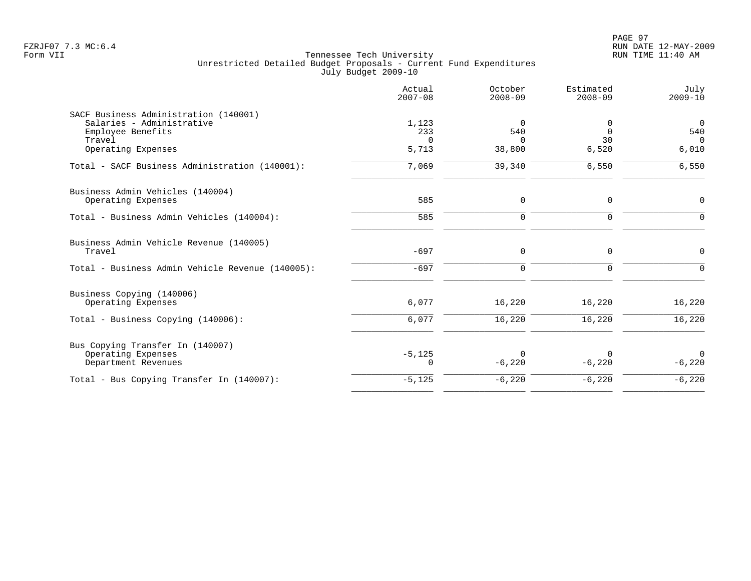|                                                  | Actual<br>$2007 - 08$ | October<br>$2008 - 09$ | Estimated<br>$2008 - 09$ | July<br>$2009 - 10$ |
|--------------------------------------------------|-----------------------|------------------------|--------------------------|---------------------|
| SACF Business Administration (140001)            |                       |                        |                          |                     |
| Salaries - Administrative                        | 1,123                 | 0                      |                          | $\overline{0}$      |
| Employee Benefits                                | 233                   | 540                    | $\Omega$                 | 540                 |
| Travel                                           | $\Omega$              | $\Omega$               | 30                       | $\Omega$            |
| Operating Expenses                               | 5,713                 | 38,800                 | 6,520                    | 6,010               |
| Total - SACF Business Administration (140001):   | 7,069                 | 39,340                 | 6,550                    | 6,550               |
| Business Admin Vehicles (140004)                 |                       |                        |                          |                     |
| Operating Expenses                               | 585                   | $\Omega$               | $\mathbf 0$              | $\mathsf{O}$        |
| Total - Business Admin Vehicles (140004):        | 585                   | $\Omega$               | $\Omega$                 | $\mathbf 0$         |
| Business Admin Vehicle Revenue (140005)          |                       |                        |                          |                     |
| Travel                                           | $-697$                | $\mathbf 0$            | $\mathbf 0$              | $\mathbf 0$         |
| Total - Business Admin Vehicle Revenue (140005): | $-697$                | $\Omega$               | $\Omega$                 | $\Omega$            |
| Business Copying (140006)                        |                       |                        |                          |                     |
| Operating Expenses                               | 6,077                 | 16,220                 | 16,220                   | 16,220              |
| Total - Business Copying (140006):               | 6,077                 | 16,220                 | 16,220                   | 16,220              |
| Bus Copying Transfer In (140007)                 |                       |                        |                          |                     |
| Operating Expenses                               | $-5,125$              | $\Omega$               |                          | $\Omega$            |
| Department Revenues                              | $\Omega$              | $-6,220$               | $-6,220$                 | $-6,220$            |
| Total - Bus Copying Transfer In (140007):        | $-5,125$              | $-6,220$               | $-6,220$                 | $-6,220$            |
|                                                  |                       |                        |                          |                     |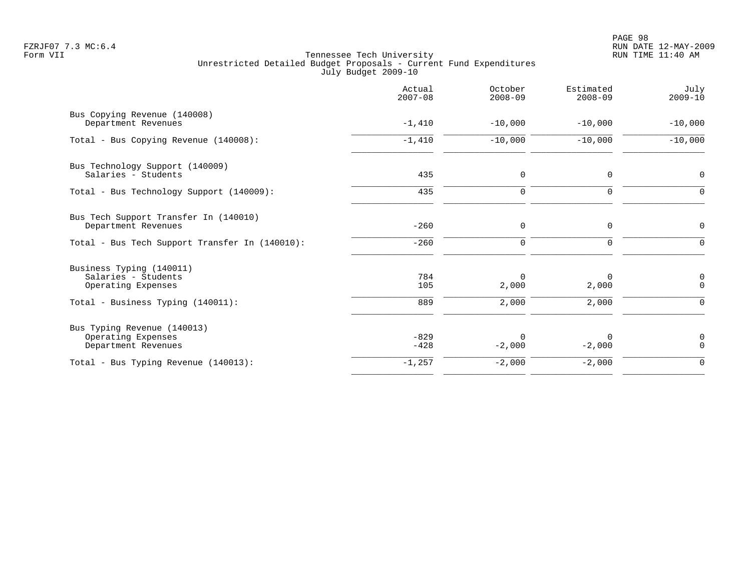| Actual<br>$2007 - 08$ | October<br>$2008 - 09$ | Estimated<br>$2008 - 09$ | July<br>$2009 - 10$          |
|-----------------------|------------------------|--------------------------|------------------------------|
| $-1,410$              | $-10,000$              | $-10,000$                | $-10,000$                    |
| $-1,410$              | $-10,000$              | $-10,000$                | $-10,000$                    |
| 435                   | 0                      | 0                        | 0                            |
| 435                   | 0                      | 0                        | $\mathbf 0$                  |
| $-260$                | 0                      | 0                        | 0                            |
| $-260$                | 0                      | $\mathbf 0$              | $\Omega$                     |
| 784<br>105            | $\Omega$<br>2,000      | 0<br>2,000               | 0<br>$\mathbf 0$<br>$\Omega$ |
| $-829$<br>$-428$      | $\Omega$<br>$-2,000$   | 0<br>$-2,000$            | 0<br>$\Omega$                |
| $-1,257$              | $-2,000$               | $-2,000$                 | $\mathbf 0$                  |
|                       | 889                    | 2,000                    | 2,000                        |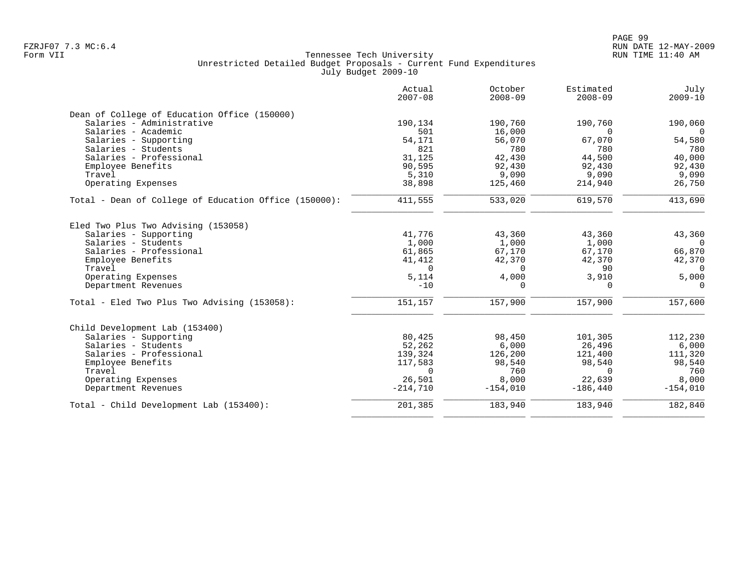|                                                       | Actual<br>$2007 - 08$ | October<br>$2008 - 09$ | Estimated<br>$2008 - 09$ | July<br>$2009 - 10$ |
|-------------------------------------------------------|-----------------------|------------------------|--------------------------|---------------------|
| Dean of College of Education Office (150000)          |                       |                        |                          |                     |
| Salaries - Administrative                             | 190,134               | 190,760                | 190,760                  | 190,060             |
| Salaries - Academic                                   | 501                   | 16,000                 | $\Omega$                 | $\Omega$            |
| Salaries - Supporting                                 | 54,171                | 56,070                 | 67,070                   | 54,580              |
| Salaries - Students                                   | 821                   | 780                    | 780                      | 780                 |
| Salaries - Professional                               | 31,125                | 42,430                 | 44,500                   | 40,000              |
| Employee Benefits                                     | 90,595                | 92,430                 | 92,430                   | 92,430              |
| Travel                                                | 5,310                 | 9,090                  | 9,090                    | 9,090               |
| Operating Expenses                                    | 38,898                | 125,460                | 214,940                  | 26,750              |
| Total - Dean of College of Education Office (150000): | 411,555               | 533,020                | 619,570                  | 413,690             |
| Eled Two Plus Two Advising (153058)                   |                       |                        |                          |                     |
| Salaries - Supporting                                 | 41,776                | 43,360                 | 43,360                   | 43,360              |
| Salaries - Students                                   | 1,000                 | 1,000                  | 1,000                    | $\overline{0}$      |
| Salaries - Professional                               | 61,865                | 67,170                 | 67,170                   | 66,870              |
| Employee Benefits                                     | 41,412                | 42,370                 | 42,370                   | 42,370              |
| Travel                                                | $\Omega$              | $\Omega$               | 90                       | $\Omega$            |
| Operating Expenses                                    | 5,114                 | 4,000                  | 3,910                    | 5,000               |
| Department Revenues                                   | $-10$                 | $\Omega$               | $\Omega$                 | $\Omega$            |
| Total - Eled Two Plus Two Advising (153058):          | 151,157               | 157,900                | 157,900                  | 157,600             |
| Child Development Lab (153400)                        |                       |                        |                          |                     |
| Salaries - Supporting                                 | 80,425                | 98,450                 | 101,305                  | 112,230             |
| Salaries - Students                                   | 52,262                | 6,000                  | 26,496                   | 6,000               |
| Salaries - Professional                               | 139,324               | 126,200                | 121,400                  | 111,320             |
| Employee Benefits                                     | 117,583               | 98,540                 | 98,540                   | 98,540              |
| Travel                                                | $\Omega$              | 760                    | $\Omega$                 | 760                 |
| Operating Expenses                                    | 26,501                | 8,000                  | 22,639                   | 8,000               |
| Department Revenues                                   | $-214,710$            | $-154,010$             | $-186,440$               | $-154,010$          |
| Total - Child Development Lab (153400):               | 201,385               | 183,940                | 183,940                  | 182,840             |
|                                                       |                       |                        |                          |                     |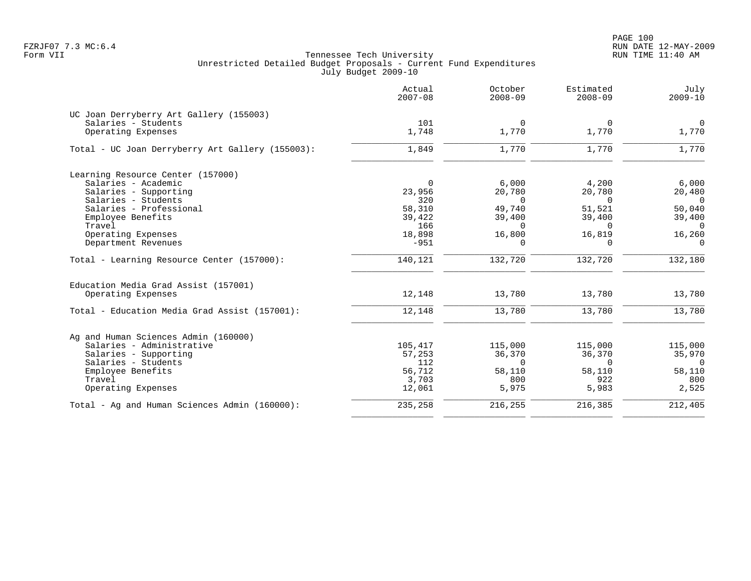|                                                  | Actual<br>$2007 - 08$ | October<br>$2008 - 09$ | Estimated<br>$2008 - 09$ | July<br>$2009 - 10$ |
|--------------------------------------------------|-----------------------|------------------------|--------------------------|---------------------|
| UC Joan Derryberry Art Gallery (155003)          |                       |                        |                          |                     |
| Salaries - Students                              | 101                   | $\Omega$               | $\Omega$                 | $\overline{0}$      |
| Operating Expenses                               | 1,748                 | 1,770                  | 1,770                    | 1,770               |
| Total - UC Joan Derryberry Art Gallery (155003): | 1,849                 | 1,770                  | 1,770                    | 1,770               |
| Learning Resource Center (157000)                |                       |                        |                          |                     |
| Salaries - Academic                              | $\Omega$              | 6,000                  | 4,200                    | 6,000               |
| Salaries - Supporting                            | 23,956                | 20,780                 | 20,780                   | 20,480              |
| Salaries - Students                              | 320                   | $\Omega$               | $\Omega$                 | $\Omega$            |
| Salaries - Professional                          | 58,310                | 49,740                 | 51,521                   | 50,040              |
| Employee Benefits                                | 39,422                | 39,400                 | 39,400                   | 39,400              |
| Travel                                           | 166                   | $\Omega$               | $\Omega$                 | $\overline{0}$      |
| Operating Expenses                               | 18,898                | 16,800                 | 16,819                   | 16,260              |
| Department Revenues                              | $-951$                | $\mathbf 0$            | $\Omega$                 | $\mathbf 0$         |
| Total - Learning Resource Center (157000):       | 140,121               | 132,720                | 132,720                  | 132,180             |
| Education Media Grad Assist (157001)             |                       |                        |                          |                     |
| Operating Expenses                               | 12,148                | 13,780                 | 13,780                   | 13,780              |
| Total - Education Media Grad Assist (157001):    | 12,148                | 13,780                 | 13,780                   | 13,780              |
| Ag and Human Sciences Admin (160000)             |                       |                        |                          |                     |
| Salaries - Administrative                        | 105,417               | 115,000                | 115,000                  | 115,000             |
| Salaries - Supporting                            | 57,253                | 36,370                 | 36,370                   | 35,970              |
| Salaries - Students                              | 112                   | $\Omega$               | $\Omega$                 | $\overline{0}$      |
| Employee Benefits                                | 56,712                | 58,110                 | 58,110                   | 58,110              |
| Travel                                           | 3,703                 | 800                    | 922                      | 800                 |
| Operating Expenses                               | 12,061                | 5,975                  | 5,983                    | 2,525               |
| Total - Ag and Human Sciences Admin (160000):    | 235,258               | 216,255                | 216,385                  | 212,405             |
|                                                  |                       |                        |                          |                     |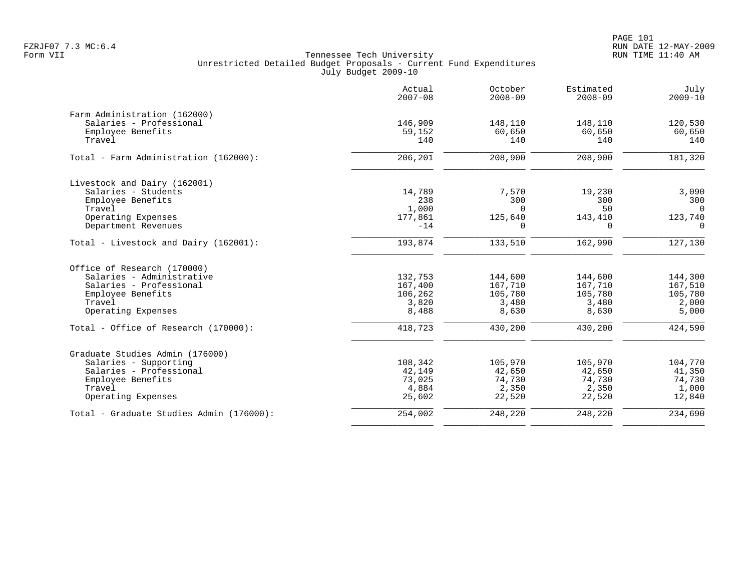PAGE 101 FZRJF07 7.3 MC:6.4 RUN DATE 12-MAY-2009

|                                          | Actual<br>$2007 - 08$ | October<br>$2008 - 09$ | Estimated<br>$2008 - 09$ | July<br>$2009 - 10$ |
|------------------------------------------|-----------------------|------------------------|--------------------------|---------------------|
| Farm Administration (162000)             |                       |                        |                          |                     |
| Salaries - Professional                  | 146,909               | 148,110                | 148,110                  | 120,530             |
| Employee Benefits                        | 59,152                | 60,650                 | 60,650                   | 60,650              |
| Travel                                   | 140                   | 140                    | 140                      | 140                 |
| Total - Farm Administration (162000):    | 206,201               | 208,900                | 208,900                  | 181,320             |
| Livestock and Dairy (162001)             |                       |                        |                          |                     |
| Salaries - Students                      | 14,789                | 7,570                  | 19,230                   | 3,090               |
| Employee Benefits                        | 238                   | 300                    | 300                      | 300                 |
| Travel                                   | 1,000                 | $\Omega$               | 50                       | $\Omega$            |
| Operating Expenses                       | 177,861               | 125,640                | 143,410                  | 123,740             |
| Department Revenues                      | $-14$                 | $\Omega$               | $\Omega$                 | $\Omega$            |
| Total - Livestock and Dairy (162001):    | 193,874               | 133,510                | 162,990                  | 127,130             |
| Office of Research (170000)              |                       |                        |                          |                     |
| Salaries - Administrative                | 132,753               | 144,600                | 144,600                  | 144,300             |
| Salaries - Professional                  | 167,400               | 167,710                | 167,710                  | 167,510             |
| Employee Benefits                        | 106,262               | 105,780                | 105,780                  | 105,780             |
| Travel                                   | 3,820                 | 3,480                  | 3,480                    | 2,000               |
| Operating Expenses                       | 8,488                 | 8,630                  | 8,630                    | 5,000               |
| Total - Office of Research (170000):     | 418,723               | 430,200                | 430,200                  | 424,590             |
| Graduate Studies Admin (176000)          |                       |                        |                          |                     |
| Salaries - Supporting                    | 108,342               | 105,970                | 105,970                  | 104,770             |
| Salaries - Professional                  | 42,149                | 42,650                 | 42,650                   | 41,350              |
| Employee Benefits                        | 73,025                | 74,730                 | 74,730                   | 74,730              |
| Travel                                   | 4,884                 | 2,350                  | 2,350                    | 1,000               |
| Operating Expenses                       | 25,602                | 22,520                 | 22,520                   | 12,840              |
| Total - Graduate Studies Admin (176000): | 254,002               | 248,220                | 248,220                  | 234,690             |
|                                          |                       |                        |                          |                     |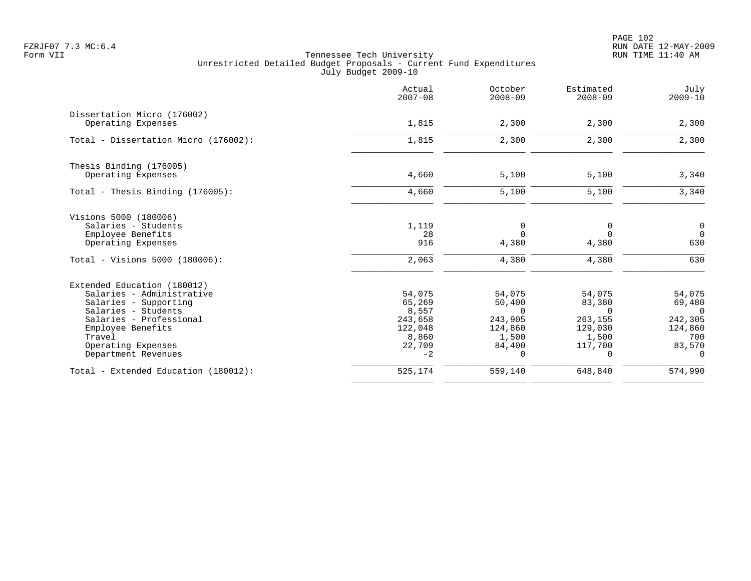PAGE 102 FZRJF07 7.3 MC:6.4 RUN DATE 12-MAY-2009

| Actual<br>$2007 - 08$ | October<br>$2008 - 09$                                               | Estimated<br>$2008 - 09$                                                        | July<br>$2009 - 10$                                                  |
|-----------------------|----------------------------------------------------------------------|---------------------------------------------------------------------------------|----------------------------------------------------------------------|
|                       |                                                                      |                                                                                 | 2,300                                                                |
|                       |                                                                      |                                                                                 |                                                                      |
| 1,815                 | 2,300                                                                | 2,300                                                                           | 2,300                                                                |
|                       |                                                                      |                                                                                 |                                                                      |
| 4,660                 | 5,100                                                                | 5,100                                                                           | 3,340                                                                |
| 4,660                 | 5,100                                                                | 5,100                                                                           | 3,340                                                                |
|                       |                                                                      |                                                                                 |                                                                      |
| 1,119                 | 0                                                                    | 0                                                                               | $\overline{0}$                                                       |
|                       |                                                                      | $\Omega$                                                                        | $\Omega$                                                             |
|                       |                                                                      |                                                                                 | 630                                                                  |
| 2,063                 | 4,380                                                                | 4,380                                                                           | 630                                                                  |
|                       |                                                                      |                                                                                 |                                                                      |
| 54,075                | 54,075                                                               | 54,075                                                                          | 54,075                                                               |
| 65,269                | 50,400                                                               | 83,380                                                                          | 69,480                                                               |
|                       |                                                                      |                                                                                 | $\Omega$                                                             |
|                       |                                                                      |                                                                                 | 242,305                                                              |
|                       |                                                                      |                                                                                 | 124,860<br>700                                                       |
|                       |                                                                      |                                                                                 | 83,570                                                               |
| $-2$                  | $\Omega$                                                             | 0                                                                               | $\Omega$                                                             |
| 525,174               | 559,140                                                              | 648,840                                                                         | 574,990                                                              |
|                       | 1,815<br>28<br>916<br>8,557<br>243,658<br>122,048<br>8,860<br>22,709 | 2,300<br>$\Omega$<br>4,380<br>$\Omega$<br>243,905<br>124,860<br>1,500<br>84,400 | 2,300<br>4,380<br>$\Omega$<br>263,155<br>129,030<br>1,500<br>117,700 |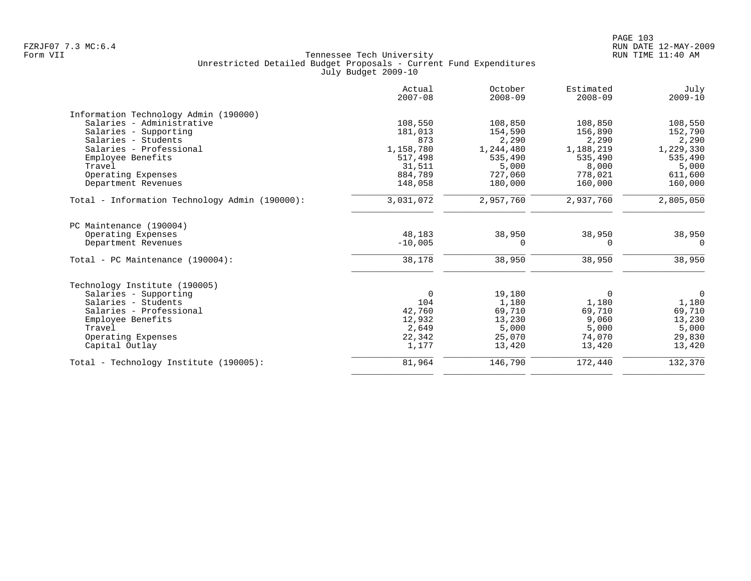| Actual<br>$2007 - 08$ | October<br>$2008 - 09$                     | Estimated<br>$2008 - 09$                               | July<br>$2009 - 10$               |
|-----------------------|--------------------------------------------|--------------------------------------------------------|-----------------------------------|
|                       |                                            |                                                        |                                   |
| 108,550               | 108,850                                    | 108,850                                                | 108,550                           |
| 181,013               | 154,590                                    | 156,890                                                | 152,790                           |
| 873                   | 2,290                                      | 2,290                                                  | 2,290                             |
| 1,158,780             | 1,244,480                                  | 1,188,219                                              | 1,229,330                         |
| 517,498               | 535,490                                    | 535,490                                                | 535,490                           |
| 31,511                | 5,000                                      | 8,000                                                  | 5,000                             |
| 884,789               | 727,060                                    | 778,021                                                | 611,600                           |
| 148,058               | 180,000                                    | 160,000                                                | 160,000                           |
| 3,031,072             | 2,957,760                                  | 2,937,760                                              | 2,805,050                         |
|                       |                                            |                                                        |                                   |
| 48,183                | 38,950                                     | 38,950                                                 | 38,950                            |
| $-10,005$             | $\Omega$                                   | $\Omega$                                               | $\Omega$                          |
| 38,178                | 38,950                                     | 38,950                                                 | 38,950                            |
|                       |                                            |                                                        |                                   |
| $\Omega$              |                                            | $\Omega$                                               | $\mathbf 0$                       |
|                       |                                            |                                                        | 1,180                             |
|                       |                                            |                                                        | 69,710                            |
|                       |                                            |                                                        | 13,230                            |
|                       |                                            |                                                        | 5,000                             |
|                       |                                            | 74,070                                                 | 29,830                            |
| 1,177                 | 13,420                                     | 13,420                                                 | 13,420                            |
| 81,964                | 146,790                                    | 172,440                                                | 132,370                           |
|                       | 104<br>42,760<br>12,932<br>2,649<br>22,342 | 19,180<br>1,180<br>69,710<br>13,230<br>5,000<br>25,070 | 1,180<br>69,710<br>9,060<br>5,000 |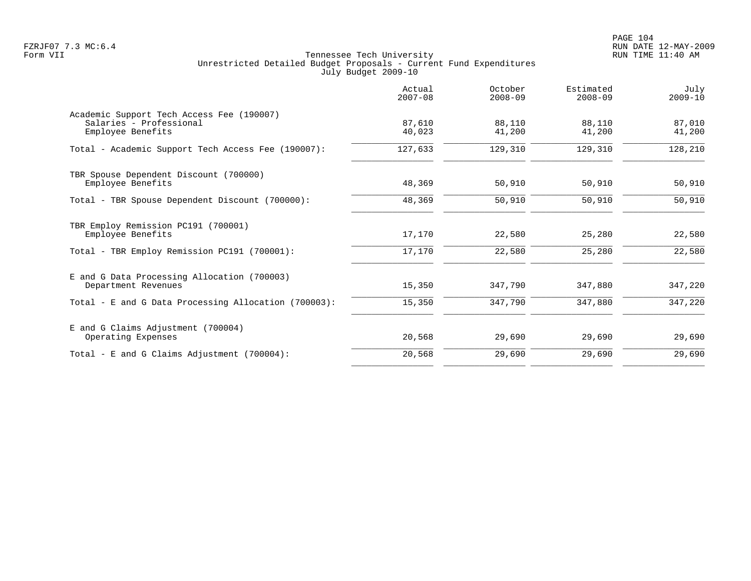PAGE 104 FZRJF07 7.3 MC:6.4 RUN DATE 12-MAY-2009

|                                                                                           | Actual<br>$2007 - 08$ | October<br>$2008 - 09$ | Estimated<br>$2008 - 09$ | July<br>$2009 - 10$ |
|-------------------------------------------------------------------------------------------|-----------------------|------------------------|--------------------------|---------------------|
| Academic Support Tech Access Fee (190007)<br>Salaries - Professional<br>Employee Benefits | 87,610<br>40,023      | 88,110<br>41,200       | 88,110<br>41,200         | 87,010<br>41,200    |
| Total - Academic Support Tech Access Fee (190007):                                        | 127,633               | 129,310                | 129,310                  | 128,210             |
| TBR Spouse Dependent Discount (700000)<br>Employee Benefits                               | 48,369                | 50,910                 | 50,910                   | 50,910              |
| Total - TBR Spouse Dependent Discount (700000):                                           | 48,369                | 50,910                 | 50,910                   | 50,910              |
| TBR Employ Remission PC191 (700001)<br>Employee Benefits                                  | 17,170                | 22,580                 | 25,280                   | 22,580              |
| Total - TBR Employ Remission PC191 (700001):                                              | 17,170                | 22,580                 | 25,280                   | 22,580              |
| E and G Data Processing Allocation (700003)<br>Department Revenues                        | 15,350                | 347,790                | 347,880                  | 347,220             |
| Total - E and G Data Processing Allocation (700003):                                      | 15,350                | 347,790                | 347,880                  | 347,220             |
| E and G Claims Adjustment (700004)<br>Operating Expenses                                  | 20,568                | 29,690                 | 29,690                   | 29,690              |
| Total - E and G Claims Adjustment $(700004)$ :                                            | 20,568                | 29,690                 | 29,690                   | 29,690              |
|                                                                                           |                       |                        |                          |                     |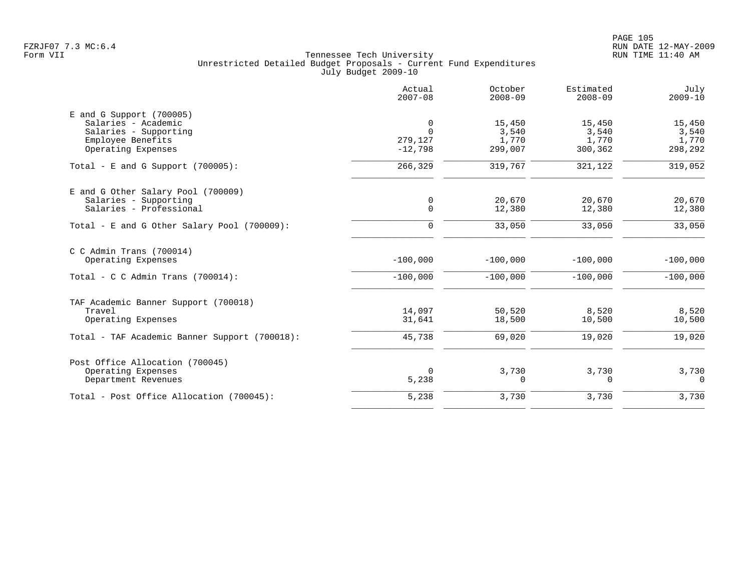|                                                                                                                       | Actual<br>$2007 - 08$                 | October<br>$2008 - 09$              | Estimated<br>$2008 - 09$            | July<br>$2009 - 10$                 |
|-----------------------------------------------------------------------------------------------------------------------|---------------------------------------|-------------------------------------|-------------------------------------|-------------------------------------|
| $E$ and G Support (700005)<br>Salaries - Academic<br>Salaries - Supporting<br>Employee Benefits<br>Operating Expenses | 0<br>$\Omega$<br>279,127<br>$-12,798$ | 15,450<br>3,540<br>1,770<br>299,007 | 15,450<br>3,540<br>1,770<br>300,362 | 15,450<br>3,540<br>1,770<br>298,292 |
| Total - E and G Support $(700005)$ :                                                                                  | 266,329                               | 319,767                             | 321,122                             | 319,052                             |
| E and G Other Salary Pool (700009)<br>Salaries - Supporting<br>Salaries - Professional                                | $\mathsf{O}$<br>$\mathbf 0$           | 20,670<br>12,380                    | 20,670<br>12,380                    | 20,670<br>12,380                    |
| Total - E and G Other Salary Pool (700009):                                                                           | $\mathbf 0$                           | 33,050                              | 33,050                              | 33,050                              |
| $C$ C Admin Trans (700014)<br>Operating Expenses<br>Total - C C Admin Trans $(700014)$ :                              | $-100,000$<br>$-100,000$              | $-100,000$<br>$-100,000$            | $-100,000$<br>$-100,000$            | $-100,000$<br>$-100,000$            |
| TAF Academic Banner Support (700018)<br>Travel<br>Operating Expenses<br>Total - TAF Academic Banner Support (700018): | 14,097<br>31,641<br>45,738            | 50,520<br>18,500<br>69,020          | 8,520<br>10,500<br>19,020           | 8,520<br>10,500<br>19,020           |
| Post Office Allocation (700045)<br>Operating Expenses<br>Department Revenues                                          | $\mathbf 0$<br>5,238                  | 3,730<br>$\mathbf 0$                | 3,730<br>$\Omega$                   | 3,730<br>$\mathbf 0$                |
| Total - Post Office Allocation (700045):                                                                              | 5,238                                 | 3,730                               | 3,730                               | 3,730                               |
|                                                                                                                       |                                       |                                     |                                     |                                     |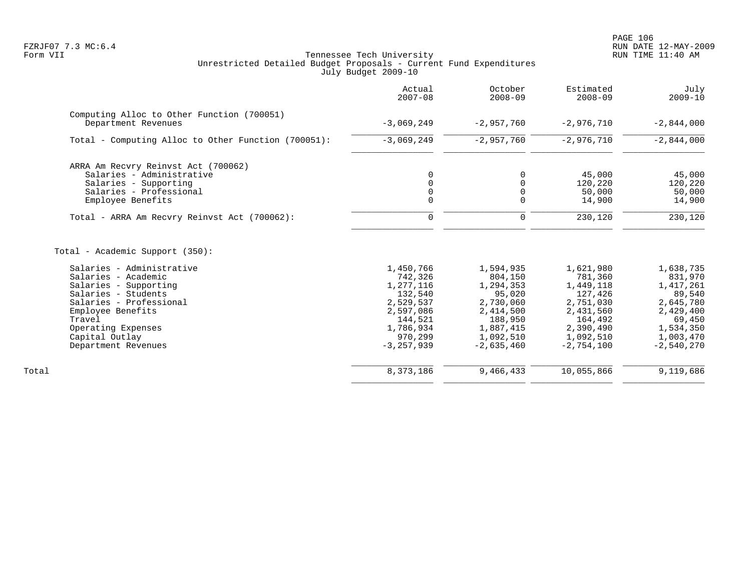|                                                                                                                                                                                                                                                              | Actual<br>$2007 - 08$                                                                                                       | October<br>$2008 - 09$                                                                                                     | Estimated<br>$2008 - 09$                                                                                                    | July<br>$2009 - 10$                                                                                                       |
|--------------------------------------------------------------------------------------------------------------------------------------------------------------------------------------------------------------------------------------------------------------|-----------------------------------------------------------------------------------------------------------------------------|----------------------------------------------------------------------------------------------------------------------------|-----------------------------------------------------------------------------------------------------------------------------|---------------------------------------------------------------------------------------------------------------------------|
| Computing Alloc to Other Function (700051)<br>Department Revenues                                                                                                                                                                                            | $-3,069,249$                                                                                                                | $-2,957,760$                                                                                                               | $-2,976,710$                                                                                                                | $-2,844,000$                                                                                                              |
| Total - Computing Alloc to Other Function (700051):                                                                                                                                                                                                          | $-3,069,249$                                                                                                                | $-2,957,760$                                                                                                               | $-2,976,710$                                                                                                                | $-2,844,000$                                                                                                              |
| ARRA Am Recvry Reinvst Act (700062)<br>Salaries - Administrative<br>Salaries - Supporting<br>Salaries - Professional<br>Employee Benefits                                                                                                                    | 0<br>0<br>$\Omega$<br>$\Omega$                                                                                              | 0<br>$\mathbf 0$<br>$\mathbf 0$<br>$\Omega$                                                                                | 45,000<br>120,220<br>50,000<br>14,900                                                                                       | 45,000<br>120,220<br>50,000<br>14,900                                                                                     |
| Total - ARRA Am Recvry Reinvst Act (700062):                                                                                                                                                                                                                 | $\mathbf 0$                                                                                                                 | $\mathbf 0$                                                                                                                | 230,120                                                                                                                     | 230,120                                                                                                                   |
| Total - Academic Support (350):<br>Salaries - Administrative<br>Salaries - Academic<br>Salaries - Supporting<br>Salaries - Students<br>Salaries - Professional<br>Employee Benefits<br>Travel<br>Operating Expenses<br>Capital Outlay<br>Department Revenues | 1,450,766<br>742,326<br>1,277,116<br>132,540<br>2,529,537<br>2,597,086<br>144,521<br>1,786,934<br>970,299<br>$-3, 257, 939$ | 1,594,935<br>804,150<br>1,294,353<br>95,020<br>2,730,060<br>2,414,500<br>188,950<br>1,887,415<br>1,092,510<br>$-2,635,460$ | 1,621,980<br>781,360<br>1,449,118<br>127,426<br>2,751,030<br>2,431,560<br>164,492<br>2,390,490<br>1,092,510<br>$-2,754,100$ | 1,638,735<br>831,970<br>1,417,261<br>89,540<br>2,645,780<br>2,429,400<br>69,450<br>1,534,350<br>1,003,470<br>$-2,540,270$ |
| Total                                                                                                                                                                                                                                                        | 8,373,186                                                                                                                   | 9,466,433                                                                                                                  | 10,055,866                                                                                                                  | 9,119,686                                                                                                                 |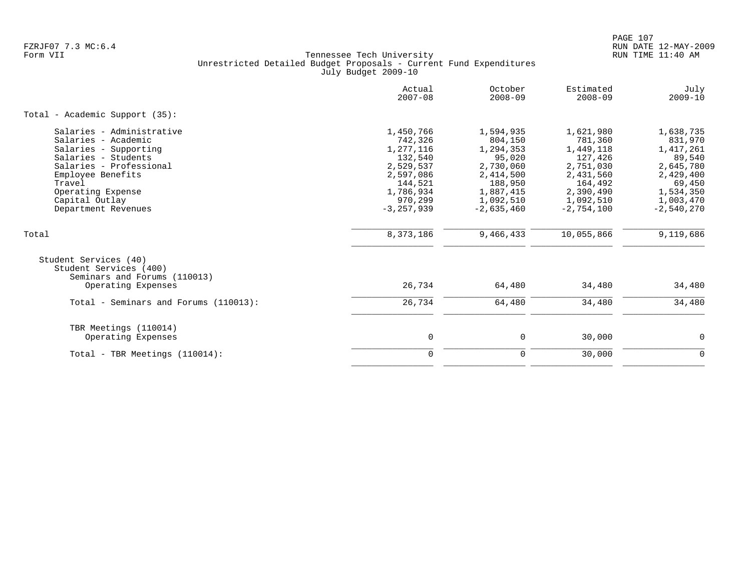PAGE 107 FZRJF07 7.3 MC:6.4 RUN DATE 12-MAY-2009

|                                                                                                                                                                                                                          | Actual<br>$2007 - 08$                                                                                                       | October<br>$2008 - 09$                                                                                                     | Estimated<br>$2008 - 09$                                                                                                    | July<br>$2009 - 10$                                                                                                       |
|--------------------------------------------------------------------------------------------------------------------------------------------------------------------------------------------------------------------------|-----------------------------------------------------------------------------------------------------------------------------|----------------------------------------------------------------------------------------------------------------------------|-----------------------------------------------------------------------------------------------------------------------------|---------------------------------------------------------------------------------------------------------------------------|
| Total - Academic Support (35):                                                                                                                                                                                           |                                                                                                                             |                                                                                                                            |                                                                                                                             |                                                                                                                           |
| Salaries - Administrative<br>Salaries - Academic<br>Salaries - Supporting<br>Salaries - Students<br>Salaries - Professional<br>Employee Benefits<br>Travel<br>Operating Expense<br>Capital Outlay<br>Department Revenues | 1,450,766<br>742,326<br>1,277,116<br>132,540<br>2,529,537<br>2,597,086<br>144,521<br>1,786,934<br>970,299<br>$-3, 257, 939$ | 1,594,935<br>804,150<br>1,294,353<br>95,020<br>2,730,060<br>2,414,500<br>188,950<br>1,887,415<br>1,092,510<br>$-2.635.460$ | 1,621,980<br>781,360<br>1,449,118<br>127,426<br>2,751,030<br>2,431,560<br>164,492<br>2,390,490<br>1,092,510<br>$-2.754.100$ | 1,638,735<br>831,970<br>1,417,261<br>89,540<br>2,645,780<br>2,429,400<br>69,450<br>1,534,350<br>1,003,470<br>$-2,540,270$ |
| Total                                                                                                                                                                                                                    | 8,373,186                                                                                                                   | 9,466,433                                                                                                                  | 10,055,866                                                                                                                  | 9,119,686                                                                                                                 |
| Student Services (40)<br>Student Services (400)<br>Seminars and Forums (110013)<br>Operating Expenses                                                                                                                    | 26,734                                                                                                                      | 64,480                                                                                                                     | 34,480                                                                                                                      | 34,480                                                                                                                    |
| Total - Seminars and Forums (110013):                                                                                                                                                                                    | 26,734                                                                                                                      | 64,480                                                                                                                     | 34,480                                                                                                                      | 34,480                                                                                                                    |
| TBR Meetings (110014)<br>Operating Expenses                                                                                                                                                                              | $\mathbf 0$                                                                                                                 | $\mathbf 0$                                                                                                                | 30,000                                                                                                                      | 0                                                                                                                         |
| Total - TBR Meetings (110014):                                                                                                                                                                                           | $\mathbf 0$                                                                                                                 | $\mathbf 0$                                                                                                                | 30,000                                                                                                                      | $\mathbf 0$                                                                                                               |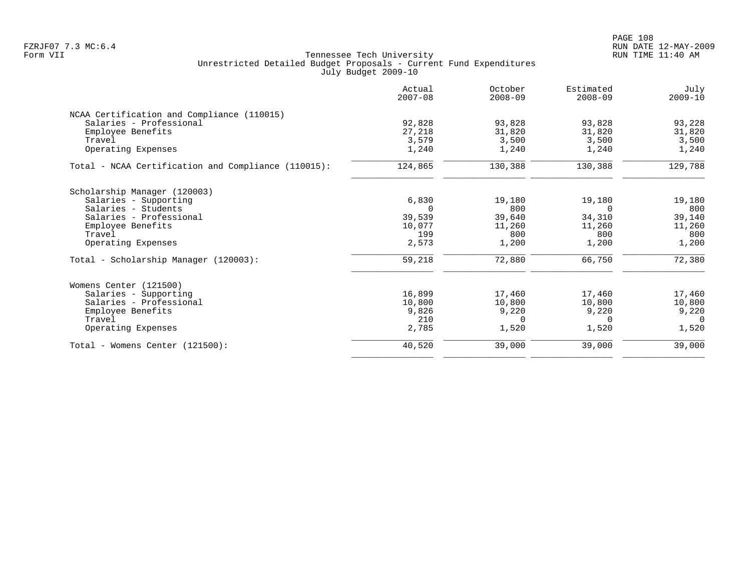PAGE 108 FZRJF07 7.3 MC:6.4 RUN DATE 12-MAY-2009

| Actual<br>$2007 - 08$ | October<br>$2008 - 09$ | Estimated<br>$2008 - 09$ | July<br>$2009 - 10$ |
|-----------------------|------------------------|--------------------------|---------------------|
|                       |                        |                          |                     |
| 92,828                | 93,828                 | 93,828                   | 93,228              |
| 27,218                | 31,820                 | 31,820                   | 31,820              |
| 3,579                 | 3,500                  | 3,500                    | 3,500               |
| 1,240                 | 1,240                  | 1,240                    | 1,240               |
| 124,865               | 130,388                | 130,388                  | 129,788             |
|                       |                        |                          |                     |
|                       |                        |                          | 19,180              |
| $\Omega$              | 800                    | $\Omega$                 | 800                 |
| 39,539                | 39,640                 | 34,310                   | 39,140              |
| 10,077                | 11,260                 | 11,260                   | 11,260              |
| 199                   | 800                    | 800                      | 800                 |
| 2,573                 | 1,200                  | 1,200                    | 1,200               |
| 59,218                | 72,880                 | 66,750                   | 72,380              |
|                       |                        |                          |                     |
| 16,899                | 17,460                 | 17,460                   | 17,460              |
| 10,800                | 10,800                 | 10,800                   | 10,800              |
| 9,826                 | 9,220                  | 9,220                    | 9,220               |
| 210                   | $\Omega$               | $\Omega$                 | $\Omega$            |
| 2,785                 | 1,520                  | 1,520                    | 1,520               |
| 40,520                | 39,000                 | 39,000                   | 39,000              |
|                       | 6,830                  | 19,180                   | 19,180              |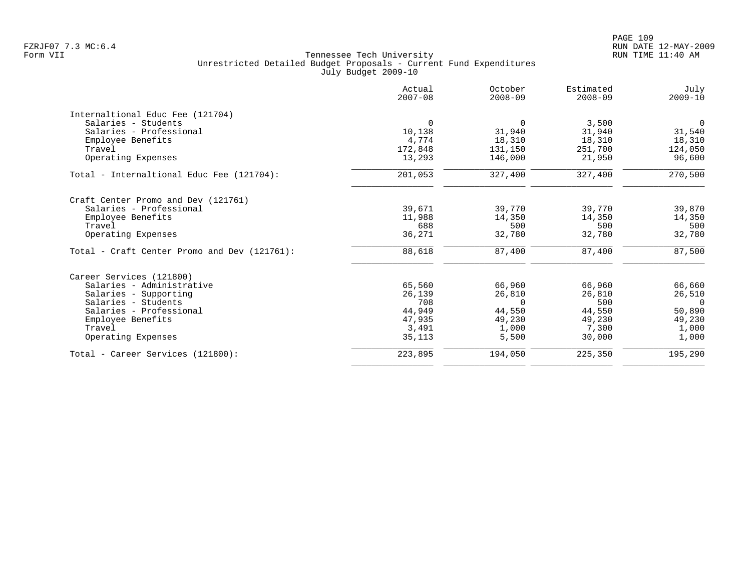|                                              | Actual<br>$2007 - 08$ | October<br>$2008 - 09$ | Estimated<br>$2008 - 09$ | July<br>$2009 - 10$ |
|----------------------------------------------|-----------------------|------------------------|--------------------------|---------------------|
| Internaltional Educ Fee (121704)             |                       |                        |                          |                     |
| Salaries - Students                          | $\Omega$              | $\Omega$               | 3,500                    | $\mathbf 0$         |
| Salaries - Professional                      | 10,138                | 31,940                 | 31,940                   | 31,540              |
| Employee Benefits                            | 4,774                 | 18,310                 | 18,310                   | 18,310              |
| Travel                                       | 172,848               | 131,150                | 251,700                  | 124,050             |
| Operating Expenses                           | 13,293                | 146,000                | 21,950                   | 96,600              |
| Total - Internaltional Educ Fee (121704):    | 201,053               | 327,400                | 327,400                  | 270,500             |
| Craft Center Promo and Dev (121761)          |                       |                        |                          |                     |
| Salaries - Professional                      | 39,671                | 39,770                 | 39,770                   | 39,870              |
| Employee Benefits                            | 11,988                | 14,350                 | 14,350                   | 14,350              |
| Travel                                       | 688                   | 500                    | 500                      | 500                 |
| Operating Expenses                           | 36,271                | 32,780                 | 32,780                   | 32,780              |
| Total - Craft Center Promo and Dev (121761): | 88,618                | 87,400                 | 87,400                   | 87,500              |
| Career Services (121800)                     |                       |                        |                          |                     |
| Salaries - Administrative                    | 65,560                | 66,960                 | 66,960                   | 66,660              |
| Salaries - Supporting                        | 26,139                | 26,810                 | 26,810                   | 26,510              |
| Salaries - Students                          | 708                   | $\Omega$               | 500                      | $\overline{0}$      |
| Salaries - Professional                      | 44,949                | 44,550                 | 44,550                   | 50,890              |
| Employee Benefits                            | 47,935                | 49,230                 | 49,230                   | 49,230              |
| Travel                                       | 3,491                 | 1,000                  | 7,300                    | 1,000               |
| Operating Expenses                           | 35,113                | 5,500                  | 30,000                   | 1,000               |
| Total - Career Services (121800):            | 223,895               | 194,050                | 225,350                  | 195,290             |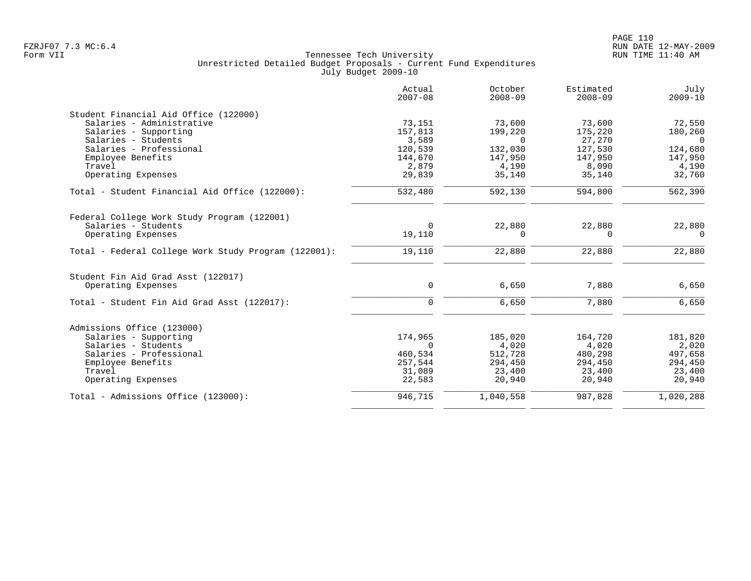|                                                      | Actual<br>$2007 - 08$ | October<br>$2008 - 09$ | Estimated<br>$2008 - 09$ | July<br>$2009 - 10$ |
|------------------------------------------------------|-----------------------|------------------------|--------------------------|---------------------|
| Student Financial Aid Office (122000)                |                       |                        |                          |                     |
| Salaries - Administrative                            | 73,151                | 73,600                 | 73,600                   | 72,550              |
| Salaries - Supporting                                | 157,813               | 199,220                | 175,220                  | 180,260             |
| Salaries - Students                                  | 3,589                 | $\Omega$               | 27,270                   | $\Omega$            |
| Salaries - Professional                              | 120,539               | 132,030                | 127,530                  | 124,680             |
| Employee Benefits                                    | 144,670               | 147,950                | 147,950                  | 147,950             |
| Travel                                               | 2,879                 | 4,190                  | 8,090                    | 4,190               |
| Operating Expenses                                   | 29,839                | 35,140                 | 35,140                   | 32,760              |
| Total - Student Financial Aid Office (122000):       | 532,480               | 592,130                | 594,800                  | 562,390             |
| Federal College Work Study Program (122001)          |                       |                        |                          |                     |
| Salaries - Students                                  | $\Omega$              | 22,880                 | 22,880                   | 22,880              |
| Operating Expenses                                   | 19,110                | $\Omega$               | $\Omega$                 | $\Omega$            |
| Total - Federal College Work Study Program (122001): | 19,110                | 22,880                 | 22,880                   | 22,880              |
| Student Fin Aid Grad Asst (122017)                   |                       |                        |                          |                     |
| Operating Expenses                                   | $\mathbf 0$           | 6,650                  | 7,880                    | 6,650               |
| Total - Student Fin Aid Grad Asst (122017):          | $\Omega$              | 6,650                  | 7,880                    | 6,650               |
| Admissions Office (123000)                           |                       |                        |                          |                     |
| Salaries - Supporting                                | 174,965               | 185,020                | 164,720                  | 181,820             |
| Salaries - Students                                  | $\Omega$              | 4,020                  | 4,020                    | 2,020               |
| Salaries - Professional                              | 460,534               | 512,728                | 480,298                  | 497,658             |
| Employee Benefits                                    | 257,544               | 294,450                | 294,450                  | 294,450             |
| Travel                                               | 31,089                | 23,400                 | 23,400                   | 23,400              |
| Operating Expenses                                   | 22,583                | 20,940                 | 20,940                   | 20,940              |
| Total - Admissions Office (123000):                  | 946,715               | 1,040,558              | 987,828                  | 1,020,288           |
|                                                      |                       |                        |                          |                     |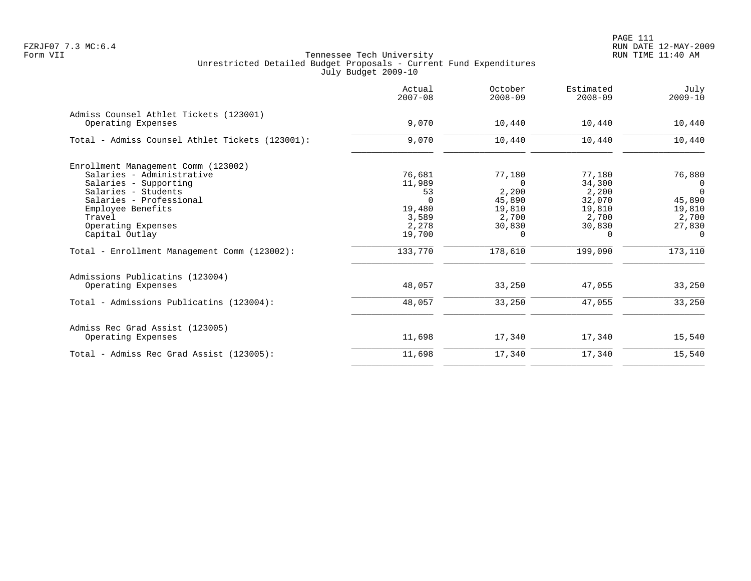PAGE 111 FZRJF07 7.3 MC:6.4 RUN DATE 12-MAY-2009

|                                                              | Actual<br>$2007 - 08$ | October<br>$2008 - 09$ | Estimated<br>$2008 - 09$ | July<br>$2009 - 10$ |
|--------------------------------------------------------------|-----------------------|------------------------|--------------------------|---------------------|
| Admiss Counsel Athlet Tickets (123001)<br>Operating Expenses | 9,070                 | 10,440                 | 10,440                   | 10,440              |
| Total - Admiss Counsel Athlet Tickets (123001):              | 9,070                 | 10,440                 | 10,440                   | 10,440              |
| Enrollment Management Comm (123002)                          |                       |                        |                          |                     |
| Salaries - Administrative                                    | 76,681                | 77,180                 | 77,180                   | 76,880              |
| Salaries - Supporting                                        | 11,989                | $\Omega$               | 34,300                   | $\Omega$            |
| Salaries - Students                                          | 53                    | 2,200                  | 2,200                    | $\Omega$            |
| Salaries - Professional                                      | $\cap$                | 45,890                 | 32,070                   | 45,890              |
| Employee Benefits                                            | 19,480                | 19,810                 | 19,810                   | 19,810              |
| Travel                                                       | 3,589                 | 2,700                  | 2,700                    | 2,700               |
| Operating Expenses                                           | 2,278                 | 30,830                 | 30,830                   | 27,830<br>$\Omega$  |
| Capital Outlay                                               | 19,700                | $\Omega$               | $\Omega$                 |                     |
| Total - Enrollment Management Comm (123002):                 | 133,770               | 178,610                | 199,090                  | 173,110             |
| Admissions Publicatins (123004)                              |                       |                        |                          |                     |
| Operating Expenses                                           | 48,057                | 33,250                 | 47,055                   | 33,250              |
| Total - Admissions Publicatins (123004):                     | 48,057                | 33,250                 | 47,055                   | 33,250              |
| Admiss Rec Grad Assist (123005)                              |                       |                        |                          |                     |
| Operating Expenses                                           | 11,698                | 17,340                 | 17,340                   | 15,540              |
| Total - Admiss Rec Grad Assist (123005):                     | 11,698                | 17,340                 | 17,340                   | 15,540              |
|                                                              |                       |                        |                          |                     |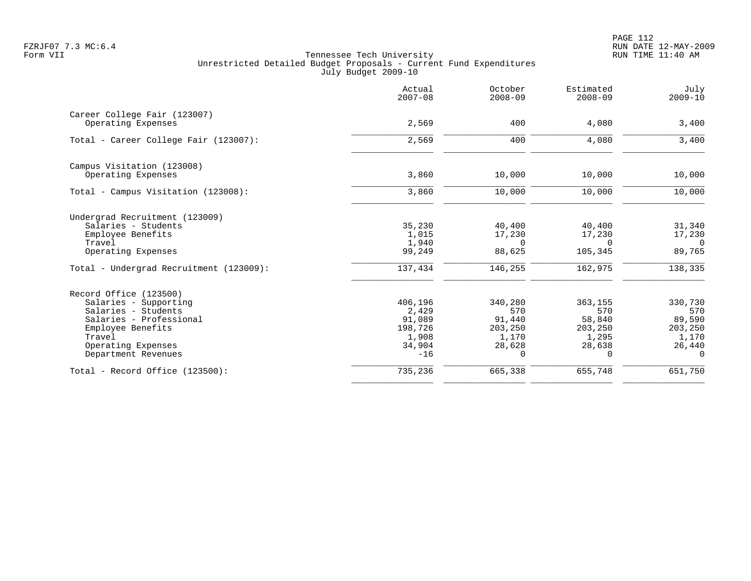PAGE 112 FZRJF07 7.3 MC:6.4 RUN DATE 12-MAY-2009

|                                                                                                                                                                               | Actual<br>$2007 - 08$                                             | October<br>$2008 - 09$                                             | Estimated<br>$2008 - 09$                                    | July<br>$2009 - 10$                                                |
|-------------------------------------------------------------------------------------------------------------------------------------------------------------------------------|-------------------------------------------------------------------|--------------------------------------------------------------------|-------------------------------------------------------------|--------------------------------------------------------------------|
| Career College Fair (123007)<br>Operating Expenses                                                                                                                            | 2,569                                                             | 400                                                                | 4,080                                                       | 3,400                                                              |
| Total - Career College Fair (123007):                                                                                                                                         | 2,569                                                             | 400                                                                | 4,080                                                       | 3,400                                                              |
| Campus Visitation (123008)<br>Operating Expenses                                                                                                                              | 3,860                                                             | 10,000                                                             | 10,000                                                      | 10,000                                                             |
| Total - Campus Visitation (123008):                                                                                                                                           | 3,860                                                             | 10,000                                                             | 10,000                                                      | 10,000                                                             |
| Undergrad Recruitment (123009)<br>Salaries - Students<br>Employee Benefits<br>Travel<br>Operating Expenses                                                                    | 35,230<br>1,015<br>1,940<br>99,249                                | 40,400<br>17,230<br>$\Omega$<br>88,625                             | 40,400<br>17,230<br>$\Omega$<br>105,345                     | 31,340<br>17,230<br>$\Omega$<br>89,765                             |
| Total - Undergrad Recruitment (123009):                                                                                                                                       | 137,434                                                           | 146,255                                                            | 162,975                                                     | 138,335                                                            |
| Record Office (123500)<br>Salaries - Supporting<br>Salaries - Students<br>Salaries - Professional<br>Employee Benefits<br>Travel<br>Operating Expenses<br>Department Revenues | 406,196<br>2,429<br>91,089<br>198,726<br>1,908<br>34,904<br>$-16$ | 340,280<br>570<br>91,440<br>203,250<br>1,170<br>28,628<br>$\Omega$ | 363,155<br>570<br>58,840<br>203,250<br>1,295<br>28,638<br>0 | 330,730<br>570<br>89,590<br>203,250<br>1,170<br>26,440<br>$\Omega$ |
| Total - Record Office (123500):                                                                                                                                               | 735,236                                                           | 665,338                                                            | 655,748                                                     | 651,750                                                            |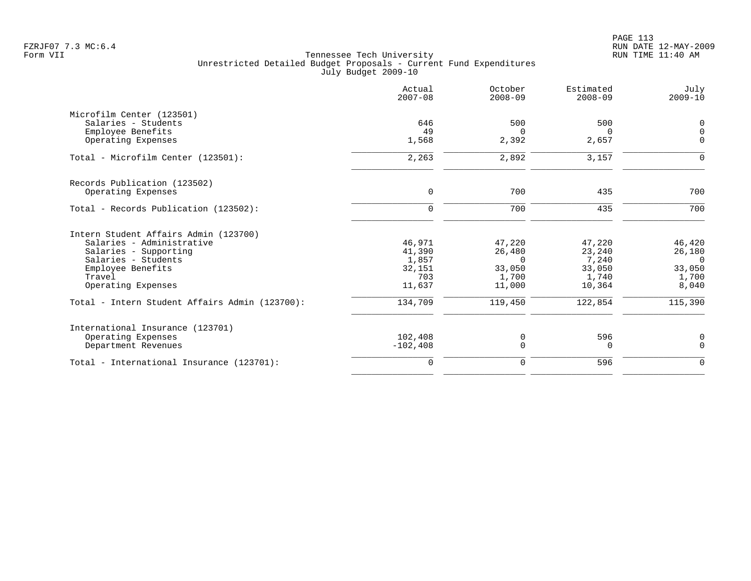| Actual<br>$2007 - 08$ | October<br>$2008 - 09$            | Estimated<br>$2008 - 09$ | July<br>$2009 - 10$             |
|-----------------------|-----------------------------------|--------------------------|---------------------------------|
|                       |                                   |                          |                                 |
| 646                   | 500                               | 500                      | 0                               |
| 49                    | $\Omega$                          | $\Omega$                 | $\Omega$                        |
|                       |                                   |                          | $\Omega$                        |
| 2,263                 | 2,892                             | 3,157                    | ∩                               |
|                       |                                   |                          |                                 |
| $\mathbf 0$           | 700                               | 435                      | 700                             |
| $\Omega$              | 700                               | 435                      | 700                             |
|                       |                                   |                          |                                 |
| 46,971                | 47,220                            | 47,220                   | 46,420                          |
| 41,390                | 26,480                            | 23,240                   | 26,180                          |
| 1,857                 | $\Omega$                          | 7,240                    | $\Omega$                        |
| 32,151                | 33,050                            | 33,050                   | 33,050                          |
|                       | 1,700                             |                          | 1,700                           |
|                       |                                   |                          | 8,040                           |
| 134,709               | 119,450                           | 122,854                  | 115,390                         |
|                       |                                   |                          |                                 |
|                       |                                   |                          | 0                               |
| $-102, 408$           | $\Omega$                          | $\Omega$                 | $\Omega$                        |
| $\mathbf 0$           | 0                                 | 596                      | $\mathbf 0$                     |
|                       | 1,568<br>703<br>11,637<br>102,408 | 2,392<br>11,000<br>0     | 2,657<br>1,740<br>10,364<br>596 |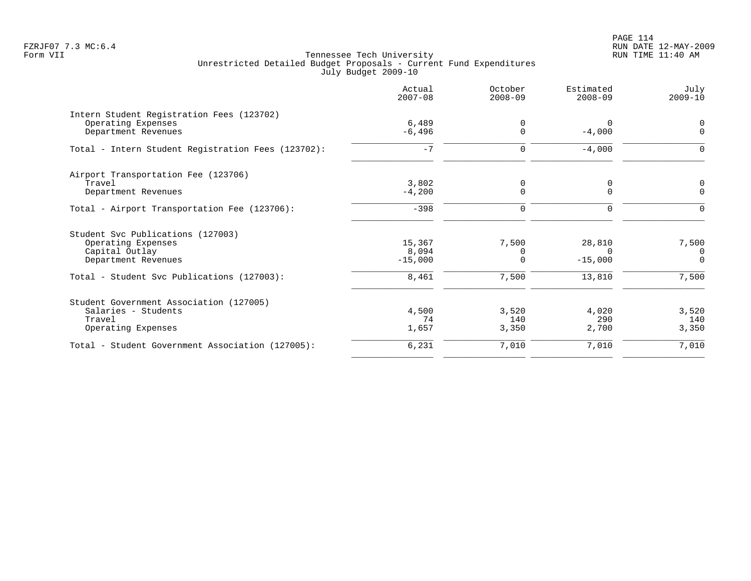PAGE 114 FZRJF07 7.3 MC:6.4 RUN DATE 12-MAY-2009

|                                                    | Actual<br>$2007 - 08$ | October<br>$2008 - 09$  | Estimated<br>$2008 - 09$ | July<br>$2009 - 10$ |
|----------------------------------------------------|-----------------------|-------------------------|--------------------------|---------------------|
| Intern Student Registration Fees (123702)          |                       |                         |                          |                     |
| Operating Expenses<br>Department Revenues          | 6,489<br>$-6,496$     | $\mathbf 0$<br>$\Omega$ | 0<br>$-4,000$            | 0<br>$\mathbf 0$    |
| Total - Intern Student Registration Fees (123702): | $-7$                  | $\mathbf 0$             | $-4,000$                 | $\Omega$            |
| Airport Transportation Fee (123706)                |                       |                         |                          |                     |
| Travel                                             | 3,802                 | 0                       | 0                        | 0                   |
| Department Revenues                                | $-4,200$              | $\mathbf 0$             | $\Omega$                 | $\Omega$            |
| Total - Airport Transportation Fee (123706):       | $-398$                | $\mathbf 0$             | $\Omega$                 | $\Omega$            |
| Student Svc Publications (127003)                  |                       |                         |                          |                     |
| Operating Expenses                                 | 15,367                | 7,500                   | 28,810                   | 7,500               |
| Capital Outlay                                     | 8,094                 | 0                       | $\Omega$                 | 0                   |
| Department Revenues                                | $-15,000$             | $\Omega$                | $-15,000$                | $\Omega$            |
| Total - Student Svc Publications (127003):         | 8,461                 | 7,500                   | 13,810                   | 7,500               |
| Student Government Association (127005)            |                       |                         |                          |                     |
| Salaries - Students                                | 4,500                 | 3,520                   | 4,020                    | 3,520               |
| Travel                                             | 74                    | 140                     | 290                      | 140                 |
| Operating Expenses                                 | 1,657                 | 3,350                   | 2,700                    | 3,350               |
| Total - Student Government Association (127005):   | 6,231                 | 7,010                   | 7,010                    | 7,010               |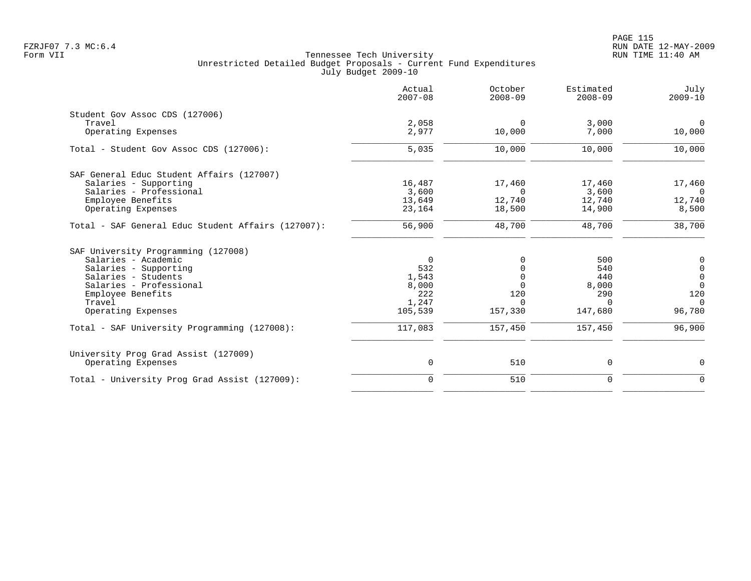|                                                    | Actual<br>$2007 - 08$ | October<br>$2008 - 09$ | Estimated<br>$2008 - 09$ | July<br>$2009 - 10$ |
|----------------------------------------------------|-----------------------|------------------------|--------------------------|---------------------|
| Student Gov Assoc CDS (127006)                     |                       |                        |                          |                     |
| Travel                                             | 2,058                 | $\Omega$               | 3,000                    | $\mathbf 0$         |
| Operating Expenses                                 | 2,977                 | 10,000                 | 7,000                    | 10,000              |
| Total - Student Gov Assoc CDS (127006):            | 5,035                 | 10,000                 | 10,000                   | 10,000              |
| SAF General Educ Student Affairs (127007)          |                       |                        |                          |                     |
| Salaries - Supporting                              | 16,487                | 17,460                 | 17,460                   | 17,460              |
| Salaries - Professional                            | 3,600                 | $\Omega$               | 3,600                    | $\Omega$            |
| Employee Benefits                                  | 13,649                | 12,740                 | 12,740                   | 12,740              |
| Operating Expenses                                 | 23,164                | 18,500                 | 14,900                   | 8,500               |
| Total - SAF General Educ Student Affairs (127007): | 56,900                | 48,700                 | 48,700                   | 38,700              |
| SAF University Programming (127008)                |                       |                        |                          |                     |
| Salaries - Academic                                | $\Omega$              | $\Omega$               | 500                      | $\mathbf 0$         |
| Salaries - Supporting                              | 532                   |                        | 540                      | $\mathbf 0$         |
| Salaries - Students                                | 1,543                 | $\Omega$               | 440                      | $\overline{0}$      |
| Salaries - Professional                            | 8,000                 | <sup>n</sup>           | 8,000                    | $\Omega$            |
| Employee Benefits                                  | 222                   | 120                    | 290                      | 120                 |
| Travel                                             | 1,247                 | $\Omega$               | $\cap$                   | $\Omega$            |
| Operating Expenses                                 | 105,539               | 157,330                | 147,680                  | 96,780              |
| Total - SAF University Programming (127008):       | 117,083               | 157,450                | 157,450                  | 96,900              |
| University Prog Grad Assist (127009)               |                       |                        |                          |                     |
| Operating Expenses                                 | 0                     | 510                    | 0                        | 0                   |
| Total - University Prog Grad Assist (127009):      | $\mathbf 0$           | 510                    | $\mathbf 0$              | $\Omega$            |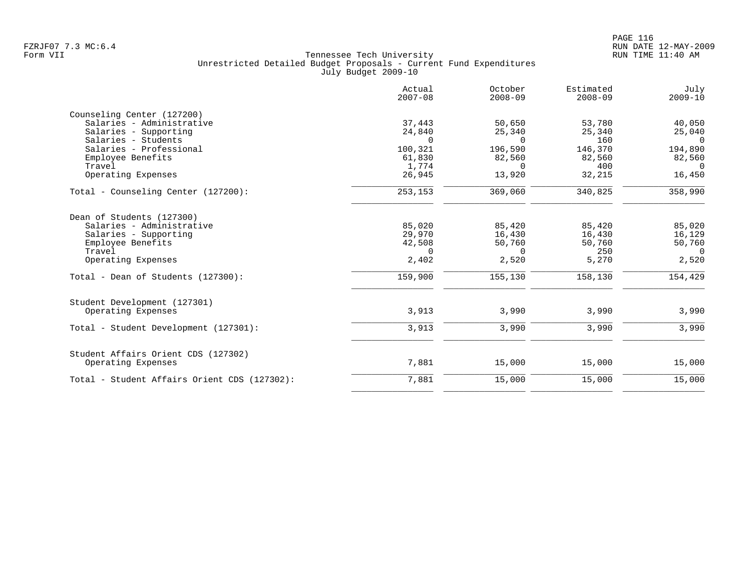|                                              | Actual<br>$2007 - 08$ | October<br>$2008 - 09$ | Estimated<br>$2008 - 09$ | July<br>$2009 - 10$ |
|----------------------------------------------|-----------------------|------------------------|--------------------------|---------------------|
| Counseling Center (127200)                   |                       |                        |                          |                     |
| Salaries - Administrative                    | 37,443                | 50,650                 | 53,780                   | 40,050              |
| Salaries - Supporting                        | 24,840                | 25,340                 | 25,340                   | 25,040              |
| Salaries - Students                          | $\Omega$              | $\Omega$               | 160                      | $\overline{0}$      |
| Salaries - Professional                      | 100,321               | 196,590                | 146,370                  | 194,890             |
| Employee Benefits                            | 61,830                | 82,560                 | 82,560                   | 82,560              |
| Travel                                       | 1,774                 | $\Omega$               | 400                      | $\Omega$            |
| Operating Expenses                           | 26,945                | 13,920                 | 32,215                   | 16,450              |
| Total - Counseling Center (127200):          | 253,153               | 369,060                | 340,825                  | 358,990             |
| Dean of Students (127300)                    |                       |                        |                          |                     |
| Salaries - Administrative                    | 85,020                | 85,420                 | 85,420                   | 85,020              |
| Salaries - Supporting                        | 29,970                | 16,430                 | 16,430                   | 16,129              |
| Employee Benefits                            | 42,508                | 50,760                 | 50,760                   | 50,760              |
| Travel                                       | $\Omega$              | $\Omega$               | 250                      | $\Omega$            |
| Operating Expenses                           | 2,402                 | 2,520                  | 5,270                    | 2,520               |
| Total - Dean of Students (127300):           | 159,900               | 155,130                | 158,130                  | 154,429             |
| Student Development (127301)                 |                       |                        |                          |                     |
| Operating Expenses                           | 3,913                 | 3,990                  | 3,990                    | 3,990               |
| Total - Student Development (127301):        | 3,913                 | 3,990                  | 3,990                    | 3,990               |
| Student Affairs Orient CDS (127302)          |                       |                        |                          |                     |
| Operating Expenses                           | 7,881                 | 15,000                 | 15,000                   | 15,000              |
| Total - Student Affairs Orient CDS (127302): | 7,881                 | 15,000                 | 15,000                   | 15,000              |
|                                              |                       |                        |                          |                     |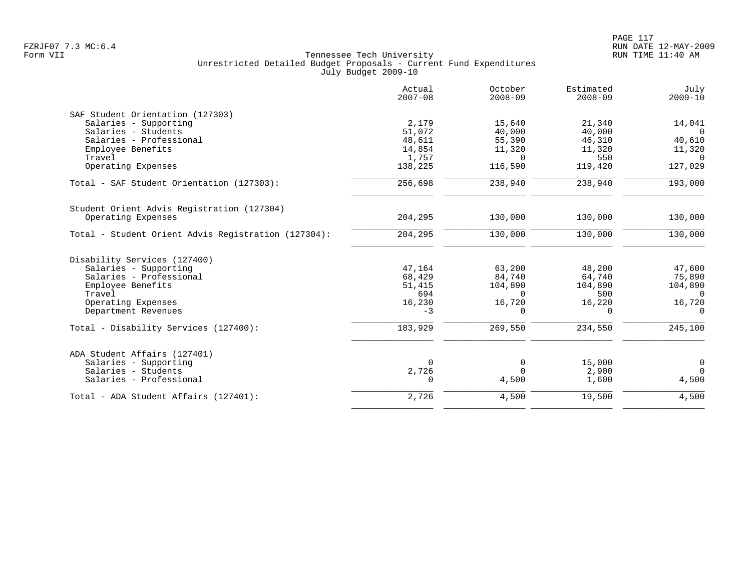|                                                     | Actual<br>$2007 - 08$ | October<br>$2008 - 09$ | Estimated<br>$2008 - 09$ | July<br>$2009 - 10$ |
|-----------------------------------------------------|-----------------------|------------------------|--------------------------|---------------------|
| SAF Student Orientation (127303)                    |                       |                        |                          |                     |
| Salaries - Supporting                               | 2,179                 | 15,640                 | 21,340                   | 14,041              |
| Salaries - Students                                 | 51,072                | 40,000                 | 40,000                   | $\cap$              |
| Salaries - Professional                             | 48,611                | 55,390                 | 46,310                   | 40,610              |
| Employee Benefits                                   | 14,854                | 11,320                 | 11,320                   | 11,320              |
| Travel                                              | 1,757                 | $\Omega$               | 550                      | $\Omega$            |
| Operating Expenses                                  | 138,225               | 116,590                | 119,420                  | 127,029             |
| Total - SAF Student Orientation (127303):           | 256,698               | 238,940                | 238,940                  | 193,000             |
| Student Orient Advis Registration (127304)          |                       |                        |                          |                     |
| Operating Expenses                                  | 204,295               | 130,000                | 130,000                  | 130,000             |
| Total - Student Orient Advis Registration (127304): | 204,295               | 130,000                | 130,000                  | 130,000             |
| Disability Services (127400)                        |                       |                        |                          |                     |
| Salaries - Supporting                               | 47,164                | 63,200                 | 48,200                   | 47,600              |
| Salaries - Professional                             | 68,429                | 84,740                 | 64,740                   | 75,890              |
| Employee Benefits                                   | 51,415                | 104,890                | 104,890                  | 104,890             |
| Travel                                              | 694                   | $\Omega$               | 500                      | $\Omega$            |
| Operating Expenses                                  | 16,230                | 16,720                 | 16,220                   | 16,720              |
| Department Revenues                                 | $-3$                  | $\Omega$               | $\Omega$                 | $\Omega$            |
| Total - Disability Services (127400):               | 183,929               | 269,550                | 234,550                  | 245,100             |
| ADA Student Affairs (127401)                        |                       |                        |                          |                     |
| Salaries - Supporting                               | $\Omega$              | 0                      | 15,000                   | $\mathbf 0$         |
| Salaries - Students                                 | 2,726                 | $\Omega$               | 2,900                    | $\Omega$            |
| Salaries - Professional                             | 0                     | 4,500                  | 1,600                    | 4,500               |
| Total - ADA Student Affairs (127401):               | 2,726                 | 4,500                  | 19,500                   | 4,500               |
|                                                     |                       |                        |                          |                     |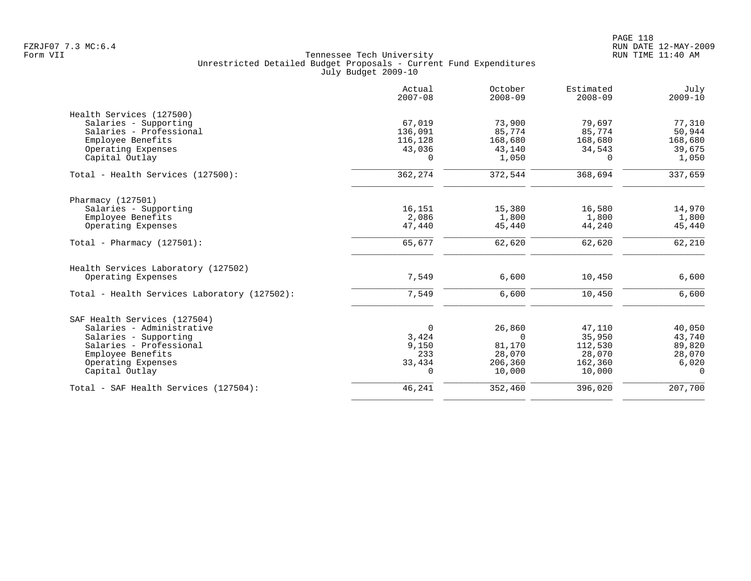|                                              | Actual<br>$2007 - 08$ | October<br>$2008 - 09$ | Estimated<br>$2008 - 09$ | July<br>$2009 - 10$ |
|----------------------------------------------|-----------------------|------------------------|--------------------------|---------------------|
| Health Services (127500)                     |                       |                        |                          |                     |
| Salaries - Supporting                        | 67,019                | 73,900                 | 79,697                   | 77,310              |
| Salaries - Professional                      | 136,091               | 85,774                 | 85,774                   | 50,944              |
| Employee Benefits                            | 116,128               | 168,680                | 168,680                  | 168,680             |
| Operating Expenses                           | 43,036                | 43,140                 | 34,543                   | 39,675              |
| Capital Outlay                               | $\Omega$              | 1,050                  | $\Omega$                 | 1,050               |
| Total - Health Services (127500):            | 362,274               | 372,544                | 368,694                  | 337,659             |
| Pharmacy (127501)                            |                       |                        |                          |                     |
| Salaries - Supporting                        | 16,151                | 15,380                 | 16,580                   | 14,970              |
| Employee Benefits                            | 2,086                 | 1,800                  | 1,800                    | 1,800               |
| Operating Expenses                           | 47,440                | 45,440                 | 44,240                   | 45,440              |
| Total - Pharmacy $(127501)$ :                | 65,677                | 62,620                 | 62,620                   | 62,210              |
| Health Services Laboratory (127502)          |                       |                        |                          |                     |
| Operating Expenses                           | 7,549                 | 6,600                  | 10,450                   | 6,600               |
| Total - Health Services Laboratory (127502): | 7,549                 | 6,600                  | 10,450                   | 6,600               |
| SAF Health Services (127504)                 |                       |                        |                          |                     |
| Salaries - Administrative                    | $\overline{0}$        | 26,860                 | 47,110                   | 40,050              |
| Salaries - Supporting                        | 3,424                 | $\Omega$               | 35,950                   | 43,740              |
| Salaries - Professional                      | 9,150                 | 81,170                 | 112,530                  | 89,820              |
| Employee Benefits                            | 233                   | 28,070                 | 28,070                   | 28,070              |
| Operating Expenses                           | 33,434                | 206,360                | 162,360                  | 6,020               |
| Capital Outlay                               | $\mathbf 0$           | 10,000                 | 10,000                   | $\Omega$            |
| Total - SAF Health Services (127504):        | 46,241                | 352,460                | 396,020                  | 207,700             |
|                                              |                       |                        |                          |                     |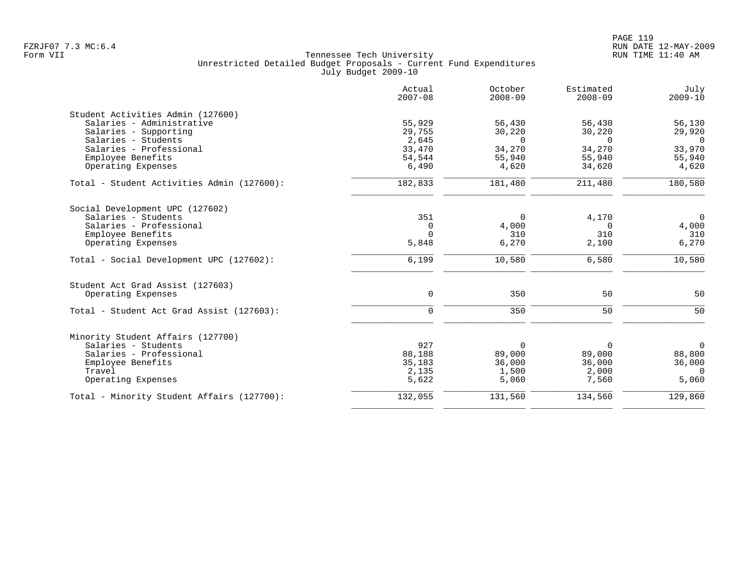|                                            | Actual<br>$2007 - 08$ | October<br>$2008 - 09$ | Estimated<br>$2008 - 09$ | July<br>$2009 - 10$ |
|--------------------------------------------|-----------------------|------------------------|--------------------------|---------------------|
| Student Activities Admin (127600)          |                       |                        |                          |                     |
| Salaries - Administrative                  | 55,929                | 56,430                 | 56,430                   | 56,130              |
| Salaries - Supporting                      | 29,755                | 30,220                 | 30,220                   | 29,920              |
| Salaries - Students                        | 2,645                 | $\Omega$               | $\Omega$                 | $\Omega$            |
| Salaries - Professional                    | 33,470                | 34,270                 | 34,270                   | 33,970              |
| Employee Benefits                          | 54,544                | 55,940                 | 55,940                   | 55,940              |
| Operating Expenses                         | 6,490                 | 4,620                  | 34,620                   | 4,620               |
| Total - Student Activities Admin (127600): | 182,833               | 181,480                | 211,480                  | 180,580             |
| Social Development UPC (127602)            |                       |                        |                          |                     |
| Salaries - Students                        | 351                   | $\Omega$               | 4,170                    | $\overline{0}$      |
| Salaries - Professional                    | $\mathbf 0$           | 4,000                  | $\mathbf 0$              | 4,000               |
| Employee Benefits                          | $\Omega$              | 310                    | 310                      | 310                 |
| Operating Expenses                         | 5,848                 | 6,270                  | 2,100                    | 6,270               |
| Total - Social Development UPC (127602):   | 6,199                 | 10,580                 | 6,580                    | 10,580              |
| Student Act Grad Assist (127603)           |                       |                        |                          |                     |
| Operating Expenses                         | $\mathbf 0$           | 350                    | 50                       | 50                  |
| Total - Student Act Grad Assist (127603):  | $\mathbf 0$           | 350                    | 50                       | 50                  |
| Minority Student Affairs (127700)          |                       |                        |                          |                     |
| Salaries - Students                        | 927                   | $\Omega$               | 0                        | $\mathbf 0$         |
| Salaries - Professional                    | 88,188                | 89,000                 | 89,000                   | 88,800              |
| Employee Benefits                          | 35,183                | 36,000                 | 36,000                   | 36,000              |
| Travel                                     | 2,135                 | 1,500                  | 2,000                    | $\Omega$            |
| Operating Expenses                         | 5,622                 | 5,060                  | 7,560                    | 5,060               |
| Total - Minority Student Affairs (127700): | 132,055               | 131,560                | 134,560                  | 129,860             |
|                                            |                       |                        |                          |                     |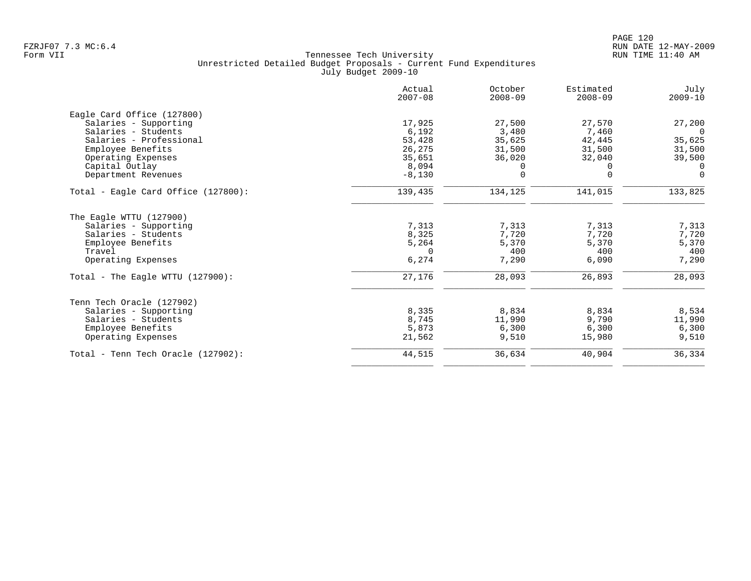| Actual<br>$2007 - 08$ | October<br>$2008 - 09$                                            | Estimated<br>$2008 - 09$                        | July<br>$2009 - 10$                            |
|-----------------------|-------------------------------------------------------------------|-------------------------------------------------|------------------------------------------------|
|                       |                                                                   |                                                 |                                                |
| 17,925                | 27,500                                                            | 27,570                                          | 27,200                                         |
| 6,192                 | 3,480                                                             | 7,460                                           | $\Omega$                                       |
|                       | 35,625                                                            | 42,445                                          | 35,625                                         |
|                       |                                                                   |                                                 | 31,500                                         |
|                       |                                                                   |                                                 | 39,500                                         |
|                       | 0                                                                 | $\Omega$                                        | 0                                              |
|                       |                                                                   |                                                 | $\Omega$                                       |
| 139,435               | 134,125                                                           | 141,015                                         | 133,825                                        |
|                       |                                                                   |                                                 |                                                |
| 7,313                 | 7,313                                                             | 7,313                                           | 7,313                                          |
| 8,325                 | 7,720                                                             | 7,720                                           | 7,720                                          |
|                       | 5,370                                                             |                                                 | 5,370                                          |
| $\Omega$              |                                                                   | 400                                             | 400                                            |
|                       |                                                                   |                                                 | 7,290                                          |
| 27,176                | 28,093                                                            | 26,893                                          | 28,093                                         |
|                       |                                                                   |                                                 |                                                |
| 8,335                 | 8,834                                                             | 8,834                                           | 8,534                                          |
| 8,745                 | 11,990                                                            | 9,790                                           | 11,990                                         |
| 5,873                 | 6,300                                                             | 6,300                                           | 6,300                                          |
| 21,562                | 9,510                                                             | 15,980                                          | 9,510                                          |
| 44,515                | 36,634                                                            | 40,904                                          | 36,334                                         |
|                       | 53,428<br>26,275<br>35,651<br>8,094<br>$-8,130$<br>5,264<br>6,274 | 31,500<br>36,020<br>$\mathbf 0$<br>400<br>7,290 | 31,500<br>32,040<br>$\Omega$<br>5,370<br>6,090 |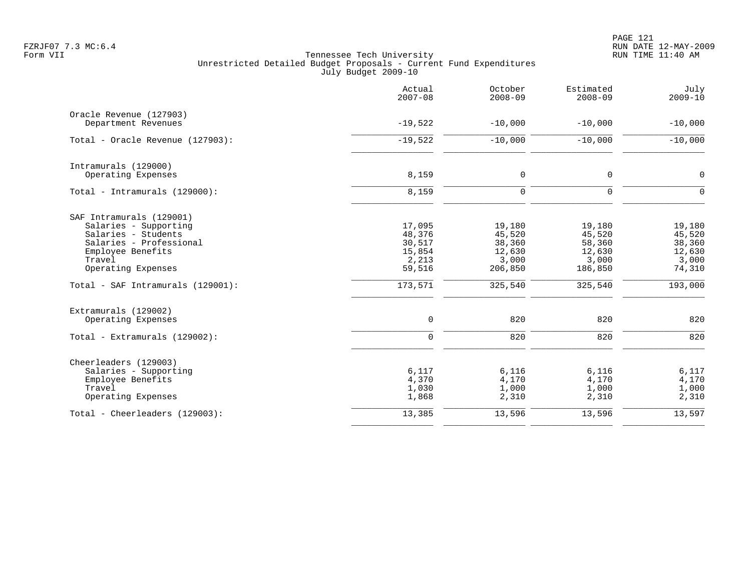PAGE 121 FZRJF07 7.3 MC:6.4 RUN DATE 12-MAY-2009

|                                                | Actual<br>$2007 - 08$ | October<br>$2008 - 09$ | Estimated<br>$2008 - 09$ | July<br>$2009 - 10$ |
|------------------------------------------------|-----------------------|------------------------|--------------------------|---------------------|
| Oracle Revenue (127903)                        |                       |                        |                          |                     |
| Department Revenues                            | $-19,522$             | $-10,000$              | $-10,000$                | $-10,000$           |
| Total - Oracle Revenue (127903):               | $-19,522$             | $-10,000$              | $-10,000$                | $-10,000$           |
| Intramurals (129000)                           |                       |                        |                          |                     |
| Operating Expenses                             | 8,159                 | $\mathsf{O}$           | $\mathbf 0$              | 0                   |
| Total - Intramurals (129000):                  | 8,159                 | $\mathbf 0$            | $\Omega$                 | $\Omega$            |
| SAF Intramurals (129001)                       |                       |                        |                          |                     |
| Salaries - Supporting                          | 17,095                | 19,180                 | 19,180                   | 19,180              |
| Salaries - Students<br>Salaries - Professional | 48,376<br>30,517      | 45,520<br>38,360       | 45,520<br>58,360         | 45,520<br>38,360    |
| Employee Benefits                              | 15,854                | 12,630                 | 12,630                   | 12,630              |
| Travel                                         | 2,213                 | 3,000                  | 3,000                    | 3,000               |
| Operating Expenses                             | 59,516                | 206,850                | 186,850                  | 74,310              |
| Total - SAF Intramurals (129001):              | 173,571               | 325,540                | 325,540                  | 193,000             |
| Extramurals (129002)                           |                       |                        |                          |                     |
| Operating Expenses                             | $\mathsf{O}$          | 820                    | 820                      | 820                 |
| Total - Extramurals (129002):                  | $\mathbf 0$           | 820                    | 820                      | 820                 |
| Cheerleaders (129003)                          |                       |                        |                          |                     |
| Salaries - Supporting                          | 6,117                 | 6,116                  | 6,116                    | 6,117               |
| Employee Benefits<br>Travel                    | 4,370<br>1,030        | 4,170<br>1,000         | 4,170<br>1,000           | 4,170               |
| Operating Expenses                             | 1,868                 | 2,310                  | 2,310                    | 1,000<br>2,310      |
| Total - Cheerleaders (129003):                 | 13,385                | 13,596                 | 13,596                   | 13,597              |
|                                                |                       |                        |                          |                     |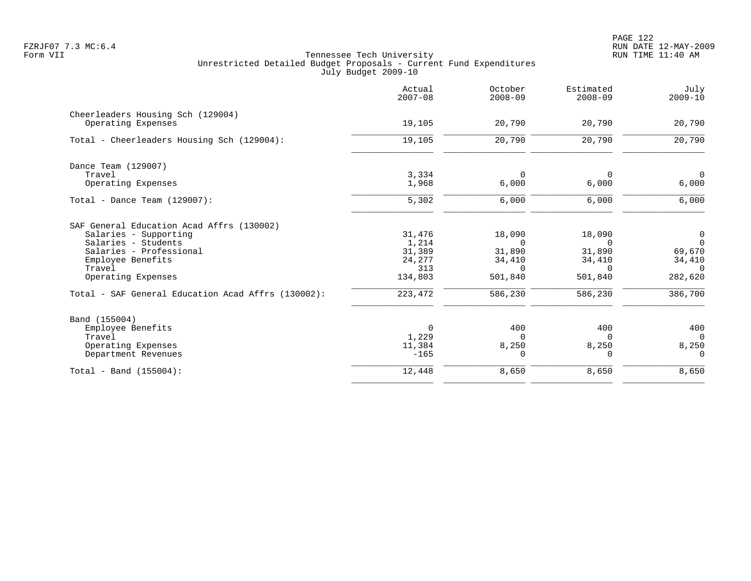PAGE 122 FZRJF07 7.3 MC:6.4 RUN DATE 12-MAY-2009

|                                                    | Actual<br>$2007 - 08$ | October<br>$2008 - 09$ | Estimated<br>$2008 - 09$ | July<br>$2009 - 10$ |
|----------------------------------------------------|-----------------------|------------------------|--------------------------|---------------------|
| Cheerleaders Housing Sch (129004)                  |                       |                        |                          |                     |
| Operating Expenses                                 | 19,105                | 20,790                 | 20,790                   | 20,790              |
| Total - Cheerleaders Housing Sch (129004):         | 19,105                | 20,790                 | 20,790                   | 20,790              |
| Dance Team (129007)                                |                       |                        |                          |                     |
| Travel                                             | 3,334                 | $\mathbf 0$            | $\Omega$                 | $\overline{0}$      |
| Operating Expenses                                 | 1,968                 | 6,000                  | 6,000                    | 6,000               |
| Total - Dance Team $(129007)$ :                    | 5,302                 | 6,000                  | 6,000                    | 6,000               |
| SAF General Education Acad Affrs (130002)          |                       |                        |                          |                     |
| Salaries - Supporting                              | 31,476                | 18,090                 | 18,090                   | $\overline{0}$      |
| Salaries - Students                                | 1,214                 | $\overline{0}$         | $\Omega$                 | $\overline{0}$      |
| Salaries - Professional                            | 31,389                | 31,890                 | 31,890                   | 69,670              |
| Employee Benefits                                  | 24,277                | 34,410                 | 34,410                   | 34,410              |
| Travel                                             | 313                   | $\Omega$               | $\Omega$                 | $\Omega$            |
| Operating Expenses                                 | 134,803               | 501,840                | 501,840                  | 282,620             |
| Total - SAF General Education Acad Affrs (130002): | 223,472               | 586,230                | 586,230                  | 386,700             |
| Band (155004)                                      |                       |                        |                          |                     |
| Employee Benefits                                  | $\Omega$              | 400                    | 400                      | 400                 |
| Travel                                             | 1,229                 | $\Omega$               | $\cap$                   | $\Omega$            |
| Operating Expenses                                 | 11,384                | 8,250                  | 8,250                    | 8,250               |
| Department Revenues                                | $-165$                | 0                      | 0                        | $\overline{0}$      |
| $Total - Band (155004):$                           | 12,448                | 8,650                  | 8,650                    | 8,650               |
|                                                    |                       |                        |                          |                     |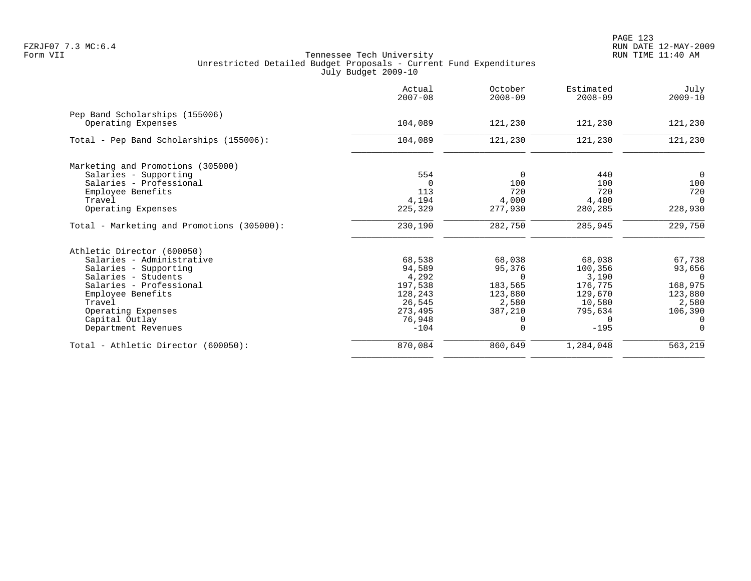|                                                      | Actual<br>$2007 - 08$ | October<br>$2008 - 09$ | Estimated<br>$2008 - 09$ | July<br>$2009 - 10$ |
|------------------------------------------------------|-----------------------|------------------------|--------------------------|---------------------|
| Pep Band Scholarships (155006)<br>Operating Expenses | 104,089               | 121,230                | 121,230                  | 121,230             |
|                                                      |                       |                        |                          |                     |
| Total - Pep Band Scholarships (155006):              | 104,089               | 121,230                | 121,230                  | 121,230             |
| Marketing and Promotions (305000)                    |                       |                        |                          |                     |
| Salaries - Supporting                                | 554                   | 0                      | 440                      | $\Omega$            |
| Salaries - Professional                              | $\Omega$              | 100                    | 100                      | 100                 |
| Employee Benefits                                    | 113                   | 720                    | 720                      | 720                 |
| Travel                                               | 4,194                 | 4,000                  | 4,400                    | $\Omega$            |
| Operating Expenses                                   | 225,329               | 277,930                | 280,285                  | 228,930             |
| Total - Marketing and Promotions (305000):           | 230,190               | 282,750                | 285,945                  | 229,750             |
| Athletic Director (600050)                           |                       |                        |                          |                     |
| Salaries - Administrative                            | 68,538                | 68,038                 | 68,038                   | 67,738              |
| Salaries - Supporting                                | 94,589                | 95,376                 | 100,356                  | 93,656              |
| Salaries - Students                                  | 4,292                 | $\Omega$               | 3,190                    | $\Omega$            |
| Salaries - Professional                              | 197,538               | 183,565                | 176,775                  | 168,975             |
| Employee Benefits                                    | 128,243               | 123,880                | 129,670                  | 123,880             |
| Travel                                               | 26,545                | 2,580                  | 10,580                   | 2,580               |
| Operating Expenses                                   | 273,495               | 387,210                | 795,634                  | 106,390             |
| Capital Outlay                                       | 76,948                |                        | $\Omega$                 | $\Omega$            |
| Department Revenues                                  | $-104$                | $\Omega$               | $-195$                   | $\Omega$            |
| Total - Athletic Director (600050):                  | 870,084               | 860,649                | 1,284,048                | 563,219             |
|                                                      |                       |                        |                          |                     |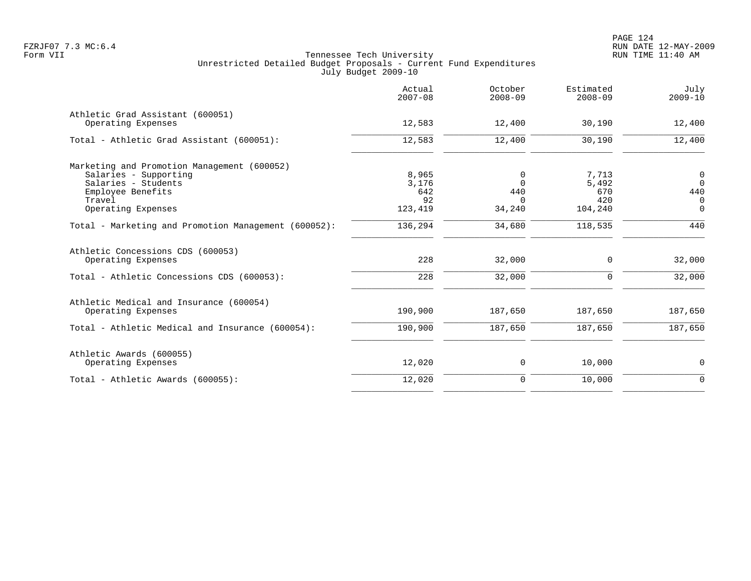|                                                         | Actual<br>$2007 - 08$ | October<br>$2008 - 09$ | Estimated<br>$2008 - 09$ | July<br>$2009 - 10$ |
|---------------------------------------------------------|-----------------------|------------------------|--------------------------|---------------------|
| Athletic Grad Assistant (600051)<br>Operating Expenses  | 12,583                | 12,400                 | 30,190                   | 12,400              |
| Total - Athletic Grad Assistant (600051):               | 12,583                | 12,400                 | 30,190                   | 12,400              |
| Marketing and Promotion Management (600052)             |                       |                        |                          |                     |
| Salaries - Supporting                                   | 8,965                 | 0                      | 7,713                    | $\overline{0}$      |
| Salaries - Students                                     | 3,176                 | $\Omega$               | 5,492                    | $\Omega$            |
| Employee Benefits                                       | 642                   | 440                    | 670                      | 440                 |
| Travel                                                  | 92                    | $\Omega$               | 420                      | 0                   |
| Operating Expenses                                      | 123,419               | 34,240                 | 104,240                  | $\Omega$            |
| Total - Marketing and Promotion Management (600052):    | 136,294               | 34,680                 | 118,535                  | 440                 |
| Athletic Concessions CDS (600053)<br>Operating Expenses | 228                   | 32,000                 | 0                        | 32,000              |
| Total - Athletic Concessions CDS (600053):              | 228                   | 32,000                 | $\Omega$                 | 32,000              |
| Athletic Medical and Insurance (600054)                 |                       |                        |                          |                     |
| Operating Expenses                                      | 190,900               | 187,650                | 187,650                  | 187,650             |
| Total - Athletic Medical and Insurance (600054):        | 190,900               | 187,650                | 187,650                  | 187,650             |
| Athletic Awards (600055)                                |                       |                        |                          |                     |
| Operating Expenses                                      | 12,020                | 0                      | 10,000                   | 0                   |
| Total - Athletic Awards (600055):                       | 12,020                | $\mathbf 0$            | 10,000                   | $\Omega$            |
|                                                         |                       |                        |                          |                     |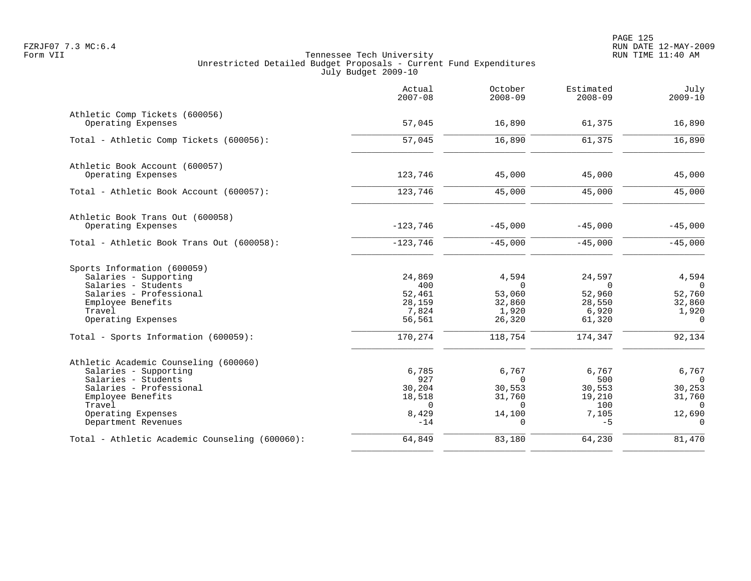|                                                      | Actual<br>$2007 - 08$ | October<br>$2008 - 09$ | Estimated<br>$2008 - 09$ | July<br>$2009 - 10$ |
|------------------------------------------------------|-----------------------|------------------------|--------------------------|---------------------|
| Athletic Comp Tickets (600056)<br>Operating Expenses | 57,045                | 16,890                 | 61,375                   | 16,890              |
|                                                      |                       |                        |                          |                     |
| Total - Athletic Comp Tickets (600056):              | $\frac{1}{57,045}$    | 16,890                 | 61,375                   | 16,890              |
| Athletic Book Account (600057)                       |                       |                        |                          |                     |
| Operating Expenses                                   | 123,746               | 45,000                 | 45,000                   | 45,000              |
| Total - Athletic Book Account (600057):              | 123,746               | 45,000                 | 45,000                   | 45,000              |
| Athletic Book Trans Out (600058)                     |                       |                        |                          |                     |
| Operating Expenses                                   | $-123,746$            | $-45,000$              | $-45,000$                | $-45,000$           |
| Total - Athletic Book Trans Out (600058):            | $-123,746$            | $-45,000$              | $-45,000$                | $-45,000$           |
| Sports Information (600059)                          |                       |                        |                          |                     |
| Salaries - Supporting                                | 24,869                | 4,594                  | 24,597                   | 4,594               |
| Salaries - Students                                  | 400                   | $\Omega$               | $\Omega$                 | $\Omega$            |
| Salaries - Professional<br>Employee Benefits         | 52,461<br>28,159      | 53,060<br>32,860       | 52,960<br>28,550         | 52,760<br>32,860    |
| Travel                                               | 7,824                 | 1,920                  | 6,920                    | 1,920               |
| Operating Expenses                                   | 56,561                | 26,320                 | 61,320                   | $\Omega$            |
| Total - Sports Information (600059):                 | 170,274               | 118,754                | 174,347                  | 92,134              |
| Athletic Academic Counseling (600060)                |                       |                        |                          |                     |
| Salaries - Supporting                                | 6,785                 | 6,767                  | 6,767                    | 6,767               |
| Salaries - Students                                  | 927                   | $\Omega$               | 500                      | $\Omega$            |
| Salaries - Professional                              | 30,204                | 30,553                 | 30,553                   | 30,253              |
| Employee Benefits                                    | 18,518                | 31,760                 | 19,210                   | 31,760              |
| Travel<br>Operating Expenses                         | $\Omega$<br>8,429     | $\Omega$<br>14,100     | 100<br>7,105             | $\Omega$<br>12,690  |
| Department Revenues                                  | $-14$                 | $\Omega$               | $-5$                     | $\Omega$            |
| Total - Athletic Academic Counseling (600060):       | 64,849                | 83,180                 | 64,230                   | 81,470              |
|                                                      |                       |                        |                          |                     |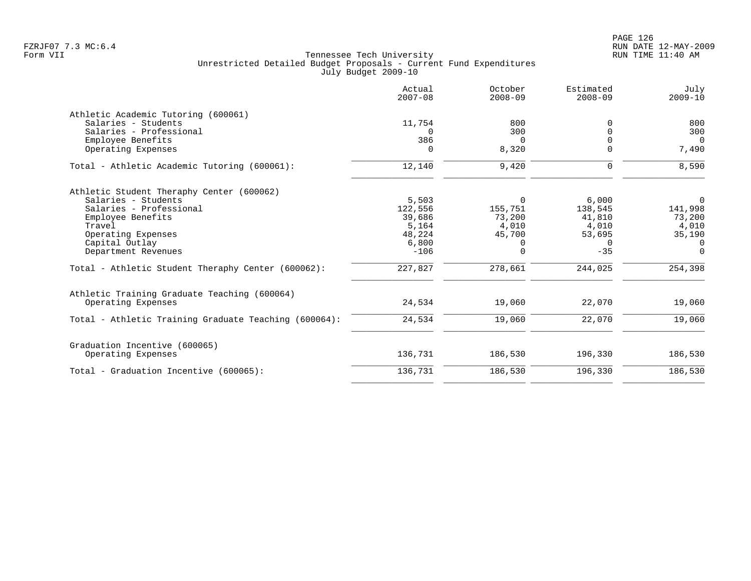|                                                       | Actual<br>$2007 - 08$ | October<br>$2008 - 09$ | Estimated<br>$2008 - 09$ | July<br>$2009 - 10$ |
|-------------------------------------------------------|-----------------------|------------------------|--------------------------|---------------------|
| Athletic Academic Tutoring (600061)                   |                       |                        |                          |                     |
| Salaries - Students                                   | 11,754                | 800                    | 0                        | 800                 |
| Salaries - Professional                               | $\Omega$              | 300                    |                          | 300                 |
| Employee Benefits                                     | 386                   | $\Omega$               |                          | $\overline{0}$      |
| Operating Expenses                                    | $\Omega$              | 8,320                  | U                        | 7,490               |
| Total - Athletic Academic Tutoring (600061):          | 12,140                | 9,420                  | $\mathbf 0$              | 8,590               |
| Athletic Student Theraphy Center (600062)             |                       |                        |                          |                     |
| Salaries - Students                                   | 5,503                 | $\Omega$               | 6,000                    | $\Omega$            |
| Salaries - Professional                               | 122,556               | 155,751                | 138,545                  | 141,998             |
| Employee Benefits                                     | 39,686                | 73,200                 | 41,810                   | 73,200              |
| Travel                                                | 5,164                 | 4,010                  | 4,010                    | 4,010               |
| Operating Expenses                                    | 48,224                | 45,700                 | 53,695                   | 35,190              |
| Capital Outlay                                        | 6,800                 | 0                      | $\Omega$                 | $\Omega$            |
| Department Revenues                                   | $-106$                | $\Omega$               | $-35$                    | $\Omega$            |
| Total - Athletic Student Theraphy Center (600062):    | 227,827               | 278,661                | 244,025                  | 254,398             |
| Athletic Training Graduate Teaching (600064)          |                       |                        |                          |                     |
| Operating Expenses                                    | 24,534                | 19,060                 | 22,070                   | 19,060              |
| Total - Athletic Training Graduate Teaching (600064): | 24,534                | 19,060                 | 22,070                   | 19,060              |
| Graduation Incentive (600065)                         |                       |                        |                          |                     |
| Operating Expenses                                    | 136,731               | 186,530                | 196,330                  | 186,530             |
| Total - Graduation Incentive (600065):                | 136,731               | 186,530                | 196,330                  | 186,530             |
|                                                       |                       |                        |                          |                     |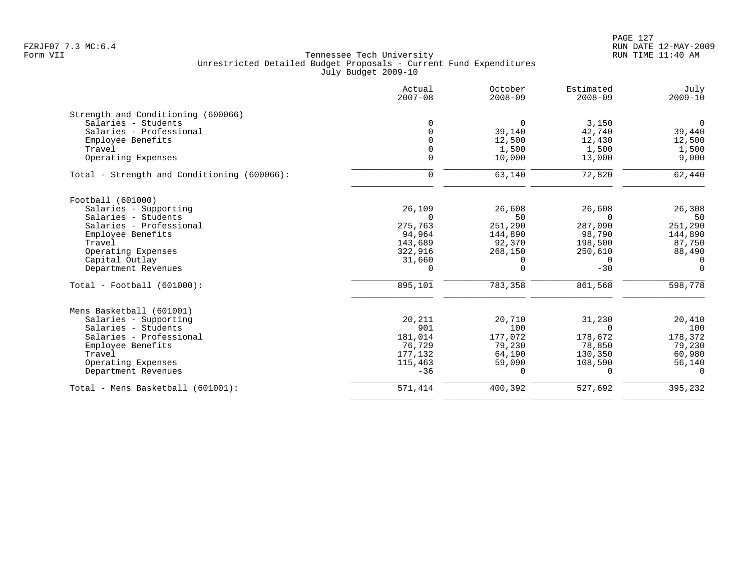# PAGE 127 FZRJF07 7.3 MC:6.4 RUN DATE 12-MAY-2009

|                                             | Actual<br>$2007 - 08$ | October<br>$2008 - 09$ | Estimated<br>$2008 - 09$ | July<br>$2009 - 10$ |
|---------------------------------------------|-----------------------|------------------------|--------------------------|---------------------|
| Strength and Conditioning (600066)          |                       |                        |                          |                     |
| Salaries - Students                         |                       | $\Omega$               | 3,150                    | $\Omega$            |
| Salaries - Professional                     |                       | 39,140                 | 42,740                   | 39,440              |
| Employee Benefits                           |                       | 12,500                 | 12,430                   | 12,500              |
| Travel                                      |                       | 1,500                  | 1,500                    | 1,500               |
| Operating Expenses                          | $\Omega$              | 10,000                 | 13,000                   | 9,000               |
| Total - Strength and Conditioning (600066): | $\mathbf 0$           | 63,140                 | 72,820                   | 62,440              |
| Football (601000)                           |                       |                        |                          |                     |
| Salaries - Supporting                       | 26,109                | 26,608                 | 26,608                   | 26,308              |
| Salaries - Students                         | $\Omega$              | 50                     | $\Omega$                 | 50                  |
| Salaries - Professional                     | 275,763               | 251,290                | 287,090                  | 251,290             |
| Employee Benefits                           | 94,964                | 144,890                | 98,790                   | 144,890             |
| Travel                                      | 143,689               | 92,370                 | 198,500                  | 87,750              |
| Operating Expenses                          | 322,916               | 268,150                | 250,610                  | 88,490              |
| Capital Outlay                              | 31,660                | 0                      | 0                        | $\mathbf 0$         |
| Department Revenues                         | 0                     | $\Omega$               | $-30$                    | $\Omega$            |
| $Total - Football (601000):$                | 895,101               | 783,358                | 861,568                  | 598,778             |
| Mens Basketball (601001)                    |                       |                        |                          |                     |
| Salaries - Supporting                       | 20,211                | 20,710                 | 31,230                   | 20,410              |
| Salaries - Students                         | 901                   | 100                    | $\Omega$                 | 100                 |
| Salaries - Professional                     | 181,014               | 177,072                | 178,672                  | 178,372             |
| Employee Benefits                           | 76,729                | 79,230                 | 78,850                   | 79,230              |
| Travel                                      | 177,132               | 64,190                 | 130,350                  | 60,980              |
| Operating Expenses                          | 115,463               | 59,090                 | 108,590                  | 56,140              |
| Department Revenues                         | $-36$                 | 0                      | $\Omega$                 | $\Omega$            |
| Total - Mens Basketball (601001):           | 571,414               | 400,392                | 527,692                  | 395,232             |
|                                             |                       |                        |                          |                     |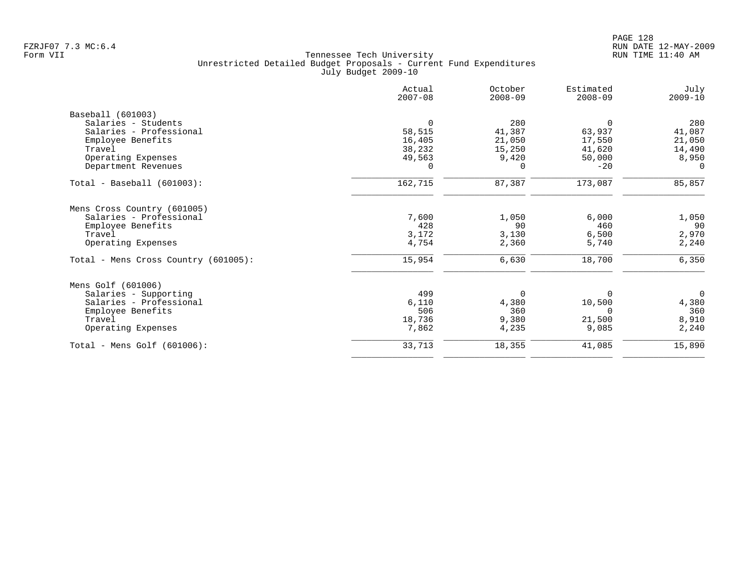|                                                        | Actual<br>$2007 - 08$ | October<br>$2008 - 09$ | Estimated<br>$2008 - 09$ | July<br>$2009 - 10$ |
|--------------------------------------------------------|-----------------------|------------------------|--------------------------|---------------------|
| Baseball (601003)                                      |                       |                        |                          |                     |
| Salaries - Students                                    | $\Omega$              | 280                    | $\Omega$                 | 280                 |
| Salaries - Professional                                | 58,515                | 41,387                 | 63,937                   | 41,087              |
| Employee Benefits                                      | 16,405                | 21,050                 | 17,550                   | 21,050              |
| Travel                                                 | 38,232                | 15,250                 | 41,620                   | 14,490              |
| Operating Expenses                                     | 49,563                | 9,420                  | 50,000                   | 8,950               |
| Department Revenues                                    | $\Omega$              | $\Omega$               | $-20$                    | $\Omega$            |
| Total - Baseball (601003):                             | 162,715               | 87,387                 | 173,087                  | 85,857              |
|                                                        |                       |                        |                          |                     |
| Mens Cross Country (601005)<br>Salaries - Professional | 7,600                 | 1,050                  | 6,000                    | 1,050               |
| Employee Benefits                                      | 428                   | 90                     | 460                      | 90                  |
| Travel                                                 | 3,172                 | 3,130                  | 6,500                    | 2,970               |
| Operating Expenses                                     | 4,754                 | 2,360                  | 5,740                    | 2,240               |
| Total - Mens Cross Country (601005):                   | 15,954                | 6,630                  | 18,700                   | 6,350               |
| Mens Golf (601006)                                     |                       |                        |                          |                     |
| Salaries - Supporting                                  | 499                   | 0                      | $\Omega$                 | $\overline{0}$      |
| Salaries - Professional                                | 6,110                 | 4,380                  | 10,500                   | 4,380               |
| Employee Benefits                                      | 506                   | 360                    | $\Omega$                 | 360                 |
| Travel                                                 | 18,736                | 9,380                  | 21,500                   | 8,910               |
| Operating Expenses                                     | 7,862                 | 4,235                  | 9,085                    | 2,240               |
| Total - Mens Golf (601006):                            | 33,713                | 18,355                 | 41,085                   | 15,890              |
|                                                        |                       |                        |                          |                     |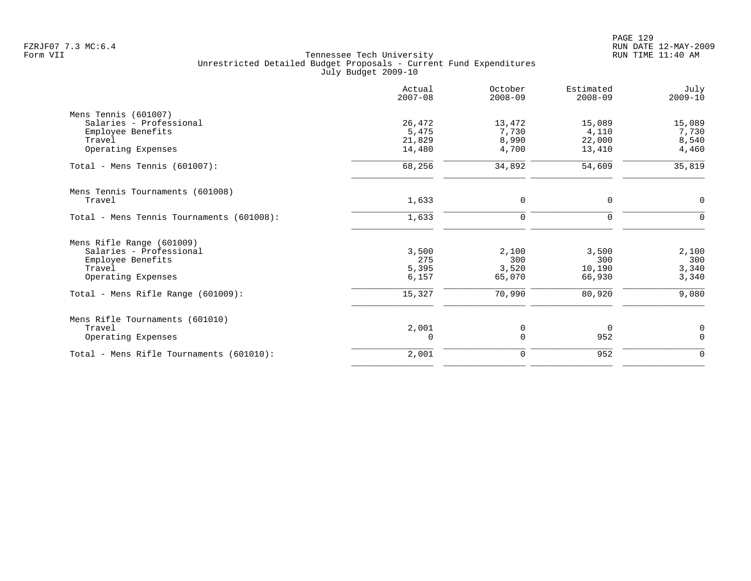|                                           | Actual<br>$2007 - 08$ | October<br>$2008 - 09$ | Estimated<br>$2008 - 09$ | July<br>$2009 - 10$ |
|-------------------------------------------|-----------------------|------------------------|--------------------------|---------------------|
| Mens Tennis (601007)                      |                       |                        |                          |                     |
| Salaries - Professional                   | 26,472                | 13,472                 | 15,089                   | 15,089              |
| Employee Benefits                         | 5,475                 | 7,730                  | 4,110                    | 7,730               |
| Travel                                    | 21,829                | 8,990                  | 22,000                   | 8,540               |
| Operating Expenses                        | 14,480                | 4,700                  | 13,410                   | 4,460               |
| Total - Mens Tennis $(601007)$ :          | 68,256                | 34,892                 | 54,609                   | 35,819              |
| Mens Tennis Tournaments (601008)          |                       |                        |                          |                     |
| Travel                                    | 1,633                 | 0                      | 0                        | $\mathbf 0$         |
| Total - Mens Tennis Tournaments (601008): | 1,633                 | 0                      | 0                        | $\Omega$            |
| Mens Rifle Range (601009)                 |                       |                        |                          |                     |
| Salaries - Professional                   | 3,500                 | 2,100                  | 3,500                    | 2,100               |
| Employee Benefits                         | 275                   | 300                    | 300                      | 300                 |
| Travel                                    | 5,395                 | 3,520                  | 10,190                   | 3,340               |
| Operating Expenses                        | 6,157                 | 65,070                 | 66,930                   | 3,340               |
| Total - Mens Rifle Range $(601009)$ :     | 15,327                | 70,990                 | 80,920                   | 9,080               |
| Mens Rifle Tournaments (601010)           |                       |                        |                          |                     |
| Travel                                    | 2,001                 | 0                      | $\overline{0}$           | $\mathbf 0$         |
| Operating Expenses                        | 0                     | 0                      | 952                      | $\Omega$            |
| Total - Mens Rifle Tournaments (601010):  | 2,001                 | 0                      | 952                      | $\mathbf 0$         |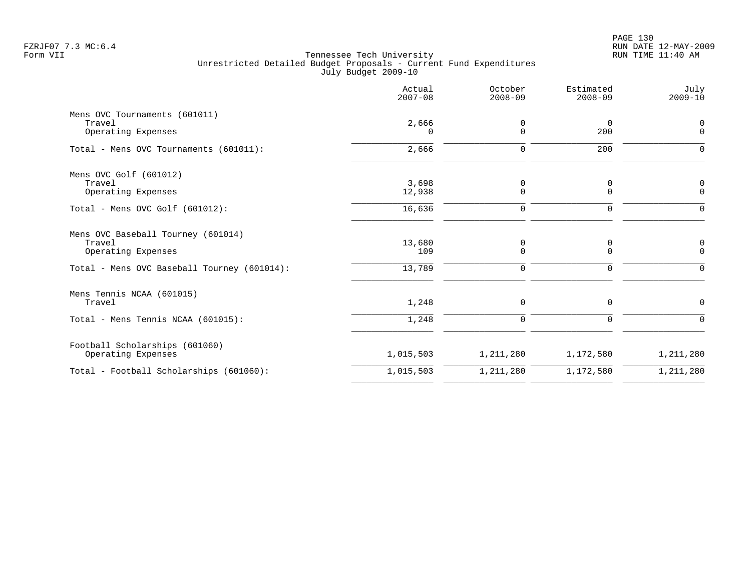|                                                      | Actual<br>$2007 - 08$ | October<br>$2008 - 09$ | Estimated<br>$2008 - 09$ | July<br>$2009 - 10$     |
|------------------------------------------------------|-----------------------|------------------------|--------------------------|-------------------------|
| Mens OVC Tournaments (601011)<br>Travel              | 2,666                 | 0                      | $\overline{0}$           | $\Omega$                |
| Operating Expenses                                   | $\Omega$              | $\Omega$               | 200                      | $\Omega$                |
| Total - Mens OVC Tournaments (601011):               | 2,666                 | $\Omega$               | 200                      | $\Omega$                |
| Mens OVC Golf (601012)                               |                       |                        |                          |                         |
| Travel<br>Operating Expenses                         | 3,698<br>12,938       | 0<br>$\Omega$          | 0<br>$\Omega$            | 0<br>$\Omega$           |
| Total - Mens OVC Golf $(601012)$ :                   | 16,636                | 0                      | 0                        | ∩                       |
| Mens OVC Baseball Tourney (601014)<br>Travel         | 13,680                |                        |                          |                         |
| Operating Expenses                                   | 109                   | 0<br>0                 | 0<br>0                   | $\mathbf 0$<br>$\Omega$ |
| Total - Mens OVC Baseball Tourney (601014):          | 13,789                | $\mathbf 0$            | 0                        | $\Omega$                |
| Mens Tennis NCAA (601015)                            |                       |                        |                          |                         |
| Travel                                               | 1,248                 | 0                      | $\mathbf 0$              | $\Omega$                |
| Total - Mens Tennis NCAA (601015):                   | 1,248                 | 0                      | $\mathbf 0$              | $\Omega$                |
| Football Scholarships (601060)<br>Operating Expenses | 1,015,503             | 1,211,280              | 1,172,580                | 1,211,280               |
| Total - Football Scholarships (601060):              | 1,015,503             | 1,211,280              | 1,172,580                | 1,211,280               |
|                                                      |                       |                        |                          |                         |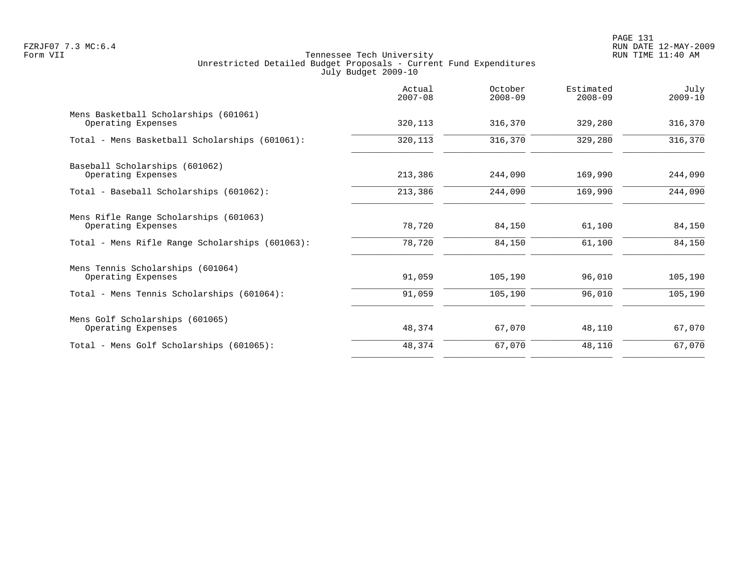PAGE 131 FZRJF07 7.3 MC:6.4 RUN DATE 12-MAY-2009

|                                                              | Actual<br>$2007 - 08$ | October<br>$2008 - 09$ | Estimated<br>$2008 - 09$ | July<br>$2009 - 10$ |
|--------------------------------------------------------------|-----------------------|------------------------|--------------------------|---------------------|
| Mens Basketball Scholarships (601061)<br>Operating Expenses  | 320, 113              | 316,370                | 329,280                  | 316,370             |
| Total - Mens Basketball Scholarships (601061):               | 320,113               | 316,370                | 329,280                  | 316,370             |
| Baseball Scholarships (601062)<br>Operating Expenses         | 213,386               | 244,090                | 169,990                  | 244,090             |
| Total - Baseball Scholarships (601062):                      | 213,386               | 244,090                | 169,990                  | 244,090             |
| Mens Rifle Range Scholarships (601063)<br>Operating Expenses | 78,720                | 84,150                 | 61,100                   | 84,150              |
| Total - Mens Rifle Range Scholarships (601063):              | 78,720                | 84,150                 | 61,100                   | 84,150              |
| Mens Tennis Scholarships (601064)<br>Operating Expenses      | 91,059                | 105,190                | 96,010                   | 105,190             |
| Total - Mens Tennis Scholarships (601064):                   | 91,059                | 105,190                | 96,010                   | 105,190             |
| Mens Golf Scholarships (601065)<br>Operating Expenses        | 48,374                | 67,070                 | 48,110                   | 67,070              |
| Total - Mens Golf Scholarships (601065):                     | 48,374                | 67,070                 | 48,110                   | 67,070              |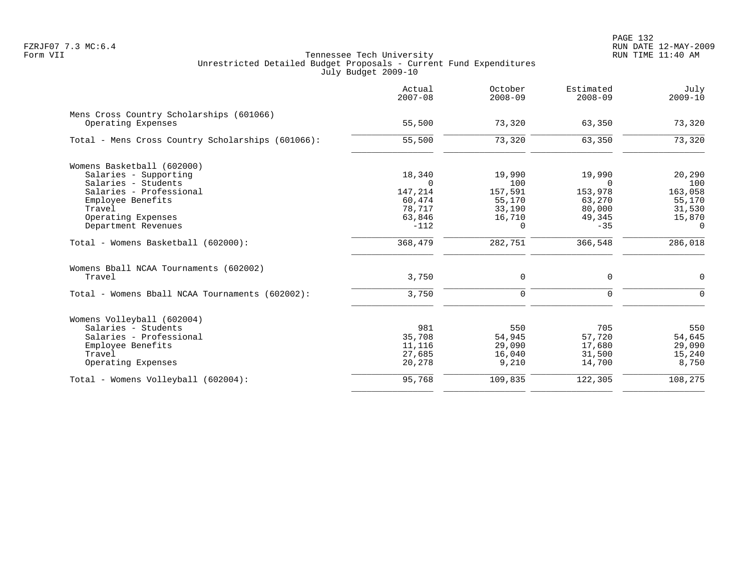|                                                                | Actual<br>$2007 - 08$ | October<br>$2008 - 09$ | Estimated<br>$2008 - 09$ | July<br>$2009 - 10$ |
|----------------------------------------------------------------|-----------------------|------------------------|--------------------------|---------------------|
| Mens Cross Country Scholarships (601066)<br>Operating Expenses | 55,500                | 73,320                 | 63,350                   | 73,320              |
| Total - Mens Cross Country Scholarships (601066):              | 55,500                | 73,320                 | 63,350                   | 73,320              |
| Womens Basketball (602000)                                     |                       |                        |                          |                     |
| Salaries - Supporting                                          | 18,340                | 19,990                 | 19,990                   | 20,290              |
| Salaries - Students                                            | $\Omega$              | 100                    | $\Omega$                 | 100                 |
| Salaries - Professional                                        | 147,214               | 157,591                | 153,978                  | 163,058             |
| Employee Benefits                                              | 60,474                | 55,170                 | 63,270                   | 55,170              |
| Travel                                                         | 78,717                | 33,190                 | 80,000                   | 31,530              |
| Operating Expenses                                             | 63,846                | 16,710                 | 49,345                   | 15,870              |
| Department Revenues                                            | $-112$                | $\Omega$               | $-35$                    | $\Omega$            |
| Total - Womens Basketball (602000):                            | 368,479               | 282,751                | 366,548                  | 286,018             |
| Womens Bball NCAA Tournaments (602002)                         |                       |                        |                          |                     |
| Travel                                                         | 3,750                 | $\mathbf 0$            | 0                        | $\mathbf 0$         |
| Total - Womens Bball NCAA Tournaments (602002):                | 3,750                 | $\mathbf 0$            | $\mathbf 0$              | $\Omega$            |
| Womens Volleyball (602004)                                     |                       |                        |                          |                     |
| Salaries - Students                                            | 981                   | 550                    | 705                      | 550                 |
| Salaries - Professional                                        | 35,708                | 54,945                 | 57,720                   | 54,645              |
| Employee Benefits                                              | 11,116                | 29,090                 | 17,680                   | 29,090              |
| Travel                                                         | 27,685                | 16,040                 | 31,500                   | 15,240              |
| Operating Expenses                                             | 20,278                | 9,210                  | 14,700                   | 8,750               |
| Total - Womens Volleyball (602004):                            | 95,768                | 109,835                | 122,305                  | 108,275             |
|                                                                |                       |                        |                          |                     |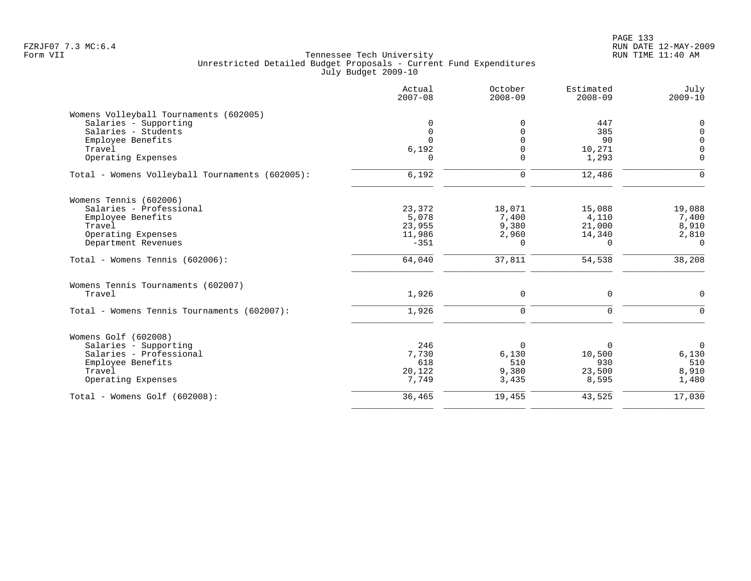# PAGE 133 FZRJF07 7.3 MC:6.4 RUN DATE 12-MAY-2009

|                                                 | Actual<br>$2007 - 08$ | October<br>$2008 - 09$ | Estimated<br>$2008 - 09$ | July<br>$2009 - 10$ |
|-------------------------------------------------|-----------------------|------------------------|--------------------------|---------------------|
| Womens Volleyball Tournaments (602005)          |                       |                        |                          |                     |
| Salaries - Supporting                           | 0                     | $\Omega$               | 447                      | $\Omega$            |
| Salaries - Students                             | $\mathbf 0$           | $\Omega$               | 385                      | $\Omega$            |
| Employee Benefits                               | $\Omega$              | $\Omega$               | 90                       | $\Omega$            |
| Travel                                          | 6,192                 | $\Omega$               | 10,271                   | $\Omega$            |
| Operating Expenses                              | $\Omega$              | $\Omega$               | 1,293                    | $\Omega$            |
| Total - Womens Volleyball Tournaments (602005): | 6,192                 | $\mathbf 0$            | 12,486                   | $\Omega$            |
| Womens Tennis (602006)                          |                       |                        |                          |                     |
| Salaries - Professional                         | 23,372                | 18,071                 | 15,088                   | 19,088              |
| Employee Benefits                               | 5,078                 | 7,400                  | 4,110                    | 7,400               |
| Travel                                          | 23,955                | 9,380                  | 21,000                   | 8,910               |
| Operating Expenses                              | 11,986                | 2,960                  | 14,340                   | 2,810               |
| Department Revenues                             | $-351$                | $\Omega$               | $\Omega$                 | $\Omega$            |
| Total - Womens Tennis (602006):                 | 64,040                | 37,811                 | 54,538                   | 38,208              |
| Womens Tennis Tournaments (602007)              |                       |                        |                          |                     |
| Travel                                          | 1,926                 | 0                      | $\Omega$                 | $\Omega$            |
| Total - Womens Tennis Tournaments (602007):     | 1,926                 | $\Omega$               | $\Omega$                 | $\Omega$            |
| Womens Golf (602008)                            |                       |                        |                          |                     |
| Salaries - Supporting                           | 246                   | $\Omega$               | $\Omega$                 | $\overline{0}$      |
| Salaries - Professional                         | 7,730                 | 6,130                  | 10,500                   | 6,130               |
| Employee Benefits                               | 618                   | 510                    | 930                      | 510                 |
| Travel                                          | 20,122                | 9,380                  | 23,500                   | 8,910               |
| Operating Expenses                              | 7,749                 | 3,435                  | 8,595                    | 1,480               |
| Total - Womens Golf (602008):                   | 36,465                | 19,455                 | 43,525                   | 17,030              |
|                                                 |                       |                        |                          |                     |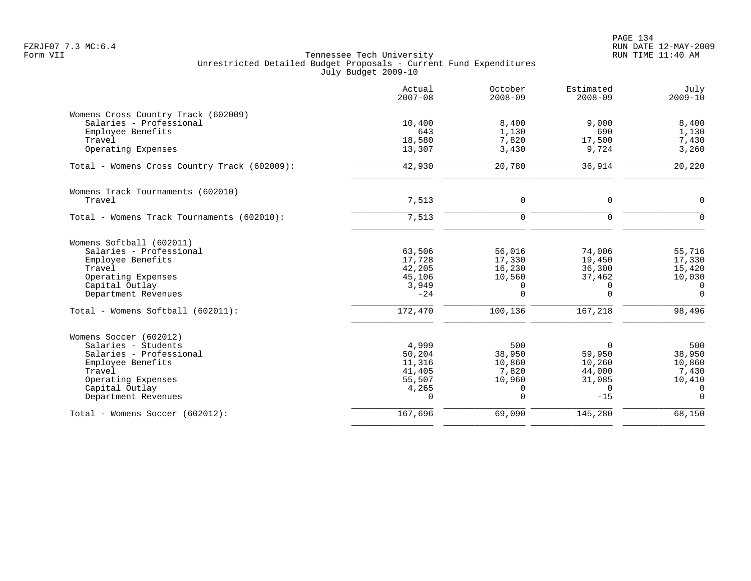|                                              | Actual<br>$2007 - 08$ | October<br>$2008 - 09$ | Estimated<br>$2008 - 09$ | July<br>$2009 - 10$      |
|----------------------------------------------|-----------------------|------------------------|--------------------------|--------------------------|
| Womens Cross Country Track (602009)          |                       |                        |                          |                          |
| Salaries - Professional                      | 10,400                | 8,400                  | 9,000                    | 8,400                    |
| Employee Benefits<br>Travel                  | 643<br>18,580         | 1,130<br>7,820         | 690<br>17,500            | 1,130                    |
| Operating Expenses                           | 13,307                | 3,430                  | 9,724                    | 7,430<br>3,260           |
| Total - Womens Cross Country Track (602009): | 42,930                | 20,780                 | 36,914                   | 20,220                   |
| Womens Track Tournaments (602010)            |                       |                        |                          |                          |
| Travel                                       | 7,513                 | $\mathbf 0$            | $\mathbf 0$              | $\mathsf{O}$             |
| Total - Womens Track Tournaments (602010):   | 7,513                 | $\mathbf 0$            | $\mathbf 0$              | $\overline{0}$           |
| Womens Softball (602011)                     |                       |                        |                          |                          |
| Salaries - Professional                      | 63,506                | 56,016                 | 74,006                   | 55,716                   |
| Employee Benefits                            | 17,728                | 17,330                 | 19,450                   | 17,330                   |
| Travel                                       | 42,205                | 16,230                 | 36,300                   | 15,420                   |
| Operating Expenses<br>Capital Outlay         | 45,106<br>3,949       | 10,560<br>$\Omega$     | 37,462<br>$\Omega$       | 10,030<br>$\overline{0}$ |
| Department Revenues                          | $-24$                 | $\Omega$               | $\Omega$                 | $\Omega$                 |
| Total - Womens Softball (602011):            | 172,470               | 100,136                | 167,218                  | 98,496                   |
| Womens Soccer (602012)                       |                       |                        |                          |                          |
| Salaries - Students                          | 4,999                 | 500                    | 0                        | 500                      |
| Salaries - Professional                      | 50,204                | 38,950                 | 59,950                   | 38,950                   |
| Employee Benefits                            | 11,316                | 10,860                 | 10,260                   | 10,860                   |
| Travel<br>Operating Expenses                 | 41,405                | 7,820<br>10,960        | 44,000                   | 7,430                    |
| Capital Outlay                               | 55,507<br>4,265       | 0                      | 31,085<br>$\Omega$       | 10,410<br>$\overline{0}$ |
| Department Revenues                          | $\Omega$              | $\Omega$               | $-15$                    | $\Omega$                 |
| Total - Womens Soccer (602012):              | 167,696               | 69,090                 | 145,280                  | 68,150                   |
|                                              |                       |                        |                          |                          |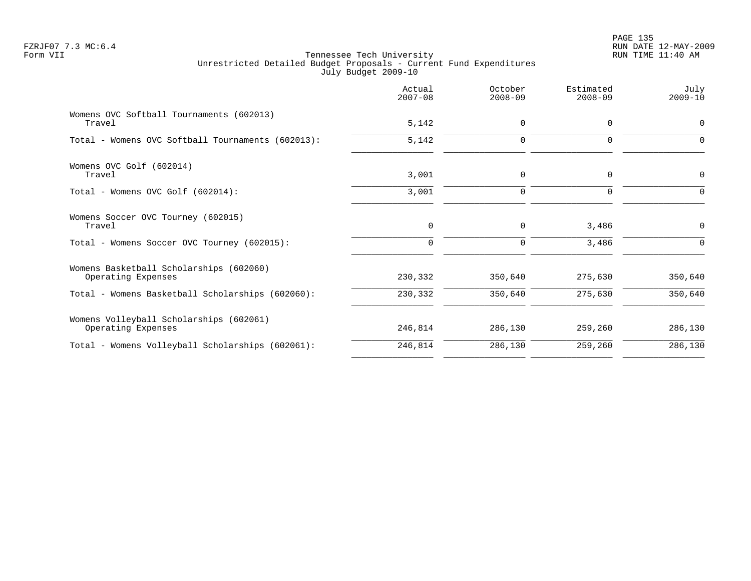|                                                               | Actual<br>$2007 - 08$ | October<br>$2008 - 09$ | Estimated<br>$2008 - 09$ | July<br>$2009 - 10$ |
|---------------------------------------------------------------|-----------------------|------------------------|--------------------------|---------------------|
| Womens OVC Softball Tournaments (602013)<br>Travel            | 5,142                 | 0                      | $\mathbf 0$              | 0                   |
| Total - Womens OVC Softball Tournaments (602013):             | 5,142                 | $\mathbf 0$            | $\Omega$                 | $\Omega$            |
| Womens OVC Golf (602014)<br>Travel                            | 3,001                 | $\mathbf 0$            | 0                        | 0                   |
| Total - Womens OVC Golf (602014):                             | 3,001                 | $\mathbf 0$            | $\Omega$                 | $\Omega$            |
| Womens Soccer OVC Tourney (602015)<br>Travel                  | 0                     | 0                      | 3,486                    | 0                   |
| Total - Womens Soccer OVC Tourney (602015):                   | 0                     | $\mathbf 0$            | 3,486                    | $\Omega$            |
| Womens Basketball Scholarships (602060)<br>Operating Expenses | 230,332               | 350,640                | 275,630                  | 350,640             |
| Total - Womens Basketball Scholarships (602060):              | 230,332               | 350,640                | 275,630                  | 350,640             |
| Womens Volleyball Scholarships (602061)<br>Operating Expenses | 246,814               | 286,130                | 259,260                  | 286,130             |
| Total - Womens Volleyball Scholarships (602061):              | 246,814               | 286,130                | 259,260                  | 286,130             |
|                                                               |                       |                        |                          |                     |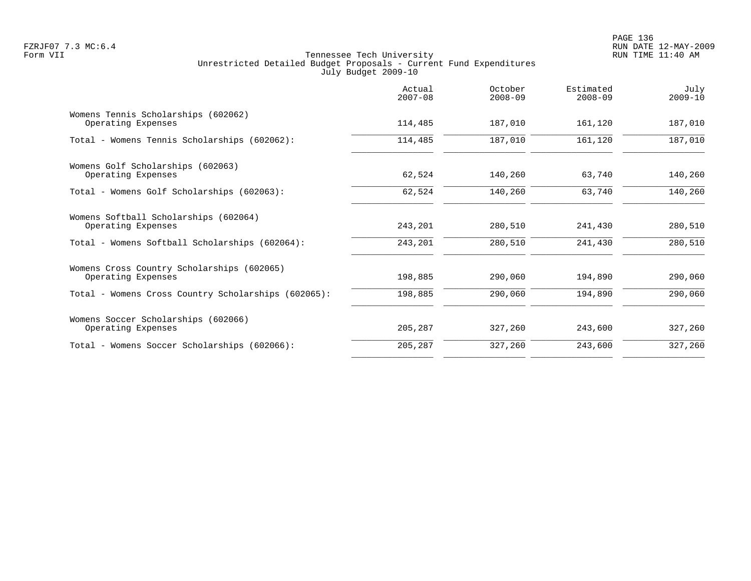|                                                                  | Actual<br>$2007 - 08$ | October<br>$2008 - 09$ | Estimated<br>$2008 - 09$ | July<br>$2009 - 10$ |
|------------------------------------------------------------------|-----------------------|------------------------|--------------------------|---------------------|
| Womens Tennis Scholarships (602062)<br>Operating Expenses        | 114,485               | 187,010                | 161,120                  | 187,010             |
| Total - Womens Tennis Scholarships (602062):                     | 114,485               | 187,010                | 161,120                  | 187,010             |
| Womens Golf Scholarships (602063)<br>Operating Expenses          | 62,524                | 140,260                | 63,740                   | 140,260             |
| Total - Womens Golf Scholarships (602063):                       | 62,524                | 140,260                | 63,740                   | 140,260             |
| Womens Softball Scholarships (602064)<br>Operating Expenses      | 243,201               | 280,510                | 241,430                  | 280,510             |
| Total - Womens Softball Scholarships (602064):                   | 243,201               | 280,510                | 241,430                  | 280,510             |
| Womens Cross Country Scholarships (602065)<br>Operating Expenses | 198,885               | 290,060                | 194,890                  | 290,060             |
| Total - Womens Cross Country Scholarships (602065):              | 198,885               | 290,060                | 194,890                  | 290,060             |
| Womens Soccer Scholarships (602066)<br>Operating Expenses        | 205,287               | 327,260                | 243,600                  | 327,260             |
| Total - Womens Soccer Scholarships (602066):                     | 205,287               | 327,260                | 243,600                  | 327,260             |
|                                                                  |                       |                        |                          |                     |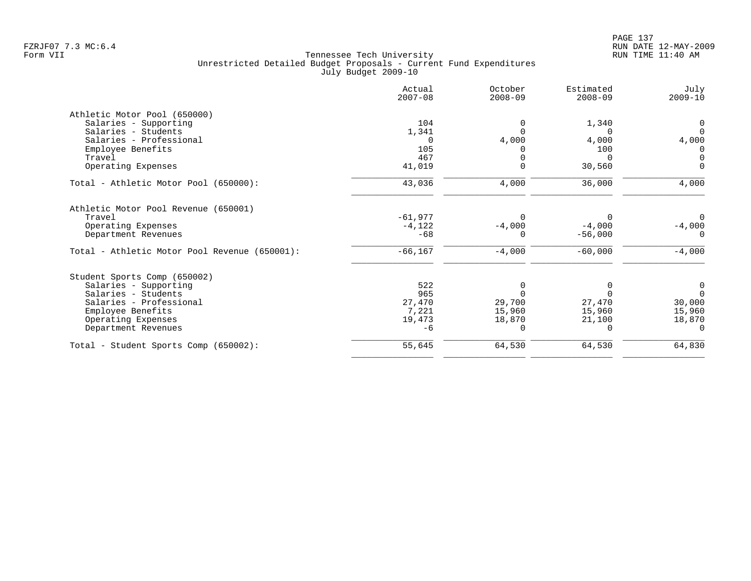| Actual<br>$2007 - 08$ | October<br>$2008 - 09$                  | Estimated<br>$2008 - 09$         | July<br>$2009 - 10$   |
|-----------------------|-----------------------------------------|----------------------------------|-----------------------|
|                       |                                         |                                  |                       |
| 104                   | $\Omega$                                | 1,340                            | 0                     |
|                       |                                         |                                  | $\Omega$              |
| $\Omega$              | 4,000                                   | 4,000                            | 4,000                 |
| 105                   |                                         | 100                              | 0                     |
| 467                   |                                         | <sup>n</sup>                     | $\mathbf 0$           |
| 41,019                | $\Omega$                                | 30,560                           | $\Omega$              |
| 43,036                | 4,000                                   | 36,000                           | 4,000                 |
|                       |                                         |                                  |                       |
|                       |                                         |                                  | $\Omega$              |
|                       |                                         |                                  | $-4,000$              |
|                       |                                         |                                  | $\Omega$              |
| $-66, 167$            | $-4,000$                                | $-60,000$                        | $-4,000$              |
|                       |                                         |                                  |                       |
| 522                   | 0                                       |                                  | 0                     |
| 965                   |                                         |                                  | $\Omega$              |
| 27,470                | 29,700                                  | 27,470                           | 30,000                |
| 7,221                 | 15,960                                  | 15,960                           | 15,960                |
| 19,473                | 18,870                                  | 21,100                           | 18,870                |
| $-6$                  | $\Omega$                                |                                  |                       |
| 55,645                | 64,530                                  | 64,530                           | 64,830                |
|                       | 1,341<br>$-61.977$<br>$-4,122$<br>$-68$ | $\Omega$<br>$-4,000$<br>$\Omega$ | $-4,000$<br>$-56,000$ |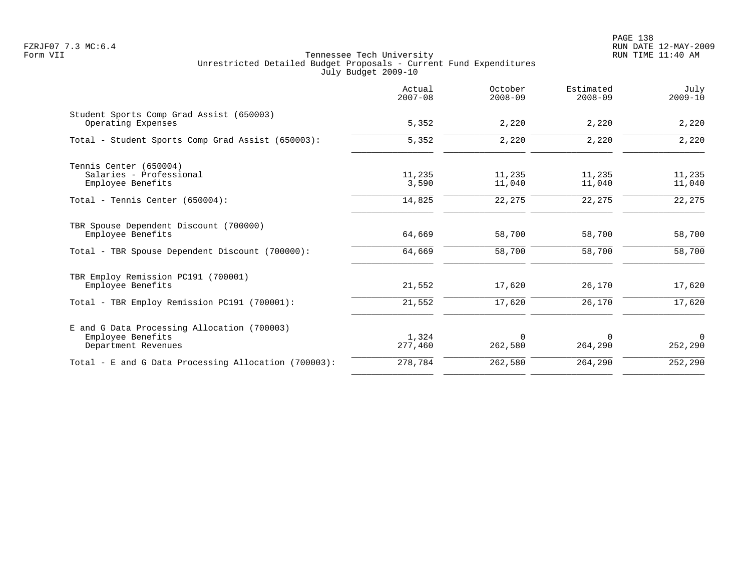|                                                                                         | Actual<br>$2007 - 08$ | October<br>$2008 - 09$ | Estimated<br>$2008 - 09$ | July<br>$2009 - 10$ |
|-----------------------------------------------------------------------------------------|-----------------------|------------------------|--------------------------|---------------------|
| Student Sports Comp Grad Assist (650003)<br>Operating Expenses                          | 5,352                 | 2,220                  | 2,220                    | 2,220               |
| Total - Student Sports Comp Grad Assist (650003):                                       | 5,352                 | 2,220                  | 2,220                    | 2,220               |
| Tennis Center (650004)                                                                  |                       |                        |                          |                     |
| Salaries - Professional<br>Employee Benefits                                            | 11,235<br>3,590       | 11,235<br>11,040       | 11,235<br>11,040         | 11,235<br>11,040    |
| Total - Tennis Center (650004):                                                         | 14,825                | 22,275                 | 22,275                   | 22,275              |
| TBR Spouse Dependent Discount (700000)<br>Employee Benefits                             | 64,669                | 58,700                 | 58,700                   | 58,700              |
| Total - TBR Spouse Dependent Discount (700000):                                         | 64,669                | 58,700                 | 58,700                   | 58,700              |
| TBR Employ Remission PC191 (700001)<br>Employee Benefits                                | 21,552                | 17,620                 | 26,170                   | 17,620              |
| Total - TBR Employ Remission PC191 (700001):                                            | 21,552                | 17,620                 | 26,170                   | 17,620              |
| E and G Data Processing Allocation (700003)<br>Employee Benefits<br>Department Revenues | 1,324<br>277,460      | $\mathbf 0$<br>262,580 | 0<br>264,290             | $\Omega$<br>252,290 |
| Total - E and G Data Processing Allocation (700003):                                    | 278,784               | 262,580                | 264,290                  | 252,290             |
|                                                                                         |                       |                        |                          |                     |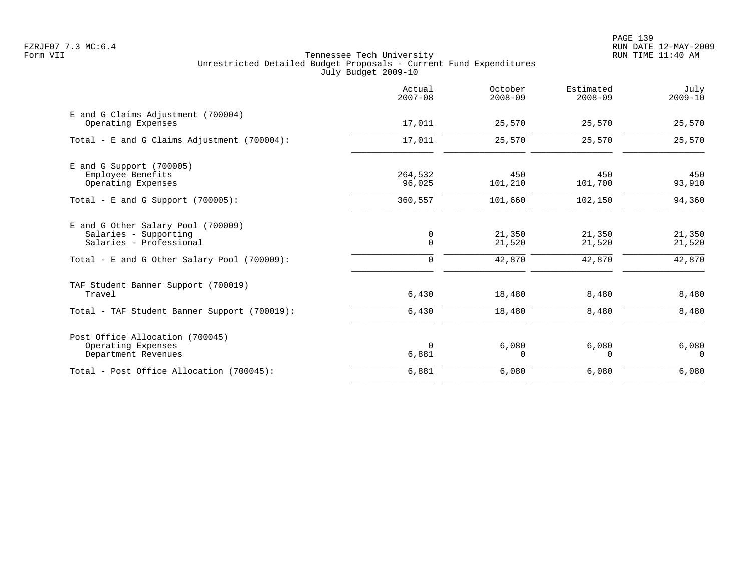PAGE 139 FZRJF07 7.3 MC:6.4 RUN DATE 12-MAY-2009

|                                                                                        | Actual<br>$2007 - 08$ | October<br>$2008 - 09$ | Estimated<br>$2008 - 09$ | July<br>$2009 - 10$ |
|----------------------------------------------------------------------------------------|-----------------------|------------------------|--------------------------|---------------------|
| E and G Claims Adjustment (700004)<br>Operating Expenses                               | 17,011                | 25,570                 | 25,570                   | 25,570              |
| Total - E and G Claims Adjustment (700004):                                            | 17,011                | 25,570                 | 25,570                   | 25,570              |
| $E$ and G Support (700005)<br>Employee Benefits<br>Operating Expenses                  | 264,532<br>96,025     | 450<br>101,210         | 450<br>101,700           | 450<br>93,910       |
| Total - E and G Support $(700005)$ :                                                   | 360,557               | 101,660                | 102,150                  | 94,360              |
| E and G Other Salary Pool (700009)<br>Salaries - Supporting<br>Salaries - Professional | 0<br>$\mathbf 0$      | 21,350<br>21,520       | 21,350<br>21,520         | 21,350<br>21,520    |
| Total - E and G Other Salary Pool (700009):                                            | $\mathbf 0$           | 42,870                 | 42,870                   | 42,870              |
| TAF Student Banner Support (700019)<br>Travel                                          | 6,430                 | 18,480                 | 8,480                    | 8,480               |
| Total - TAF Student Banner Support (700019):                                           | 6,430                 | 18,480                 | 8,480                    | 8,480               |
| Post Office Allocation (700045)<br>Operating Expenses<br>Department Revenues           | $\Omega$<br>6,881     | 6,080<br>$\Omega$      | 6,080<br>$\Omega$        | 6,080<br>$\Omega$   |
| Total - Post Office Allocation (700045):                                               | 6,881                 | 6,080                  | 6,080                    | 6,080               |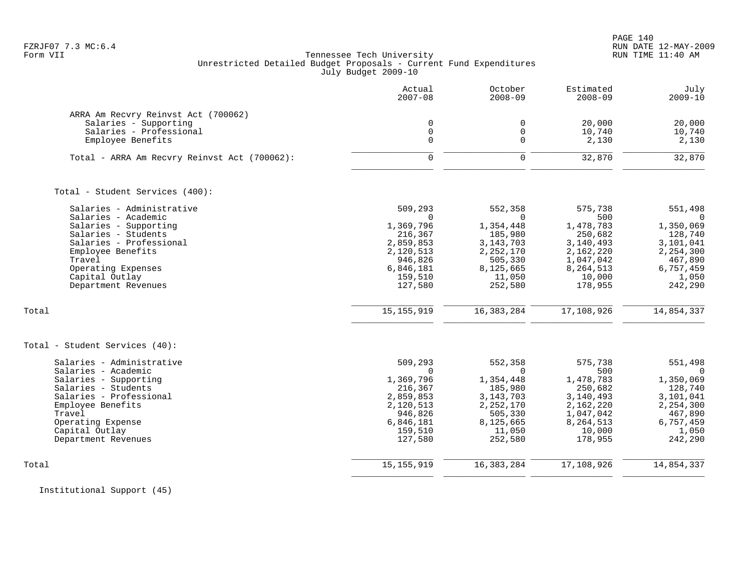PAGE 140 FZRJF07 7.3 MC:6.4 RUN DATE 12-MAY-2009

### Form VII Tennessee Tech University RUN TIME 11:40 AM Unrestricted Detailed Budget Proposals - Current Fund Expenditures July Budget 2009-10

|                                                                                         | Actual<br>$2007 - 08$      | October<br>$2008 - 09$     | Estimated<br>$2008 - 09$ | July<br>$2009 - 10$      |
|-----------------------------------------------------------------------------------------|----------------------------|----------------------------|--------------------------|--------------------------|
| ARRA Am Recvry Reinvst Act (700062)<br>Salaries - Supporting<br>Salaries - Professional | $\mathbf 0$<br>$\mathbf 0$ | $\mathbf 0$<br>$\mathbf 0$ | 20,000<br>10,740         | 20,000                   |
| Employee Benefits                                                                       | $\Omega$                   | $\Omega$                   | 2,130                    | 10,740<br>2,130          |
| Total - ARRA Am Recvry Reinvst Act (700062):                                            | $\Omega$                   | $\mathbf 0$                | 32,870                   | 32,870                   |
| Total - Student Services (400):                                                         |                            |                            |                          |                          |
| Salaries - Administrative<br>Salaries - Academic                                        | 509,293<br>$\Omega$        | 552,358<br>$\Omega$        | 575,738<br>500           | 551,498<br>$\Omega$      |
| Salaries - Supporting                                                                   | 1,369,796                  | 1,354,448                  | 1,478,783                | 1,350,069                |
| Salaries - Students<br>Salaries - Professional                                          | 216,367<br>2,859,853       | 185,980<br>3, 143, 703     | 250,682<br>3,140,493     | 128,740<br>3,101,041     |
| Employee Benefits                                                                       | 2,120,513                  | 2,252,170                  | 2,162,220                | 2,254,300                |
| Travel                                                                                  | 946,826                    | 505,330                    | 1,047,042                | 467,890                  |
| Operating Expenses                                                                      | 6,846,181                  | 8,125,665                  | 8,264,513                | 6,757,459                |
| Capital Outlay<br>Department Revenues                                                   | 159,510<br>127,580         | 11,050<br>252,580          | 10,000<br>178,955        | 1,050<br>242,290         |
| Total                                                                                   | 15, 155, 919               | 16, 383, 284               | 17,108,926               | 14,854,337               |
| Total - Student Services (40):                                                          |                            |                            |                          |                          |
| Salaries - Administrative<br>Salaries - Academic                                        | 509,293<br>$\Omega$        | 552,358<br>$\Omega$        | 575,738<br>500           | 551,498<br>$\Omega$      |
| Salaries - Supporting                                                                   | 1,369,796                  | 1,354,448                  | 1,478,783                | 1,350,069                |
| Salaries - Students                                                                     | 216,367                    | 185,980                    | 250,682                  | 128,740                  |
| Salaries - Professional<br>Employee Benefits                                            | 2,859,853<br>2,120,513     | 3, 143, 703<br>2, 252, 170 | 3,140,493<br>2,162,220   | 3,101,041<br>2, 254, 300 |
| Travel                                                                                  | 946,826                    | 505,330                    | 1,047,042                | 467,890                  |
| Operating Expense                                                                       | 6,846,181                  | 8,125,665                  | 8,264,513                | 6,757,459                |
| Capital Outlay<br>Department Revenues                                                   | 159,510<br>127,580         | 11,050<br>252,580          | 10,000<br>178,955        | 1,050<br>242,290         |
|                                                                                         |                            |                            |                          |                          |
| Total                                                                                   | 15, 155, 919               | 16, 383, 284               | 17,108,926               | 14,854,337               |

Institutional Support (45)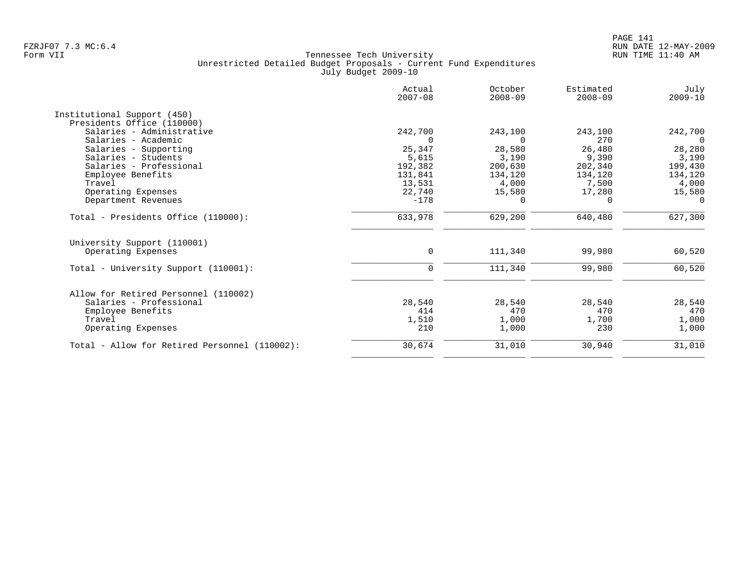|                                               | Actual<br>$2007 - 08$ | October<br>$2008 - 09$ | Estimated<br>$2008 - 09$ | July<br>$2009 - 10$ |
|-----------------------------------------------|-----------------------|------------------------|--------------------------|---------------------|
| Institutional Support (450)                   |                       |                        |                          |                     |
| Presidents Office (110000)                    |                       |                        |                          |                     |
| Salaries - Administrative                     | 242,700               | 243,100                | 243,100                  | 242,700             |
| Salaries - Academic                           | $\Omega$              | $\Omega$               | 270                      | $\Omega$            |
| Salaries - Supporting                         | 25,347                | 28,580                 | 26,480                   | 28,280              |
| Salaries - Students                           | 5,615                 | 3,190                  | 9,390                    | 3,190               |
| Salaries - Professional                       | 192,382               | 200,630                | 202,340                  | 199,430             |
| Employee Benefits                             | 131,841               | 134,120                | 134,120                  | 134,120             |
| Travel                                        | 13,531                | 4,000                  | 7,500                    | 4,000               |
| Operating Expenses                            | 22,740                | 15,580                 | 17,280                   | 15,580              |
| Department Revenues                           | $-178$                | 0                      | 0                        | $\overline{0}$      |
| Total - Presidents Office (110000):           | 633,978               | 629,200                | 640,480                  | 627,300             |
| University Support (110001)                   |                       |                        |                          |                     |
| Operating Expenses                            | 0                     | 111,340                | 99,980                   | 60,520              |
|                                               |                       |                        |                          |                     |
| Total - University Support (110001):          | $\mathbf 0$           | 111,340                | 99,980                   | 60,520              |
| Allow for Retired Personnel (110002)          |                       |                        |                          |                     |
| Salaries - Professional                       |                       |                        | 28,540                   |                     |
|                                               | 28,540<br>414         | 28,540<br>470          | 470                      | 28,540              |
| Employee Benefits<br>Travel                   |                       |                        |                          | 470                 |
|                                               | 1,510                 | 1,000                  | 1,700                    | 1,000               |
| Operating Expenses                            | 210                   | 1,000                  | 230                      | 1,000               |
| Total - Allow for Retired Personnel (110002): | 30,674                | 31,010                 | 30,940                   | 31,010              |
|                                               |                       |                        |                          |                     |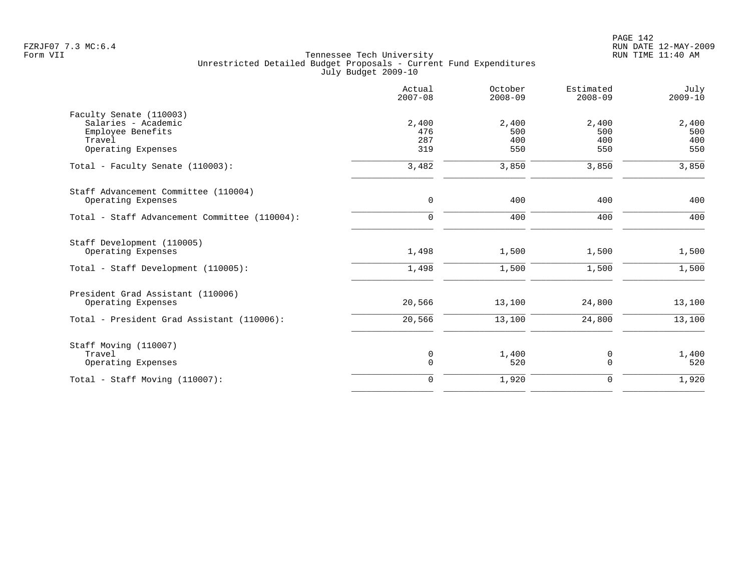|                                               | Actual<br>$2007 - 08$ | October<br>$2008 - 09$ | Estimated<br>$2008 - 09$ | July<br>$2009 - 10$ |
|-----------------------------------------------|-----------------------|------------------------|--------------------------|---------------------|
| Faculty Senate (110003)                       |                       |                        |                          |                     |
| Salaries - Academic                           | 2,400                 | 2,400                  | 2,400                    | 2,400               |
| Employee Benefits                             | 476                   | 500                    | 500                      | 500                 |
| Travel                                        | 287                   | 400                    | 400                      | 400                 |
| Operating Expenses                            | 319                   | 550                    | 550                      | 550                 |
| Total - Faculty Senate (110003):              | 3,482                 | 3,850                  | 3,850                    | 3,850               |
| Staff Advancement Committee (110004)          |                       |                        |                          |                     |
| Operating Expenses                            | $\mathbf 0$           | 400                    | 400                      | 400                 |
| Total - Staff Advancement Committee (110004): | $\mathbf 0$           | 400                    | 400                      | 400                 |
| Staff Development (110005)                    |                       |                        |                          |                     |
| Operating Expenses                            | 1,498                 | 1,500                  | 1,500                    | 1,500               |
| Total - Staff Development (110005):           | 1,498                 | 1,500                  | 1,500                    | 1,500               |
| President Grad Assistant (110006)             |                       |                        |                          |                     |
| Operating Expenses                            | 20,566                | 13,100                 | 24,800                   | 13,100              |
| Total - President Grad Assistant (110006):    | 20,566                | 13,100                 | 24,800                   | 13,100              |
| Staff Moving (110007)                         |                       |                        |                          |                     |
| Travel                                        | 0                     | 1,400                  | 0                        | 1,400               |
| Operating Expenses                            | $\mathbf 0$           | 520                    | $\mathbf 0$              | 520                 |
| Total - Staff Moving (110007):                | $\mathbf 0$           | 1,920                  | $\mathbf 0$              | 1,920               |
|                                               |                       |                        |                          |                     |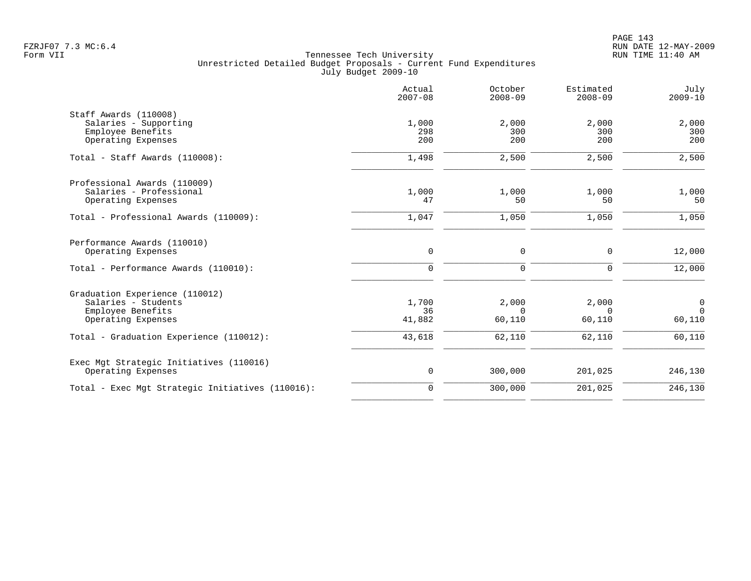|                                                                                                  | Actual<br>$2007 - 08$ | October<br>$2008 - 09$      | Estimated<br>$2008 - 09$    | July<br>$2009 - 10$                        |
|--------------------------------------------------------------------------------------------------|-----------------------|-----------------------------|-----------------------------|--------------------------------------------|
| Staff Awards (110008)<br>Salaries - Supporting<br>Employee Benefits<br>Operating Expenses        | 1,000<br>298<br>200   | 2,000<br>300<br>200         | 2,000<br>300<br>200         | 2,000<br>300<br>200                        |
| Total - Staff Awards (110008):                                                                   | 1,498                 | 2,500                       | 2,500                       | 2,500                                      |
| Professional Awards (110009)<br>Salaries - Professional<br>Operating Expenses                    | 1,000<br>47           | 1,000<br>50                 | 1,000<br>50                 | 1,000<br>50                                |
| Total - Professional Awards (110009):                                                            | 1,047                 | 1,050                       | 1,050                       | 1,050                                      |
| Performance Awards (110010)<br>Operating Expenses                                                | $\mathsf{O}$          | 0                           | 0                           | 12,000                                     |
| Total - Performance Awards (110010):                                                             | $\mathbf 0$           | $\mathbf 0$                 | 0                           | 12,000                                     |
| Graduation Experience (110012)<br>Salaries - Students<br>Employee Benefits<br>Operating Expenses | 1,700<br>36<br>41,882 | 2,000<br>$\Omega$<br>60,110 | 2,000<br>$\Omega$<br>60,110 | $\overline{0}$<br>$\overline{0}$<br>60,110 |
| Total - Graduation Experience (110012):                                                          | 43,618                | 62,110                      | 62,110                      | 60,110                                     |
| Exec Mgt Strategic Initiatives (110016)<br>Operating Expenses                                    | $\mathsf 0$           | 300,000                     | 201,025                     | 246,130                                    |
| Total - Exec Mgt Strategic Initiatives (110016):                                                 | $\mathbf 0$           | 300,000                     | 201,025                     | 246,130                                    |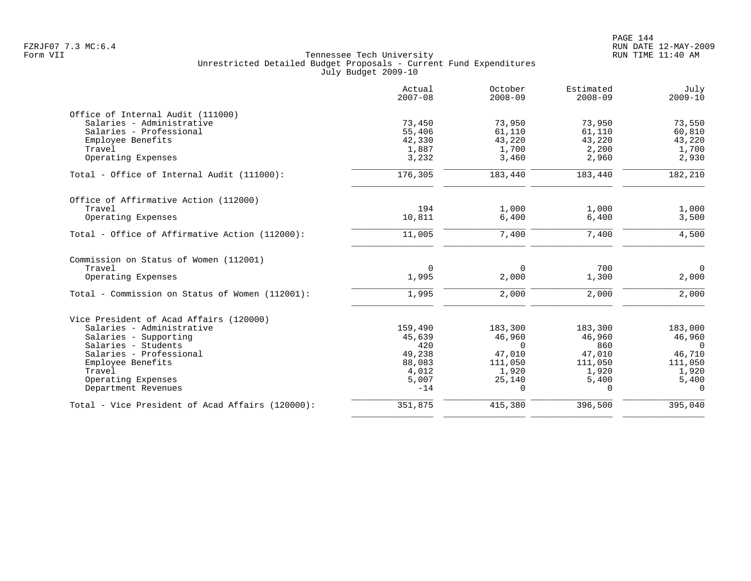|                                                  | Actual<br>$2007 - 08$ | October<br>$2008 - 09$ | Estimated<br>$2008 - 09$ | July<br>$2009 - 10$ |
|--------------------------------------------------|-----------------------|------------------------|--------------------------|---------------------|
| Office of Internal Audit (111000)                |                       |                        |                          |                     |
| Salaries - Administrative                        | 73,450                | 73,950                 | 73,950                   | 73,550              |
| Salaries - Professional                          | 55,406                | 61,110                 | 61,110                   | 60,810              |
| Employee Benefits                                | 42,330                | 43,220                 | 43,220                   | 43,220              |
| Travel                                           | 1,887                 | 1,700                  | 2,200                    | 1,700               |
| Operating Expenses                               | 3,232                 | 3,460                  | 2,960                    | 2,930               |
| Total - Office of Internal Audit (111000):       | 176,305               | 183,440                | 183,440                  | 182,210             |
| Office of Affirmative Action (112000)            |                       |                        |                          |                     |
| Travel                                           | 194                   | 1,000                  | 1,000                    | 1,000               |
| Operating Expenses                               | 10,811                | 6,400                  | 6,400                    | 3,500               |
| Total - Office of Affirmative Action (112000):   | 11,005                | 7,400                  | 7,400                    | 4,500               |
| Commission on Status of Women (112001)           |                       |                        |                          |                     |
| Travel                                           | $\mathbf 0$           | $\Omega$               | 700                      | $\overline{0}$      |
| Operating Expenses                               | 1,995                 | 2,000                  | 1,300                    | 2,000               |
| Total - Commission on Status of Women (112001):  | 1,995                 | 2,000                  | 2,000                    | 2,000               |
| Vice President of Acad Affairs (120000)          |                       |                        |                          |                     |
| Salaries - Administrative                        | 159,490               | 183,300                | 183,300                  | 183,000             |
| Salaries - Supporting                            | 45,639                | 46,960                 | 46,960                   | 46,960              |
| Salaries - Students                              | 420                   | $\Omega$               | 860                      | $\Omega$            |
| Salaries - Professional                          | 49,238                | 47,010                 | 47,010                   | 46,710              |
| Employee Benefits                                | 88,083                | 111,050                | 111,050                  | 111,050             |
| Travel                                           | 4,012                 | 1,920                  | 1,920                    | 1,920               |
| Operating Expenses                               | 5,007                 | 25,140                 | 5,400                    | 5,400               |
| Department Revenues                              | $-14$                 | $\Omega$               | $\Omega$                 | $\Omega$            |
| Total - Vice President of Acad Affairs (120000): | 351,875               | 415,380                | 396,500                  | 395,040             |
|                                                  |                       |                        |                          |                     |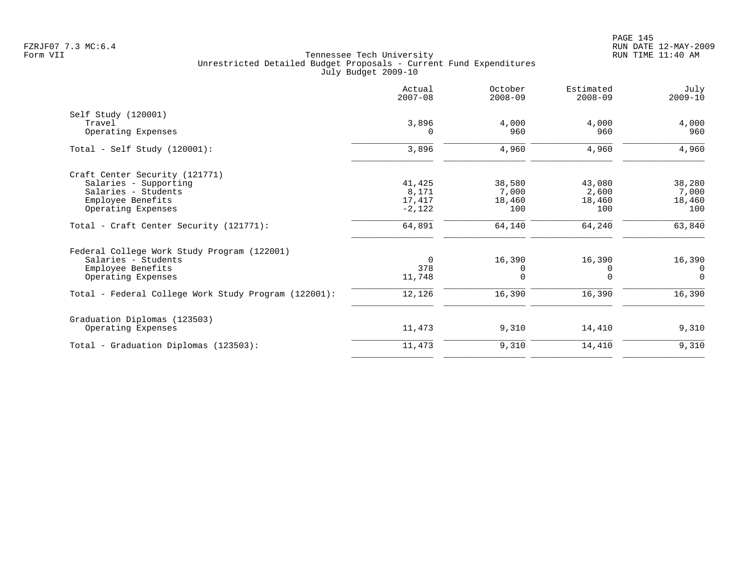| 3,896<br>4,000<br>960<br>3,896<br>4,960 | 4,000<br>960<br>4,960                                                                                      | 4,000<br>960<br>4,960                                                                        |
|-----------------------------------------|------------------------------------------------------------------------------------------------------------|----------------------------------------------------------------------------------------------|
|                                         |                                                                                                            |                                                                                              |
|                                         |                                                                                                            |                                                                                              |
|                                         |                                                                                                            |                                                                                              |
|                                         |                                                                                                            |                                                                                              |
|                                         |                                                                                                            |                                                                                              |
|                                         | 43,080                                                                                                     | 38,280                                                                                       |
|                                         | 2,600                                                                                                      | 7,000                                                                                        |
|                                         | 18,460                                                                                                     | 18,460                                                                                       |
|                                         | 100                                                                                                        | 100                                                                                          |
|                                         | 64,240                                                                                                     | 63,840                                                                                       |
|                                         |                                                                                                            |                                                                                              |
|                                         | 16,390                                                                                                     | 16,390                                                                                       |
|                                         | 0                                                                                                          | $\Omega$                                                                                     |
|                                         | $\Omega$                                                                                                   | $\Omega$                                                                                     |
|                                         | 16,390                                                                                                     | 16,390                                                                                       |
|                                         |                                                                                                            |                                                                                              |
|                                         | 14,410                                                                                                     | 9,310                                                                                        |
|                                         | 14,410                                                                                                     | 9,310                                                                                        |
|                                         | 41,425<br>8,171<br>17,417<br>$-2,122$<br>64,891<br>$\Omega$<br>378<br>11,748<br>12,126<br>11,473<br>11,473 | 38,580<br>7,000<br>18,460<br>100<br>64,140<br>16,390<br>$\Omega$<br>16,390<br>9,310<br>9,310 |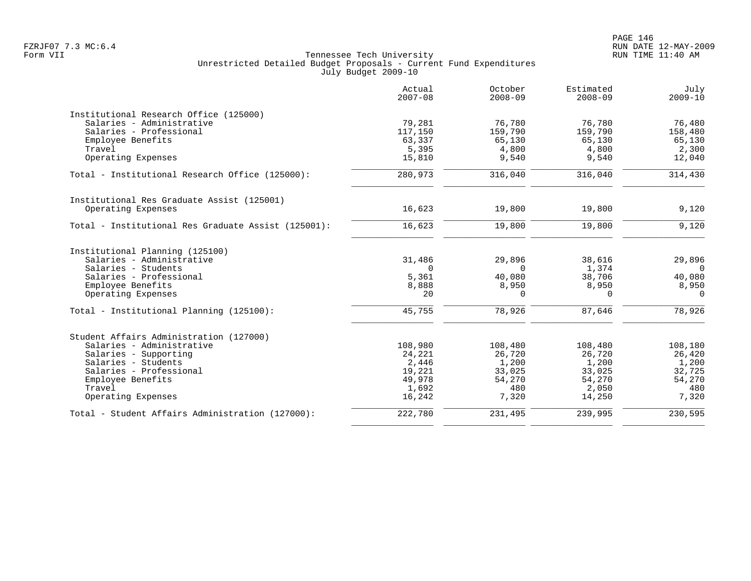|                                                     | Actual<br>$2007 - 08$ | October<br>$2008 - 09$ | Estimated<br>$2008 - 09$ | July<br>$2009 - 10$ |
|-----------------------------------------------------|-----------------------|------------------------|--------------------------|---------------------|
| Institutional Research Office (125000)              |                       |                        |                          |                     |
| Salaries - Administrative                           | 79,281                | 76,780                 | 76,780                   | 76,480              |
| Salaries - Professional                             | 117,150               | 159,790                | 159,790                  | 158,480             |
| Employee Benefits                                   | 63,337                | 65,130                 | 65,130                   | 65,130              |
| Travel                                              | 5,395                 | 4,800                  | 4,800                    | 2,300               |
| Operating Expenses                                  | 15,810                | 9,540                  | 9,540                    | 12,040              |
| Total - Institutional Research Office (125000):     | 280,973               | 316,040                | 316,040                  | 314,430             |
| Institutional Res Graduate Assist (125001)          |                       |                        |                          |                     |
| Operating Expenses                                  | 16,623                | 19,800                 | 19,800                   | 9,120               |
| Total - Institutional Res Graduate Assist (125001): | 16,623                | 19,800                 | 19,800                   | 9,120               |
| Institutional Planning (125100)                     |                       |                        |                          |                     |
| Salaries - Administrative                           | 31,486                | 29,896                 | 38,616                   | 29,896              |
| Salaries - Students                                 | $\Omega$              | $\Omega$               | 1,374                    | $\Omega$            |
| Salaries - Professional                             | 5,361                 | 40,080                 | 38,706                   | 40,080              |
| Employee Benefits                                   | 8,888                 | 8,950                  | 8,950                    | 8,950               |
| Operating Expenses                                  | 20                    | $\Omega$               | $\Omega$                 | $\Omega$            |
| Total - Institutional Planning (125100):            | 45,755                | 78,926                 | 87,646                   | 78,926              |
| Student Affairs Administration (127000)             |                       |                        |                          |                     |
| Salaries - Administrative                           | 108,980               | 108,480                | 108,480                  | 108,180             |
| Salaries - Supporting                               | 24,221                | 26,720                 | 26,720                   | 26,420              |
| Salaries - Students                                 | 2,446                 | 1,200                  | 1,200                    | 1,200               |
| Salaries - Professional                             | 19,221                | 33,025                 | 33,025                   | 32,725              |
| Employee Benefits                                   | 49,978                | 54,270                 | 54,270                   | 54,270              |
| Travel                                              | 1,692                 | 480                    | 2,050                    | 480                 |
| Operating Expenses                                  | 16,242                | 7,320                  | 14,250                   | 7,320               |
| Total - Student Affairs Administration (127000):    | 222,780               | 231,495                | 239,995                  | 230,595             |
|                                                     |                       |                        |                          |                     |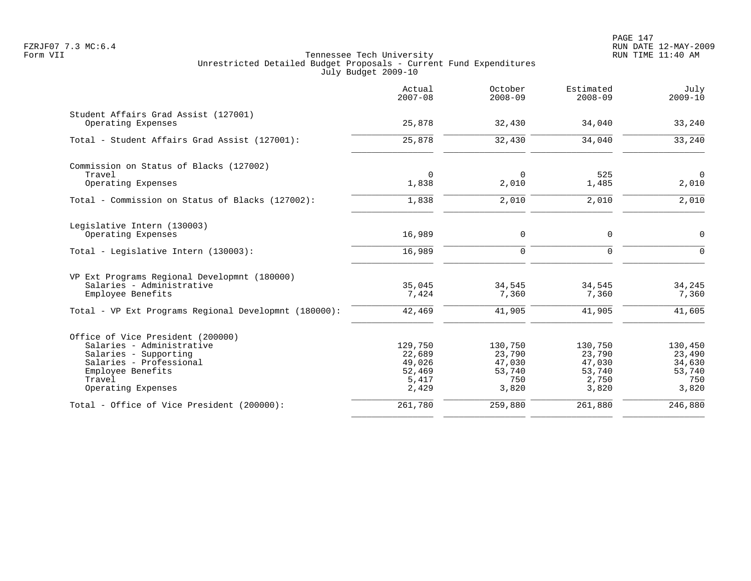PAGE 147 FZRJF07 7.3 MC:6.4 RUN DATE 12-MAY-2009

|                                                       | Actual<br>$2007 - 08$ | October<br>$2008 - 09$ | Estimated<br>$2008 - 09$ | July<br>$2009 - 10$ |
|-------------------------------------------------------|-----------------------|------------------------|--------------------------|---------------------|
| Student Affairs Grad Assist (127001)                  |                       |                        |                          |                     |
| Operating Expenses                                    | 25,878                | 32,430                 | 34,040                   | 33,240              |
| Total - Student Affairs Grad Assist (127001):         | 25,878                | 32,430                 | 34,040                   | 33,240              |
| Commission on Status of Blacks (127002)               |                       |                        |                          |                     |
| Travel                                                | $\Omega$              | $\Omega$               | 525                      | $\Omega$            |
| Operating Expenses                                    | 1,838                 | 2,010                  | 1,485                    | 2,010               |
| Total - Commission on Status of Blacks (127002):      | 1,838                 | 2,010                  | 2,010                    | 2,010               |
| Legislative Intern (130003)                           |                       |                        |                          |                     |
| Operating Expenses                                    | 16,989                | 0                      | 0                        | $\mathbf 0$         |
| Total - Legislative Intern (130003):                  | 16,989                | $\mathbf 0$            | $\Omega$                 | $\Omega$            |
| VP Ext Programs Regional Developmnt (180000)          |                       |                        |                          |                     |
| Salaries - Administrative                             | 35,045                | 34,545                 | 34,545                   | 34,245              |
| Employee Benefits                                     | 7,424                 | 7,360                  | 7,360                    | 7,360               |
| Total - VP Ext Programs Regional Developmnt (180000): | 42,469                | 41,905                 | 41,905                   | 41,605              |
| Office of Vice President (200000)                     |                       |                        |                          |                     |
| Salaries - Administrative                             | 129,750               | 130,750                | 130,750                  | 130,450             |
| Salaries - Supporting                                 | 22,689                | 23,790                 | 23,790                   | 23,490              |
| Salaries - Professional                               | 49,026                | 47,030                 | 47,030                   | 34,630              |
| Employee Benefits                                     | 52,469                | 53,740                 | 53,740                   | 53,740              |
| Travel                                                | 5,417                 | 750                    | 2,750                    | 750                 |
| Operating Expenses                                    | 2,429                 | 3,820                  | 3,820                    | 3,820               |
| Total - Office of Vice President (200000):            | 261,780               | 259,880                | 261,880                  | 246,880             |
|                                                       |                       |                        |                          |                     |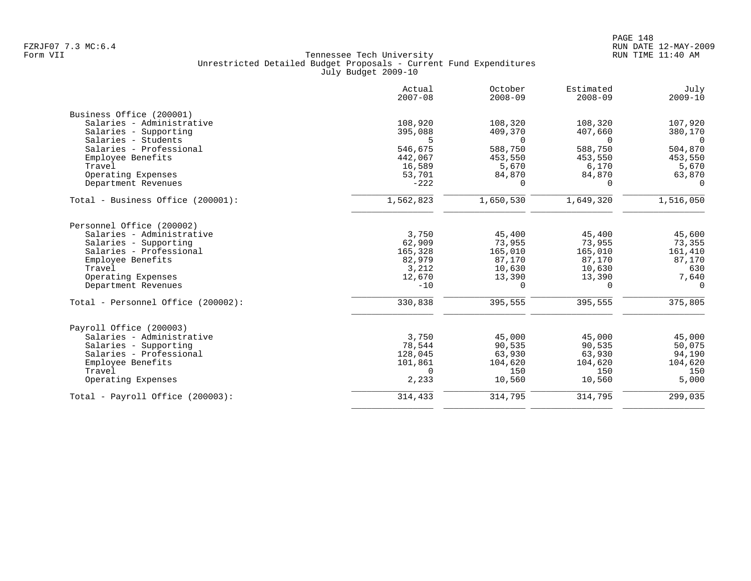|                                    | Actual<br>$2007 - 08$ | October<br>$2008 - 09$ | Estimated<br>$2008 - 09$ | July<br>$2009 - 10$ |
|------------------------------------|-----------------------|------------------------|--------------------------|---------------------|
| Business Office (200001)           |                       |                        |                          |                     |
| Salaries - Administrative          | 108,920               | 108,320                | 108,320                  | 107,920             |
| Salaries - Supporting              | 395,088               | 409,370                | 407,660                  | 380,170             |
| Salaries - Students                | 5                     | $\Omega$               | $\Omega$                 | $\Omega$            |
| Salaries - Professional            | 546,675               | 588,750                | 588,750                  | 504,870             |
| Employee Benefits                  | 442,067               | 453,550                | 453,550                  | 453,550             |
| Travel                             | 16,589                | 5,670                  | 6,170                    | 5,670               |
| Operating Expenses                 | 53,701                | 84,870                 | 84,870                   | 63,870              |
| Department Revenues                | $-222$                | $\Omega$               | $\Omega$                 | $\Omega$            |
| Total - Business Office (200001):  | 1,562,823             | 1,650,530              | 1,649,320                | 1,516,050           |
| Personnel Office (200002)          |                       |                        |                          |                     |
| Salaries - Administrative          | 3,750                 | 45,400                 | 45,400                   | 45,600              |
| Salaries - Supporting              | 62,909                | 73,955                 | 73,955                   | 73,355              |
| Salaries - Professional            | 165,328               | 165,010                | 165,010                  | 161,410             |
| Employee Benefits                  | 82,979                | 87,170                 | 87,170                   | 87,170              |
| Travel                             | 3,212                 | 10,630                 | 10,630                   | 630                 |
| Operating Expenses                 | 12,670                | 13,390                 | 13,390                   | 7,640               |
| Department Revenues                | $-10$                 | $\Omega$               | $\Omega$                 | $\Omega$            |
| Total - Personnel Office (200002): | 330,838               | 395,555                | 395,555                  | 375,805             |
| Payroll Office (200003)            |                       |                        |                          |                     |
| Salaries - Administrative          | 3,750                 | 45,000                 | 45,000                   | 45,000              |
| Salaries - Supporting              | 78,544                | 90,535                 | 90,535                   | 50,075              |
| Salaries - Professional            | 128,045               | 63,930                 | 63,930                   | 94,190              |
| Employee Benefits                  | 101,861               | 104,620                | 104,620                  | 104,620             |
| Travel                             | $\Omega$              | 150                    | 150                      | 150                 |
| Operating Expenses                 | 2,233                 | 10,560                 | 10,560                   | 5,000               |
| Total - Payroll Office (200003):   | 314,433               | 314,795                | 314,795                  | 299,035             |
|                                    |                       |                        |                          |                     |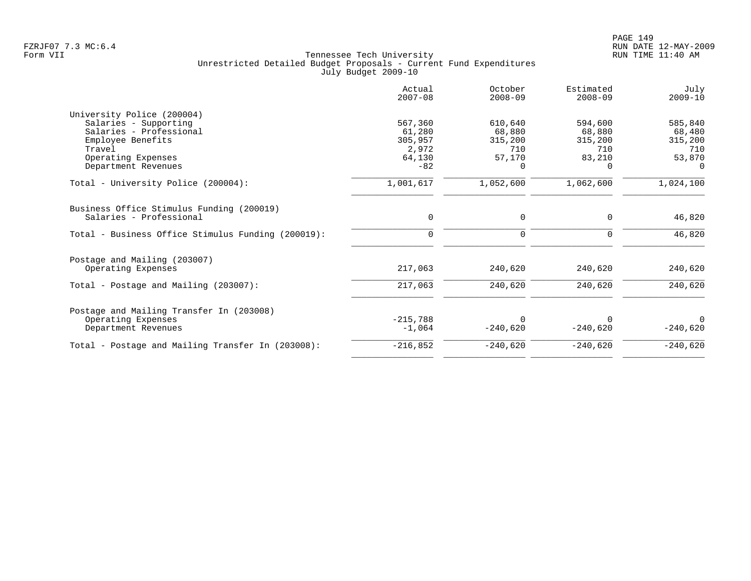|                                                    | Actual<br>$2007 - 08$ | October<br>$2008 - 09$ | Estimated<br>$2008 - 09$ | July<br>$2009 - 10$ |
|----------------------------------------------------|-----------------------|------------------------|--------------------------|---------------------|
| University Police (200004)                         |                       |                        |                          |                     |
| Salaries - Supporting                              | 567,360               | 610,640                | 594,600                  | 585,840             |
| Salaries - Professional                            | 61,280                | 68,880                 | 68,880                   | 68,480              |
| Employee Benefits                                  | 305,957               | 315,200                | 315,200                  | 315,200             |
| Travel                                             | 2,972                 | 710                    | 710                      | 710                 |
| Operating Expenses<br>Department Revenues          | 64,130<br>$-82$       | 57,170<br>$\Omega$     | 83,210<br>$\Omega$       | 53,870<br>$\Omega$  |
|                                                    |                       |                        |                          |                     |
| Total - University Police (200004):                | 1,001,617             | 1,052,600              | 1,062,600                | 1,024,100           |
| Business Office Stimulus Funding (200019)          |                       |                        |                          |                     |
| Salaries - Professional                            | $\Omega$              | $\mathbf 0$            | $\Omega$                 | 46,820              |
| Total - Business Office Stimulus Funding (200019): | $\Omega$              | $\mathbf 0$            | $\Omega$                 | 46,820              |
| Postage and Mailing (203007)                       |                       |                        |                          |                     |
| Operating Expenses                                 | 217,063               | 240,620                | 240,620                  | 240,620             |
| Total - Postage and Mailing (203007):              | 217,063               | 240,620                | 240,620                  | 240,620             |
| Postage and Mailing Transfer In (203008)           |                       |                        |                          |                     |
| Operating Expenses                                 | $-215,788$            | $\Omega$               |                          |                     |
| Department Revenues                                | $-1,064$              | $-240,620$             | $-240,620$               | $-240,620$          |
| Total - Postage and Mailing Transfer In (203008):  | $-216,852$            | $-240,620$             | $-240,620$               | $-240,620$          |
|                                                    |                       |                        |                          |                     |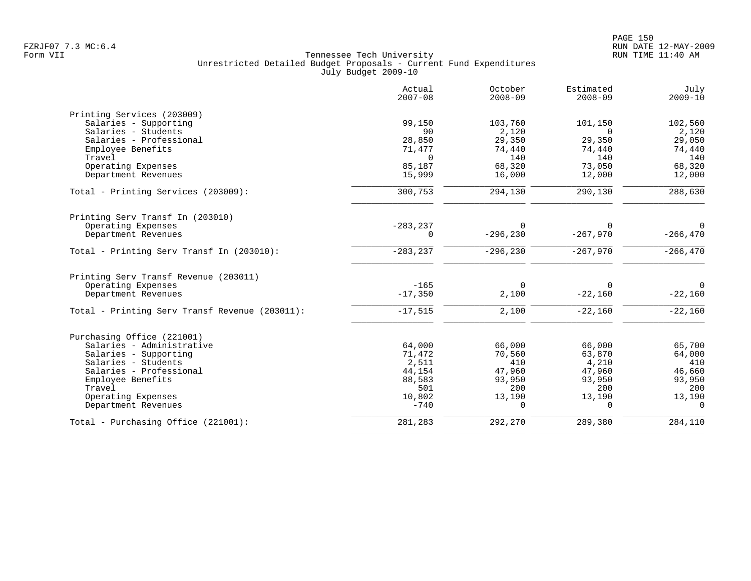|                                                | Actual<br>$2007 - 08$ | October<br>$2008 - 09$ | Estimated<br>$2008 - 09$ | July<br>$2009 - 10$ |
|------------------------------------------------|-----------------------|------------------------|--------------------------|---------------------|
| Printing Services (203009)                     |                       |                        |                          |                     |
| Salaries - Supporting                          | 99,150                | 103,760                | 101,150                  | 102,560             |
| Salaries - Students                            | 90                    | 2,120                  | $\Omega$                 | 2,120               |
| Salaries - Professional                        | 28,850                | 29,350                 | 29,350                   | 29,050              |
| Employee Benefits                              | 71,477                | 74,440                 | 74,440                   | 74,440              |
| Travel                                         | $\Omega$              | 140                    | 140                      | 140                 |
| Operating Expenses                             | 85,187                | 68,320                 | 73,050                   | 68,320              |
| Department Revenues                            | 15,999                | 16,000                 | 12,000                   | 12,000              |
| Total - Printing Services (203009):            | 300,753               | 294,130                | 290,130                  | 288,630             |
| Printing Serv Transf In (203010)               |                       |                        |                          |                     |
| Operating Expenses                             | $-283, 237$           | $\Omega$               |                          | $\Omega$            |
| Department Revenues                            | $\Omega$              | $-296, 230$            | $-267,970$               | $-266, 470$         |
| Total - Printing Serv Transf In (203010):      | $-283, 237$           | $-296, 230$            | $-267,970$               | $-266, 470$         |
| Printing Serv Transf Revenue (203011)          |                       |                        |                          |                     |
| Operating Expenses                             | $-165$                | $\Omega$               | $\Omega$                 | $\Omega$            |
| Department Revenues                            | $-17,350$             | 2,100                  | $-22,160$                | $-22,160$           |
| Total - Printing Serv Transf Revenue (203011): | $-17,515$             | 2,100                  | $-22,160$                | $-22,160$           |
| Purchasing Office (221001)                     |                       |                        |                          |                     |
| Salaries - Administrative                      | 64,000                | 66,000                 | 66,000                   | 65,700              |
| Salaries - Supporting                          | 71,472                | 70,560                 | 63,870                   | 64,000              |
| Salaries - Students                            | 2,511                 | 410                    | 4,210                    | 410                 |
| Salaries - Professional                        | 44,154                | 47,960                 | 47,960                   | 46,660              |
| Employee Benefits                              | 88,583                | 93,950                 | 93,950                   | 93,950              |
| Travel                                         | 501                   | 200                    | 200                      | 200                 |
| Operating Expenses                             | 10,802                | 13,190                 | 13,190                   | 13,190              |
| Department Revenues                            | $-740$                | $\Omega$               | $\Omega$                 | $\Omega$            |
| Total - Purchasing Office (221001):            | 281,283               | 292,270                | 289,380                  | 284,110             |
|                                                |                       |                        |                          |                     |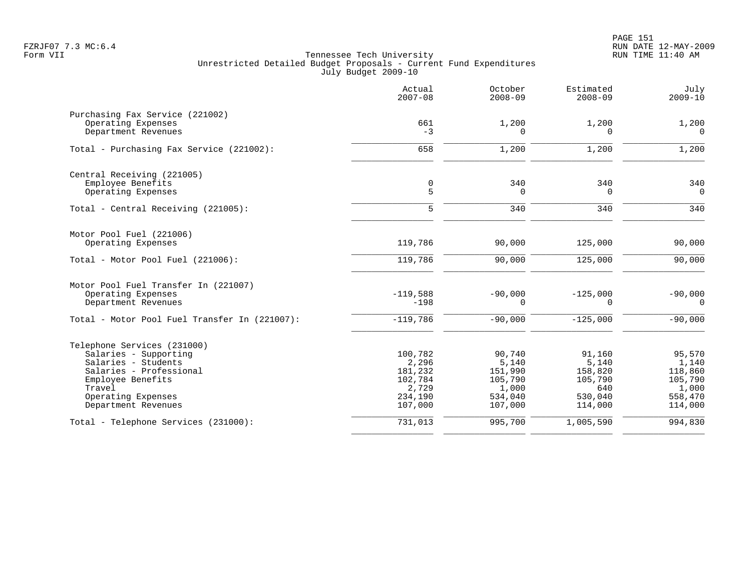|                                               | Actual<br>$2007 - 08$ | October<br>$2008 - 09$ | Estimated<br>$2008 - 09$ | July<br>$2009 - 10$ |
|-----------------------------------------------|-----------------------|------------------------|--------------------------|---------------------|
| Purchasing Fax Service (221002)               |                       |                        |                          |                     |
| Operating Expenses<br>Department Revenues     | 661<br>$-3$           | 1,200<br>$\Omega$      | 1,200<br>0               | 1,200<br>$\Omega$   |
| Total - Purchasing Fax Service (221002):      | 658                   | 1,200                  | 1,200                    | 1,200               |
| Central Receiving (221005)                    |                       |                        |                          |                     |
| Employee Benefits                             | $\mathbf 0$           | 340                    | 340                      | 340                 |
| Operating Expenses                            | 5                     | $\Omega$               | $\Omega$                 | $\Omega$            |
| Total - Central Receiving (221005):           | 5                     | 340                    | 340                      | 340                 |
| Motor Pool Fuel (221006)                      |                       |                        |                          |                     |
| Operating Expenses                            | 119,786               | 90,000                 | 125,000                  | 90,000              |
| Total - Motor Pool Fuel (221006):             | 119,786               | 90,000                 | 125,000                  | 90,000              |
| Motor Pool Fuel Transfer In (221007)          |                       |                        |                          |                     |
| Operating Expenses                            | $-119,588$            | $-90,000$              | $-125,000$               | $-90,000$           |
| Department Revenues                           | $-198$                | $\Omega$               | $\Omega$                 | $\Omega$            |
| Total - Motor Pool Fuel Transfer In (221007): | $-119,786$            | $-90,000$              | $-125,000$               | $-90,000$           |
| Telephone Services (231000)                   |                       |                        |                          |                     |
| Salaries - Supporting                         | 100,782               | 90,740                 | 91,160                   | 95,570              |
| Salaries - Students                           | 2,296                 | 5,140                  | 5,140                    | 1,140               |
| Salaries - Professional                       | 181,232               | 151,990                | 158,820                  | 118,860             |
| Employee Benefits                             | 102,784               | 105,790                | 105,790                  | 105,790             |
| Travel                                        | 2,729<br>234,190      | 1,000<br>534,040       | 640<br>530,040           | 1,000               |
| Operating Expenses<br>Department Revenues     | 107,000               | 107,000                | 114,000                  | 558,470<br>114,000  |
| Total - Telephone Services (231000):          | 731,013               | 995,700                | 1,005,590                | 994,830             |
|                                               |                       |                        |                          |                     |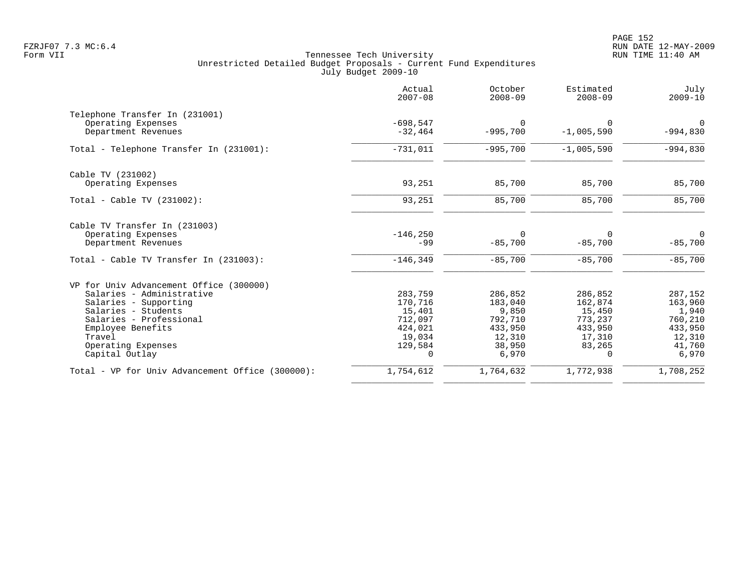|                                                  | Actual<br>$2007 - 08$ | October<br>$2008 - 09$ | Estimated<br>$2008 - 09$ | July<br>$2009 - 10$ |
|--------------------------------------------------|-----------------------|------------------------|--------------------------|---------------------|
| Telephone Transfer In (231001)                   |                       |                        |                          |                     |
| Operating Expenses                               | $-698,547$            | $\Omega$               | $\Omega$                 | 0                   |
| Department Revenues                              | $-32,464$             | $-995,700$             | $-1,005,590$             | $-994,830$          |
| Total - Telephone Transfer In (231001):          | $-731,011$            | $-995,700$             | $-1,005,590$             | $-994,830$          |
| Cable TV (231002)                                |                       |                        |                          |                     |
| Operating Expenses                               | 93,251                | 85,700                 | 85,700                   | 85,700              |
| Total - Cable TV $(231002)$ :                    | 93,251                | 85,700                 | 85,700                   | 85,700              |
| Cable TV Transfer In (231003)                    |                       |                        |                          |                     |
| Operating Expenses                               | $-146, 250$           | 0                      | 0                        | $\mathbf 0$         |
| Department Revenues                              | $-99$                 | $-85,700$              | $-85,700$                | $-85,700$           |
| Total - Cable TV Transfer In (231003):           | $-146, 349$           | $-85,700$              | $-85,700$                | $-85,700$           |
| VP for Univ Advancement Office (300000)          |                       |                        |                          |                     |
| Salaries - Administrative                        | 283,759               | 286,852                | 286,852                  | 287,152             |
| Salaries - Supporting                            | 170,716               | 183,040                | 162,874                  | 163,960             |
| Salaries - Students                              | 15,401                | 9,850                  | 15,450                   | 1,940               |
| Salaries - Professional                          | 712,097               | 792,710                | 773,237                  | 760,210             |
| Employee Benefits                                | 424,021               | 433,950                | 433,950                  | 433,950             |
| Travel                                           | 19,034                | 12,310                 | 17,310                   | 12,310              |
| Operating Expenses                               | 129,584               | 38,950                 | 83,265                   | 41,760              |
| Capital Outlay                                   | $\mathbf 0$           | 6,970                  | $\Omega$                 | 6,970               |
| Total - VP for Univ Advancement Office (300000): | 1,754,612             | 1,764,632              | 1,772,938                | 1,708,252           |
|                                                  |                       |                        |                          |                     |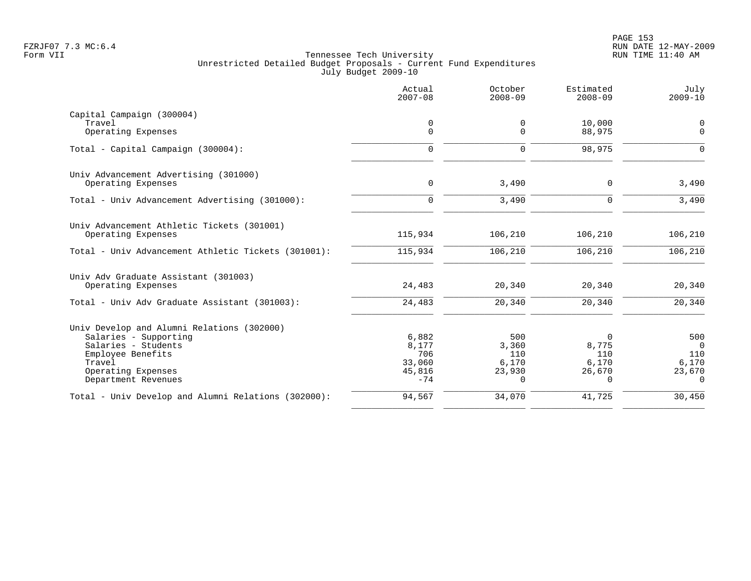|                                                                  | Actual<br>$2007 - 08$ | October<br>$2008 - 09$ | Estimated<br>$2008 - 09$ | July<br>$2009 - 10$ |
|------------------------------------------------------------------|-----------------------|------------------------|--------------------------|---------------------|
| Capital Campaign (300004)                                        |                       |                        |                          |                     |
| Travel                                                           | 0                     | 0                      | 10,000                   | 0                   |
| Operating Expenses                                               | $\mathbf 0$           | $\Omega$               | 88,975                   | $\Omega$            |
| Total - Capital Campaign (300004):                               | $\Omega$              | $\Omega$               | 98,975                   | $\Omega$            |
| Univ Advancement Advertising (301000)                            |                       |                        |                          |                     |
| Operating Expenses                                               | $\mathbf 0$           | 3,490                  | 0                        | 3,490               |
| Total - Univ Advancement Advertising (301000):                   | $\Omega$              | 3,490                  | $\Omega$                 | 3,490               |
| Univ Advancement Athletic Tickets (301001)<br>Operating Expenses | 115,934               | 106,210                | 106,210                  | 106,210             |
|                                                                  |                       |                        |                          |                     |
| Total - Univ Advancement Athletic Tickets (301001):              | 115,934               | 106,210                | 106,210                  | 106,210             |
| Univ Adv Graduate Assistant (301003)                             |                       |                        |                          |                     |
| Operating Expenses                                               | 24,483                | 20,340                 | 20,340                   | 20,340              |
| Total - Univ Adv Graduate Assistant (301003):                    | 24,483                | 20,340                 | 20,340                   | 20,340              |
| Univ Develop and Alumni Relations (302000)                       |                       |                        |                          |                     |
| Salaries - Supporting                                            | 6,882                 | 500                    | 0                        | 500                 |
| Salaries - Students                                              | 8,177                 | 3,360                  | 8,775                    | $\Omega$            |
| Employee Benefits                                                | 706                   | 110                    | 110                      | 110                 |
| Travel                                                           | 33,060                | 6,170                  | 6,170                    | 6,170               |
| Operating Expenses                                               | 45,816                | 23,930                 | 26,670                   | 23,670              |
| Department Revenues                                              | $-74$                 | $\Omega$               | $\Omega$                 | $\Omega$            |
| Total - Univ Develop and Alumni Relations (302000):              | 94,567                | 34,070                 | 41,725                   | 30,450              |
|                                                                  |                       |                        |                          |                     |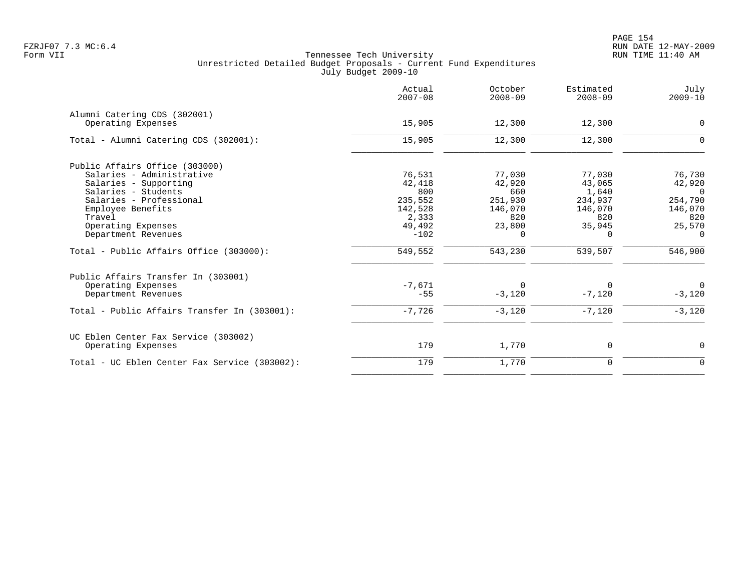PAGE 154 FZRJF07 7.3 MC:6.4 RUN DATE 12-MAY-2009

|                                               | Actual<br>$2007 - 08$ | October<br>$2008 - 09$ | Estimated<br>$2008 - 09$ | July<br>$2009 - 10$ |
|-----------------------------------------------|-----------------------|------------------------|--------------------------|---------------------|
| Alumni Catering CDS (302001)                  |                       |                        |                          |                     |
| Operating Expenses                            | 15,905                | 12,300                 | 12,300                   | 0                   |
| Total - Alumni Catering CDS (302001):         | 15,905                | 12,300                 | 12,300                   | $\Omega$            |
| Public Affairs Office (303000)                |                       |                        |                          |                     |
| Salaries - Administrative                     | 76,531                | 77,030                 | 77,030                   | 76,730              |
| Salaries - Supporting                         | 42,418                | 42,920                 | 43,065                   | 42,920              |
| Salaries - Students                           | 800                   | 660                    | 1,640                    | $\Omega$            |
| Salaries - Professional                       | 235,552               | 251,930                | 234,937                  | 254,790             |
| Employee Benefits                             | 142,528               | 146,070                | 146,070                  | 146,070             |
| Travel                                        | 2,333                 | 820                    | 820                      | 820                 |
| Operating Expenses                            | 49,492                | 23,800                 | 35,945                   | 25,570              |
| Department Revenues                           | $-102$                | $\Omega$               | $\Omega$                 | $\Omega$            |
| Total - Public Affairs Office (303000):       | 549,552               | 543,230                | 539,507                  | 546,900             |
| Public Affairs Transfer In (303001)           |                       |                        |                          |                     |
| Operating Expenses                            | $-7,671$              | 0                      | 0                        | $\mathbf 0$         |
| Department Revenues                           | $-55$                 | $-3,120$               | $-7,120$                 | $-3,120$            |
| Total - Public Affairs Transfer In (303001):  | $-7,726$              | $-3,120$               | $-7,120$                 | $-3,120$            |
| UC Eblen Center Fax Service (303002)          |                       |                        |                          |                     |
| Operating Expenses                            | 179                   | 1,770                  | 0                        | 0                   |
| Total - UC Eblen Center Fax Service (303002): | 179                   | 1,770                  | $\mathbf 0$              | $\mathbf 0$         |
|                                               |                       |                        |                          |                     |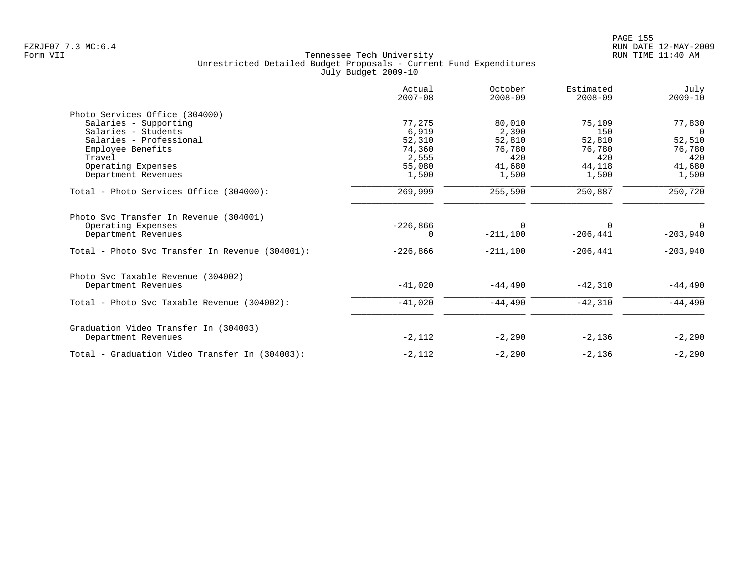|                                                 | Actual<br>$2007 - 08$ | October<br>$2008 - 09$ | Estimated<br>$2008 - 09$ | July<br>$2009 - 10$ |
|-------------------------------------------------|-----------------------|------------------------|--------------------------|---------------------|
| Photo Services Office (304000)                  |                       |                        |                          |                     |
| Salaries - Supporting                           | 77,275                | 80,010                 | 75,109                   | 77,830              |
| Salaries - Students                             | 6,919                 | 2,390                  | 150                      | $\Omega$            |
| Salaries - Professional                         | 52,310                | 52,810                 | 52,810                   | 52,510              |
| Employee Benefits                               | 74,360                | 76,780                 | 76,780                   | 76,780              |
| Travel                                          | 2,555                 | 420                    | 420                      | 420                 |
| Operating Expenses                              | 55,080                | 41,680                 | 44,118                   | 41,680              |
| Department Revenues                             | 1,500                 | 1,500                  | 1,500                    | 1,500               |
| Total - Photo Services Office (304000):         | 269,999               | 255,590                | 250,887                  | 250,720             |
| Photo Svc Transfer In Revenue (304001)          |                       |                        |                          |                     |
| Operating Expenses                              | $-226,866$            | $\Omega$               | 0                        | $\Omega$            |
| Department Revenues                             | 0                     | $-211,100$             | $-206, 441$              | $-203,940$          |
| Total - Photo Svc Transfer In Revenue (304001): | $-226,866$            | $-211,100$             | $-206,441$               | $-203,940$          |
| Photo Svc Taxable Revenue (304002)              |                       |                        |                          |                     |
| Department Revenues                             | $-41,020$             | $-44,490$              | $-42,310$                | $-44,490$           |
| Total - Photo Svc Taxable Revenue (304002):     | $-41,020$             | $-44,490$              | $-42,310$                | $-44,490$           |
| Graduation Video Transfer In (304003)           |                       |                        |                          |                     |
| Department Revenues                             | $-2,112$              | $-2,290$               | $-2,136$                 | $-2,290$            |
| Total - Graduation Video Transfer In (304003):  | $-2,112$              | $-2,290$               | $-2,136$                 | $-2,290$            |
|                                                 |                       |                        |                          |                     |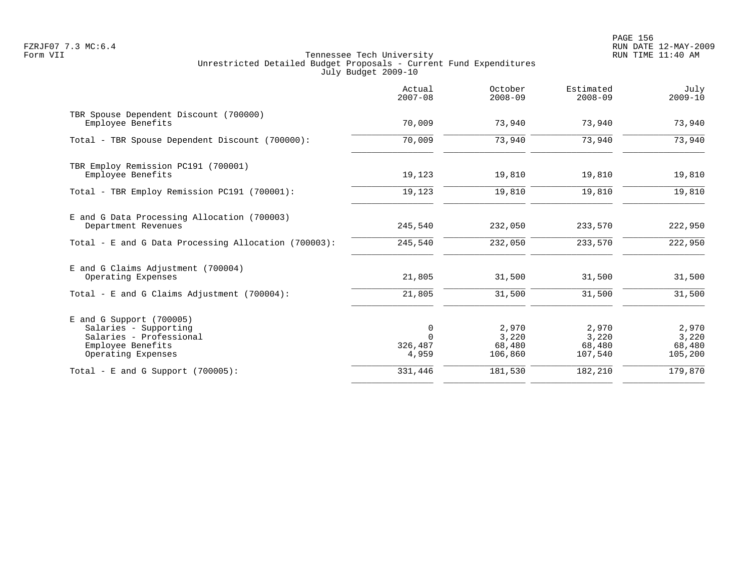en and the state of the state of the state of the state of the state of the state of the state  $156$ FZRJF07 7.3 MC:6.4 RUN DATE 12-MAY-2009

|                                                                                                                           | Actual<br>$2007 - 08$        | October<br>$2008 - 09$              | Estimated<br>$2008 - 09$            | July<br>$2009 - 10$                 |
|---------------------------------------------------------------------------------------------------------------------------|------------------------------|-------------------------------------|-------------------------------------|-------------------------------------|
| TBR Spouse Dependent Discount (700000)<br>Employee Benefits                                                               | 70,009                       | 73,940                              | 73,940                              | 73,940                              |
| Total - TBR Spouse Dependent Discount (700000):                                                                           | 70,009                       | 73,940                              | 73,940                              | 73,940                              |
| TBR Employ Remission PC191 (700001)<br>Employee Benefits                                                                  | 19,123                       | 19,810                              | 19,810                              | 19,810                              |
| Total - TBR Employ Remission PC191 (700001):                                                                              | 19,123                       | 19,810                              | 19,810                              | 19,810                              |
| E and G Data Processing Allocation (700003)<br>Department Revenues                                                        | 245,540                      | 232,050                             | 233,570                             | 222,950                             |
| Total - E and G Data Processing Allocation (700003):                                                                      | 245,540                      | 232,050                             | 233,570                             | 222,950                             |
| E and G Claims Adjustment (700004)<br>Operating Expenses                                                                  | 21,805                       | 31,500                              | 31,500                              | 31,500                              |
| Total - E and G Claims Adjustment $(700004)$ :                                                                            | 21,805                       | 31,500                              | 31,500                              | 31,500                              |
| $E$ and G Support (700005)<br>Salaries - Supporting<br>Salaries - Professional<br>Employee Benefits<br>Operating Expenses | $\Omega$<br>326,487<br>4,959 | 2,970<br>3,220<br>68,480<br>106,860 | 2,970<br>3,220<br>68,480<br>107,540 | 2,970<br>3,220<br>68,480<br>105,200 |
| Total - E and G Support $(700005)$ :                                                                                      | 331,446                      | 181,530                             | 182,210                             | 179,870                             |
|                                                                                                                           |                              |                                     |                                     |                                     |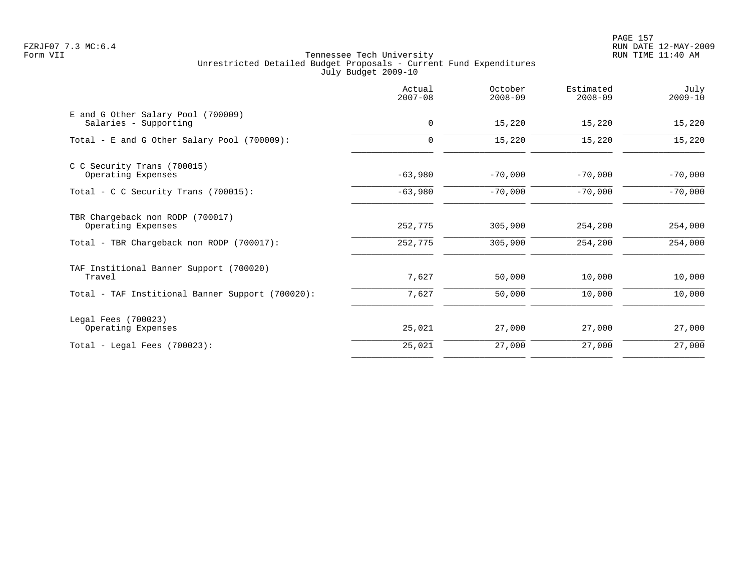PAGE 157 FZRJF07 7.3 MC:6.4 RUN DATE 12-MAY-2009

|                                                             | Actual<br>$2007 - 08$ | October<br>$2008 - 09$ | Estimated<br>$2008 - 09$ | July<br>$2009 - 10$ |
|-------------------------------------------------------------|-----------------------|------------------------|--------------------------|---------------------|
| E and G Other Salary Pool (700009)<br>Salaries - Supporting | $\mathbf 0$           | 15,220                 | 15,220                   | 15,220              |
| Total - E and G Other Salary Pool (700009):                 | 0                     | 15,220                 | 15,220                   | 15,220              |
| C C Security Trans (700015)<br>Operating Expenses           | $-63,980$             | $-70,000$              | $-70,000$                | $-70,000$           |
| Total - C C Security Trans (700015):                        | $-63,980$             | $-70,000$              | $-70,000$                | $-70,000$           |
| TBR Chargeback non RODP (700017)<br>Operating Expenses      | 252,775               | 305,900                | 254,200                  | 254,000             |
| Total - TBR Chargeback non RODP (700017):                   | 252,775               | 305,900                | 254,200                  | 254,000             |
| TAF Institional Banner Support (700020)<br>Travel           | 7,627                 | 50,000                 | 10,000                   | 10,000              |
| Total - TAF Institional Banner Support (700020):            | 7,627                 | 50,000                 | 10,000                   | 10,000              |
| Legal Fees (700023)<br>Operating Expenses                   | 25,021                | 27,000                 | 27,000                   | 27,000              |
| $Total - Local$ Fees $(700023)$ :                           | 25,021                | 27,000                 | 27,000                   | 27,000              |
|                                                             |                       |                        |                          |                     |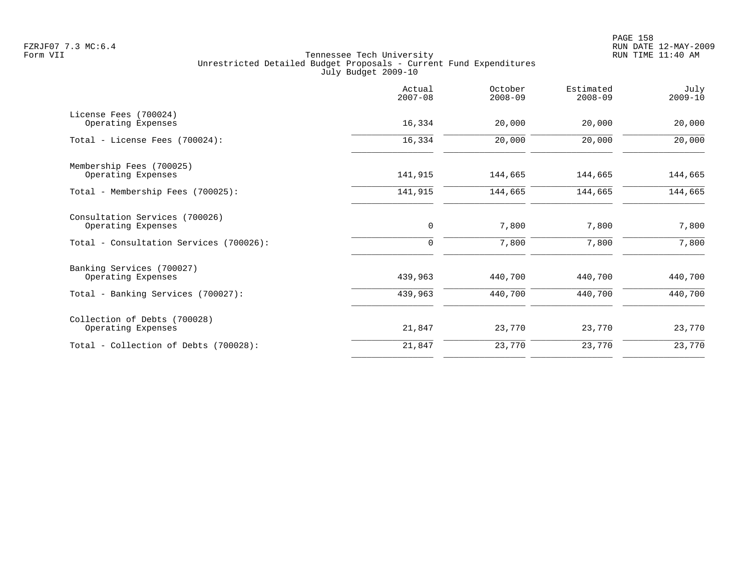| Actual<br>$2007 - 08$ | October<br>$2008 - 09$ | Estimated<br>$2008 - 09$ | July<br>$2009 - 10$ |
|-----------------------|------------------------|--------------------------|---------------------|
| 16,334                | 20,000                 | 20,000                   | 20,000              |
| 16,334                | 20,000                 | 20,000                   | 20,000              |
| 141,915               | 144,665                | 144,665                  | 144,665             |
| 141,915               | 144,665                | 144,665                  | 144,665             |
| $\mathbf 0$           | 7,800                  | 7,800                    | 7,800               |
|                       |                        |                          | 7,800               |
| 439,963               | 440,700                | 440,700                  | 440,700             |
| 439,963               | 440,700                | 440,700                  | 440,700             |
| 21,847                | 23,770                 | 23,770                   | 23,770              |
| 21,847                | 23,770                 | 23,770                   | 23,770              |
|                       | 0                      | 7,800                    | 7,800               |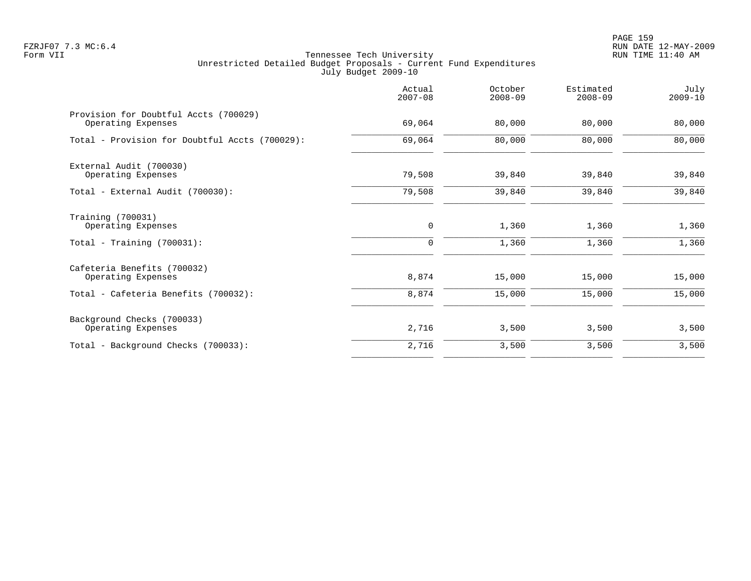PAGE 159 FZRJF07 7.3 MC:6.4 RUN DATE 12-MAY-2009

|                                                             | Actual<br>$2007 - 08$ | October<br>$2008 - 09$ | Estimated<br>$2008 - 09$ | July<br>$2009 - 10$ |
|-------------------------------------------------------------|-----------------------|------------------------|--------------------------|---------------------|
| Provision for Doubtful Accts (700029)<br>Operating Expenses | 69,064                | 80,000                 | 80,000                   | 80,000              |
| Total - Provision for Doubtful Accts (700029):              | 69,064                | 80,000                 | 80,000                   | 80,000              |
| External Audit (700030)<br>Operating Expenses               | 79,508                | 39,840                 | 39,840                   | 39,840              |
| Total - External Audit (700030):                            | 79,508                | 39,840                 | 39,840                   | 39,840              |
| Training (700031)<br>Operating Expenses                     | 0                     | 1,360                  | 1,360                    | 1,360               |
| Total - Training $(700031)$ :                               | $\mathbf 0$           | 1,360                  | 1,360                    | 1,360               |
| Cafeteria Benefits (700032)<br>Operating Expenses           | 8,874                 | 15,000                 | 15,000                   | 15,000              |
| Total - Cafeteria Benefits (700032):                        | 8,874                 | 15,000                 | 15,000                   | 15,000              |
| Background Checks (700033)<br>Operating Expenses            | 2,716                 | 3,500                  | 3,500                    | 3,500               |
| Total - Background Checks (700033):                         | 2,716                 | 3,500                  | 3,500                    | 3,500               |
|                                                             |                       |                        |                          |                     |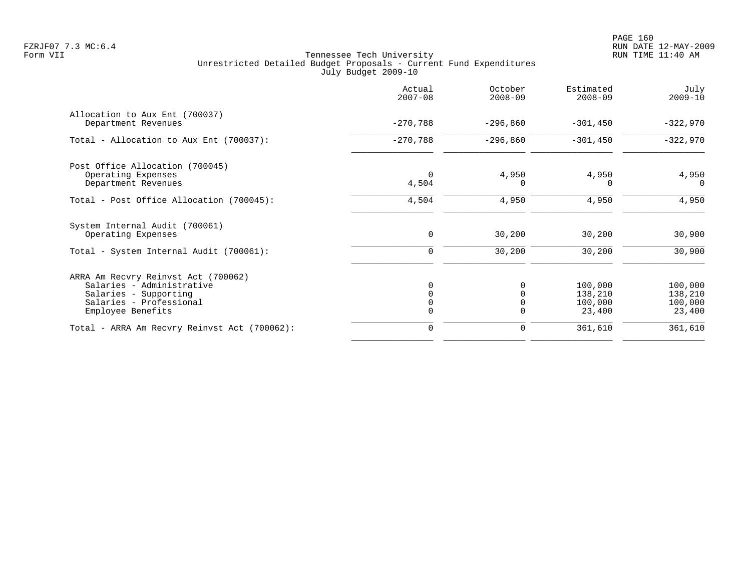|                                                                                                                                           | Actual<br>$2007 - 08$ | October<br>$2008 - 09$                   | Estimated<br>$2008 - 09$                | July<br>$2009 - 10$                     |
|-------------------------------------------------------------------------------------------------------------------------------------------|-----------------------|------------------------------------------|-----------------------------------------|-----------------------------------------|
| Allocation to Aux Ent (700037)<br>Department Revenues                                                                                     | $-270,788$            | $-296,860$                               | $-301,450$                              | $-322,970$                              |
| Total - Allocation to Aux Ent (700037):                                                                                                   | $-270,788$            | $-296,860$                               | $-301,450$                              | $-322,970$                              |
| Post Office Allocation (700045)<br>Operating Expenses<br>Department Revenues                                                              | $\Omega$<br>4,504     | 4,950<br>$\Omega$                        | 4,950<br>O                              | 4,950<br>$\Omega$                       |
| Total - Post Office Allocation (700045):                                                                                                  | 4,504                 | 4,950                                    | 4,950                                   | 4,950                                   |
| System Internal Audit (700061)<br>Operating Expenses<br>Total - System Internal Audit (700061):                                           | $\mathbf 0$<br>0      | 30,200<br>30,200                         | 30,200<br>30,200                        | 30,900<br>30,900                        |
| ARRA Am Recvry Reinvst Act (700062)<br>Salaries - Administrative<br>Salaries - Supporting<br>Salaries - Professional<br>Employee Benefits | 0                     | 0<br>$\Omega$<br>$\mathbf 0$<br>$\Omega$ | 100,000<br>138,210<br>100,000<br>23,400 | 100,000<br>138,210<br>100,000<br>23,400 |
| Total - ARRA Am Recvry Reinvst Act (700062):                                                                                              | $\Omega$              | $\mathbf 0$                              | 361,610                                 | 361,610                                 |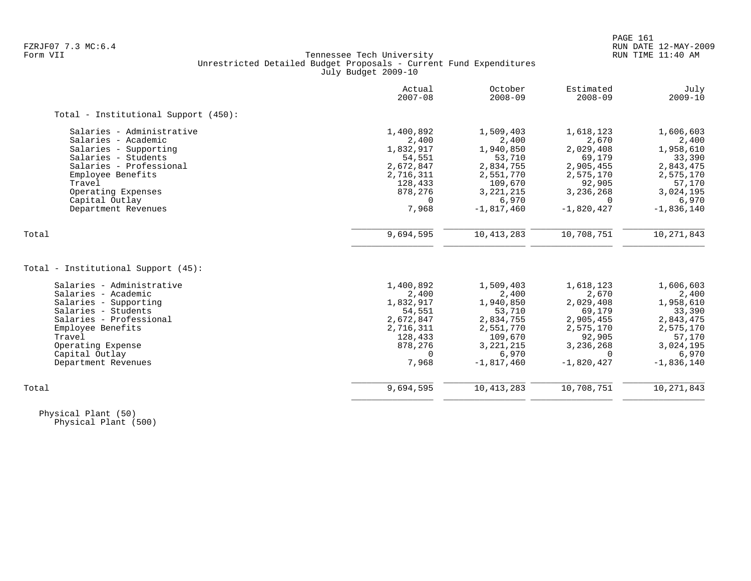## FZRJF07 7.3 MC:6.4 RUN DATE 12-MAY-2009<br>Form VII RUN TIME 11:40 AM Tennessee Tech University Unrestricted Detailed Budget Proposals - Current Fund Expenditures July Budget 2009-10

|                                      | Actual<br>$2007 - 08$ | October<br>$2008 - 09$ | Estimated<br>$2008 - 09$ | July<br>$2009 - 10$ |
|--------------------------------------|-----------------------|------------------------|--------------------------|---------------------|
| Total - Institutional Support (450): |                       |                        |                          |                     |
| Salaries - Administrative            | 1,400,892             | 1,509,403              | 1,618,123                | 1,606,603           |
| Salaries - Academic                  | 2,400                 | 2,400                  | 2,670                    | 2,400               |
| Salaries - Supporting                | 1,832,917             | 1,940,850              | 2,029,408                | 1,958,610           |
| Salaries - Students                  | 54,551                | 53,710                 | 69,179                   | 33,390              |
| Salaries - Professional              | 2,672,847             | 2,834,755              | 2,905,455                | 2,843,475           |
| Employee Benefits                    | 2,716,311             | 2,551,770              | 2,575,170                | 2,575,170           |
| Travel                               | 128,433               | 109,670                | 92,905                   | 57,170              |
| Operating Expenses                   | 878,276               | 3, 221, 215            | 3,236,268                | 3,024,195           |
| Capital Outlay                       | $\Omega$              | 6,970                  |                          | 6,970               |
| Department Revenues                  | 7,968                 | $-1,817,460$           | $-1,820,427$             | $-1,836,140$        |
| Total                                | 9,694,595             | 10, 413, 283           | 10,708,751               | 10, 271, 843        |
|                                      |                       |                        |                          |                     |
| Total - Institutional Support (45):  |                       |                        |                          |                     |
| Salaries - Administrative            | 1,400,892             | 1,509,403              | 1,618,123                | 1,606,603           |
| Salaries - Academic                  | 2,400                 | 2,400                  | 2,670                    | 2,400               |
| Salaries - Supporting                | 1,832,917             | 1,940,850              | 2,029,408                | 1,958,610           |
| Salaries - Students                  | 54,551                | 53,710                 | 69,179                   | 33,390              |
| Salaries - Professional              | 2,672,847             | 2,834,755              | 2,905,455                | 2,843,475           |
| Employee Benefits                    | 2,716,311             | 2,551,770              | 2,575,170                | 2,575,170           |
| Travel                               | 128,433               | 109,670                | 92,905                   | 57,170              |
| Operating Expense                    | 878,276               | 3, 221, 215            | 3,236,268                | 3,024,195           |
| Capital Outlay                       | 0                     | 6,970                  | $\Omega$                 | 6,970               |
| Department Revenues                  | 7,968                 | $-1,817,460$           | $-1,820,427$             | $-1,836,140$        |
| Total                                | 9,694,595             | 10, 413, 283           | 10,708,751               | 10,271,843          |
|                                      |                       |                        |                          |                     |

 Physical Plant (50) Physical Plant (500)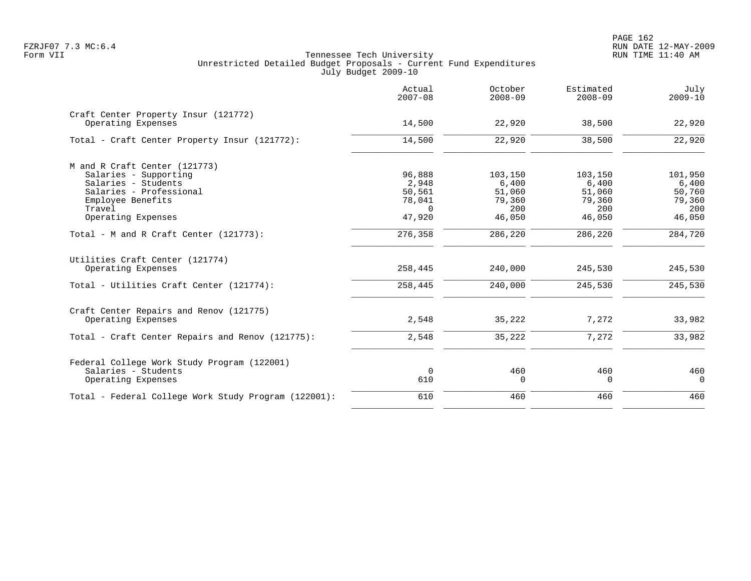PAGE 162 FZRJF07 7.3 MC:6.4 RUN DATE 12-MAY-2009

|                                                            | Actual<br>$2007 - 08$ | October<br>$2008 - 09$ | Estimated<br>$2008 - 09$ | July<br>$2009 - 10$ |
|------------------------------------------------------------|-----------------------|------------------------|--------------------------|---------------------|
| Craft Center Property Insur (121772)<br>Operating Expenses | 14,500                | 22,920                 | 38,500                   | 22,920              |
|                                                            |                       |                        |                          |                     |
| Total - Craft Center Property Insur (121772):              | 14,500                | 22,920                 | 38,500                   | 22,920              |
| M and R Craft Center (121773)                              |                       |                        |                          |                     |
| Salaries - Supporting                                      | 96,888                | 103,150                | 103,150                  | 101,950             |
| Salaries - Students                                        | 2,948                 | 6,400                  | 6,400                    | 6,400               |
| Salaries - Professional                                    | 50,561                | 51,060                 | 51,060                   | 50,760              |
| Employee Benefits                                          | 78,041                | 79,360                 | 79,360                   | 79,360              |
| Travel                                                     | $\Omega$              | 200                    | 200                      | 200                 |
| Operating Expenses                                         | 47,920                | 46,050                 | 46,050                   | 46,050              |
| Total - M and R Craft Center (121773):                     | 276,358               | 286,220                | 286,220                  | 284,720             |
| Utilities Craft Center (121774)<br>Operating Expenses      | 258,445               | 240,000                | 245,530                  | 245,530             |
| Total - Utilities Craft Center (121774):                   | 258,445               | 240,000                | 245,530                  | 245,530             |
| Craft Center Repairs and Renov (121775)                    |                       |                        |                          |                     |
| Operating Expenses                                         | 2,548                 | 35,222                 | 7,272                    | 33,982              |
| Total - Craft Center Repairs and Renov (121775):           | 2,548                 | 35,222                 | 7, 272                   | 33,982              |
| Federal College Work Study Program (122001)                |                       |                        |                          |                     |
| Salaries - Students                                        | $\mathbf 0$           | 460                    | 460                      | 460                 |
| Operating Expenses                                         | 610                   | $\mathbf 0$            | $\mathbf 0$              | $\overline{0}$      |
| Total - Federal College Work Study Program (122001):       | 610                   | 460                    | 460                      | 460                 |
|                                                            |                       |                        |                          |                     |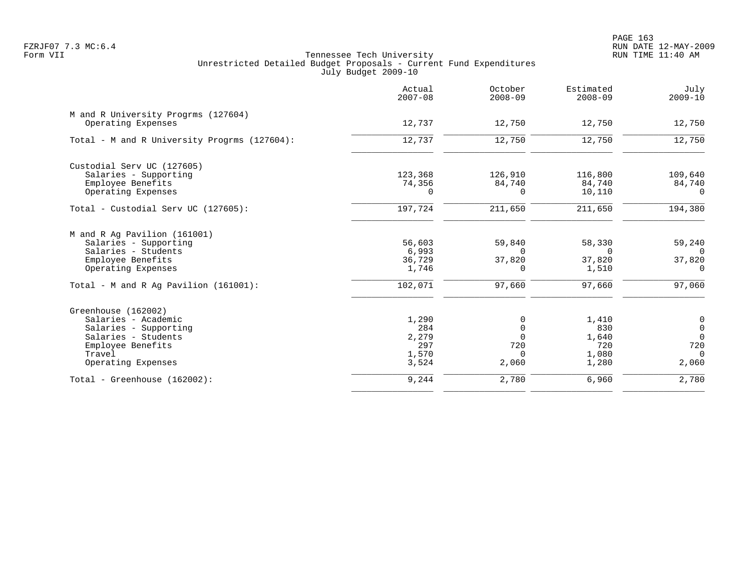PAGE 163 FZRJF07 7.3 MC:6.4 RUN DATE 12-MAY-2009

|                                                                                                                                                 | Actual<br>$2007 - 08$                          | October<br>$2008 - 09$                                   | Estimated<br>$2008 - 09$                       | July<br>$2009 - 10$                                                           |
|-------------------------------------------------------------------------------------------------------------------------------------------------|------------------------------------------------|----------------------------------------------------------|------------------------------------------------|-------------------------------------------------------------------------------|
| M and R University Progrms (127604)<br>Operating Expenses                                                                                       | 12,737                                         | 12,750                                                   | 12,750                                         | 12,750                                                                        |
| Total - M and R University Progrms (127604):                                                                                                    | 12,737                                         | 12,750                                                   | 12,750                                         | 12,750                                                                        |
| Custodial Serv UC (127605)<br>Salaries - Supporting<br>Employee Benefits<br>Operating Expenses                                                  | 123,368<br>74,356<br>$\Omega$                  | 126,910<br>84,740<br>$\Omega$                            | 116,800<br>84,740<br>10,110                    | 109,640<br>84,740<br>$\Omega$                                                 |
| Total - Custodial Serv UC (127605):                                                                                                             | 197,724                                        | 211,650                                                  | 211,650                                        | 194,380                                                                       |
| M and R Ag Pavilion (161001)<br>Salaries - Supporting<br>Salaries - Students<br>Employee Benefits<br>Operating Expenses                         | 56,603<br>6,993<br>36,729<br>1,746             | 59,840<br>$\Omega$<br>37,820<br>$\Omega$                 | 58,330<br>$\Omega$<br>37,820<br>1,510          | 59,240<br>$\Omega$<br>37,820<br>$\Omega$                                      |
| Total - M and R Aq Pavilion $(161001)$ :                                                                                                        | 102,071                                        | 97,660                                                   | 97,660                                         | 97,060                                                                        |
| Greenhouse (162002)<br>Salaries - Academic<br>Salaries - Supporting<br>Salaries - Students<br>Employee Benefits<br>Travel<br>Operating Expenses | 1,290<br>284<br>2,279<br>297<br>1,570<br>3,524 | 0<br>$\mathbf 0$<br>$\Omega$<br>720<br>$\Omega$<br>2,060 | 1,410<br>830<br>1,640<br>720<br>1,080<br>1,280 | $\boldsymbol{0}$<br>$\mathsf 0$<br>$\overline{0}$<br>720<br>$\Omega$<br>2,060 |
| Total - Greenhouse (162002):                                                                                                                    | 9,244                                          | 2,780                                                    | 6,960                                          | 2,780                                                                         |
|                                                                                                                                                 |                                                |                                                          |                                                |                                                                               |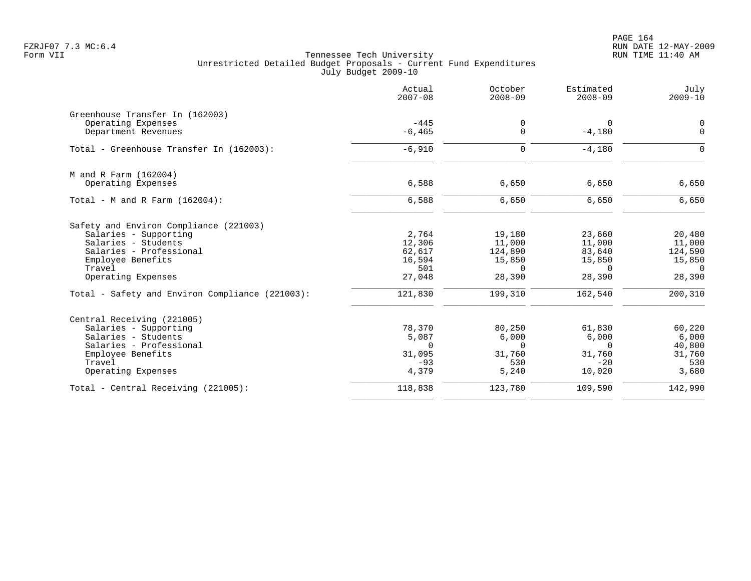PAGE 164 FZRJF07 7.3 MC:6.4 RUN DATE 12-MAY-2009

|                                                                                                                                                                        | Actual<br>$2007 - 08$                                | October<br>$2008 - 09$                                      | Estimated<br>$2008 - 09$                                   | July<br>$2009 - 10$                                         |
|------------------------------------------------------------------------------------------------------------------------------------------------------------------------|------------------------------------------------------|-------------------------------------------------------------|------------------------------------------------------------|-------------------------------------------------------------|
| Greenhouse Transfer In (162003)<br>Operating Expenses<br>Department Revenues                                                                                           | $-445$<br>$-6, 465$                                  | 0<br>$\mathbf 0$                                            | $\Omega$<br>$-4,180$                                       | 0<br>$\mathbf 0$                                            |
| Total - Greenhouse Transfer In (162003):                                                                                                                               | $-6,910$                                             | 0                                                           | $-4,180$                                                   | $\mathbf 0$                                                 |
| M and R Farm (162004)<br>Operating Expenses                                                                                                                            | 6,588                                                | 6,650                                                       | 6,650                                                      | 6,650                                                       |
| Total - M and R Farm $(162004)$ :                                                                                                                                      | 6,588                                                | 6,650                                                       | 6,650                                                      | 6,650                                                       |
| Safety and Environ Compliance (221003)<br>Salaries - Supporting<br>Salaries - Students<br>Salaries - Professional<br>Employee Benefits<br>Travel<br>Operating Expenses | 2,764<br>12,306<br>62,617<br>16,594<br>501<br>27,048 | 19,180<br>11,000<br>124,890<br>15,850<br>$\Omega$<br>28,390 | 23,660<br>11,000<br>83,640<br>15,850<br>$\Omega$<br>28,390 | 20,480<br>11,000<br>124,590<br>15,850<br>$\Omega$<br>28,390 |
| Total - Safety and Environ Compliance (221003):                                                                                                                        | 121,830                                              | 199,310                                                     | 162,540                                                    | 200, 310                                                    |
| Central Receiving (221005)<br>Salaries - Supporting<br>Salaries - Students<br>Salaries - Professional<br>Employee Benefits<br>Travel<br>Operating Expenses             | 78,370<br>5,087<br>0<br>31,095<br>$-93$<br>4,379     | 80,250<br>6,000<br>$\mathbf 0$<br>31,760<br>530<br>5,240    | 61,830<br>6,000<br>0<br>31,760<br>$-20$<br>10,020          | 60,220<br>6,000<br>40,800<br>31,760<br>530<br>3,680         |
| Total - Central Receiving (221005):                                                                                                                                    | 118,838                                              | 123,780                                                     | 109,590                                                    | 142,990                                                     |
|                                                                                                                                                                        |                                                      |                                                             |                                                            |                                                             |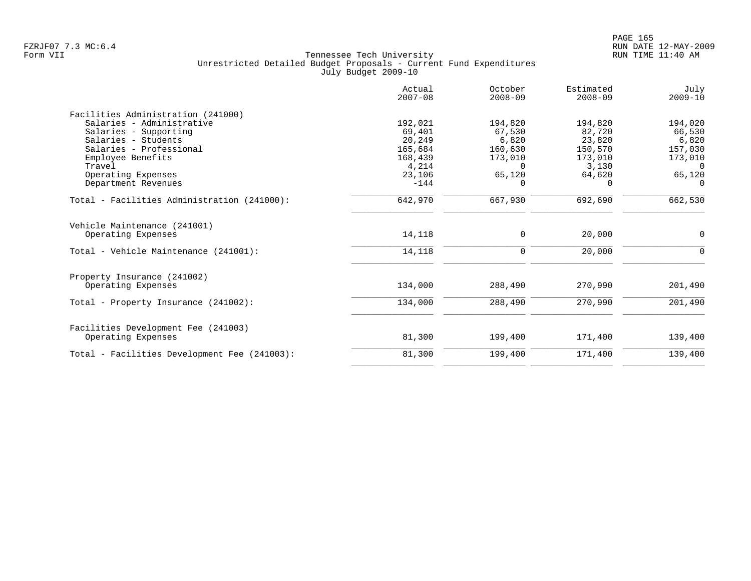|                                              | Actual<br>$2007 - 08$ | October<br>$2008 - 09$ | Estimated<br>$2008 - 09$ | July<br>$2009 - 10$ |
|----------------------------------------------|-----------------------|------------------------|--------------------------|---------------------|
| Facilities Administration (241000)           |                       |                        |                          |                     |
| Salaries - Administrative                    | 192,021               | 194,820                | 194,820                  | 194,020             |
| Salaries - Supporting                        | 69,401                | 67,530                 | 82,720                   | 66,530              |
| Salaries - Students                          | 20,249                | 6,820                  | 23,820                   | 6,820               |
| Salaries - Professional                      | 165,684               | 160,630                | 150,570                  | 157,030             |
| Employee Benefits                            | 168,439               | 173,010                | 173,010                  | 173,010             |
| Travel                                       | 4,214                 | $\Omega$               | 3,130                    | 0                   |
| Operating Expenses                           | 23,106                | 65,120                 | 64,620                   | 65,120              |
| Department Revenues                          | $-144$                | $\Omega$               | $\Omega$                 | $\Omega$            |
| Total - Facilities Administration (241000):  | 642,970               | 667,930                | 692,690                  | 662,530             |
| Vehicle Maintenance (241001)                 |                       |                        |                          |                     |
| Operating Expenses                           | 14,118                | $\mathbf 0$            | 20,000                   | 0                   |
| Total - Vehicle Maintenance (241001):        | 14,118                | 0                      | 20,000                   | $\Omega$            |
| Property Insurance (241002)                  |                       |                        |                          |                     |
| Operating Expenses                           | 134,000               | 288,490                | 270,990                  | 201,490             |
| Total - Property Insurance (241002):         | 134,000               | 288,490                | 270,990                  | 201,490             |
| Facilities Development Fee (241003)          |                       |                        |                          |                     |
| Operating Expenses                           | 81,300                | 199,400                | 171,400                  | 139,400             |
| Total - Facilities Development Fee (241003): | 81,300                | 199,400                | 171,400                  | 139,400             |
|                                              |                       |                        |                          |                     |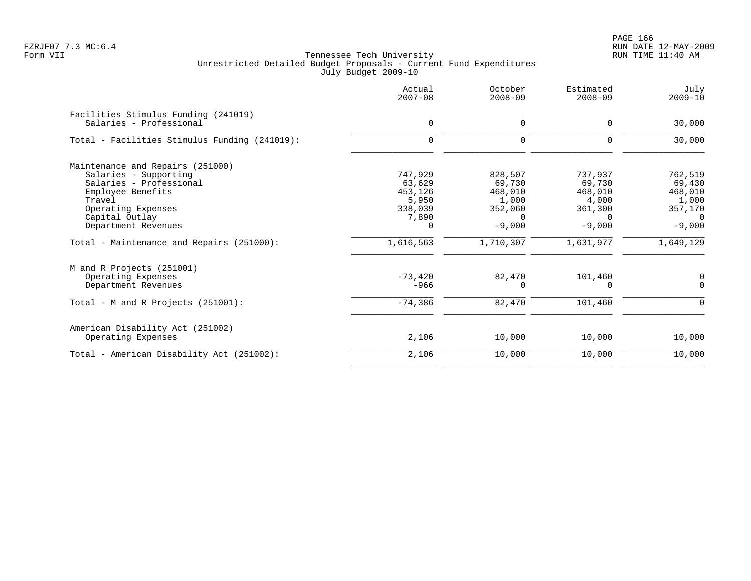|                                               | Actual<br>$2007 - 08$ | October<br>$2008 - 09$ | Estimated<br>$2008 - 09$ | July<br>$2009 - 10$ |
|-----------------------------------------------|-----------------------|------------------------|--------------------------|---------------------|
| Facilities Stimulus Funding (241019)          |                       |                        |                          |                     |
| Salaries - Professional                       | 0                     | 0                      | 0                        | 30,000              |
| Total - Facilities Stimulus Funding (241019): | $\Omega$              | 0                      | $\Omega$                 | 30,000              |
| Maintenance and Repairs (251000)              |                       |                        |                          |                     |
| Salaries - Supporting                         | 747,929               | 828,507                | 737,937                  | 762,519             |
| Salaries - Professional                       | 63,629                | 69,730                 | 69,730                   | 69,430              |
| Employee Benefits                             | 453,126               | 468,010                | 468,010                  | 468,010             |
| Travel                                        | 5,950                 | 1,000                  | 4,000                    | 1,000               |
| Operating Expenses                            | 338,039               | 352,060                | 361,300                  | 357,170             |
| Capital Outlay                                | 7,890                 | $\Omega$               | $\Omega$                 | $\Omega$            |
| Department Revenues                           | 0                     | $-9,000$               | $-9,000$                 | $-9,000$            |
| Total - Maintenance and Repairs (251000):     | 1,616,563             | 1,710,307              | 1,631,977                | 1,649,129           |
| M and R Projects (251001)                     |                       |                        |                          |                     |
| Operating Expenses                            | $-73,420$             | 82,470                 | 101,460                  | 0                   |
| Department Revenues                           | $-966$                | 0                      | 0                        | $\Omega$            |
| Total - M and R Projects (251001):            | $-74,386$             | 82,470                 | 101,460                  | $\Omega$            |
| American Disability Act (251002)              |                       |                        |                          |                     |
| Operating Expenses                            | 2,106                 | 10,000                 | 10,000                   | 10,000              |
| Total - American Disability Act (251002):     | 2,106                 | 10,000                 | 10,000                   | 10,000              |
|                                               |                       |                        |                          |                     |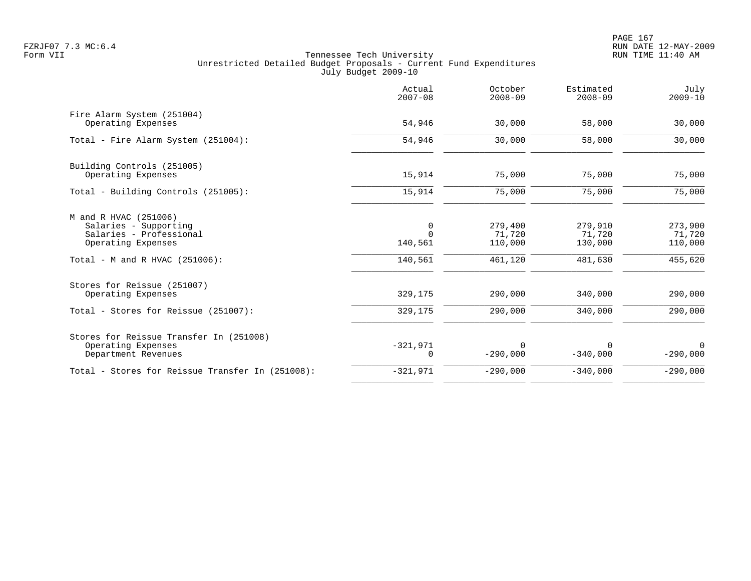|                                                                                                                                      | Actual<br>$2007 - 08$               | October<br>$2008 - 09$                  | Estimated<br>$2008 - 09$                | July<br>$2009 - 10$                     |
|--------------------------------------------------------------------------------------------------------------------------------------|-------------------------------------|-----------------------------------------|-----------------------------------------|-----------------------------------------|
| Fire Alarm System (251004)<br>Operating Expenses                                                                                     | 54,946                              | 30,000                                  | 58,000                                  | 30,000                                  |
| Total - Fire Alarm System (251004):                                                                                                  | 54,946                              | 30,000                                  | 58,000                                  | 30,000                                  |
| Building Controls (251005)<br>Operating Expenses                                                                                     | 15,914                              | 75,000                                  | 75,000                                  | 75,000                                  |
| Total - Building Controls (251005):                                                                                                  | 15,914                              | 75,000                                  | 75,000                                  | 75,000                                  |
| M and R HVAC (251006)<br>Salaries - Supporting<br>Salaries - Professional<br>Operating Expenses<br>Total - M and R HVAC $(251006)$ : | 0<br>$\Omega$<br>140,561<br>140,561 | 279,400<br>71,720<br>110,000<br>461,120 | 279,910<br>71,720<br>130,000<br>481,630 | 273,900<br>71,720<br>110,000<br>455,620 |
| Stores for Reissue (251007)<br>Operating Expenses                                                                                    | 329,175                             | 290,000                                 | 340,000                                 | 290,000                                 |
| Total - Stores for Reissue (251007):                                                                                                 | 329,175                             | 290,000                                 | 340,000                                 | 290,000                                 |
| Stores for Reissue Transfer In (251008)<br>Operating Expenses<br>Department Revenues                                                 | $-321,971$<br>$\mathbf 0$           | $\Omega$<br>$-290,000$                  | $\Omega$<br>$-340,000$                  | $\Omega$<br>$-290,000$                  |
| Total - Stores for Reissue Transfer In (251008):                                                                                     | $-321,971$                          | $-290,000$                              | $-340,000$                              | $-290,000$                              |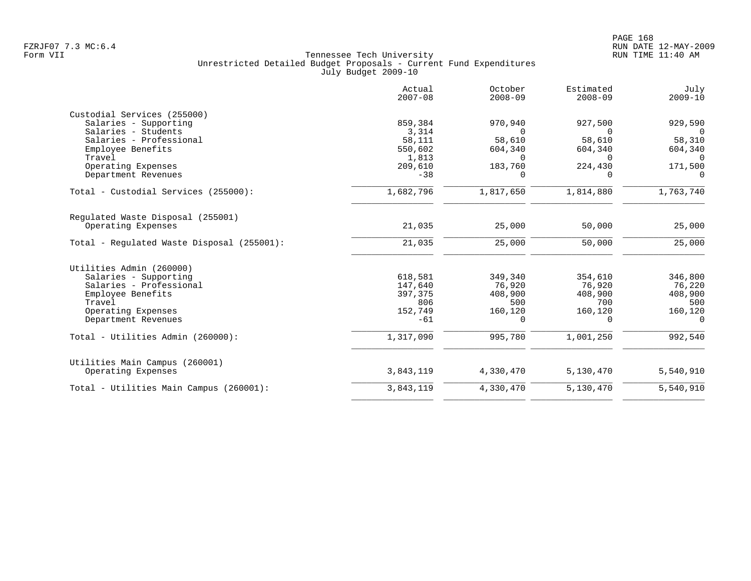|                                            | Actual<br>$2007 - 08$ | October<br>$2008 - 09$ | Estimated<br>$2008 - 09$ | July<br>$2009 - 10$ |
|--------------------------------------------|-----------------------|------------------------|--------------------------|---------------------|
| Custodial Services (255000)                |                       |                        |                          |                     |
| Salaries - Supporting                      | 859,384               | 970,940                | 927,500                  | 929,590             |
| Salaries - Students                        | 3,314                 | $\Omega$               |                          |                     |
| Salaries - Professional                    | 58,111                | 58,610                 | 58,610                   | 58,310              |
| Employee Benefits                          | 550,602               | 604,340                | 604,340                  | 604,340             |
| Travel                                     | 1,813                 | $\Omega$               | 0                        | $\Omega$            |
| Operating Expenses                         | 209,610               | 183,760                | 224,430                  | 171,500             |
| Department Revenues                        | $-38$                 | $\Omega$               |                          | $\Omega$            |
| Total - Custodial Services (255000):       | 1,682,796             | 1,817,650              | 1,814,880                | 1,763,740           |
| Regulated Waste Disposal (255001)          |                       |                        |                          |                     |
| Operating Expenses                         | 21,035                | 25,000                 | 50,000                   | 25,000              |
| Total - Regulated Waste Disposal (255001): | 21,035                | 25,000                 | 50,000                   | 25,000              |
| Utilities Admin (260000)                   |                       |                        |                          |                     |
| Salaries - Supporting                      | 618,581               | 349,340                | 354,610                  | 346,800             |
| Salaries - Professional                    | 147,640               | 76,920                 | 76,920                   | 76,220              |
| Employee Benefits                          | 397,375               | 408,900                | 408,900                  | 408,900             |
| Travel                                     | 806                   | 500                    | 700                      | 500                 |
| Operating Expenses                         | 152,749               | 160,120                | 160,120                  | 160,120             |
| Department Revenues                        | $-61$                 | 0                      | 0                        | $\Omega$            |
| Total - Utilities Admin (260000):          | 1,317,090             | 995,780                | 1,001,250                | 992,540             |
|                                            |                       |                        |                          |                     |
| Utilities Main Campus (260001)             |                       |                        |                          |                     |
| Operating Expenses                         | 3,843,119             | 4,330,470              | 5,130,470                | 5,540,910           |
| Total - Utilities Main Campus (260001):    | 3,843,119             | 4,330,470              | 5,130,470                | 5,540,910           |
|                                            |                       |                        |                          |                     |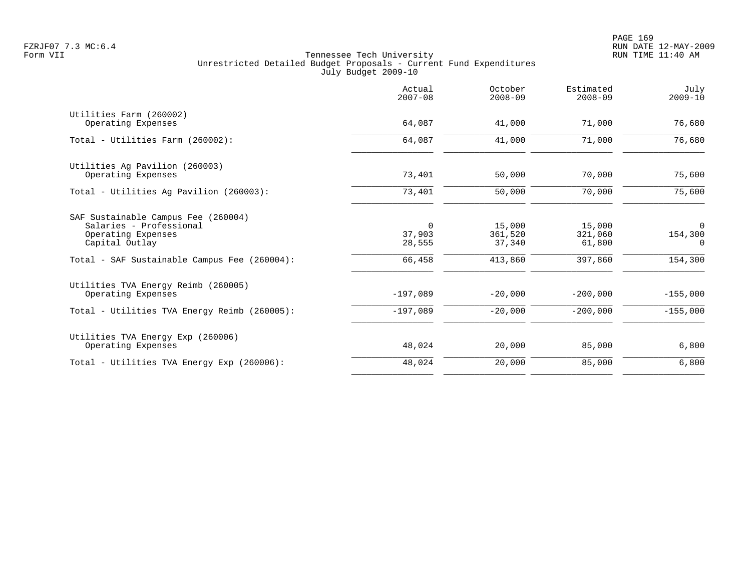|                                                                                                        | Actual<br>$2007 - 08$           | October<br>$2008 - 09$      | Estimated<br>$2008 - 09$    | July<br>$2009 - 10$      |
|--------------------------------------------------------------------------------------------------------|---------------------------------|-----------------------------|-----------------------------|--------------------------|
| Utilities Farm (260002)<br>Operating Expenses                                                          | 64,087                          | 41,000                      | 71,000                      | 76,680                   |
|                                                                                                        |                                 |                             |                             |                          |
| Total - Utilities Farm (260002):                                                                       | 64,087                          | 41,000                      | 71,000                      | 76,680                   |
| Utilities Ag Pavilion (260003)<br>Operating Expenses                                                   | 73,401                          | 50,000                      | 70,000                      | 75,600                   |
| Total - Utilities Ag Pavilion (260003):                                                                | 73,401                          | 50,000                      | 70,000                      | 75,600                   |
| SAF Sustainable Campus Fee (260004)<br>Salaries - Professional<br>Operating Expenses<br>Capital Outlay | $\mathbf 0$<br>37,903<br>28,555 | 15,000<br>361,520<br>37,340 | 15,000<br>321,060<br>61,800 | 0<br>154,300<br>$\Omega$ |
| Total - SAF Sustainable Campus Fee (260004):                                                           | 66,458                          | 413,860                     | 397,860                     | 154,300                  |
| Utilities TVA Energy Reimb (260005)<br>Operating Expenses                                              | $-197,089$                      | $-20,000$                   | $-200,000$                  | $-155,000$               |
| Total - Utilities TVA Energy Reimb (260005):                                                           | $-197,089$                      | $-20,000$                   | $-200,000$                  | $-155,000$               |
| Utilities TVA Energy Exp (260006)<br>Operating Expenses                                                | 48,024                          | 20,000                      | 85,000                      | 6,800                    |
| Total - Utilities TVA Energy Exp (260006):                                                             | 48,024                          | 20,000                      | 85,000                      | 6,800                    |
|                                                                                                        |                                 |                             |                             |                          |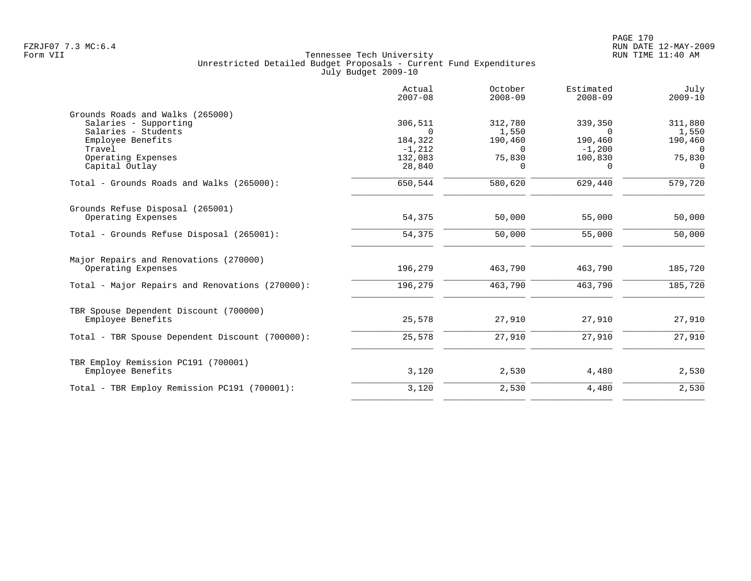|                                                                                                                 | Actual<br>$2007 - 08$                      | October<br>$2008 - 09$                  | Estimated<br>$2008 - 09$                   | July<br>$2009 - 10$                     |
|-----------------------------------------------------------------------------------------------------------------|--------------------------------------------|-----------------------------------------|--------------------------------------------|-----------------------------------------|
| Grounds Roads and Walks (265000)<br>Salaries - Supporting<br>Salaries - Students<br>Employee Benefits<br>Travel | 306,511<br>$\Omega$<br>184,322<br>$-1,212$ | 312,780<br>1,550<br>190,460<br>$\Omega$ | 339,350<br>$\Omega$<br>190,460<br>$-1,200$ | 311,880<br>1,550<br>190,460<br>$\Omega$ |
| Operating Expenses<br>Capital Outlay                                                                            | 132,083<br>28,840                          | 75,830<br>$\Omega$                      | 100,830<br>$\Omega$                        | 75,830<br>$\Omega$                      |
| Total - Grounds Roads and Walks (265000):                                                                       | 650,544                                    | 580,620                                 | 629,440                                    | 579,720                                 |
| Grounds Refuse Disposal (265001)<br>Operating Expenses                                                          | 54,375                                     | 50,000                                  | 55,000                                     | 50,000                                  |
| Total - Grounds Refuse Disposal (265001):                                                                       | 54,375                                     | 50,000                                  | 55,000                                     | 50,000                                  |
| Major Repairs and Renovations (270000)<br>Operating Expenses                                                    | 196,279                                    | 463,790                                 | 463,790                                    | 185,720                                 |
| Total - Major Repairs and Renovations (270000):                                                                 | 196,279                                    | 463,790                                 | 463,790                                    | 185,720                                 |
| TBR Spouse Dependent Discount (700000)<br>Employee Benefits                                                     | 25,578                                     | 27,910                                  | 27,910                                     | 27,910                                  |
| Total - TBR Spouse Dependent Discount (700000):                                                                 | 25,578                                     | 27,910                                  | 27,910                                     | 27,910                                  |
| TBR Employ Remission PC191 (700001)<br>Employee Benefits                                                        | 3,120                                      | 2,530                                   | 4,480                                      | 2,530                                   |
| Total - TBR Employ Remission PC191 (700001):                                                                    | 3,120                                      | 2,530                                   | 4,480                                      | 2,530                                   |
|                                                                                                                 |                                            |                                         |                                            |                                         |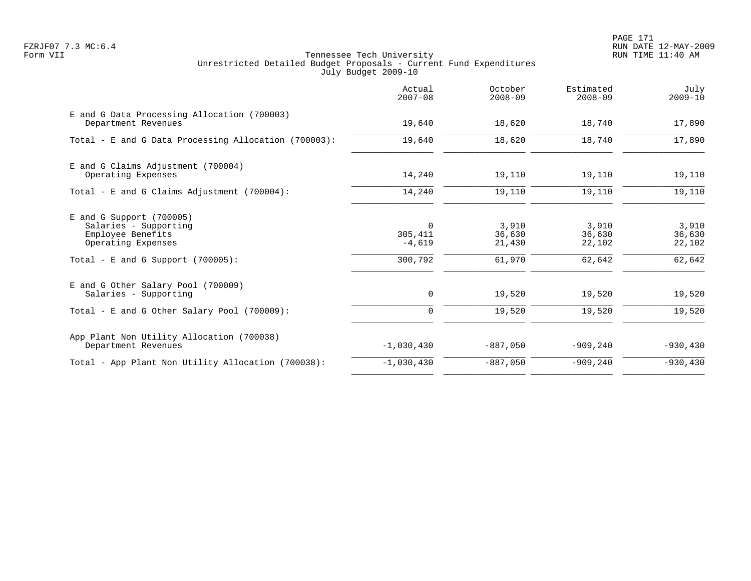PAGE 171 FZRJF07 7.3 MC:6.4 RUN DATE 12-MAY-2009

|                                                                                                                                        | Actual<br>$2007 - 08$                            | October<br>$2008 - 09$              | Estimated<br>$2008 - 09$            | July<br>$2009 - 10$                 |
|----------------------------------------------------------------------------------------------------------------------------------------|--------------------------------------------------|-------------------------------------|-------------------------------------|-------------------------------------|
| E and G Data Processing Allocation (700003)<br>Department Revenues                                                                     | 19,640                                           | 18,620                              | 18,740                              | 17,890                              |
| Total - E and G Data Processing Allocation (700003):                                                                                   | 19,640                                           | 18,620                              | 18,740                              | 17,890                              |
| E and G Claims Adjustment (700004)<br>Operating Expenses                                                                               | 14,240                                           | 19,110                              | 19,110                              | 19,110                              |
| Total - E and G Claims Adjustment (700004):                                                                                            | 14,240                                           | 19,110                              | 19,110                              | 19,110                              |
| $E$ and G Support (700005)<br>Salaries - Supporting<br>Employee Benefits<br>Operating Expenses<br>Total - E and G Support $(700005)$ : | $\overline{0}$<br>305,411<br>$-4,619$<br>300,792 | 3,910<br>36,630<br>21,430<br>61,970 | 3,910<br>36,630<br>22,102<br>62,642 | 3,910<br>36,630<br>22,102<br>62,642 |
| E and G Other Salary Pool (700009)<br>Salaries - Supporting                                                                            | 0                                                | 19,520                              | 19,520                              | 19,520                              |
| Total - E and G Other Salary Pool (700009):                                                                                            | $\mathbf 0$                                      | 19,520                              | 19,520                              | 19,520                              |
| App Plant Non Utility Allocation (700038)<br>Department Revenues                                                                       | $-1,030,430$                                     | $-887,050$                          | $-909,240$                          | $-930, 430$                         |
| Total - App Plant Non Utility Allocation (700038):                                                                                     | $-1,030,430$                                     | $-887,050$                          | $-909, 240$                         | $-930, 430$                         |
|                                                                                                                                        |                                                  |                                     |                                     |                                     |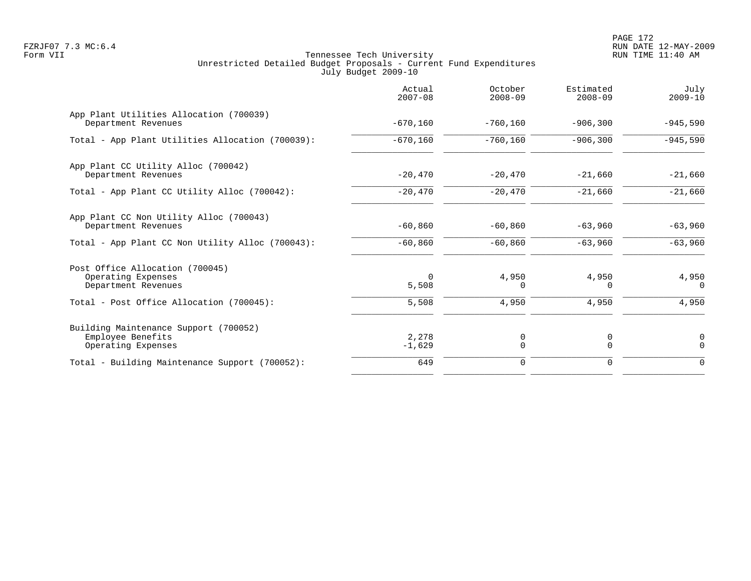PAGE 172 FZRJF07 7.3 MC:6.4 RUN DATE 12-MAY-2009

|                                                                                                                          | Actual<br>$2007 - 08$      | October<br>$2008 - 09$     | Estimated<br>$2008 - 09$   | July<br>$2009 - 10$        |
|--------------------------------------------------------------------------------------------------------------------------|----------------------------|----------------------------|----------------------------|----------------------------|
| App Plant Utilities Allocation (700039)<br>Department Revenues                                                           | $-670, 160$                | $-760, 160$                | $-906, 300$                | $-945,590$                 |
| Total - App Plant Utilities Allocation (700039):                                                                         | $-670, 160$                | $-760,160$                 | $-906, 300$                | $-945,590$                 |
| App Plant CC Utility Alloc (700042)<br>Department Revenues                                                               | $-20,470$                  | $-20,470$                  | $-21,660$                  | $-21,660$                  |
| Total - App Plant CC Utility Alloc (700042):                                                                             | $-20,470$                  | $-20,470$                  | $-21,660$                  | $-21,660$                  |
| App Plant CC Non Utility Alloc (700043)<br>Department Revenues                                                           | $-60,860$                  | $-60,860$                  | $-63,960$                  | $-63,960$                  |
| Total - App Plant CC Non Utility Alloc (700043):                                                                         | $-60,860$                  | $-60,860$                  | $-63,960$                  | $-63,960$                  |
| Post Office Allocation (700045)<br>Operating Expenses<br>Department Revenues<br>Total - Post Office Allocation (700045): | $\Omega$<br>5,508<br>5,508 | 4,950<br>$\Omega$<br>4,950 | 4,950<br>$\Omega$<br>4,950 | 4,950<br>$\Omega$<br>4,950 |
| Building Maintenance Support (700052)<br>Employee Benefits<br>Operating Expenses                                         | 2,278<br>$-1,629$          | 0<br>$\Omega$              | 0<br>$\Omega$              | $\mathbf 0$<br>$\Omega$    |
| Total - Building Maintenance Support (700052):                                                                           | 649                        | 0                          | 0                          | $\mathbf 0$                |
|                                                                                                                          |                            |                            |                            |                            |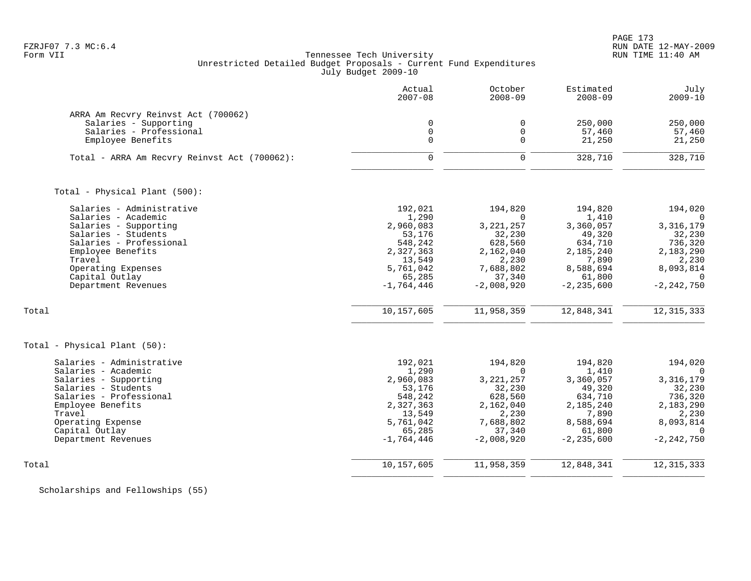PAGE 173

# FZRJF07 7.3 MC:6.4 RUN DATE 12-MAY-2009<br>Form VII RUN TIME 11:40 AM Tennessee Tech University Unrestricted Detailed Budget Proposals - Current Fund Expenditures July Budget 2009-10

|                                                  | Actual<br>$2007 - 08$ | October<br>$2008 - 09$ | Estimated<br>$2008 - 09$ | July<br>$2009 - 10$ |
|--------------------------------------------------|-----------------------|------------------------|--------------------------|---------------------|
| ARRA Am Recvry Reinvst Act (700062)              |                       |                        |                          |                     |
| Salaries - Supporting                            | $\mathbf 0$           | $\mathbf 0$            | 250,000                  | 250,000             |
| Salaries - Professional                          | $\mathbf 0$           | $\mathbf 0$            | 57,460                   | 57,460              |
| Employee Benefits                                | $\Omega$              | $\Omega$               | 21,250                   | 21,250              |
| Total - ARRA Am Recvry Reinvst Act (700062):     | $\mathbf 0$           | $\mathbf 0$            | 328,710                  | 328,710             |
| Total - Physical Plant (500):                    |                       |                        |                          |                     |
| Salaries - Administrative                        | 192,021               | 194,820                | 194,820                  | 194,020             |
| Salaries - Academic                              | 1,290                 | $\Omega$               | 1,410                    | $\Omega$            |
| Salaries - Supporting                            | 2,960,083             | 3, 221, 257            | 3,360,057                | 3,316,179           |
| Salaries - Students                              | 53,176                | 32,230                 | 49,320                   | 32,230              |
| Salaries - Professional                          | 548,242               | 628,560                | 634,710                  | 736,320             |
| Employee Benefits<br>Travel                      | 2,327,363<br>13,549   | 2,162,040<br>2,230     | 2,185,240<br>7,890       | 2,183,290           |
| Operating Expenses                               | 5,761,042             | 7,688,802              | 8,588,694                | 2,230<br>8,093,814  |
| Capital Outlay                                   | 65,285                | 37,340                 | 61,800                   | $\Omega$            |
| Department Revenues                              | $-1,764,446$          | $-2,008,920$           | $-2, 235, 600$           | $-2, 242, 750$      |
| Total                                            | 10,157,605            | 11,958,359             | 12,848,341               | 12, 315, 333        |
| Total - Physical Plant (50):                     |                       |                        |                          |                     |
|                                                  |                       |                        |                          |                     |
| Salaries - Administrative<br>Salaries - Academic | 192,021<br>1,290      | 194,820<br>$\Omega$    | 194,820<br>1,410         | 194,020<br>$\Omega$ |
| Salaries - Supporting                            | 2,960,083             | 3, 221, 257            | 3,360,057                | 3,316,179           |
| Salaries - Students                              | 53,176                | 32,230                 | 49,320                   | 32,230              |
| Salaries - Professional                          | 548,242               | 628,560                | 634,710                  | 736,320             |
| Employee Benefits                                | 2,327,363             | 2,162,040              | 2,185,240                | 2,183,290           |
| Travel                                           | 13,549                | 2,230                  | 7,890                    | 2,230               |
| Operating Expense                                | 5,761,042             | 7,688,802              | 8,588,694                | 8,093,814           |
| Capital Outlay                                   | 65,285                | 37,340                 | 61,800                   | $\Omega$            |
| Department Revenues                              | $-1,764,446$          | $-2,008,920$           | $-2, 235, 600$           | $-2, 242, 750$      |
| Total                                            | 10,157,605            | 11,958,359             | 12,848,341               | 12, 315, 333        |
|                                                  |                       |                        |                          |                     |

Scholarships and Fellowships (55)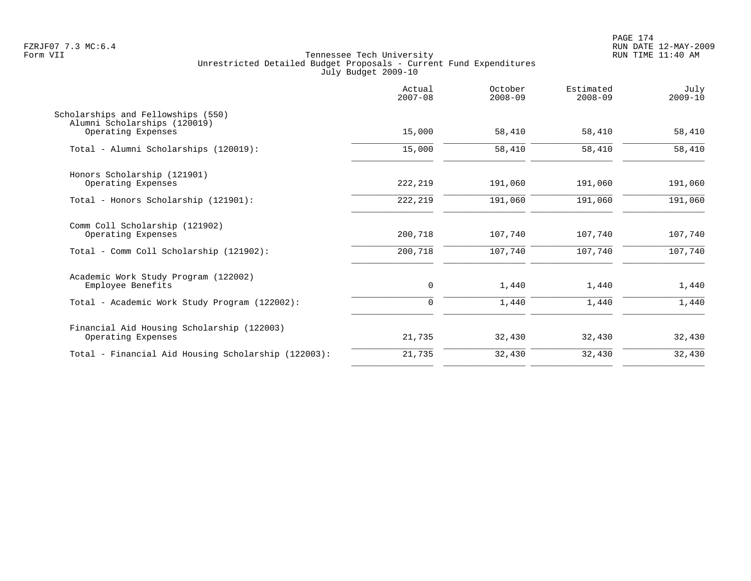PAGE 174 FZRJF07 7.3 MC:6.4 RUN DATE 12-MAY-2009

|                                                                    | Actual<br>$2007 - 08$ | October<br>$2008 - 09$ | Estimated<br>$2008 - 09$ | July<br>$2009 - 10$ |
|--------------------------------------------------------------------|-----------------------|------------------------|--------------------------|---------------------|
| Scholarships and Fellowships (550)<br>Alumni Scholarships (120019) |                       |                        |                          |                     |
| Operating Expenses                                                 | 15,000                | 58,410                 | 58,410                   | 58,410              |
| Total - Alumni Scholarships (120019):                              | 15,000                | 58,410                 | 58,410                   | 58,410              |
| Honors Scholarship (121901)                                        |                       |                        |                          |                     |
| Operating Expenses                                                 | 222,219               | 191,060                | 191,060                  | 191,060             |
| Total - Honors Scholarship (121901):                               | 222,219               | 191,060                | 191,060                  | 191,060             |
| Comm Coll Scholarship (121902)<br>Operating Expenses               | 200,718               | 107,740                | 107,740                  | 107,740             |
| Total - Comm Coll Scholarship (121902):                            | 200,718               | 107,740                | 107,740                  | 107,740             |
| Academic Work Study Program (122002)                               |                       |                        |                          |                     |
| Employee Benefits                                                  | 0                     | 1,440                  | 1,440                    | 1,440               |
| Total - Academic Work Study Program (122002):                      | 0                     | 1,440                  | 1,440                    | 1,440               |
| Financial Aid Housing Scholarship (122003)                         |                       |                        |                          |                     |
| Operating Expenses                                                 | 21,735                | 32,430                 | 32,430                   | 32,430              |
| Total - Financial Aid Housing Scholarship (122003):                | 21,735                | 32,430                 | 32,430                   | 32,430              |
|                                                                    |                       |                        |                          |                     |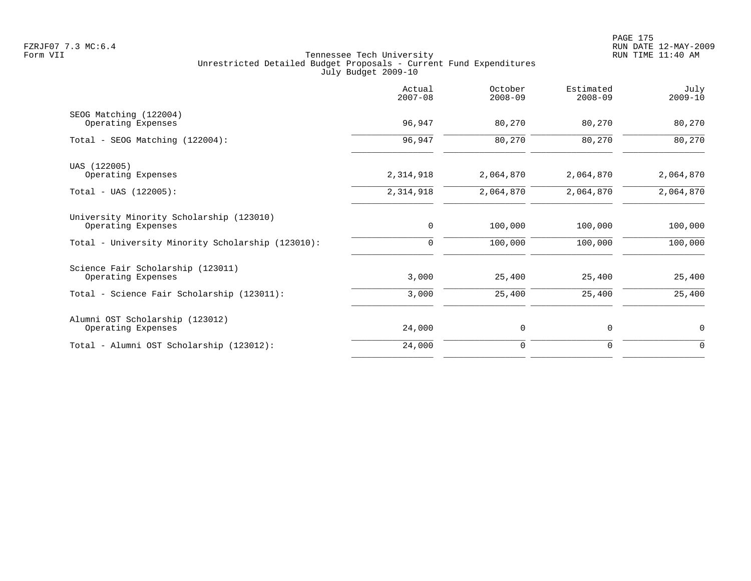|                                                   | Actual<br>$2007 - 08$ | October<br>$2008 - 09$ | Estimated<br>$2008 - 09$ | July<br>$2009 - 10$ |
|---------------------------------------------------|-----------------------|------------------------|--------------------------|---------------------|
| SEOG Matching (122004)                            |                       |                        |                          |                     |
| Operating Expenses                                | 96,947                | 80,270                 | 80,270                   | 80,270              |
| Total - SEOG Matching (122004):                   | 96,947                | 80,270                 | 80,270                   | 80,270              |
| UAS (122005)                                      |                       |                        |                          |                     |
| Operating Expenses                                | 2,314,918             | 2,064,870              | 2,064,870                | 2,064,870           |
| $Total - UAS (122005):$                           | 2,314,918             | 2,064,870              | 2,064,870                | 2,064,870           |
| University Minority Scholarship (123010)          |                       |                        |                          |                     |
| Operating Expenses                                | $\mathbf 0$           | 100,000                | 100,000                  | 100,000             |
| Total - University Minority Scholarship (123010): | 0                     | 100,000                | 100,000                  | 100,000             |
| Science Fair Scholarship (123011)                 |                       |                        |                          |                     |
| Operating Expenses                                | 3,000                 | 25,400                 | 25,400                   | 25,400              |
| Total - Science Fair Scholarship (123011):        | 3,000                 | 25,400                 | 25,400                   | 25,400              |
| Alumni OST Scholarship (123012)                   |                       |                        |                          |                     |
| Operating Expenses                                | 24,000                | 0                      | 0                        | 0                   |
| Total - Alumni OST Scholarship (123012):          | 24,000                | $\mathbf 0$            | 0                        | $\mathbf 0$         |
|                                                   |                       |                        |                          |                     |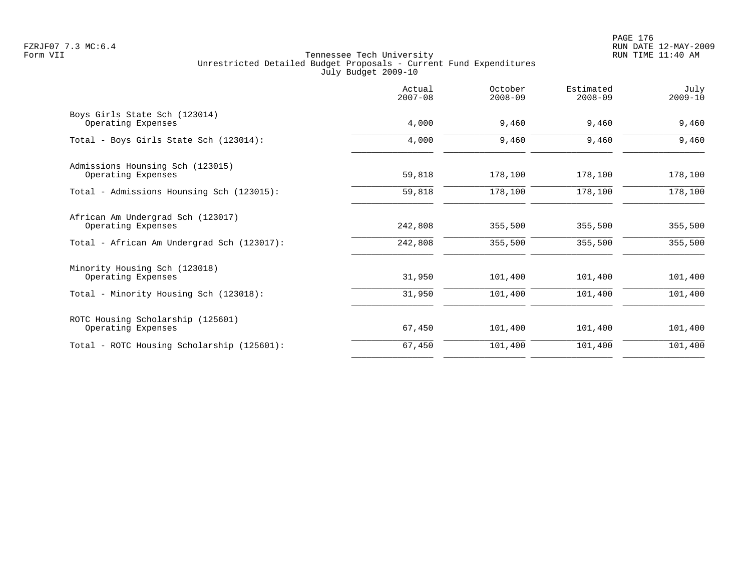|                                                         | Actual<br>$2007 - 08$ | October<br>$2008 - 09$ | Estimated<br>$2008 - 09$ | July<br>$2009 - 10$ |
|---------------------------------------------------------|-----------------------|------------------------|--------------------------|---------------------|
| Boys Girls State Sch (123014)<br>Operating Expenses     | 4,000                 | 9,460                  | 9,460                    | 9,460               |
| Total - Boys Girls State Sch (123014):                  | 4,000                 | 9,460                  | 9,460                    | 9,460               |
| Admissions Hounsing Sch (123015)<br>Operating Expenses  | 59,818                | 178,100                | 178,100                  | 178,100             |
| Total - Admissions Hounsing Sch (123015):               | 59,818                | 178,100                | 178,100                  | 178,100             |
| African Am Undergrad Sch (123017)<br>Operating Expenses | 242,808               | 355,500                | 355,500                  | 355,500             |
| Total - African Am Undergrad Sch (123017):              | 242,808               | 355,500                | 355,500                  | 355,500             |
| Minority Housing Sch (123018)<br>Operating Expenses     | 31,950                | 101,400                | 101,400                  | 101,400             |
| Total - Minority Housing Sch (123018):                  | 31,950                | 101,400                | 101,400                  | 101,400             |
| ROTC Housing Scholarship (125601)<br>Operating Expenses | 67,450                | 101,400                | 101,400                  | 101,400             |
| Total - ROTC Housing Scholarship (125601):              | 67,450                | 101,400                | 101,400                  | 101,400             |
|                                                         |                       |                        |                          |                     |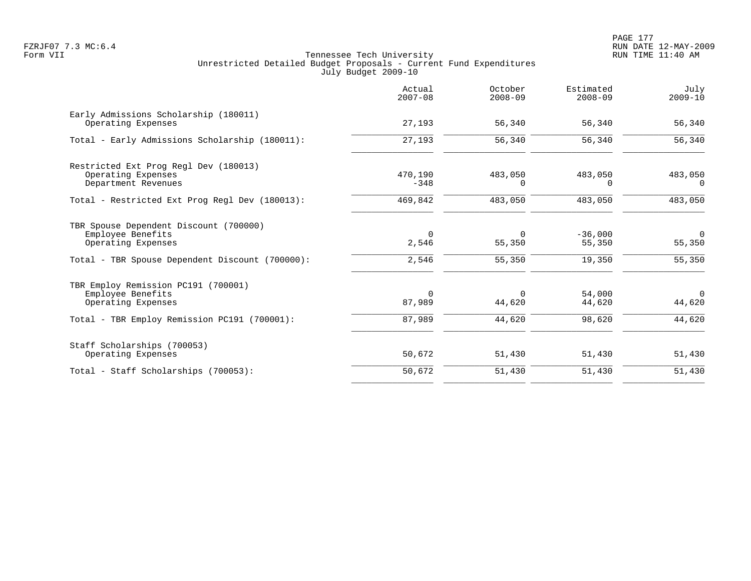PAGE 177 FZRJF07 7.3 MC:6.4 RUN DATE 12-MAY-2009

|                                                                                                                                      | Actual<br>$2007 - 08$         | October<br>$2008 - 09$       | Estimated<br>$2008 - 09$      | July<br>$2009 - 10$             |
|--------------------------------------------------------------------------------------------------------------------------------------|-------------------------------|------------------------------|-------------------------------|---------------------------------|
| Early Admissions Scholarship (180011)<br>Operating Expenses                                                                          | 27,193                        | 56,340                       | 56,340                        | 56,340                          |
| Total - Early Admissions Scholarship (180011):                                                                                       | 27,193                        | 56,340                       | 56,340                        | 56,340                          |
| Restricted Ext Prog Regl Dev (180013)<br>Operating Expenses<br>Department Revenues                                                   | 470,190<br>$-348$             | 483,050<br>$\Omega$          | 483,050<br>$\Omega$           | 483,050<br>$\Omega$             |
| Total - Restricted Ext Prog Regl Dev (180013):                                                                                       | 469,842                       | 483,050                      | 483,050                       | 483,050                         |
| TBR Spouse Dependent Discount (700000)<br>Employee Benefits<br>Operating Expenses<br>Total - TBR Spouse Dependent Discount (700000): | $\mathbf 0$<br>2,546<br>2,546 | $\Omega$<br>55,350<br>55,350 | $-36,000$<br>55,350<br>19,350 | $\mathbf 0$<br>55,350<br>55,350 |
| TBR Employ Remission PC191 (700001)<br>Employee Benefits<br>Operating Expenses                                                       | $\Omega$<br>87,989            | $\Omega$<br>44,620           | 54,000<br>44,620              | $\Omega$<br>44,620              |
| Total - TBR Employ Remission PC191 (700001):                                                                                         | 87,989                        | 44,620                       | 98,620                        | 44,620                          |
| Staff Scholarships (700053)<br>Operating Expenses                                                                                    | 50,672                        | 51,430                       | 51,430                        | 51,430                          |
| Total - Staff Scholarships (700053):                                                                                                 | 50,672                        | 51,430                       | 51,430                        | 51,430                          |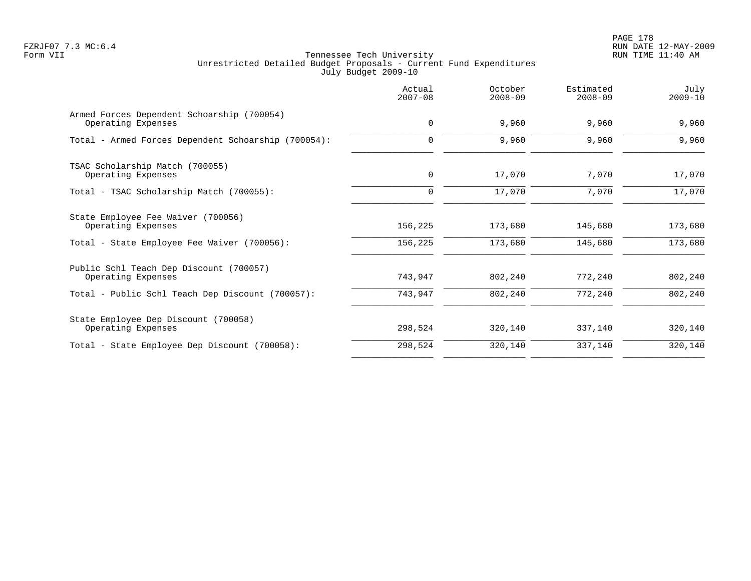|                                                                  | Actual<br>$2007 - 08$ | October<br>$2008 - 09$ | Estimated<br>$2008 - 09$ | July<br>$2009 - 10$ |
|------------------------------------------------------------------|-----------------------|------------------------|--------------------------|---------------------|
| Armed Forces Dependent Schoarship (700054)<br>Operating Expenses | $\mathbf 0$           | 9,960                  | 9,960                    | 9,960               |
| Total - Armed Forces Dependent Schoarship (700054):              | $\Omega$              | 9,960                  | 9,960                    | 9,960               |
| TSAC Scholarship Match (700055)                                  |                       |                        |                          |                     |
| Operating Expenses                                               | $\mathbf 0$           | 17,070                 | 7,070                    | 17,070              |
| Total - TSAC Scholarship Match (700055):                         | $\Omega$              | 17,070                 | 7,070                    | 17,070              |
| State Employee Fee Waiver (700056)<br>Operating Expenses         | 156,225               | 173,680                | 145,680                  | 173,680             |
| Total - State Employee Fee Waiver (700056):                      | 156,225               | 173,680                | 145,680                  | 173,680             |
| Public Schl Teach Dep Discount (700057)                          |                       |                        |                          |                     |
| Operating Expenses                                               | 743,947               | 802,240                | 772,240                  | 802,240             |
| Total - Public Schl Teach Dep Discount (700057):                 | 743,947               | 802,240                | 772,240                  | 802,240             |
| State Employee Dep Discount (700058)                             |                       |                        |                          |                     |
| Operating Expenses                                               | 298,524               | 320,140                | 337,140                  | 320,140             |
| Total - State Employee Dep Discount (700058):                    | 298,524               | 320,140                | 337,140                  | 320,140             |
|                                                                  |                       |                        |                          |                     |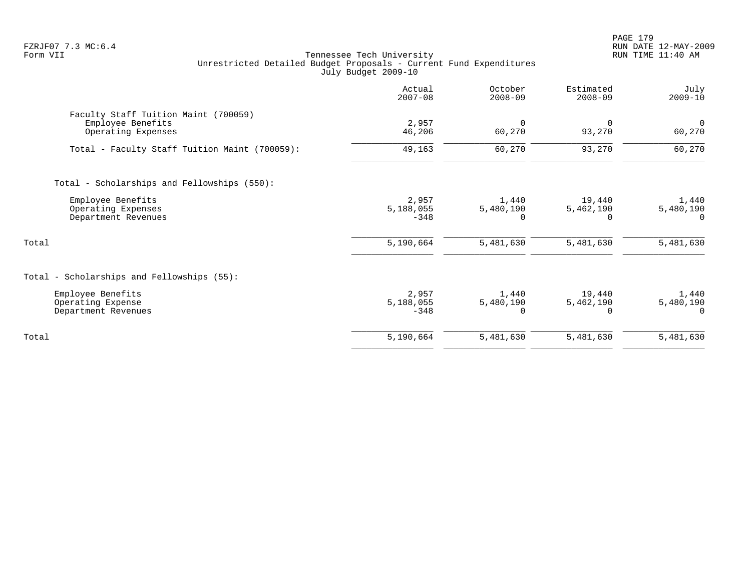PAGE 179 FZRJF07 7.3 MC:6.4 RUN DATE 12-MAY-2009

|                                                                                 | Actual<br>$2007 - 08$        | October<br>$2008 - 09$         | Estimated<br>$2008 - 09$        | July<br>$2009 - 10$                |
|---------------------------------------------------------------------------------|------------------------------|--------------------------------|---------------------------------|------------------------------------|
| Faculty Staff Tuition Maint (700059)<br>Employee Benefits<br>Operating Expenses | 2,957<br>46,206              | $\mathbf 0$<br>60,270          | 93,270                          | $\overline{0}$<br>60,270           |
| Total - Faculty Staff Tuition Maint (700059):                                   | 49,163                       | 60,270                         | 93,270                          | 60,270                             |
| Total - Scholarships and Fellowships (550):                                     |                              |                                |                                 |                                    |
| Employee Benefits<br>Operating Expenses<br>Department Revenues                  | 2,957<br>5,188,055<br>$-348$ | 1,440<br>5,480,190<br>$\Omega$ | 19,440<br>5,462,190<br>$\Omega$ | 1,440<br>5,480,190                 |
| Total                                                                           | 5,190,664                    | 5,481,630                      | 5,481,630                       | 5,481,630                          |
| Total - Scholarships and Fellowships (55):                                      |                              |                                |                                 |                                    |
| Employee Benefits<br>Operating Expense<br>Department Revenues                   | 2,957<br>5,188,055<br>$-348$ | 1,440<br>5,480,190<br>$\Omega$ | 19,440<br>5,462,190<br>$\Omega$ | 1,440<br>5,480,190<br><sup>n</sup> |
| Total                                                                           | 5,190,664                    | 5,481,630                      | 5,481,630                       | 5,481,630                          |
|                                                                                 |                              |                                |                                 |                                    |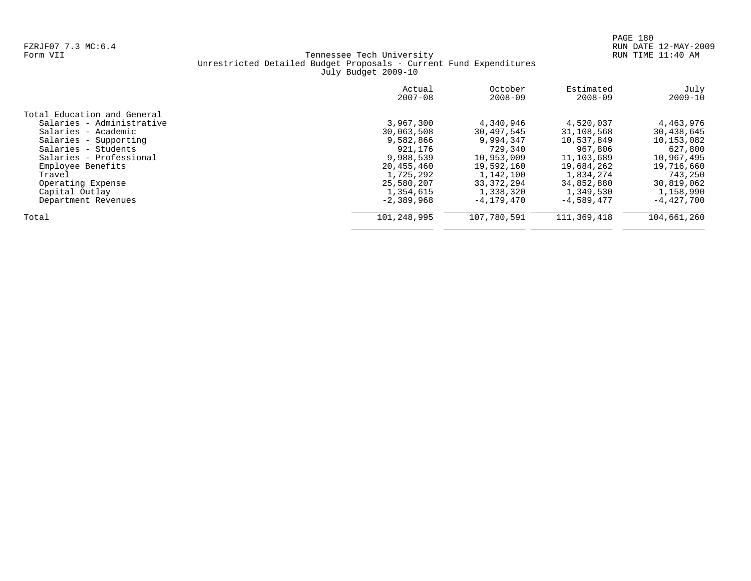|                             | Actual<br>$2007 - 08$ | October<br>$2008 - 09$ | Estimated<br>$2008 - 09$ | July<br>$2009 - 10$ |
|-----------------------------|-----------------------|------------------------|--------------------------|---------------------|
| Total Education and General |                       |                        |                          |                     |
| Salaries - Administrative   | 3,967,300             | 4,340,946              | 4,520,037                | 4,463,976           |
| Salaries - Academic         | 30,063,508            | 30,497,545             | 31,108,568               | 30,438,645          |
| Salaries - Supporting       | 9,582,866             | 9,994,347              | 10,537,849               | 10,153,082          |
| Salaries - Students         | 921,176               | 729,340                | 967,806                  | 627,800             |
| Salaries - Professional     | 9,988,539             | 10,953,009             | 11,103,689               | 10,967,495          |
| Employee Benefits           | 20,455,460            | 19,592,160             | 19,684,262               | 19,716,660          |
| Travel                      | 1,725,292             | 1,142,100              | 1,834,274                | 743,250             |
| Operating Expense           | 25,580,207            | 33, 372, 294           | 34,852,880               | 30,819,062          |
| Capital Outlay              | 1,354,615             | 1,338,320              | 1,349,530                | 1,158,990           |
| Department Revenues         | $-2,389,968$          | $-4, 179, 470$         | $-4.589.477$             | $-4.427.700$        |
| Total                       | 101,248,995           | 107,780,591            | 111,369,418              | 104,661,260         |
|                             |                       |                        |                          |                     |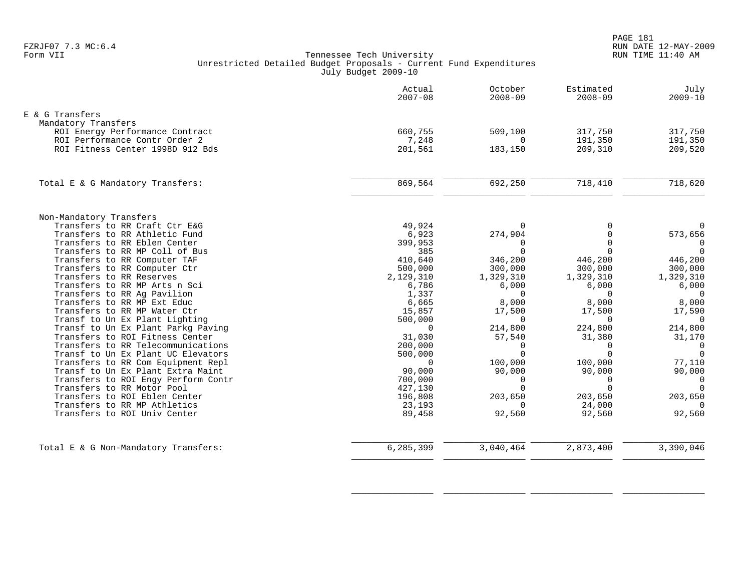|                                                            | Actual<br>$2007 - 08$ | October<br>$2008 - 09$ | Estimated<br>$2008 - 09$ | July<br>$2009 - 10$ |
|------------------------------------------------------------|-----------------------|------------------------|--------------------------|---------------------|
| E & G Transfers                                            |                       |                        |                          |                     |
| Mandatory Transfers                                        |                       |                        |                          |                     |
| ROI Energy Performance Contract                            | 660,755               | 509,100                | 317,750                  | 317,750             |
| ROI Performance Contr Order 2                              | 7,248                 | $\Omega$               | 191,350                  | 191,350             |
| ROI Fitness Center 1998D 912 Bds                           | 201,561               | 183,150                | 209,310                  | 209,520             |
| Total E & G Mandatory Transfers:                           | 869,564               | 692,250                | 718,410                  | 718,620             |
|                                                            |                       |                        |                          |                     |
| Non-Mandatory Transfers                                    |                       |                        |                          |                     |
| Transfers to RR Craft Ctr E&G                              | 49,924                | $\Omega$               |                          | $\mathbf 0$         |
| Transfers to RR Athletic Fund                              | 6,923                 | 274,904                | $\cap$                   | 573,656             |
| Transfers to RR Eblen Center                               | 399,953               | 0                      |                          | $\mathbf 0$         |
| Transfers to RR MP Coll of Bus                             | 385                   | $\Omega$               | $\cap$                   | $\Omega$            |
| Transfers to RR Computer TAF                               | 410,640               | 346,200                | 446,200                  | 446,200             |
| Transfers to RR Computer Ctr                               | 500,000               | 300,000                | 300,000                  | 300,000             |
| Transfers to RR Reserves                                   | 2,129,310             | 1,329,310              | 1,329,310                | 1,329,310           |
| Transfers to RR MP Arts n Sci                              | 6,786                 | 6,000                  | 6,000                    | 6,000               |
| Transfers to RR Ag Pavilion<br>Transfers to RR MP Ext Educ | 1,337                 | $\Omega$<br>8,000      | $\Omega$<br>8,000        | $\Omega$<br>8,000   |
| Transfers to RR MP Water Ctr                               | 6,665<br>15,857       | 17,500                 | 17,500                   | 17,590              |
| Transf to Un Ex Plant Lighting                             | 500,000               | $\Omega$               | $\Omega$                 | $\Omega$            |
| Transf to Un Ex Plant Parkg Paving                         | $\Omega$              | 214,800                | 224,800                  | 214,800             |
| Transfers to ROI Fitness Center                            | 31,030                | 57,540                 | 31,380                   | 31,170              |
| Transfers to RR Telecommunications                         | 200,000               | $\Omega$               | $\Omega$                 | $\overline{0}$      |
| Transf to Un Ex Plant UC Elevators                         | 500,000               | $\Omega$               | $\Omega$                 | $\overline{0}$      |
| Transfers to RR Com Equipment Repl                         | $\Omega$              | 100,000                | 100,000                  | 77,110              |
| Transf to Un Ex Plant Extra Maint                          | 90,000                | 90,000                 | 90,000                   | 90,000              |
| Transfers to ROI Engy Perform Contr                        | 700,000               | $\overline{0}$         | $\mathbf 0$              | $\overline{0}$      |
| Transfers to RR Motor Pool                                 | 427,130               | $\Omega$               | $\Omega$                 | $\overline{0}$      |
| Transfers to ROI Eblen Center                              | 196,808               | 203,650                | 203,650                  | 203,650             |
| Transfers to RR MP Athletics                               | 23,193                | $\Omega$               | 24,000                   | $\Omega$            |
| Transfers to ROI Univ Center                               | 89,458                | 92,560                 | 92,560                   | 92,560              |
|                                                            |                       |                        |                          |                     |
| Total E & G Non-Mandatory Transfers:                       | 6,285,399             | 3,040,464              | 2,873,400                | 3,390,046           |

\_\_\_\_\_\_\_\_\_\_\_\_\_\_\_\_ \_\_\_\_\_\_\_\_\_\_\_\_\_\_\_\_ \_\_\_\_\_\_\_\_\_\_\_\_\_\_\_\_ \_\_\_\_\_\_\_\_\_\_\_\_\_\_\_\_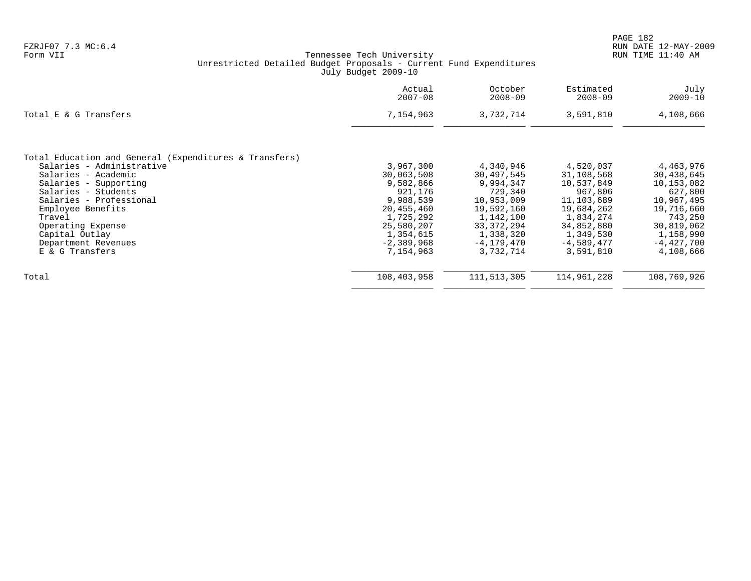|                                                        | Actual<br>$2007 - 08$ | October<br>$2008 - 09$ | Estimated<br>$2008 - 09$ | July<br>$2009 - 10$ |
|--------------------------------------------------------|-----------------------|------------------------|--------------------------|---------------------|
| Total E & G Transfers                                  | 7,154,963             | 3,732,714              | 3,591,810                | 4,108,666           |
| Total Education and General (Expenditures & Transfers) |                       |                        |                          |                     |
| Salaries - Administrative                              | 3,967,300             | 4,340,946              | 4,520,037                | 4,463,976           |
| Salaries - Academic                                    | 30,063,508            | 30,497,545             | 31,108,568               | 30,438,645          |
| Salaries - Supporting                                  | 9,582,866             | 9,994,347              | 10,537,849               | 10,153,082          |
| Salaries - Students                                    | 921,176               | 729,340                | 967,806                  | 627,800             |
| Salaries - Professional                                | 9,988,539             | 10,953,009             | 11,103,689               | 10,967,495          |
| Employee Benefits                                      | 20,455,460            | 19,592,160             | 19,684,262               | 19,716,660          |
| Travel                                                 | 1,725,292             | 1,142,100              | 1,834,274                | 743,250             |
| Operating Expense                                      | 25,580,207            | 33, 372, 294           | 34,852,880               | 30,819,062          |
| Capital Outlay                                         | 1,354,615             | 1,338,320              | 1,349,530                | 1,158,990           |
| Department Revenues                                    | $-2,389,968$          | $-4, 179, 470$         | $-4,589,477$             | $-4,427,700$        |
| E & G Transfers                                        | 7,154,963             | 3,732,714              | 3,591,810                | 4,108,666           |
| Total                                                  | 108,403,958           | 111,513,305            | 114,961,228              | 108,769,926         |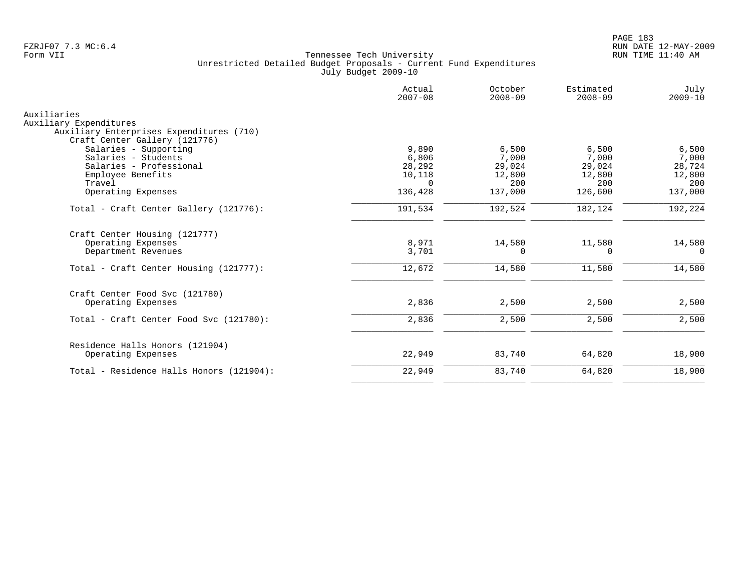|                                          | Actual<br>$2007 - 08$ | October<br>$2008 - 09$ | Estimated<br>$2008 - 09$ | July<br>$2009 - 10$ |
|------------------------------------------|-----------------------|------------------------|--------------------------|---------------------|
| Auxiliaries                              |                       |                        |                          |                     |
| Auxiliary Expenditures                   |                       |                        |                          |                     |
| Auxiliary Enterprises Expenditures (710) |                       |                        |                          |                     |
| Craft Center Gallery (121776)            |                       |                        |                          |                     |
| Salaries - Supporting                    | 9,890                 | 6,500                  | 6,500                    | 6,500               |
| Salaries - Students                      | 6,806                 | 7,000                  | 7,000                    | 7,000               |
| Salaries - Professional                  | 28,292                | 29,024                 | 29,024                   | 28,724              |
| Employee Benefits<br>Travel              | 10,118<br>$\Omega$    | 12,800<br>200          | 12,800<br>200            | 12,800<br>200       |
| Operating Expenses                       | 136,428               | 137,000                | 126,600                  | 137,000             |
|                                          |                       |                        |                          |                     |
| Total - Craft Center Gallery (121776):   | 191,534               | 192,524                | 182,124                  | 192,224             |
| Craft Center Housing (121777)            |                       |                        |                          |                     |
| Operating Expenses                       | 8,971                 | 14,580                 | 11,580                   | 14,580              |
| Department Revenues                      | 3,701                 | 0                      | 0                        | $\mathbf 0$         |
| Total - Craft Center Housing (121777):   | 12,672                | 14,580                 | 11,580                   | 14,580              |
| Craft Center Food Svc (121780)           |                       |                        |                          |                     |
| Operating Expenses                       | 2,836                 | 2,500                  | 2,500                    | 2,500               |
| Total - Craft Center Food Svc (121780):  | 2,836                 | 2,500                  | 2,500                    | 2,500               |
| Residence Halls Honors (121904)          |                       |                        |                          |                     |
| Operating Expenses                       | 22,949                | 83,740                 | 64,820                   | 18,900              |
| Total - Residence Halls Honors (121904): | 22,949                | 83,740                 | 64,820                   | 18,900              |
|                                          |                       |                        |                          |                     |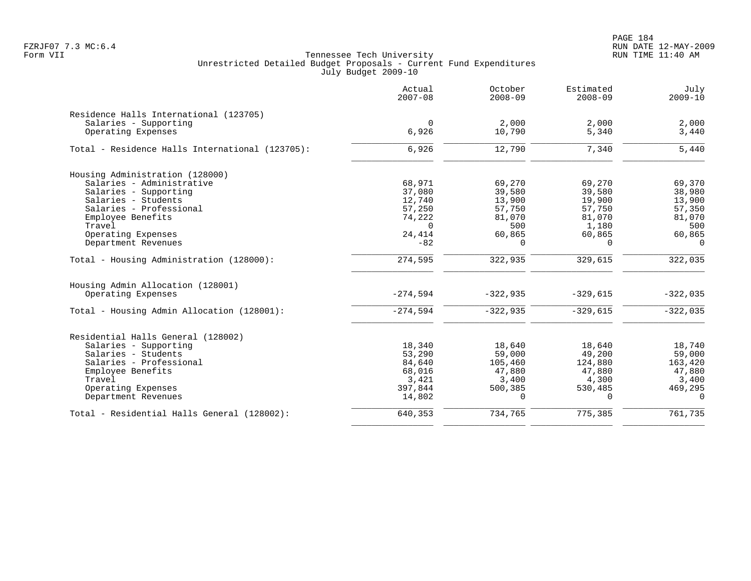PAGE 184 FZRJF07 7.3 MC:6.4 RUN DATE 12-MAY-2009

|                                                 | Actual<br>$2007 - 08$ | October<br>$2008 - 09$ | Estimated<br>$2008 - 09$ | July<br>$2009 - 10$ |
|-------------------------------------------------|-----------------------|------------------------|--------------------------|---------------------|
| Residence Halls International (123705)          |                       |                        |                          |                     |
| Salaries - Supporting                           | $\Omega$              | 2,000                  | 2,000                    | 2,000               |
| Operating Expenses                              | 6,926                 | 10,790                 | 5,340                    | 3,440               |
| Total - Residence Halls International (123705): | 6,926                 | 12,790                 | 7,340                    | 5,440               |
| Housing Administration (128000)                 |                       |                        |                          |                     |
| Salaries - Administrative                       | 68,971                | 69,270                 | 69,270                   | 69,370              |
| Salaries - Supporting                           | 37,080                | 39,580                 | 39,580                   | 38,980              |
| Salaries - Students                             | 12,740                | 13,900                 | 19,900                   | 13,900              |
| Salaries - Professional                         | 57,250                | 57,750                 | 57,750                   | 57,350              |
| Employee Benefits                               | 74,222                | 81,070                 | 81,070                   | 81,070              |
| Travel                                          | $\Omega$              | 500                    | 1,180                    | 500                 |
| Operating Expenses                              | 24,414                | 60,865                 | 60,865                   | 60,865              |
| Department Revenues                             | $-82$                 | $\Omega$               | $\Omega$                 | $\Omega$            |
| Total - Housing Administration (128000):        | 274,595               | 322,935                | 329,615                  | 322,035             |
| Housing Admin Allocation (128001)               |                       |                        |                          |                     |
| Operating Expenses                              | $-274,594$            | $-322,935$             | $-329,615$               | $-322,035$          |
| Total - Housing Admin Allocation (128001):      | $-274,594$            | $-322,935$             | $-329,615$               | $-322,035$          |
| Residential Halls General (128002)              |                       |                        |                          |                     |
| Salaries - Supporting                           | 18,340                | 18,640                 | 18,640                   | 18,740              |
| Salaries - Students                             | 53,290                | 59,000                 | 49,200                   | 59,000              |
| Salaries - Professional                         | 84,640                | 105,460                | 124,880                  | 163,420             |
| Employee Benefits                               | 68,016                | 47,880                 | 47,880                   | 47,880              |
| Travel                                          | 3,421                 | 3,400                  | 4,300                    | 3,400               |
| Operating Expenses                              | 397,844               | 500,385                | 530,485                  | 469,295             |
| Department Revenues                             | 14,802                | $\cap$                 | $\Omega$                 | $\Omega$            |
| Total - Residential Halls General (128002):     | 640,353               | 734,765                | 775,385                  | 761,735             |
|                                                 |                       |                        |                          |                     |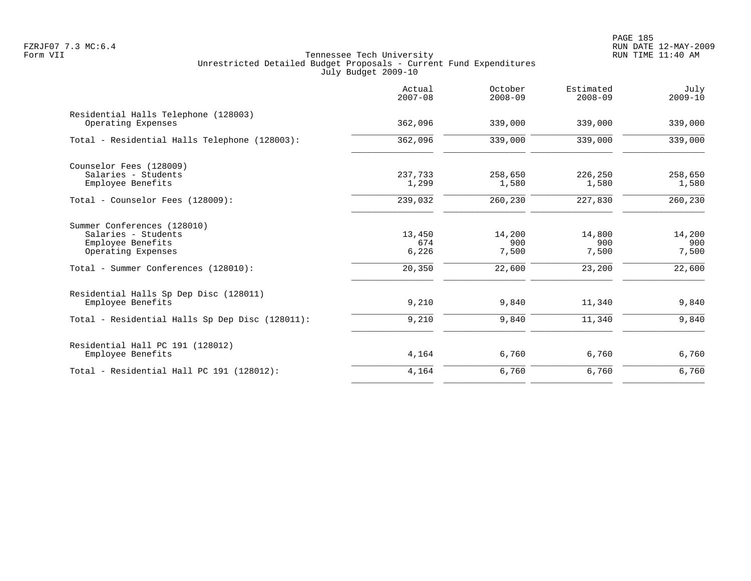PAGE 185 FZRJF07 7.3 MC:6.4 RUN DATE 12-MAY-2009

|                                                                                                     | Actual<br>$2007 - 08$  | October<br>$2008 - 09$           | Estimated<br>$2008 - 09$ | July<br>$2009 - 10$    |
|-----------------------------------------------------------------------------------------------------|------------------------|----------------------------------|--------------------------|------------------------|
| Residential Halls Telephone (128003)<br>Operating Expenses                                          | 362,096                | 339,000                          | 339,000                  | 339,000                |
| Total - Residential Halls Telephone (128003):                                                       | 362,096                | 339,000                          | 339,000                  | 339,000                |
| Counselor Fees (128009)<br>Salaries - Students<br>Employee Benefits                                 | 237,733<br>1,299       | 258,650<br>1,580                 | 226,250<br>1,580         | 258,650<br>1,580       |
| Total - Counselor Fees (128009):                                                                    | 239,032                | 260,230                          | 227,830                  | 260,230                |
| Summer Conferences (128010)<br>Salaries - Students<br>Employee Benefits<br>Operating Expenses       | 13,450<br>674<br>6,226 | 14,200<br>900<br>7,500<br>22,600 | 14,800<br>900<br>7,500   | 14,200<br>900<br>7,500 |
| Total - Summer Conferences (128010):<br>Residential Halls Sp Dep Disc (128011)<br>Employee Benefits | 20,350<br>9,210        | 9,840                            | 23,200<br>11,340         | 22,600<br>9,840        |
| Total - Residential Halls Sp Dep Disc (128011):                                                     | 9,210                  | 9,840                            | 11,340                   | 9,840                  |
| Residential Hall PC 191 (128012)<br>Employee Benefits                                               | 4,164                  | 6,760                            | 6,760                    | 6,760                  |
| Total - Residential Hall PC 191 (128012):                                                           | 4,164                  | 6,760                            | 6,760                    | 6,760                  |
|                                                                                                     |                        |                                  |                          |                        |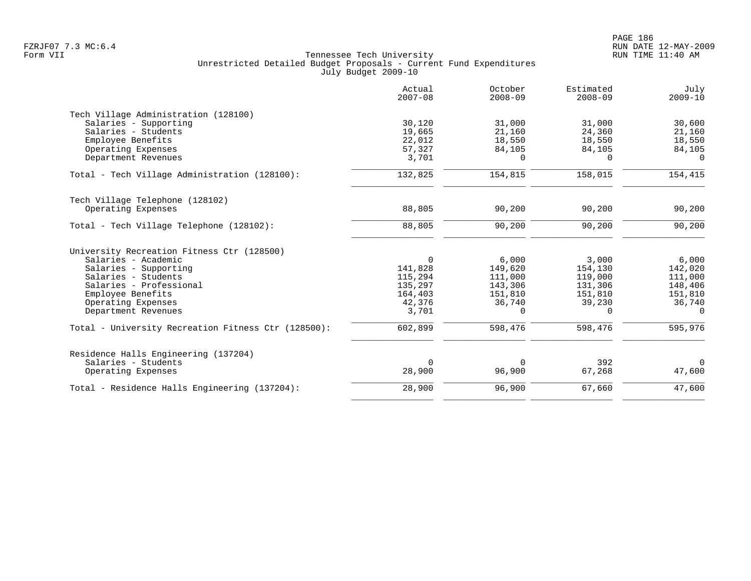|                                                     | Actual<br>$2007 - 08$ | October<br>$2008 - 09$ | Estimated<br>$2008 - 09$ | July<br>$2009 - 10$ |
|-----------------------------------------------------|-----------------------|------------------------|--------------------------|---------------------|
| Tech Village Administration (128100)                |                       |                        |                          |                     |
| Salaries - Supporting                               | 30,120                | 31,000                 | 31,000                   | 30,600              |
| Salaries - Students                                 | 19,665                | 21,160                 | 24,360                   | 21,160              |
| Employee Benefits                                   | 22,012                | 18,550                 | 18,550                   | 18,550              |
| Operating Expenses                                  | 57,327                | 84,105                 | 84,105                   | 84,105              |
| Department Revenues                                 | 3,701                 | 0                      | $\Omega$                 | $\Omega$            |
| Total - Tech Village Administration (128100):       | 132,825               | 154,815                | 158,015                  | 154,415             |
| Tech Village Telephone (128102)                     |                       |                        |                          |                     |
| Operating Expenses                                  | 88,805                | 90,200                 | 90,200                   | 90,200              |
| Total - Tech Village Telephone (128102):            | 88,805                | 90,200                 | 90,200                   | 90,200              |
| University Recreation Fitness Ctr (128500)          |                       |                        |                          |                     |
| Salaries - Academic                                 | $\Omega$              | 6,000                  | 3,000                    | 6,000               |
| Salaries - Supporting                               | 141,828               | 149,620                | 154,130                  | 142,020             |
| Salaries - Students                                 | 115,294               | 111,000                | 119,000                  | 111,000             |
| Salaries - Professional                             | 135,297               | 143,306                | 131,306                  | 148,406             |
| Employee Benefits                                   | 164,403               | 151,810                | 151,810                  | 151,810             |
| Operating Expenses                                  | 42,376                | 36,740                 | 39,230                   | 36,740              |
| Department Revenues                                 | 3,701                 | 0                      | 0                        | 0                   |
| Total - University Recreation Fitness Ctr (128500): | 602,899               | 598,476                | 598,476                  | 595,976             |
| Residence Halls Engineering (137204)                |                       |                        |                          |                     |
| Salaries - Students                                 | $\Omega$              | $\Omega$               | 392                      | $\Omega$            |
| Operating Expenses                                  | 28,900                | 96,900                 | 67,268                   | 47,600              |
| Total - Residence Halls Engineering (137204):       | 28,900                | 96,900                 | 67,660                   | 47,600              |
|                                                     |                       |                        |                          |                     |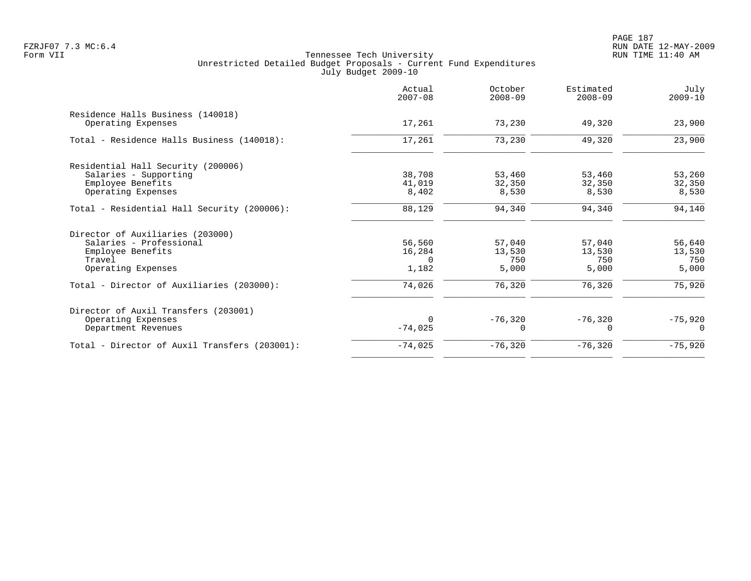|                                               | Actual<br>$2007 - 08$ | October<br>$2008 - 09$ | Estimated<br>$2008 - 09$ | July<br>$2009 - 10$ |
|-----------------------------------------------|-----------------------|------------------------|--------------------------|---------------------|
| Residence Halls Business (140018)             |                       |                        |                          |                     |
| Operating Expenses                            | 17,261                | 73,230                 | 49,320                   | 23,900              |
| Total - Residence Halls Business (140018):    | 17,261                | 73,230                 | 49,320                   | 23,900              |
| Residential Hall Security (200006)            |                       |                        |                          |                     |
| Salaries - Supporting                         | 38,708                | 53,460                 | 53,460                   | 53,260              |
| Employee Benefits                             | 41,019                | 32,350                 | 32,350                   | 32,350              |
| Operating Expenses                            | 8,402                 | 8,530                  | 8,530                    | 8,530               |
| Total - Residential Hall Security (200006):   | 88,129                | 94,340                 | 94,340                   | 94,140              |
| Director of Auxiliaries (203000)              |                       |                        |                          |                     |
| Salaries - Professional                       | 56,560                | 57,040                 | 57,040                   | 56,640              |
| Employee Benefits                             | 16,284                | 13,530                 | 13,530                   | 13,530              |
| Travel                                        | $\Omega$              | 750                    | 750                      | 750                 |
| Operating Expenses                            | 1,182                 | 5,000                  | 5,000                    | 5,000               |
| Total - Director of Auxiliaries (203000):     | 74,026                | 76,320                 | 76,320                   | 75,920              |
| Director of Auxil Transfers (203001)          |                       |                        |                          |                     |
| Operating Expenses                            | $\Omega$              | $-76,320$              | $-76,320$                | $-75,920$           |
| Department Revenues                           | $-74,025$             | <sup>0</sup>           | $\Omega$                 | $\Omega$            |
| Total - Director of Auxil Transfers (203001): | $-74,025$             | $-76,320$              | $-76,320$                | $-75,920$           |
|                                               |                       |                        |                          |                     |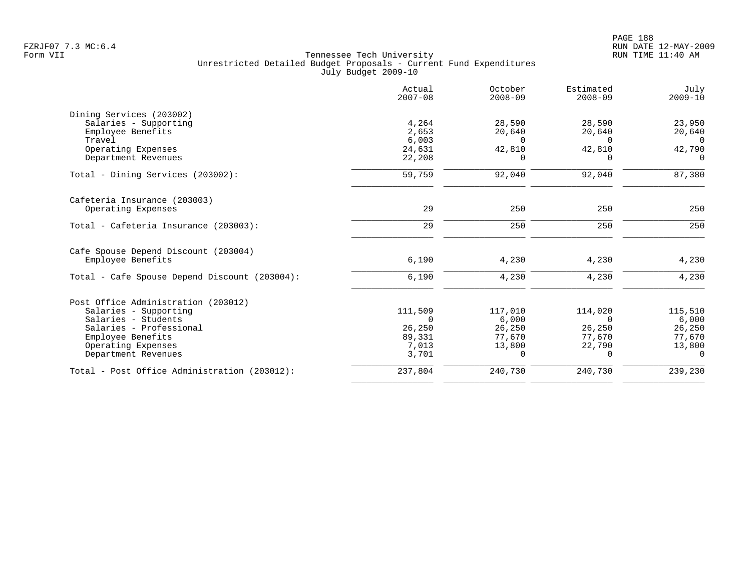|                                               | Actual<br>$2007 - 08$ | October<br>$2008 - 09$ | Estimated<br>$2008 - 09$ | July<br>$2009 - 10$ |
|-----------------------------------------------|-----------------------|------------------------|--------------------------|---------------------|
| Dining Services (203002)                      |                       |                        |                          |                     |
| Salaries - Supporting                         | 4,264                 | 28,590                 | 28,590                   | 23,950              |
| Employee Benefits                             | 2,653                 | 20,640                 | 20,640                   | 20,640              |
| Travel                                        | 6,003                 | $\Omega$               | $\Omega$                 | $\Omega$            |
| Operating Expenses                            | 24,631                | 42,810                 | 42,810                   | 42,790              |
| Department Revenues                           | 22,208                | 0                      | <sup>n</sup>             | $\Omega$            |
| Total - Dining Services (203002):             | 59,759                | 92,040                 | 92,040                   | 87,380              |
| Cafeteria Insurance (203003)                  |                       |                        |                          |                     |
| Operating Expenses                            | 29                    | 250                    | 250                      | 250                 |
| Total - Cafeteria Insurance (203003):         | 29                    | 250                    | 250                      | 250                 |
| Cafe Spouse Depend Discount (203004)          |                       |                        |                          |                     |
| Employee Benefits                             | 6,190                 | 4,230                  | 4,230                    | 4,230               |
| Total - Cafe Spouse Depend Discount (203004): | 6,190                 | 4,230                  | 4,230                    | 4,230               |
| Post Office Administration (203012)           |                       |                        |                          |                     |
| Salaries - Supporting                         | 111,509               | 117,010                | 114,020                  | 115,510             |
| Salaries - Students                           | $\Omega$              | 6,000                  | $\Omega$                 | 6,000               |
| Salaries - Professional                       | 26,250                | 26,250                 | 26,250                   | 26,250              |
| Employee Benefits                             | 89,331                | 77,670                 | 77,670                   | 77,670              |
| Operating Expenses                            | 7,013                 | 13,800                 | 22,790                   | 13,800              |
| Department Revenues                           | 3,701                 | $\Omega$               | $\Omega$                 | $\Omega$            |
| Total - Post Office Administration (203012):  | 237,804               | 240,730                | 240,730                  | 239,230             |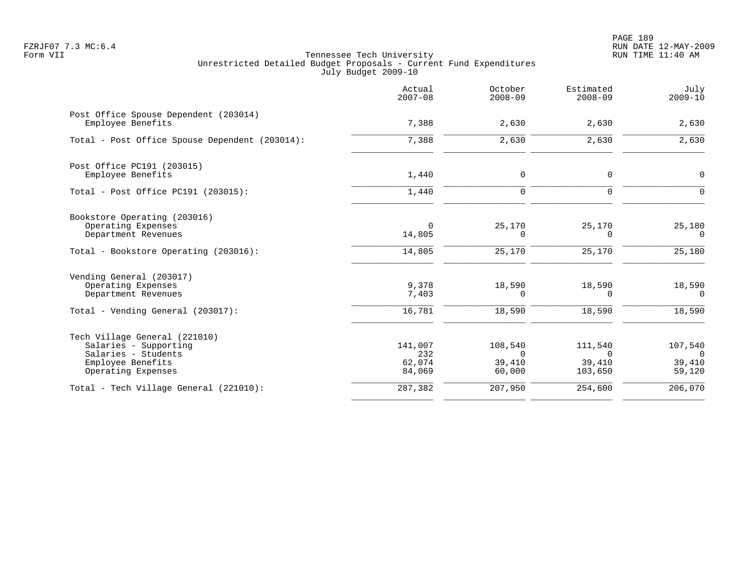PAGE 189 FZRJF07 7.3 MC:6.4 RUN DATE 12-MAY-2009

|                                                                                                                          | Actual<br>$2007 - 08$              | October<br>$2008 - 09$                        | Estimated<br>$2008 - 09$                    | July<br>$2009 - 10$                           |
|--------------------------------------------------------------------------------------------------------------------------|------------------------------------|-----------------------------------------------|---------------------------------------------|-----------------------------------------------|
| Post Office Spouse Dependent (203014)<br>Employee Benefits                                                               | 7,388                              | 2,630                                         | 2,630                                       | 2,630                                         |
| Total - Post Office Spouse Dependent (203014):                                                                           | 7,388                              | 2,630                                         | 2,630                                       | 2,630                                         |
| Post Office PC191 (203015)<br>Employee Benefits                                                                          | 1,440                              | 0                                             | $\mathbf 0$                                 | 0                                             |
| Total - Post Office PC191 (203015):                                                                                      | 1,440                              | $\mathbf 0$                                   | $\mathbf 0$                                 | 0                                             |
| Bookstore Operating (203016)<br>Operating Expenses<br>Department Revenues                                                | $\mathbf 0$<br>14,805              | 25,170<br>0                                   | 25,170<br>0                                 | 25,180<br>$\Omega$                            |
| Total - Bookstore Operating (203016):                                                                                    | 14,805                             | 25,170                                        | 25,170                                      | 25,180                                        |
| Vending General (203017)<br>Operating Expenses<br>Department Revenues                                                    | 9,378<br>7,403                     | 18,590<br>0                                   | 18,590<br>$\Omega$                          | 18,590<br>$\Omega$                            |
| Total - Vending General (203017):                                                                                        | 16,781                             | 18,590                                        | 18,590                                      | 18,590                                        |
| Tech Village General (221010)<br>Salaries - Supporting<br>Salaries - Students<br>Employee Benefits<br>Operating Expenses | 141,007<br>232<br>62,074<br>84,069 | 108,540<br>$\overline{0}$<br>39,410<br>60,000 | 111,540<br>$\mathbf 0$<br>39,410<br>103,650 | 107,540<br>$\overline{0}$<br>39,410<br>59,120 |
| Total - Tech Village General (221010):                                                                                   | 287,382                            | 207,950                                       | 254,600                                     | 206,070                                       |
|                                                                                                                          |                                    |                                               |                                             |                                               |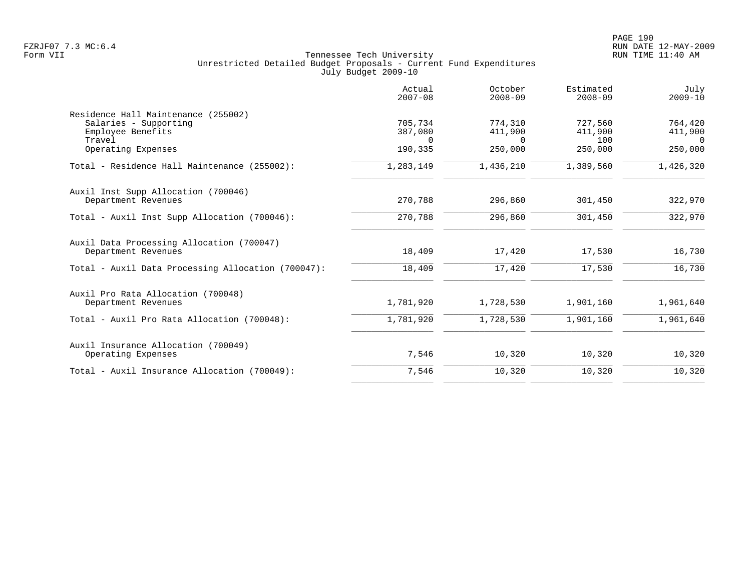|                                                                  | Actual<br>$2007 - 08$ | October<br>$2008 - 09$ | Estimated<br>$2008 - 09$ | July<br>$2009 - 10$ |
|------------------------------------------------------------------|-----------------------|------------------------|--------------------------|---------------------|
| Residence Hall Maintenance (255002)<br>Salaries - Supporting     | 705,734               | 774,310                | 727,560                  | 764,420             |
| Employee Benefits<br>Travel                                      | 387,080<br>$\Omega$   | 411,900<br>$\Omega$    | 411,900<br>100           | 411,900<br>$\Omega$ |
| Operating Expenses                                               | 190,335               | 250,000                | 250,000                  | 250,000             |
| Total - Residence Hall Maintenance (255002):                     | 1,283,149             | 1,436,210              | 1,389,560                | 1,426,320           |
| Auxil Inst Supp Allocation (700046)<br>Department Revenues       | 270,788               | 296,860                | 301,450                  | 322,970             |
| Total - Auxil Inst Supp Allocation (700046):                     | 270,788               | 296,860                | 301,450                  | 322,970             |
| Auxil Data Processing Allocation (700047)<br>Department Revenues | 18,409                | 17,420                 | 17,530                   | 16,730              |
| Total - Auxil Data Processing Allocation (700047):               | 18,409                | 17,420                 | 17,530                   | 16,730              |
| Auxil Pro Rata Allocation (700048)                               |                       |                        |                          |                     |
| Department Revenues                                              | 1,781,920             | 1,728,530              | 1,901,160                | 1,961,640           |
| Total - Auxil Pro Rata Allocation (700048):                      | 1,781,920             | 1,728,530              | 1,901,160                | 1,961,640           |
| Auxil Insurance Allocation (700049)                              |                       |                        |                          |                     |
| Operating Expenses                                               | 7,546                 | 10,320                 | 10,320                   | 10,320              |
| Total - Auxil Insurance Allocation (700049):                     | 7,546                 | 10,320                 | 10,320                   | 10,320              |
|                                                                  |                       |                        |                          |                     |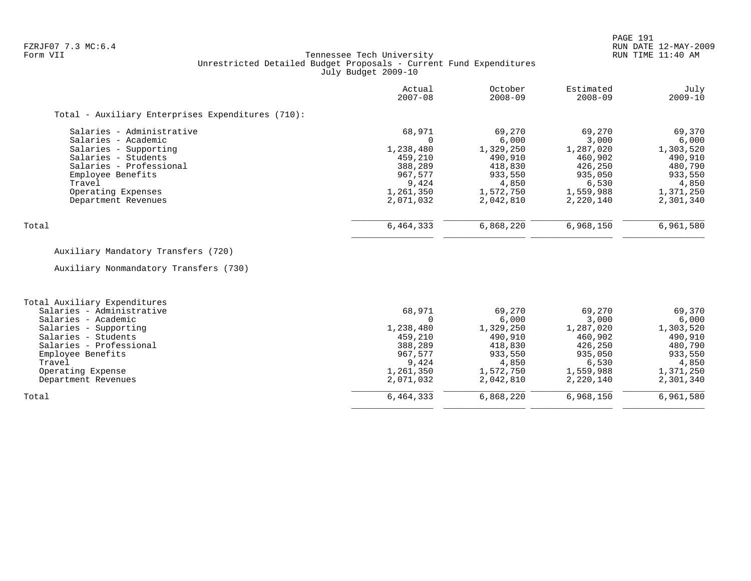#### FZRJF07 7.3 MC:6.4 RUN DATE 12-MAY-2009<br>Form VII RUN TIME 11:40 AM Tennessee Tech University Unrestricted Detailed Budget Proposals - Current Fund Expenditures July Budget 2009-10

|                                                   | Actual<br>$2007 - 08$ | October<br>$2008 - 09$ | Estimated<br>$2008 - 09$ | July<br>$2009 - 10$ |
|---------------------------------------------------|-----------------------|------------------------|--------------------------|---------------------|
| Total - Auxiliary Enterprises Expenditures (710): |                       |                        |                          |                     |
| Salaries - Administrative                         | 68,971                | 69,270                 | 69,270                   | 69,370              |
| Salaries - Academic                               |                       | 6.000                  | 3,000                    | 6,000               |
| Salaries - Supporting                             | 1,238,480             | 1,329,250              | 1,287,020                | 1,303,520           |
| Salaries - Students                               | 459,210               | 490,910                | 460,902                  | 490,910             |
| Salaries - Professional                           | 388,289               | 418,830                | 426,250                  | 480,790             |
| Employee Benefits                                 | 967,577               | 933,550                | 935,050                  | 933,550             |
| Travel                                            | 9,424                 | 4,850                  | 6,530                    | 4,850               |
| Operating Expenses                                | 1,261,350             | 1,572,750              | 1,559,988                | 1,371,250           |
| Department Revenues                               | 2,071,032             | 2,042,810              | 2,220,140                | 2,301,340           |
| Total                                             | 6,464,333             | 6,868,220              | 6,968,150                | 6,961,580           |

# Auxiliary Mandatory Transfers (720)

Auxiliary Nonmandatory Transfers (730)

| Total Auxiliary Expenditures |           |           |           |           |
|------------------------------|-----------|-----------|-----------|-----------|
| Salaries - Administrative    | 68,971    | 69,270    | 69,270    | 69,370    |
| Salaries - Academic          |           | 6,000     | 3,000     | 6,000     |
| Salaries - Supporting        | 1,238,480 | 1,329,250 | 1,287,020 | 1,303,520 |
| Salaries - Students          | 459,210   | 490,910   | 460,902   | 490,910   |
| Salaries - Professional      | 388,289   | 418,830   | 426,250   | 480,790   |
| Employee Benefits            | 967.577   | 933,550   | 935,050   | 933,550   |
| Travel                       | 9,424     | 4,850     | 6,530     | 4,850     |
| Operating Expense            | 1,261,350 | 1,572,750 | 1,559,988 | 1,371,250 |
| Department Revenues          | 2,071,032 | 2,042,810 | 2,220,140 | 2,301,340 |
| Total                        | 6,464,333 | 6,868,220 | 6,968,150 | 6,961,580 |
|                              |           |           |           |           |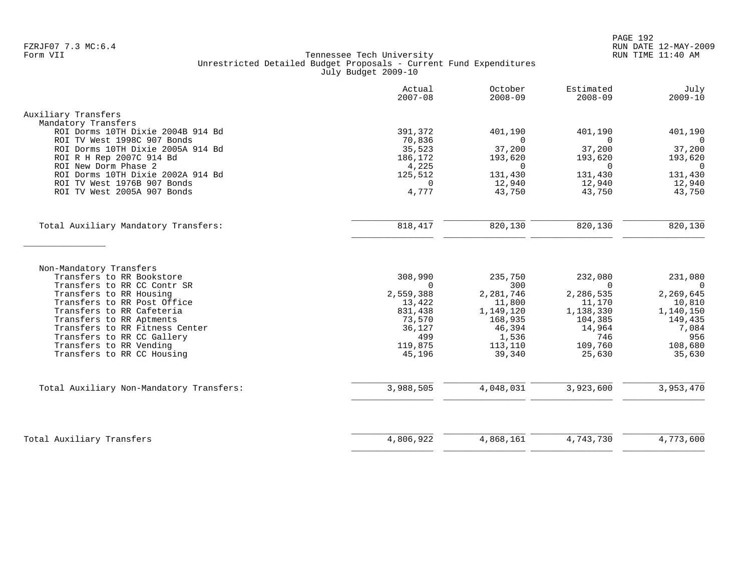|                                                        | Actual<br>$2007 - 08$ | October<br>$2008 - 09$ | Estimated<br>$2008 - 09$ | July<br>$2009 - 10$   |
|--------------------------------------------------------|-----------------------|------------------------|--------------------------|-----------------------|
| Auxiliary Transfers                                    |                       |                        |                          |                       |
| Mandatory Transfers                                    |                       |                        |                          |                       |
| ROI Dorms 10TH Dixie 2004B 914 Bd                      | 391,372               | 401,190                | 401,190                  | 401,190               |
| ROI TV West 1998C 907 Bonds                            | 70,836                | $\Omega$               | $\Omega$                 | 0                     |
| ROI Dorms 10TH Dixie 2005A 914 Bd                      | 35,523                | 37,200                 | 37,200                   | 37,200                |
| ROI R H Rep 2007C 914 Bd                               | 186,172               | 193,620                | 193,620                  | 193,620               |
| ROI New Dorm Phase 2                                   | 4,225                 | $\Omega$               | $\Omega$                 | $\Omega$              |
| ROI Dorms 10TH Dixie 2002A 914 Bd                      | 125,512               | 131,430                | 131,430                  | 131,430               |
| ROI TV West 1976B 907 Bonds                            | $\Omega$              | 12,940                 | 12,940                   | 12,940                |
| ROI TV West 2005A 907 Bonds                            | 4,777                 | 43,750                 | 43,750                   | 43,750                |
| Total Auxiliary Mandatory Transfers:                   | 818, 417              | 820,130                | 820,130                  | 820,130               |
|                                                        |                       |                        |                          |                       |
| Non-Mandatory Transfers                                |                       |                        |                          |                       |
| Transfers to RR Bookstore                              | 308,990               | 235,750                | 232,080                  | 231,080               |
| Transfers to RR CC Contr SR                            | $\Omega$<br>2,559,388 | 300<br>2,281,746       | $\Omega$<br>2,286,535    | $\Omega$<br>2,269,645 |
| Transfers to RR Housing<br>Transfers to RR Post Office | 13,422                | 11,800                 | 11,170                   | 10,810                |
| Transfers to RR Cafeteria                              | 831,438               | 1,149,120              | 1,138,330                | 1,140,150             |
| Transfers to RR Aptments                               | 73,570                | 168,935                | 104,385                  | 149,435               |
| Transfers to RR Fitness Center                         | 36,127                | 46,394                 | 14,964                   | 7,084                 |
| Transfers to RR CC Gallery                             | 499                   | 1,536                  | 746                      | 956                   |
| Transfers to RR Vending                                | 119,875               | 113,110                | 109,760                  | 108,680               |
| Transfers to RR CC Housing                             | 45,196                | 39,340                 | 25,630                   | 35,630                |
| Total Auxiliary Non-Mandatory Transfers:               | 3,988,505             | 4,048,031              | 3,923,600                | 3,953,470             |
|                                                        |                       |                        |                          |                       |
|                                                        |                       |                        |                          |                       |
| Total Auxiliary Transfers                              | 4,806,922             | 4,868,161              | 4,743,730                | 4,773,600             |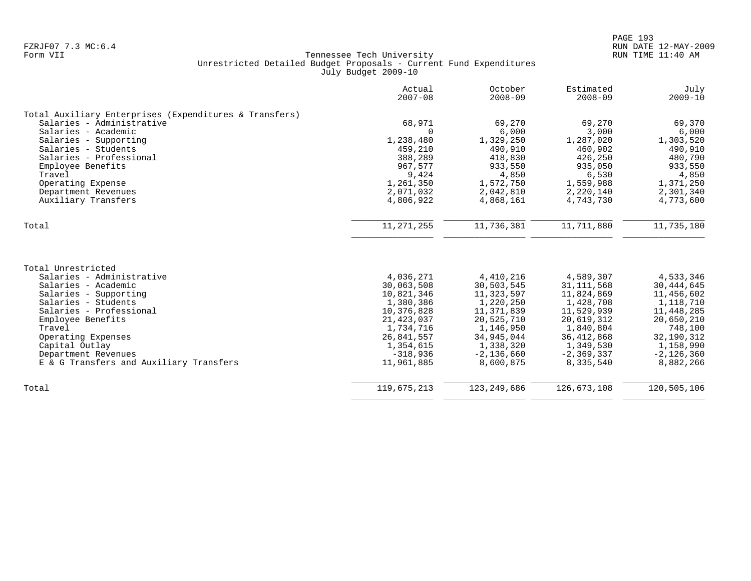|                                                        | Actual<br>$2007 - 08$ | October<br>$2008 - 09$ | Estimated<br>$2008 - 09$ | July<br>$2009 - 10$ |
|--------------------------------------------------------|-----------------------|------------------------|--------------------------|---------------------|
| Total Auxiliary Enterprises (Expenditures & Transfers) |                       |                        |                          |                     |
| Salaries - Administrative                              | 68,971                | 69,270                 | 69,270                   | 69,370              |
| Salaries - Academic                                    | $\Omega$              | 6,000                  | 3,000                    | 6,000               |
| Salaries - Supporting                                  | 1,238,480             | 1,329,250              | 1,287,020                | 1,303,520           |
| Salaries - Students                                    | 459,210               | 490,910                | 460,902                  | 490,910             |
| Salaries - Professional                                | 388,289               | 418,830                | 426,250                  | 480,790             |
| Employee Benefits                                      | 967,577               | 933,550                | 935,050                  | 933,550             |
| Travel                                                 | 9,424                 | 4,850                  | 6,530                    | 4,850               |
| Operating Expense                                      | 1,261,350             | 1,572,750              | 1,559,988                | 1,371,250           |
| Department Revenues                                    | 2,071,032             | 2,042,810              | 2,220,140                | 2,301,340           |
| Auxiliary Transfers                                    | 4,806,922             | 4,868,161              | 4,743,730                | 4,773,600           |
| Total                                                  | 11, 271, 255          | 11,736,381             | 11,711,880               | 11,735,180          |
|                                                        |                       |                        |                          |                     |
| Total Unrestricted                                     |                       |                        |                          |                     |
| Salaries - Administrative                              | 4,036,271             | 4,410,216              | 4,589,307                | 4,533,346           |
| Salaries - Academic                                    | 30,063,508            | 30,503,545             | 31, 111, 568             | 30, 444, 645        |
| Salaries - Supporting                                  | 10,821,346            | 11,323,597             | 11,824,869               | 11,456,602          |
| Salaries - Students                                    | 1,380,386             | 1,220,250              | 1,428,708                | 1,118,710           |
| Salaries - Professional                                | 10,376,828            | 11,371,839             | 11,529,939               | 11,448,285          |
| Employee Benefits                                      | 21, 423, 037          | 20,525,710             | 20,619,312               | 20,650,210          |
| Travel                                                 | 1,734,716             | 1,146,950              | 1,840,804                | 748,100             |
| Operating Expenses                                     | 26,841,557            | 34,945,044             | 36, 412, 868             | 32, 190, 312        |
| Capital Outlay                                         | 1,354,615             | 1,338,320              | 1,349,530                | 1,158,990           |
| Department Revenues                                    | $-318,936$            | $-2,136,660$           | $-2, 369, 337$           | $-2,126,360$        |
| E & G Transfers and Auxiliary Transfers                | 11,961,885            | 8,600,875              | 8,335,540                | 8,882,266           |
| Total                                                  | 119,675,213           | 123, 249, 686          | 126,673,108              | 120,505,106         |
|                                                        |                       |                        |                          |                     |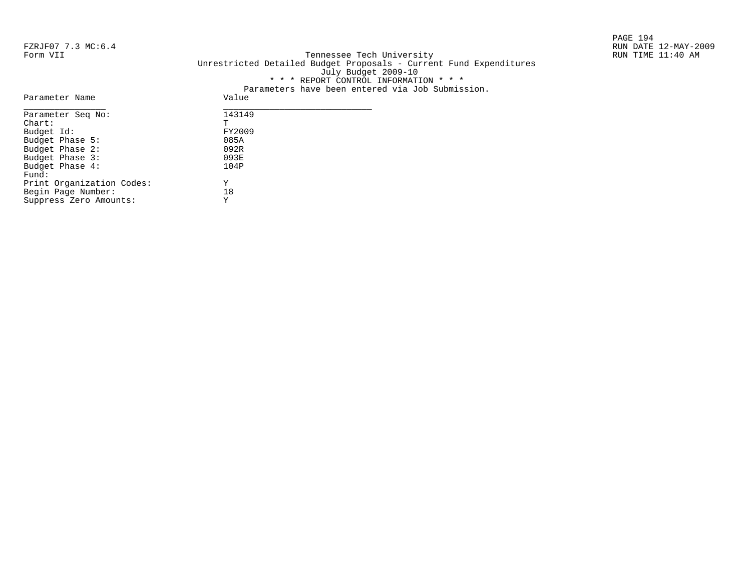PAGE 194

#### FZRJF07 7.3 MC:6.4 RUN DATE 12-MAY-2009<br>Form VII RUN TIME 11:40 AM Tennessee Tech University Unrestricted Detailed Budget Proposals - Current Fund Expenditures July Budget 2009-10 \* \* \* REPORT CONTROL INFORMATION \* \* \* Parameters have been entered via Job Submission.

| Parameter Name            | Value  |
|---------------------------|--------|
| Parameter Seg No:         | 143149 |
| $chart$ :                 | Ͳ      |
| Budget Id:                | FY2009 |
| Budget Phase 5:           | 085A   |
| Budget Phase 2:           | 092R   |
| Budget Phase 3:           | 093E   |
| Budget Phase 4:           | 104P   |
| Fund:                     |        |
| Print Organization Codes: | Υ      |
| Begin Page Number:        | 18     |
| Suppress Zero Amounts:    | Υ      |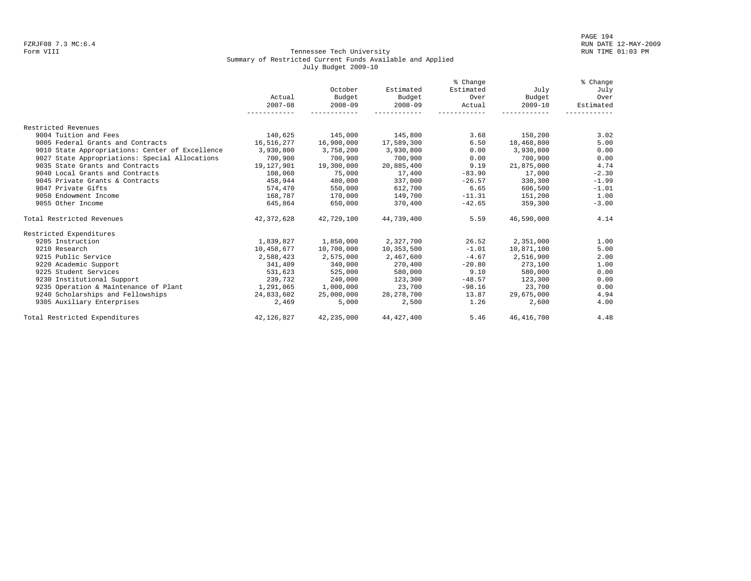#### Form VIII Tennessee Tech University RUN TIME 01:03 PM Summary of Restricted Current Funds Available and Applied July Budget 2009-10

|                                                 |             |             |             | % Change  |             | % Change  |
|-------------------------------------------------|-------------|-------------|-------------|-----------|-------------|-----------|
|                                                 |             | October     | Estimated   | Estimated | July        | July      |
|                                                 | Actual      | Budget      | Budget      | Over      | Budget      | Over      |
|                                                 | $2007 - 08$ | $2008 - 09$ | $2008 - 09$ | Actual    | $2009 - 10$ | Estimated |
|                                                 |             |             |             |           |             |           |
|                                                 |             |             |             |           |             |           |
| Restricted Revenues                             |             |             |             |           |             |           |
| 9004 Tuition and Fees                           | 140,625     | 145,000     | 145,800     | 3.68      | 150,200     | 3.02      |
| 9005 Federal Grants and Contracts               | 16,516,277  | 16,900,000  | 17,589,300  | 6.50      | 18,468,800  | 5.00      |
| 9010 State Appropriations: Center of Excellence | 3,930,800   | 3,758,200   | 3,930,800   | 0.00      | 3,930,800   | 0.00      |
| 9027 State Appropriations: Special Allocations  | 700,900     | 700,900     | 700,900     | 0.00      | 700,900     | 0.00      |
| 9035 State Grants and Contracts                 | 19,127,901  | 19,300,000  | 20,885,400  | 9.19      | 21,875,000  | 4.74      |
| 9040 Local Grants and Contracts                 | 108,060     | 75,000      | 17,400      | $-83.90$  | 17,000      | $-2.30$   |
| 9045 Private Grants & Contracts                 | 458,944     | 480,000     | 337,000     | $-26.57$  | 330,300     | $-1.99$   |
| 9047 Private Gifts                              | 574,470     | 550,000     | 612,700     | 6.65      | 606,500     | $-1.01$   |
| 9050 Endowment Income                           | 168,787     | 170,000     | 149,700     | $-11.31$  | 151,200     | 1.00      |
| 9055 Other Income                               | 645,864     | 650,000     | 370,400     | $-42.65$  | 359,300     | $-3.00$   |
| Total Restricted Revenues                       | 42,372,628  | 42,729,100  | 44,739,400  | 5.59      | 46,590,000  | 4.14      |
| Restricted Expenditures                         |             |             |             |           |             |           |
| 9205 Instruction                                | 1,839,827   | 1,850,000   | 2,327,700   | 26.52     | 2,351,000   | 1.00      |
| 9210 Research                                   | 10,458,677  | 10,700,000  | 10,353,500  | $-1.01$   | 10,871,100  | 5.00      |
| 9215 Public Service                             | 2,588,423   | 2,575,000   | 2,467,600   | $-4.67$   | 2,516,900   | 2.00      |
| 9220 Academic Support                           | 341,409     | 340,000     | 270,400     | $-20.80$  | 273,100     | 1.00      |
| 9225 Student Services                           | 531,623     | 525,000     | 580,000     | 9.10      | 580,000     | 0.00      |
| 9230 Institutional Support                      | 239,732     | 240,000     | 123,300     | $-48.57$  | 123,300     | 0.00      |
| 9235 Operation & Maintenance of Plant           | 1,291,065   | 1,000,000   | 23,700      | $-98.16$  | 23,700      | 0.00      |
| 9240 Scholarships and Fellowships               | 24,833,602  | 25,000,000  | 28,278,700  | 13.87     | 29,675,000  | 4.94      |
| 9305 Auxiliary Enterprises                      | 2,469       | 5,000       | 2,500       | 1.26      | 2,600       | 4.00      |
| Total Restricted Expenditures                   | 42,126,827  | 42,235,000  | 44,427,400  | 5.46      | 46,416,700  | 4.48      |